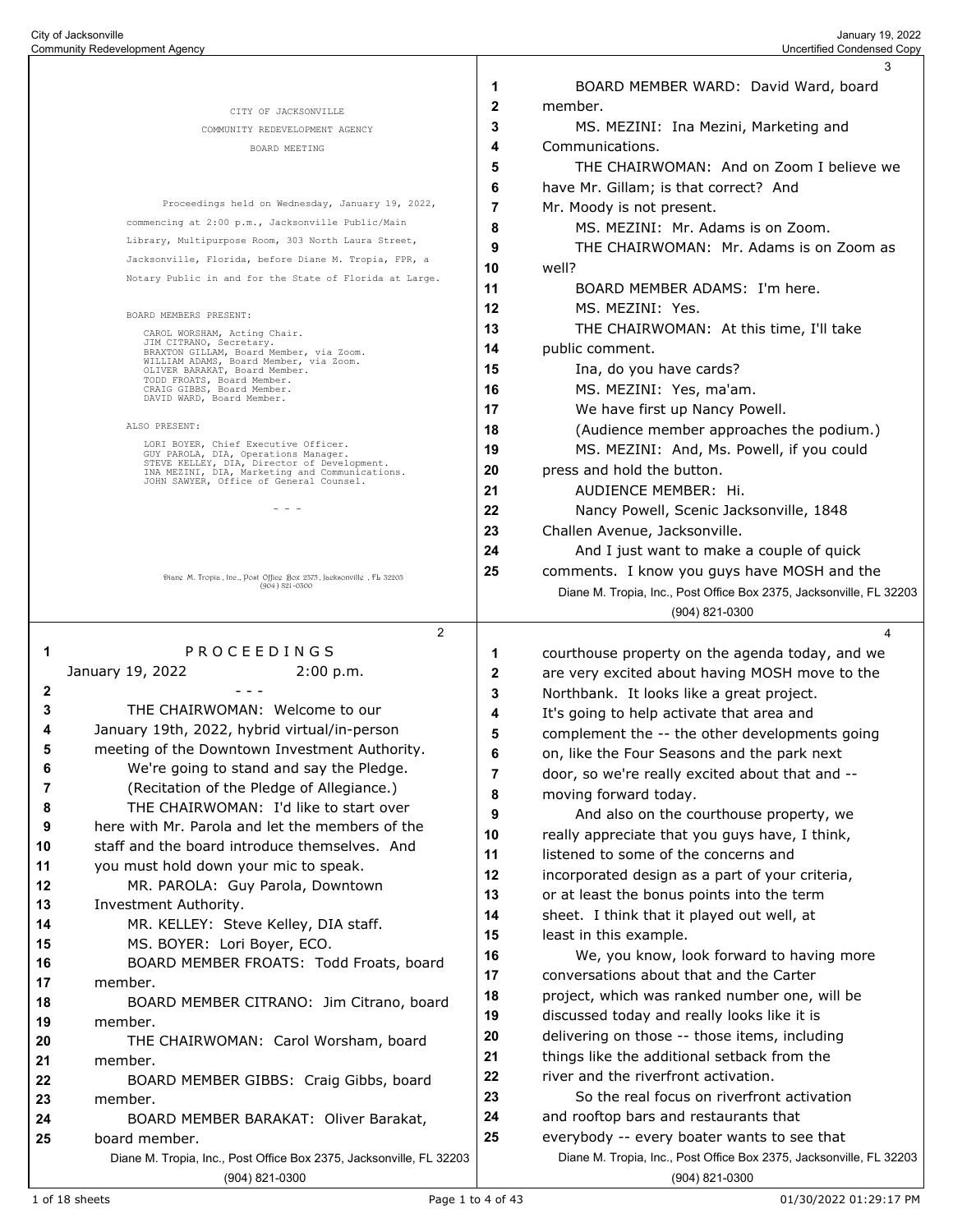|                                        |                                                                                               |    | 3                                                                                                 |
|----------------------------------------|-----------------------------------------------------------------------------------------------|----|---------------------------------------------------------------------------------------------------|
|                                        |                                                                                               | 1  | BOARD MEMBER WARD: David Ward, board                                                              |
|                                        | CITY OF JACKSONVILLE                                                                          | 2  | member.                                                                                           |
|                                        | COMMUNITY REDEVELOPMENT AGENCY                                                                | 3  | MS. MEZINI: Ina Mezini, Marketing and                                                             |
|                                        | BOARD MEETING                                                                                 | 4  | Communications.                                                                                   |
|                                        |                                                                                               | 5  | THE CHAIRWOMAN: And on Zoom I believe we                                                          |
|                                        |                                                                                               | 6  | have Mr. Gillam; is that correct? And                                                             |
|                                        | Proceedings held on Wednesday, January 19, 2022,                                              | 7  | Mr. Moody is not present.                                                                         |
|                                        | commencing at 2:00 p.m., Jacksonville Public/Main                                             | 8  | MS. MEZINI: Mr. Adams is on Zoom.                                                                 |
|                                        | Library, Multipurpose Room, 303 North Laura Street,                                           | 9  | THE CHAIRWOMAN: Mr. Adams is on Zoom as                                                           |
|                                        | Jacksonville, Florida, before Diane M. Tropia, FPR, a                                         | 10 | well?                                                                                             |
|                                        | Notary Public in and for the State of Florida at Large.                                       | 11 | BOARD MEMBER ADAMS: I'm here.                                                                     |
|                                        | BOARD MEMBERS PRESENT:                                                                        | 12 | MS. MEZINI: Yes.                                                                                  |
|                                        | CAROL WORSHAM, Acting Chair.                                                                  | 13 | THE CHAIRWOMAN: At this time, I'll take                                                           |
|                                        | JIM CITRANO, Secretary.<br>BRAXTON GILLAM, Board Member, via Zoom.                            | 14 | public comment.                                                                                   |
|                                        | WILLIAM ADAMS, Board Member, via Zoom.<br>OLIVER BARAKAT, Board Member.                       | 15 | Ina, do you have cards?                                                                           |
|                                        | TODD FROATS, Board Member.<br>CRAIG GIBBS, Board Member.                                      | 16 | MS. MEZINI: Yes, ma'am.                                                                           |
|                                        | DAVID WARD, Board Member.                                                                     | 17 | We have first up Nancy Powell.                                                                    |
|                                        | ALSO PRESENT:                                                                                 | 18 | (Audience member approaches the podium.)                                                          |
|                                        | LORI BOYER, Chief Executive Officer.<br>GUY PAROLA, DIA, Operations Manager.                  | 19 | MS. MEZINI: And, Ms. Powell, if you could                                                         |
|                                        | STEVE KELLEY, DIA, Director of Development.<br>INA MEZINI, DIA, Marketing and Communications. | 20 | press and hold the button.                                                                        |
|                                        | JOHN SAWYER, Office of General Counsel.                                                       | 21 | AUDIENCE MEMBER: Hi.                                                                              |
|                                        |                                                                                               | 22 | Nancy Powell, Scenic Jacksonville, 1848                                                           |
|                                        |                                                                                               | 23 | Challen Avenue, Jacksonville.                                                                     |
|                                        |                                                                                               | 24 | And I just want to make a couple of quick                                                         |
|                                        | Diang M. Tropia, Inc., Post Office Box 2575, Jacksonville, FL 52205                           | 25 | comments. I know you guys have MOSH and the                                                       |
|                                        | $(904) 821 - 0500$                                                                            |    | Diane M. Tropia, Inc., Post Office Box 2375, Jacksonville, FL 32203                               |
|                                        |                                                                                               |    | (904) 821-0300                                                                                    |
|                                        | $\overline{2}$                                                                                |    | 4                                                                                                 |
| 1                                      |                                                                                               |    |                                                                                                   |
|                                        | PROCEEDINGS                                                                                   | 1  |                                                                                                   |
|                                        | January 19, 2022<br>2:00 p.m.                                                                 | 2  | courthouse property on the agenda today, and we<br>are very excited about having MOSH move to the |
| $\mathbf{2}$                           |                                                                                               | 3  | Northbank. It looks like a great project.                                                         |
| 3                                      | THE CHAIRWOMAN: Welcome to our                                                                | 4  | It's going to help activate that area and                                                         |
| 4                                      | January 19th, 2022, hybrid virtual/in-person                                                  | 5  | complement the -- the other developments going                                                    |
| 5                                      | meeting of the Downtown Investment Authority.                                                 | 6  | on, like the Four Seasons and the park next                                                       |
| 6                                      | We're going to stand and say the Pledge.                                                      | 7  | door, so we're really excited about that and --                                                   |
| 7                                      | (Recitation of the Pledge of Allegiance.)                                                     | 8  | moving forward today.                                                                             |
| 8                                      | THE CHAIRWOMAN: I'd like to start over                                                        | 9  | And also on the courthouse property, we                                                           |
| 9                                      | here with Mr. Parola and let the members of the                                               | 10 | really appreciate that you guys have, I think,                                                    |
| 10                                     | staff and the board introduce themselves. And                                                 | 11 | listened to some of the concerns and                                                              |
| 11                                     | you must hold down your mic to speak.                                                         | 12 | incorporated design as a part of your criteria,                                                   |
|                                        | MR. PAROLA: Guy Parola, Downtown                                                              | 13 | or at least the bonus points into the term                                                        |
|                                        | Investment Authority.                                                                         | 14 | sheet. I think that it played out well, at                                                        |
| 12<br>13<br>14                         | MR. KELLEY: Steve Kelley, DIA staff.                                                          | 15 | least in this example.                                                                            |
| 15                                     | MS. BOYER: Lori Boyer, ECO.                                                                   | 16 | We, you know, look forward to having more                                                         |
| 16                                     | BOARD MEMBER FROATS: Todd Froats, board                                                       | 17 | conversations about that and the Carter                                                           |
| 17                                     | member.                                                                                       | 18 | project, which was ranked number one, will be                                                     |
|                                        | BOARD MEMBER CITRANO: Jim Citrano, board                                                      | 19 | discussed today and really looks like it is                                                       |
|                                        | member.                                                                                       | 20 | delivering on those -- those items, including                                                     |
|                                        | THE CHAIRWOMAN: Carol Worsham, board                                                          | 21 | things like the additional setback from the                                                       |
|                                        | member.                                                                                       | 22 | river and the riverfront activation.                                                              |
|                                        | BOARD MEMBER GIBBS: Craig Gibbs, board<br>member.                                             | 23 | So the real focus on riverfront activation                                                        |
| 18<br>19<br>20<br>21<br>22<br>23<br>24 | BOARD MEMBER BARAKAT: Oliver Barakat,                                                         | 24 | and rooftop bars and restaurants that                                                             |
|                                        | board member.                                                                                 | 25 | everybody -- every boater wants to see that                                                       |
| 25                                     | Diane M. Tropia, Inc., Post Office Box 2375, Jacksonville, FL 32203                           |    | Diane M. Tropia, Inc., Post Office Box 2375, Jacksonville, FL 32203                               |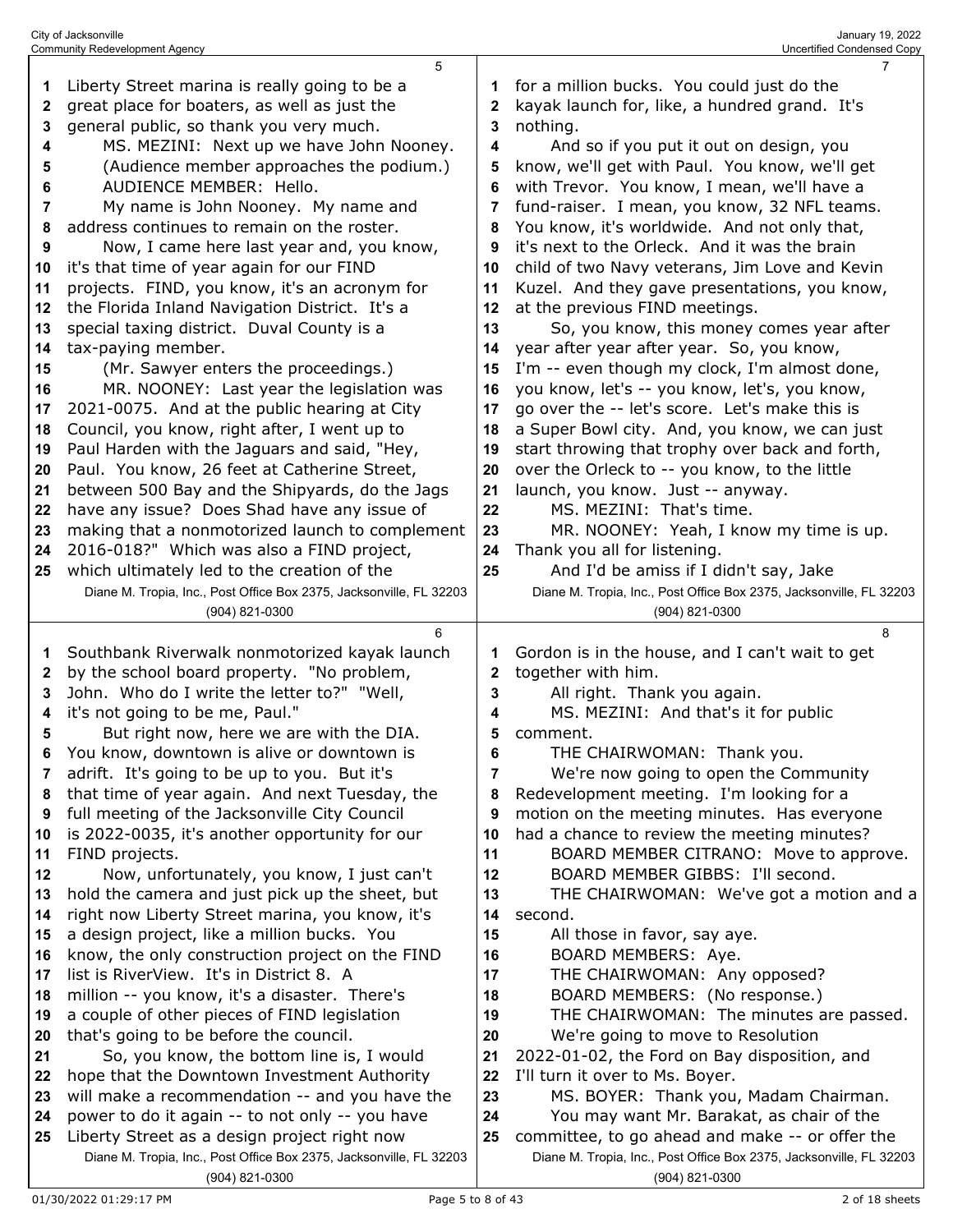|    | City of Jacksonville<br>January 19, 2022<br><b>Community Redevelopment Agency</b><br>Uncertified Condensed Copy |          |                                                                     |  |  |  |
|----|-----------------------------------------------------------------------------------------------------------------|----------|---------------------------------------------------------------------|--|--|--|
|    | 5                                                                                                               |          | 7                                                                   |  |  |  |
| 1  | Liberty Street marina is really going to be a                                                                   | 1        | for a million bucks. You could just do the                          |  |  |  |
| 2  | great place for boaters, as well as just the                                                                    | 2        | kayak launch for, like, a hundred grand. It's                       |  |  |  |
| 3  | general public, so thank you very much.                                                                         | 3        | nothing.                                                            |  |  |  |
| 4  | MS. MEZINI: Next up we have John Nooney.                                                                        | 4        | And so if you put it out on design, you                             |  |  |  |
| 5  | (Audience member approaches the podium.)                                                                        | 5        | know, we'll get with Paul. You know, we'll get                      |  |  |  |
| 6  | AUDIENCE MEMBER: Hello.                                                                                         | 6        | with Trevor. You know, I mean, we'll have a                         |  |  |  |
| 7  | My name is John Nooney. My name and                                                                             | 7        | fund-raiser. I mean, you know, 32 NFL teams.                        |  |  |  |
| 8  | address continues to remain on the roster.                                                                      | 8        | You know, it's worldwide. And not only that,                        |  |  |  |
| 9  | Now, I came here last year and, you know,                                                                       | 9        | it's next to the Orleck. And it was the brain                       |  |  |  |
| 10 | it's that time of year again for our FIND                                                                       | 10       | child of two Navy veterans, Jim Love and Kevin                      |  |  |  |
| 11 | projects. FIND, you know, it's an acronym for                                                                   | 11       | Kuzel. And they gave presentations, you know,                       |  |  |  |
| 12 | the Florida Inland Navigation District. It's a                                                                  | 12       | at the previous FIND meetings.                                      |  |  |  |
| 13 | special taxing district. Duval County is a                                                                      | 13       | So, you know, this money comes year after                           |  |  |  |
| 14 | tax-paying member.                                                                                              | 14       | year after year after year. So, you know,                           |  |  |  |
| 15 | (Mr. Sawyer enters the proceedings.)                                                                            | 15       | I'm -- even though my clock, I'm almost done,                       |  |  |  |
| 16 | MR. NOONEY: Last year the legislation was                                                                       | 16       | you know, let's -- you know, let's, you know,                       |  |  |  |
| 17 | 2021-0075. And at the public hearing at City                                                                    | 17       | go over the -- let's score. Let's make this is                      |  |  |  |
| 18 | Council, you know, right after, I went up to                                                                    | 18       | a Super Bowl city. And, you know, we can just                       |  |  |  |
| 19 | Paul Harden with the Jaguars and said, "Hey,                                                                    | 19       | start throwing that trophy over back and forth,                     |  |  |  |
| 20 | Paul. You know, 26 feet at Catherine Street,                                                                    | 20       | over the Orleck to -- you know, to the little                       |  |  |  |
| 21 | between 500 Bay and the Shipyards, do the Jags                                                                  | 21       | launch, you know. Just -- anyway.                                   |  |  |  |
| 22 | have any issue? Does Shad have any issue of                                                                     | 22       | MS. MEZINI: That's time.                                            |  |  |  |
| 23 | making that a nonmotorized launch to complement                                                                 | 23       | MR. NOONEY: Yeah, I know my time is up.                             |  |  |  |
| 24 | 2016-018?" Which was also a FIND project,                                                                       | 24<br>25 | Thank you all for listening.                                        |  |  |  |
| 25 | which ultimately led to the creation of the                                                                     |          | And I'd be amiss if I didn't say, Jake                              |  |  |  |
|    | Diane M. Tropia, Inc., Post Office Box 2375, Jacksonville, FL 32203                                             |          | Diane M. Tropia, Inc., Post Office Box 2375, Jacksonville, FL 32203 |  |  |  |
|    | (904) 821-0300                                                                                                  |          | (904) 821-0300                                                      |  |  |  |
|    | 6                                                                                                               |          | 8                                                                   |  |  |  |
| 1  | Southbank Riverwalk nonmotorized kayak launch                                                                   | 1        | Gordon is in the house, and I can't wait to get                     |  |  |  |
| 2  | by the school board property. "No problem,                                                                      | 2        | together with him.                                                  |  |  |  |
| 3  | John. Who do I write the letter to?" "Well,                                                                     | 3        | All right. Thank you again.                                         |  |  |  |
| 4  | it's not going to be me, Paul."                                                                                 | 4        | MS. MEZINI: And that's it for public                                |  |  |  |
| 5  | But right now, here we are with the DIA.                                                                        | 5        | comment.                                                            |  |  |  |
| 6  | You know, downtown is alive or downtown is                                                                      | 6        | THE CHAIRWOMAN: Thank you.                                          |  |  |  |
| 7  | adrift. It's going to be up to you. But it's                                                                    | 7        | We're now going to open the Community                               |  |  |  |
| 8  | that time of year again. And next Tuesday, the                                                                  | 8        | Redevelopment meeting. I'm looking for a                            |  |  |  |
| 9  | full meeting of the Jacksonville City Council                                                                   | 9        | motion on the meeting minutes. Has everyone                         |  |  |  |
| 10 | is 2022-0035, it's another opportunity for our                                                                  | 10       | had a chance to review the meeting minutes?                         |  |  |  |
| 11 | FIND projects.                                                                                                  | 11       | BOARD MEMBER CITRANO: Move to approve.                              |  |  |  |
| 12 | Now, unfortunately, you know, I just can't                                                                      | 12       | BOARD MEMBER GIBBS: I'll second.                                    |  |  |  |
| 13 | hold the camera and just pick up the sheet, but                                                                 | 13       | THE CHAIRWOMAN: We've got a motion and a                            |  |  |  |
| 14 | right now Liberty Street marina, you know, it's                                                                 | 14       | second.                                                             |  |  |  |
| 15 | a design project, like a million bucks. You                                                                     | 15       | All those in favor, say aye.                                        |  |  |  |
| 16 | know, the only construction project on the FIND                                                                 | 16       | BOARD MEMBERS: Aye.                                                 |  |  |  |
| 17 | list is RiverView. It's in District 8. A                                                                        | 17       | THE CHAIRWOMAN: Any opposed?                                        |  |  |  |
| 18 | million -- you know, it's a disaster. There's                                                                   | 18       | BOARD MEMBERS: (No response.)                                       |  |  |  |
| 19 | a couple of other pieces of FIND legislation                                                                    | 19       | THE CHAIRWOMAN: The minutes are passed.                             |  |  |  |
| 20 | that's going to be before the council.                                                                          | 20       | We're going to move to Resolution                                   |  |  |  |
| 21 | So, you know, the bottom line is, I would                                                                       | 21       | 2022-01-02, the Ford on Bay disposition, and                        |  |  |  |
| 22 | hope that the Downtown Investment Authority                                                                     | 22       | I'll turn it over to Ms. Boyer.                                     |  |  |  |
| 23 | will make a recommendation -- and you have the                                                                  | 23       | MS. BOYER: Thank you, Madam Chairman.                               |  |  |  |
| 24 | power to do it again -- to not only -- you have                                                                 | 24       | You may want Mr. Barakat, as chair of the                           |  |  |  |
| 25 | Liberty Street as a design project right now                                                                    | 25       | committee, to go ahead and make -- or offer the                     |  |  |  |
|    | Diane M. Tropia, Inc., Post Office Box 2375, Jacksonville, FL 32203                                             |          | Diane M. Tropia, Inc., Post Office Box 2375, Jacksonville, FL 32203 |  |  |  |
|    | (904) 821-0300                                                                                                  |          | (904) 821-0300                                                      |  |  |  |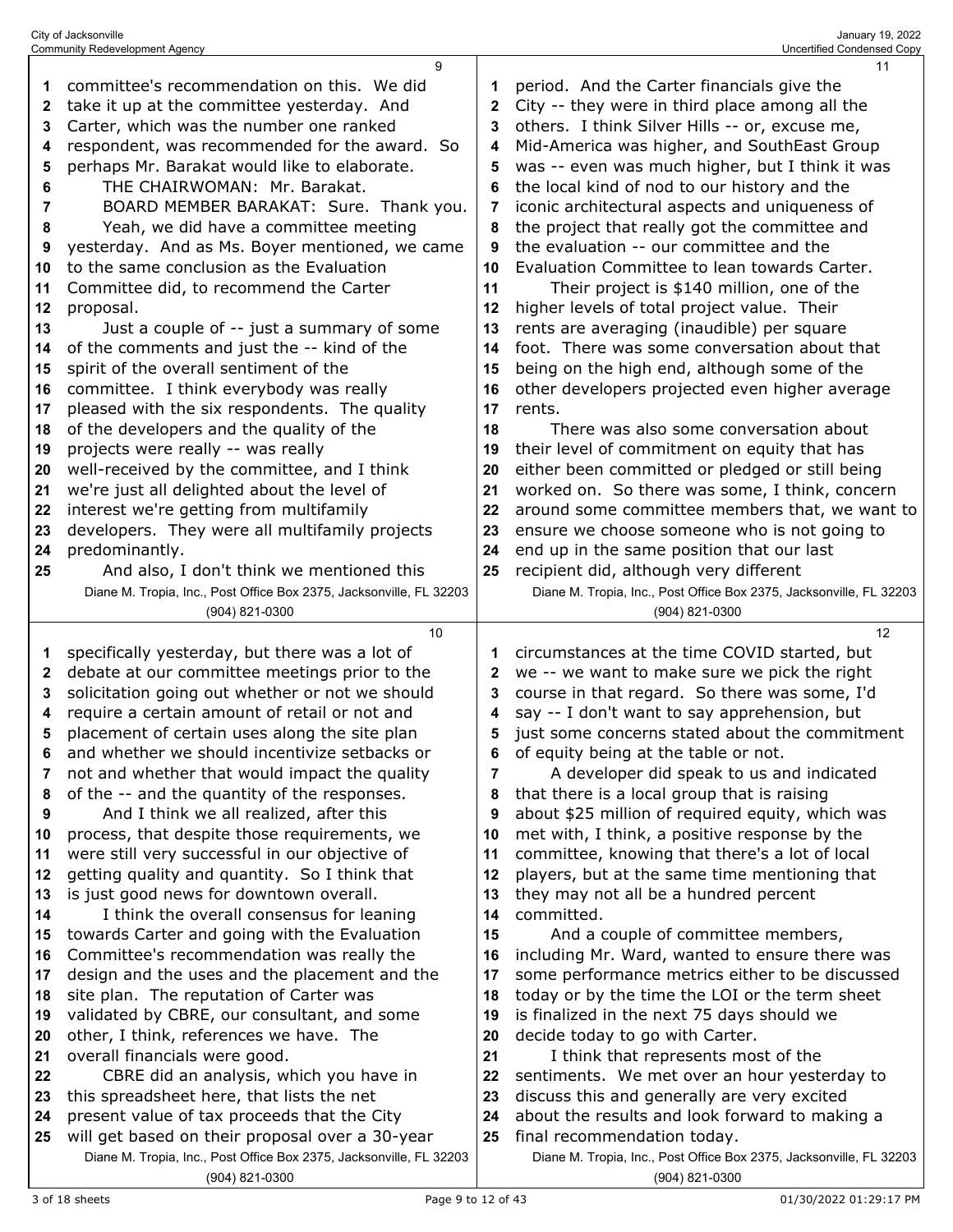|    | 9                                                                   |    | 11                                                                  |
|----|---------------------------------------------------------------------|----|---------------------------------------------------------------------|
| 1  | committee's recommendation on this. We did                          | 1  | period. And the Carter financials give the                          |
| 2  | take it up at the committee yesterday. And                          | 2  | City -- they were in third place among all the                      |
| 3  | Carter, which was the number one ranked                             | 3  | others. I think Silver Hills -- or, excuse me,                      |
| 4  | respondent, was recommended for the award. So                       | 4  | Mid-America was higher, and SouthEast Group                         |
| 5  | perhaps Mr. Barakat would like to elaborate.                        | 5  | was -- even was much higher, but I think it was                     |
| 6  | THE CHAIRWOMAN: Mr. Barakat.                                        | 6  | the local kind of nod to our history and the                        |
| 7  | BOARD MEMBER BARAKAT: Sure. Thank you.                              | 7  | iconic architectural aspects and uniqueness of                      |
| 8  | Yeah, we did have a committee meeting                               | 8  | the project that really got the committee and                       |
| 9  | yesterday. And as Ms. Boyer mentioned, we came                      | 9  | the evaluation -- our committee and the                             |
| 10 | to the same conclusion as the Evaluation                            | 10 | Evaluation Committee to lean towards Carter.                        |
| 11 | Committee did, to recommend the Carter                              | 11 | Their project is \$140 million, one of the                          |
| 12 | proposal.                                                           | 12 | higher levels of total project value. Their                         |
| 13 |                                                                     | 13 |                                                                     |
|    | Just a couple of -- just a summary of some                          |    | rents are averaging (inaudible) per square                          |
| 14 | of the comments and just the -- kind of the                         | 14 | foot. There was some conversation about that                        |
| 15 | spirit of the overall sentiment of the                              | 15 | being on the high end, although some of the                         |
| 16 | committee. I think everybody was really                             | 16 | other developers projected even higher average                      |
| 17 | pleased with the six respondents. The quality                       | 17 | rents.                                                              |
| 18 | of the developers and the quality of the                            | 18 | There was also some conversation about                              |
| 19 | projects were really -- was really                                  | 19 | their level of commitment on equity that has                        |
| 20 | well-received by the committee, and I think                         | 20 | either been committed or pledged or still being                     |
| 21 | we're just all delighted about the level of                         | 21 | worked on. So there was some, I think, concern                      |
| 22 | interest we're getting from multifamily                             | 22 | around some committee members that, we want to                      |
| 23 | developers. They were all multifamily projects                      | 23 | ensure we choose someone who is not going to                        |
| 24 | predominantly.                                                      | 24 | end up in the same position that our last                           |
| 25 | And also, I don't think we mentioned this                           | 25 | recipient did, although very different                              |
|    | Diane M. Tropia, Inc., Post Office Box 2375, Jacksonville, FL 32203 |    | Diane M. Tropia, Inc., Post Office Box 2375, Jacksonville, FL 32203 |
|    | (904) 821-0300                                                      |    | (904) 821-0300                                                      |
|    |                                                                     |    |                                                                     |
|    | 10                                                                  |    | 12                                                                  |
| 1  | specifically yesterday, but there was a lot of                      | 1  | circumstances at the time COVID started, but                        |
| 2  | debate at our committee meetings prior to the                       | 2  | we -- we want to make sure we pick the right                        |
| 3  | solicitation going out whether or not we should                     | 3  | course in that regard. So there was some, I'd                       |
| 4  | require a certain amount of retail or not and                       | 4  | say -- I don't want to say apprehension, but                        |
| 5  | placement of certain uses along the site plan                       | 5  | just some concerns stated about the commitment                      |
| 6  | and whether we should incentivize setbacks or                       | 6  | of equity being at the table or not.                                |
| 7  | not and whether that would impact the quality                       | 7  | A developer did speak to us and indicated                           |
| 8  | of the -- and the quantity of the responses.                        | 8  | that there is a local group that is raising                         |
| 9  | And I think we all realized, after this                             | 9  | about \$25 million of required equity, which was                    |
| 10 | process, that despite those requirements, we                        | 10 | met with, I think, a positive response by the                       |
| 11 | were still very successful in our objective of                      | 11 | committee, knowing that there's a lot of local                      |
| 12 | getting quality and quantity. So I think that                       | 12 | players, but at the same time mentioning that                       |
| 13 | is just good news for downtown overall.                             | 13 | they may not all be a hundred percent                               |
| 14 | I think the overall consensus for leaning                           | 14 | committed.                                                          |
| 15 | towards Carter and going with the Evaluation                        | 15 | And a couple of committee members,                                  |
| 16 | Committee's recommendation was really the                           | 16 | including Mr. Ward, wanted to ensure there was                      |
| 17 | design and the uses and the placement and the                       | 17 | some performance metrics either to be discussed                     |
| 18 | site plan. The reputation of Carter was                             | 18 | today or by the time the LOI or the term sheet                      |
| 19 | validated by CBRE, our consultant, and some                         | 19 | is finalized in the next 75 days should we                          |
| 20 | other, I think, references we have. The                             | 20 | decide today to go with Carter.                                     |
| 21 | overall financials were good.                                       | 21 | I think that represents most of the                                 |
| 22 | CBRE did an analysis, which you have in                             | 22 | sentiments. We met over an hour yesterday to                        |
| 23 | this spreadsheet here, that lists the net                           | 23 | discuss this and generally are very excited                         |
| 24 | present value of tax proceeds that the City                         | 24 | about the results and look forward to making a                      |
| 25 | will get based on their proposal over a 30-year                     | 25 | final recommendation today.                                         |
|    | Diane M. Tropia, Inc., Post Office Box 2375, Jacksonville, FL 32203 |    | Diane M. Tropia, Inc., Post Office Box 2375, Jacksonville, FL 32203 |

City of Jacksonville January 19, 2022 Community Redevelopment Agency Uncertified Condensed Copy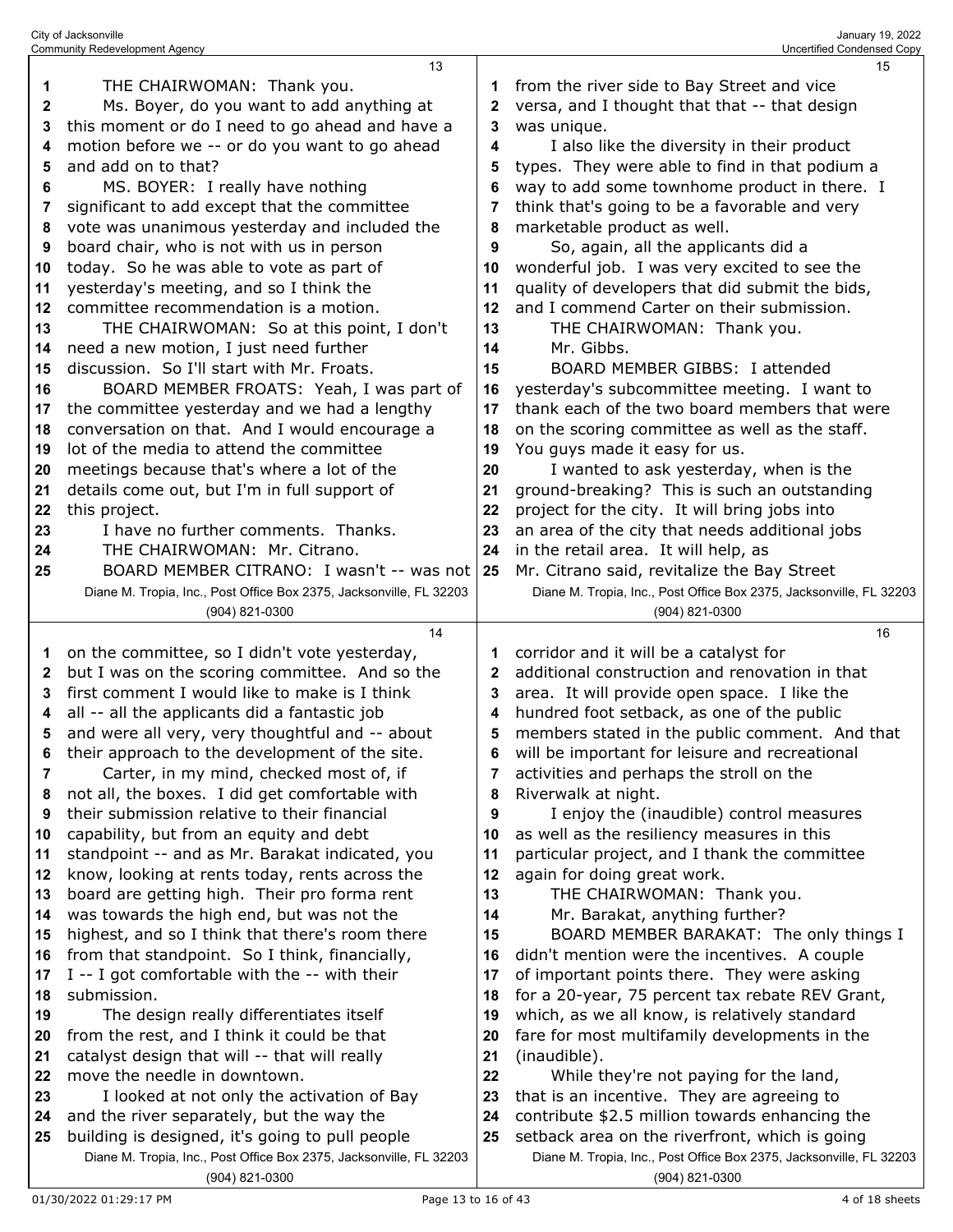|          | 13                                                                                           |              | 15                                                                                               |
|----------|----------------------------------------------------------------------------------------------|--------------|--------------------------------------------------------------------------------------------------|
| 1        | THE CHAIRWOMAN: Thank you.                                                                   | 1            | from the river side to Bay Street and vice                                                       |
| 2        | Ms. Boyer, do you want to add anything at                                                    | 2            | versa, and I thought that that -- that design                                                    |
| 3        | this moment or do I need to go ahead and have a                                              | 3            | was unique.                                                                                      |
| 4        | motion before we -- or do you want to go ahead                                               | 4            | I also like the diversity in their product                                                       |
| 5        | and add on to that?                                                                          | 5            | types. They were able to find in that podium a                                                   |
| 6        | MS. BOYER: I really have nothing                                                             | 6            | way to add some townhome product in there. I                                                     |
| 7        | significant to add except that the committee                                                 | 7            | think that's going to be a favorable and very                                                    |
| 8        | vote was unanimous yesterday and included the                                                | 8            | marketable product as well.                                                                      |
| 9        | board chair, who is not with us in person                                                    | 9            | So, again, all the applicants did a                                                              |
| 10       | today. So he was able to vote as part of                                                     | 10           | wonderful job. I was very excited to see the                                                     |
| 11       | yesterday's meeting, and so I think the                                                      | 11           | quality of developers that did submit the bids,                                                  |
| 12       | committee recommendation is a motion.                                                        | 12           | and I commend Carter on their submission.                                                        |
| 13       | THE CHAIRWOMAN: So at this point, I don't                                                    | 13           | THE CHAIRWOMAN: Thank you.                                                                       |
| 14       | need a new motion, I just need further                                                       | 14           | Mr. Gibbs.                                                                                       |
| 15       | discussion. So I'll start with Mr. Froats.                                                   | 15           | BOARD MEMBER GIBBS: I attended                                                                   |
| 16       | BOARD MEMBER FROATS: Yeah, I was part of                                                     | 16           | yesterday's subcommittee meeting. I want to                                                      |
| 17       | the committee yesterday and we had a lengthy                                                 | 17           | thank each of the two board members that were                                                    |
| 18       | conversation on that. And I would encourage a                                                | 18           | on the scoring committee as well as the staff.                                                   |
| 19       | lot of the media to attend the committee                                                     | 19           | You guys made it easy for us.                                                                    |
| 20       | meetings because that's where a lot of the                                                   | 20           | I wanted to ask yesterday, when is the                                                           |
| 21       | details come out, but I'm in full support of                                                 | 21           | ground-breaking? This is such an outstanding                                                     |
| 22       | this project.                                                                                | 22           | project for the city. It will bring jobs into                                                    |
| 23       | I have no further comments. Thanks.                                                          | 23           | an area of the city that needs additional jobs                                                   |
| 24       | THE CHAIRWOMAN: Mr. Citrano.                                                                 | 24           | in the retail area. It will help, as                                                             |
| 25       | BOARD MEMBER CITRANO: I wasn't -- was not                                                    | 25           | Mr. Citrano said, revitalize the Bay Street                                                      |
|          | Diane M. Tropia, Inc., Post Office Box 2375, Jacksonville, FL 32203                          |              | Diane M. Tropia, Inc., Post Office Box 2375, Jacksonville, FL 32203                              |
|          | (904) 821-0300                                                                               |              |                                                                                                  |
|          |                                                                                              |              | (904) 821-0300                                                                                   |
|          | 14                                                                                           |              | 16                                                                                               |
| 1        | on the committee, so I didn't vote yesterday,                                                | 1            | corridor and it will be a catalyst for                                                           |
| 2        | but I was on the scoring committee. And so the                                               | $\mathbf{2}$ | additional construction and renovation in that                                                   |
| 3        | first comment I would like to make is I think                                                | 3            | area. It will provide open space. I like the                                                     |
| 4        | all -- all the applicants did a fantastic job                                                | 4            | hundred foot setback, as one of the public                                                       |
| 5        | and were all very, very thoughtful and -- about                                              | 5            | members stated in the public comment. And that                                                   |
| 6        | their approach to the development of the site                                                | 6            | will be important for leisure and recreational                                                   |
| 7        | Carter, in my mind, checked most of, if                                                      | 7            | activities and perhaps the stroll on the                                                         |
| 8        | not all, the boxes. I did get comfortable with                                               | 8            | Riverwalk at night.                                                                              |
| 9        | their submission relative to their financial                                                 | 9            | I enjoy the (inaudible) control measures                                                         |
| 10       | capability, but from an equity and debt                                                      | 10           | as well as the resiliency measures in this                                                       |
| 11       | standpoint -- and as Mr. Barakat indicated, you                                              | 11           | particular project, and I thank the committee                                                    |
| 12       | know, looking at rents today, rents across the                                               | 12           | again for doing great work.                                                                      |
| 13       | board are getting high. Their pro forma rent                                                 | 13           | THE CHAIRWOMAN: Thank you.                                                                       |
| 14       | was towards the high end, but was not the                                                    | 14           | Mr. Barakat, anything further?                                                                   |
| 15       | highest, and so I think that there's room there                                              | 15           | BOARD MEMBER BARAKAT: The only things I                                                          |
| 16       | from that standpoint. So I think, financially,                                               | 16           | didn't mention were the incentives. A couple                                                     |
| 17       | I -- I got comfortable with the -- with their                                                | 17           | of important points there. They were asking                                                      |
| 18       | submission.                                                                                  | 18           | for a 20-year, 75 percent tax rebate REV Grant,                                                  |
| 19       | The design really differentiates itself                                                      | 19           | which, as we all know, is relatively standard                                                    |
| 20       | from the rest, and I think it could be that                                                  | 20           | fare for most multifamily developments in the                                                    |
| 21       | catalyst design that will -- that will really                                                | 21           | (inaudible).                                                                                     |
| 22       | move the needle in downtown.                                                                 | 22           | While they're not paying for the land,                                                           |
| 23       | I looked at not only the activation of Bay                                                   | 23<br>24     | that is an incentive. They are agreeing to                                                       |
| 24<br>25 | and the river separately, but the way the<br>building is designed, it's going to pull people | 25           | contribute \$2.5 million towards enhancing the<br>setback area on the riverfront, which is going |
|          | Diane M. Tropia, Inc., Post Office Box 2375, Jacksonville, FL 32203                          |              | Diane M. Tropia, Inc., Post Office Box 2375, Jacksonville, FL 32203                              |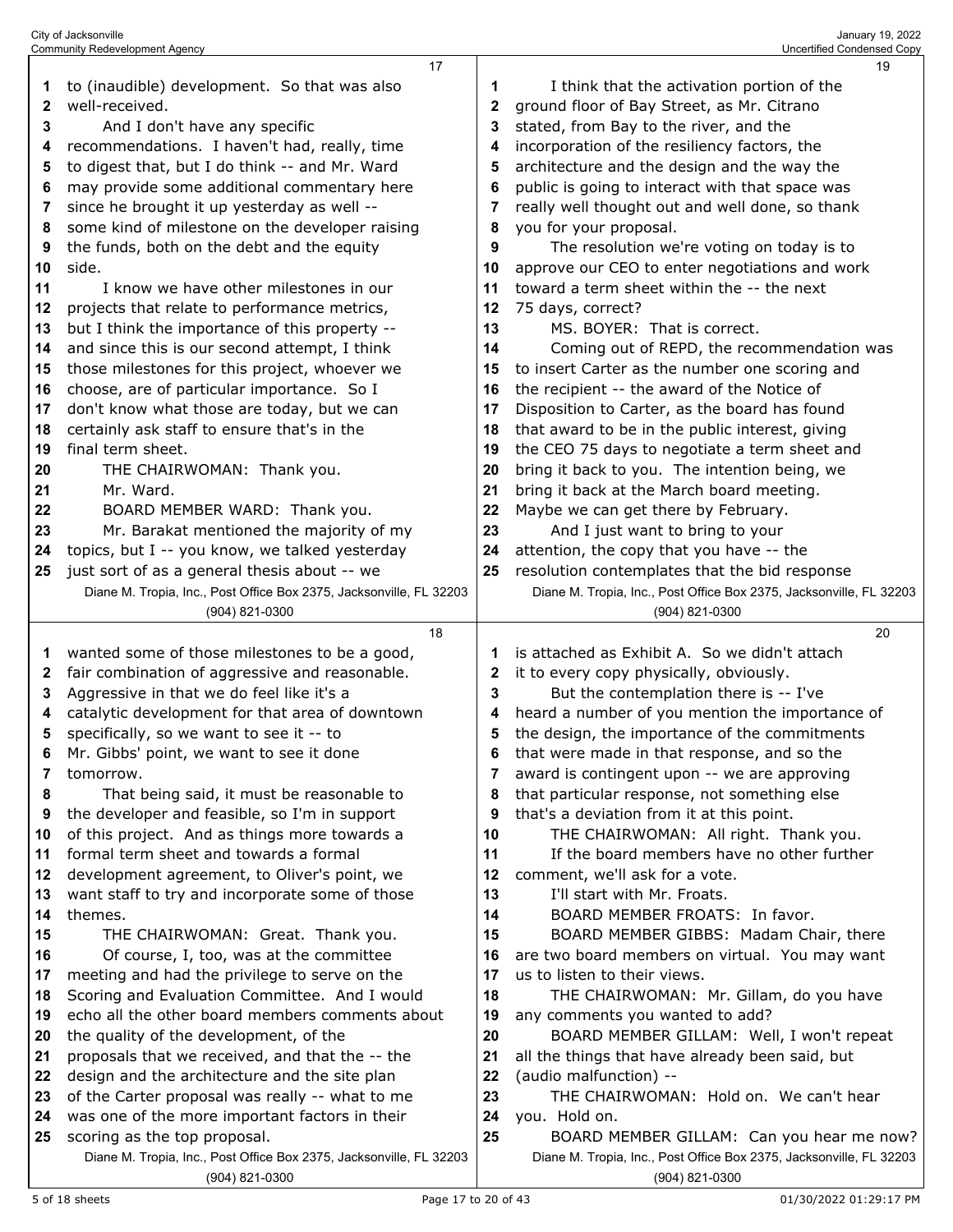|    | 17                                                                  |              | 19                                                                  |
|----|---------------------------------------------------------------------|--------------|---------------------------------------------------------------------|
| 1  | to (inaudible) development. So that was also                        | 1            | I think that the activation portion of the                          |
| 2  | well-received.                                                      | $\mathbf{2}$ | ground floor of Bay Street, as Mr. Citrano                          |
| 3  | And I don't have any specific                                       | 3            | stated, from Bay to the river, and the                              |
| 4  | recommendations. I haven't had, really, time                        | 4            | incorporation of the resiliency factors, the                        |
| 5  | to digest that, but I do think -- and Mr. Ward                      | 5            | architecture and the design and the way the                         |
| 6  | may provide some additional commentary here                         | 6            | public is going to interact with that space was                     |
| 7  | since he brought it up yesterday as well --                         | 7            | really well thought out and well done, so thank                     |
| 8  | some kind of milestone on the developer raising                     | 8            | you for your proposal.                                              |
| 9  | the funds, both on the debt and the equity                          | 9            | The resolution we're voting on today is to                          |
| 10 | side.                                                               | 10           | approve our CEO to enter negotiations and work                      |
| 11 | I know we have other milestones in our                              | 11           | toward a term sheet within the -- the next                          |
| 12 | projects that relate to performance metrics,                        | 12           | 75 days, correct?                                                   |
| 13 | but I think the importance of this property --                      | 13           | MS. BOYER: That is correct.                                         |
| 14 | and since this is our second attempt, I think                       | 14           | Coming out of REPD, the recommendation was                          |
|    | those milestones for this project, whoever we                       | 15           |                                                                     |
| 15 | choose, are of particular importance. So I                          |              | to insert Carter as the number one scoring and                      |
| 16 |                                                                     | 16           | the recipient -- the award of the Notice of                         |
| 17 | don't know what those are today, but we can                         | 17           | Disposition to Carter, as the board has found                       |
| 18 | certainly ask staff to ensure that's in the                         | 18           | that award to be in the public interest, giving                     |
| 19 | final term sheet.                                                   | 19           | the CEO 75 days to negotiate a term sheet and                       |
| 20 | THE CHAIRWOMAN: Thank you.                                          | 20           | bring it back to you. The intention being, we                       |
| 21 | Mr. Ward.                                                           | 21           | bring it back at the March board meeting.                           |
| 22 | BOARD MEMBER WARD: Thank you.                                       | 22           | Maybe we can get there by February.                                 |
| 23 | Mr. Barakat mentioned the majority of my                            | 23           | And I just want to bring to your                                    |
| 24 | topics, but I -- you know, we talked yesterday                      | 24           | attention, the copy that you have -- the                            |
| 25 | just sort of as a general thesis about -- we                        | 25           | resolution contemplates that the bid response                       |
|    | Diane M. Tropia, Inc., Post Office Box 2375, Jacksonville, FL 32203 |              | Diane M. Tropia, Inc., Post Office Box 2375, Jacksonville, FL 32203 |
|    | (904) 821-0300                                                      |              | (904) 821-0300                                                      |
|    |                                                                     |              |                                                                     |
|    | 18                                                                  |              | 20                                                                  |
| 1  | wanted some of those milestones to be a good,                       | 1            | is attached as Exhibit A. So we didn't attach                       |
| 2  | fair combination of aggressive and reasonable.                      | 2            | it to every copy physically, obviously.                             |
| 3  | Aggressive in that we do feel like it's a                           | 3            | But the contemplation there is -- I've                              |
| 4  | catalytic development for that area of downtown                     | 4            | heard a number of you mention the importance of                     |
| 5  | specifically, so we want to see it -- to                            | 5            | the design, the importance of the commitments                       |
|    | Mr. Gibbs' point, we want to see it done                            |              | that were made in that response, and so the                         |
| 7  | tomorrow.                                                           | 7            | award is contingent upon -- we are approving                        |
| 8  | That being said, it must be reasonable to                           | 8            | that particular response, not something else                        |
| 9  | the developer and feasible, so I'm in support                       | 9            | that's a deviation from it at this point.                           |
| 10 | of this project. And as things more towards a                       | 10           | THE CHAIRWOMAN: All right. Thank you.                               |
| 11 | formal term sheet and towards a formal                              | 11           | If the board members have no other further                          |
| 12 | development agreement, to Oliver's point, we                        | 12           | comment, we'll ask for a vote.                                      |
| 13 | want staff to try and incorporate some of those                     | 13           | I'll start with Mr. Froats.                                         |
| 14 | themes.                                                             | 14           | BOARD MEMBER FROATS: In favor.                                      |
| 15 | THE CHAIRWOMAN: Great. Thank you.                                   | 15           | BOARD MEMBER GIBBS: Madam Chair, there                              |
| 16 | Of course, I, too, was at the committee                             | 16           | are two board members on virtual. You may want                      |
| 17 | meeting and had the privilege to serve on the                       | 17           | us to listen to their views.                                        |
| 18 | Scoring and Evaluation Committee. And I would                       | 18           | THE CHAIRWOMAN: Mr. Gillam, do you have                             |
| 19 | echo all the other board members comments about                     | 19           | any comments you wanted to add?                                     |
| 20 | the quality of the development, of the                              | 20           | BOARD MEMBER GILLAM: Well, I won't repeat                           |
| 21 | proposals that we received, and that the -- the                     | 21           | all the things that have already been said, but                     |
| 22 | design and the architecture and the site plan                       | 22           | (audio malfunction) --                                              |
| 23 | of the Carter proposal was really -- what to me                     | 23           | THE CHAIRWOMAN: Hold on. We can't hear                              |
| 24 | was one of the more important factors in their                      | 24           | you. Hold on.                                                       |
| 25 | scoring as the top proposal.                                        | 25           | BOARD MEMBER GILLAM: Can you hear me now?                           |
|    | Diane M. Tropia, Inc., Post Office Box 2375, Jacksonville, FL 32203 |              | Diane M. Tropia, Inc., Post Office Box 2375, Jacksonville, FL 32203 |

City of Jacksonville January 19, 2022 Community Redevelopment Agency Uncertified Condensed Copy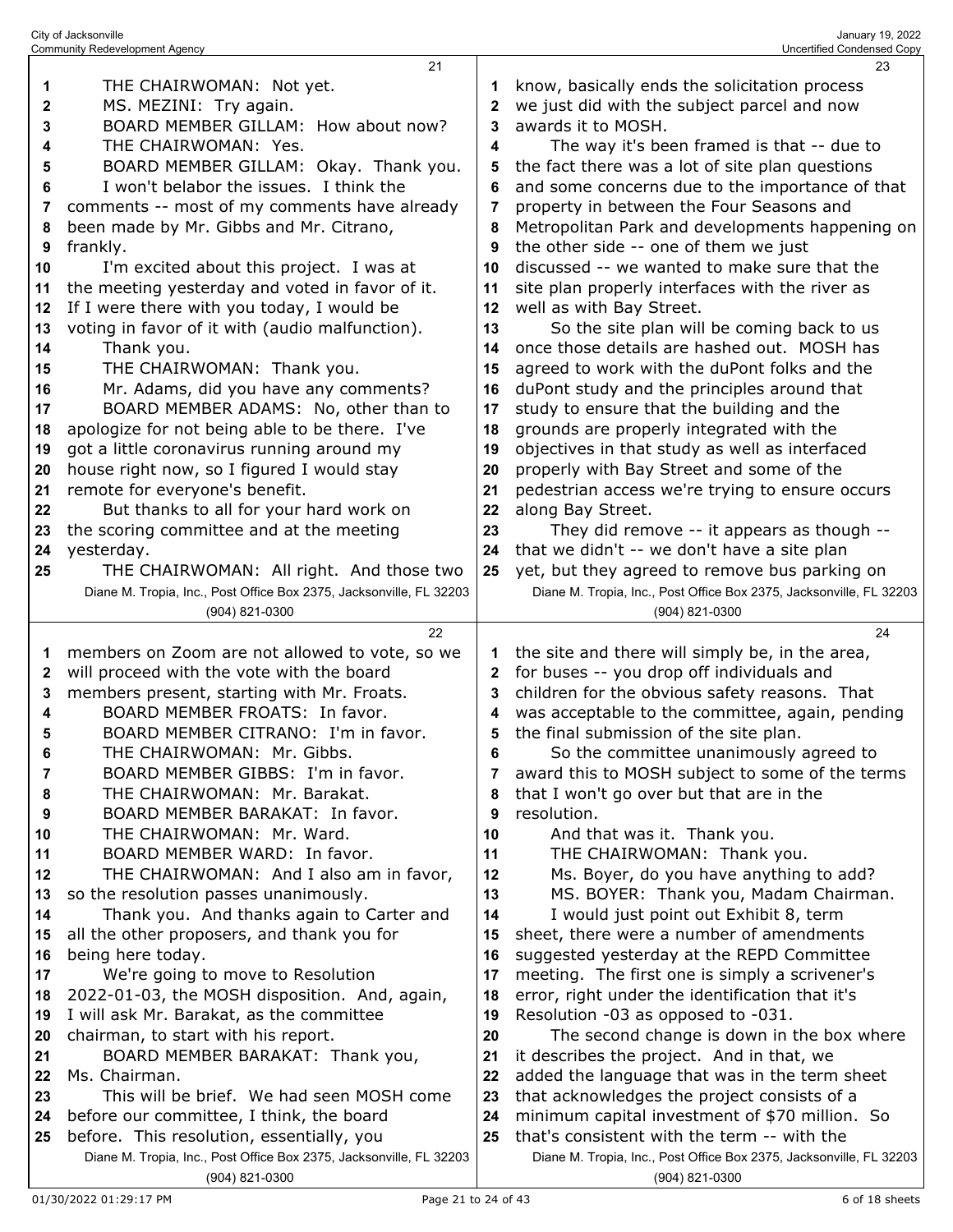| 1<br>2<br>3<br>4<br>5<br>6<br>7<br>8<br>9<br>10 | THE CHAIRWOMAN: Not yet.<br>MS. MEZINI: Try again.<br>BOARD MEMBER GILLAM: How about now?<br>THE CHAIRWOMAN: Yes.<br>BOARD MEMBER GILLAM: Okay. Thank you.<br>I won't belabor the issues. I think the<br>comments -- most of my comments have already<br>been made by Mr. Gibbs and Mr. Citrano,<br>frankly.<br>I'm excited about this project. I was at | 1<br>2<br>3<br>4<br>5<br>6<br>7<br>8<br>9<br>10 | know, basically ends the solicitation process<br>we just did with the subject parcel and now<br>awards it to MOSH.<br>The way it's been framed is that -- due to<br>the fact there was a lot of site plan questions<br>and some concerns due to the importance of that<br>property in between the Four Seasons and<br>Metropolitan Park and developments happening on<br>the other side -- one of them we just<br>discussed -- we wanted to make sure that the |
|-------------------------------------------------|----------------------------------------------------------------------------------------------------------------------------------------------------------------------------------------------------------------------------------------------------------------------------------------------------------------------------------------------------------|-------------------------------------------------|----------------------------------------------------------------------------------------------------------------------------------------------------------------------------------------------------------------------------------------------------------------------------------------------------------------------------------------------------------------------------------------------------------------------------------------------------------------|
| 11                                              | the meeting yesterday and voted in favor of it.                                                                                                                                                                                                                                                                                                          | 11                                              | site plan properly interfaces with the river as                                                                                                                                                                                                                                                                                                                                                                                                                |
| 12                                              | If I were there with you today, I would be                                                                                                                                                                                                                                                                                                               | 12                                              | well as with Bay Street.                                                                                                                                                                                                                                                                                                                                                                                                                                       |
| 13                                              | voting in favor of it with (audio malfunction).                                                                                                                                                                                                                                                                                                          | 13                                              | So the site plan will be coming back to us<br>once those details are hashed out. MOSH has                                                                                                                                                                                                                                                                                                                                                                      |
| 14<br>15                                        | Thank you.<br>THE CHAIRWOMAN: Thank you.                                                                                                                                                                                                                                                                                                                 | 14<br>15                                        | agreed to work with the duPont folks and the                                                                                                                                                                                                                                                                                                                                                                                                                   |
| 16                                              | Mr. Adams, did you have any comments?                                                                                                                                                                                                                                                                                                                    | 16                                              | duPont study and the principles around that                                                                                                                                                                                                                                                                                                                                                                                                                    |
| 17                                              | BOARD MEMBER ADAMS: No, other than to                                                                                                                                                                                                                                                                                                                    | 17                                              | study to ensure that the building and the                                                                                                                                                                                                                                                                                                                                                                                                                      |
| 18                                              | apologize for not being able to be there. I've                                                                                                                                                                                                                                                                                                           | 18                                              | grounds are properly integrated with the                                                                                                                                                                                                                                                                                                                                                                                                                       |
| 19                                              | got a little coronavirus running around my                                                                                                                                                                                                                                                                                                               | 19                                              | objectives in that study as well as interfaced                                                                                                                                                                                                                                                                                                                                                                                                                 |
| 20                                              | house right now, so I figured I would stay                                                                                                                                                                                                                                                                                                               | 20                                              | properly with Bay Street and some of the                                                                                                                                                                                                                                                                                                                                                                                                                       |
| 21                                              | remote for everyone's benefit.                                                                                                                                                                                                                                                                                                                           | 21                                              | pedestrian access we're trying to ensure occurs                                                                                                                                                                                                                                                                                                                                                                                                                |
| 22                                              | But thanks to all for your hard work on                                                                                                                                                                                                                                                                                                                  | 22                                              | along Bay Street.                                                                                                                                                                                                                                                                                                                                                                                                                                              |
| 23                                              | the scoring committee and at the meeting                                                                                                                                                                                                                                                                                                                 | 23                                              | They did remove -- it appears as though --                                                                                                                                                                                                                                                                                                                                                                                                                     |
| 24                                              | yesterday.                                                                                                                                                                                                                                                                                                                                               | 24                                              | that we didn't -- we don't have a site plan                                                                                                                                                                                                                                                                                                                                                                                                                    |
| 25                                              | THE CHAIRWOMAN: All right. And those two<br>Diane M. Tropia, Inc., Post Office Box 2375, Jacksonville, FL 32203                                                                                                                                                                                                                                          | 25                                              | yet, but they agreed to remove bus parking on<br>Diane M. Tropia, Inc., Post Office Box 2375, Jacksonville, FL 32203                                                                                                                                                                                                                                                                                                                                           |
|                                                 | (904) 821-0300                                                                                                                                                                                                                                                                                                                                           |                                                 | (904) 821-0300                                                                                                                                                                                                                                                                                                                                                                                                                                                 |
|                                                 |                                                                                                                                                                                                                                                                                                                                                          |                                                 |                                                                                                                                                                                                                                                                                                                                                                                                                                                                |
|                                                 | 22                                                                                                                                                                                                                                                                                                                                                       |                                                 | 24                                                                                                                                                                                                                                                                                                                                                                                                                                                             |
| 1                                               | members on Zoom are not allowed to vote, so we                                                                                                                                                                                                                                                                                                           | 1                                               | the site and there will simply be, in the area,                                                                                                                                                                                                                                                                                                                                                                                                                |
| $\mathbf{2}$                                    | will proceed with the vote with the board                                                                                                                                                                                                                                                                                                                | 2                                               | for buses -- you drop off individuals and                                                                                                                                                                                                                                                                                                                                                                                                                      |
| 3                                               | members present, starting with Mr. Froats.                                                                                                                                                                                                                                                                                                               | 3                                               | children for the obvious safety reasons. That                                                                                                                                                                                                                                                                                                                                                                                                                  |
| 4                                               | BOARD MEMBER FROATS: In favor.                                                                                                                                                                                                                                                                                                                           | 4                                               | was acceptable to the committee, again, pending                                                                                                                                                                                                                                                                                                                                                                                                                |
| 5                                               | BOARD MEMBER CITRANO: I'm in favor.                                                                                                                                                                                                                                                                                                                      | 5                                               | the final submission of the site plan.                                                                                                                                                                                                                                                                                                                                                                                                                         |
| 6                                               | THE CHAIRWOMAN: Mr. Gibbs.                                                                                                                                                                                                                                                                                                                               | 6                                               | So the committee unanimously agreed to                                                                                                                                                                                                                                                                                                                                                                                                                         |
| 7                                               | BOARD MEMBER GIBBS: I'm in favor.                                                                                                                                                                                                                                                                                                                        |                                                 | award this to MOSH subject to some of the terms                                                                                                                                                                                                                                                                                                                                                                                                                |
| 8                                               | THE CHAIRWOMAN: Mr. Barakat.                                                                                                                                                                                                                                                                                                                             | 8                                               | that I won't go over but that are in the                                                                                                                                                                                                                                                                                                                                                                                                                       |
| 9                                               | BOARD MEMBER BARAKAT: In favor.<br>THE CHAIRWOMAN: Mr. Ward.                                                                                                                                                                                                                                                                                             | 9<br>10                                         | resolution.                                                                                                                                                                                                                                                                                                                                                                                                                                                    |
| 10<br>11                                        | BOARD MEMBER WARD: In favor.                                                                                                                                                                                                                                                                                                                             | 11                                              | And that was it. Thank you.<br>THE CHAIRWOMAN: Thank you.                                                                                                                                                                                                                                                                                                                                                                                                      |
| 12                                              | THE CHAIRWOMAN: And I also am in favor,                                                                                                                                                                                                                                                                                                                  | 12                                              | Ms. Boyer, do you have anything to add?                                                                                                                                                                                                                                                                                                                                                                                                                        |
| 13                                              | so the resolution passes unanimously.                                                                                                                                                                                                                                                                                                                    | 13                                              | MS. BOYER: Thank you, Madam Chairman.                                                                                                                                                                                                                                                                                                                                                                                                                          |
| 14                                              | Thank you. And thanks again to Carter and                                                                                                                                                                                                                                                                                                                | 14                                              | I would just point out Exhibit 8, term                                                                                                                                                                                                                                                                                                                                                                                                                         |
| 15                                              | all the other proposers, and thank you for                                                                                                                                                                                                                                                                                                               | 15                                              | sheet, there were a number of amendments                                                                                                                                                                                                                                                                                                                                                                                                                       |
| 16                                              | being here today.                                                                                                                                                                                                                                                                                                                                        | 16                                              | suggested yesterday at the REPD Committee                                                                                                                                                                                                                                                                                                                                                                                                                      |
| 17                                              | We're going to move to Resolution                                                                                                                                                                                                                                                                                                                        | 17                                              | meeting. The first one is simply a scrivener's                                                                                                                                                                                                                                                                                                                                                                                                                 |
| 18                                              | 2022-01-03, the MOSH disposition. And, again,                                                                                                                                                                                                                                                                                                            | 18                                              | error, right under the identification that it's                                                                                                                                                                                                                                                                                                                                                                                                                |
| 19                                              | I will ask Mr. Barakat, as the committee                                                                                                                                                                                                                                                                                                                 | 19                                              | Resolution -03 as opposed to -031.                                                                                                                                                                                                                                                                                                                                                                                                                             |
| 20<br>21                                        | chairman, to start with his report.<br>BOARD MEMBER BARAKAT: Thank you,                                                                                                                                                                                                                                                                                  | 20<br>21                                        | The second change is down in the box where                                                                                                                                                                                                                                                                                                                                                                                                                     |
| 22                                              | Ms. Chairman.                                                                                                                                                                                                                                                                                                                                            | 22                                              | it describes the project. And in that, we<br>added the language that was in the term sheet                                                                                                                                                                                                                                                                                                                                                                     |
| 23                                              | This will be brief. We had seen MOSH come                                                                                                                                                                                                                                                                                                                | 23                                              | that acknowledges the project consists of a                                                                                                                                                                                                                                                                                                                                                                                                                    |
| 24<br>25                                        | before our committee, I think, the board<br>before. This resolution, essentially, you                                                                                                                                                                                                                                                                    | 24                                              | minimum capital investment of \$70 million. So<br>that's consistent with the term -- with the                                                                                                                                                                                                                                                                                                                                                                  |

 before. This resolution, essentially, you Diane M. Tropia, Inc., Post Office Box 2375, Jacksonville, FL 32203 (904) 821-0300

Diane M. Tropia, Inc., Post Office Box 2375, Jacksonville, FL 32203

(904) 821-0300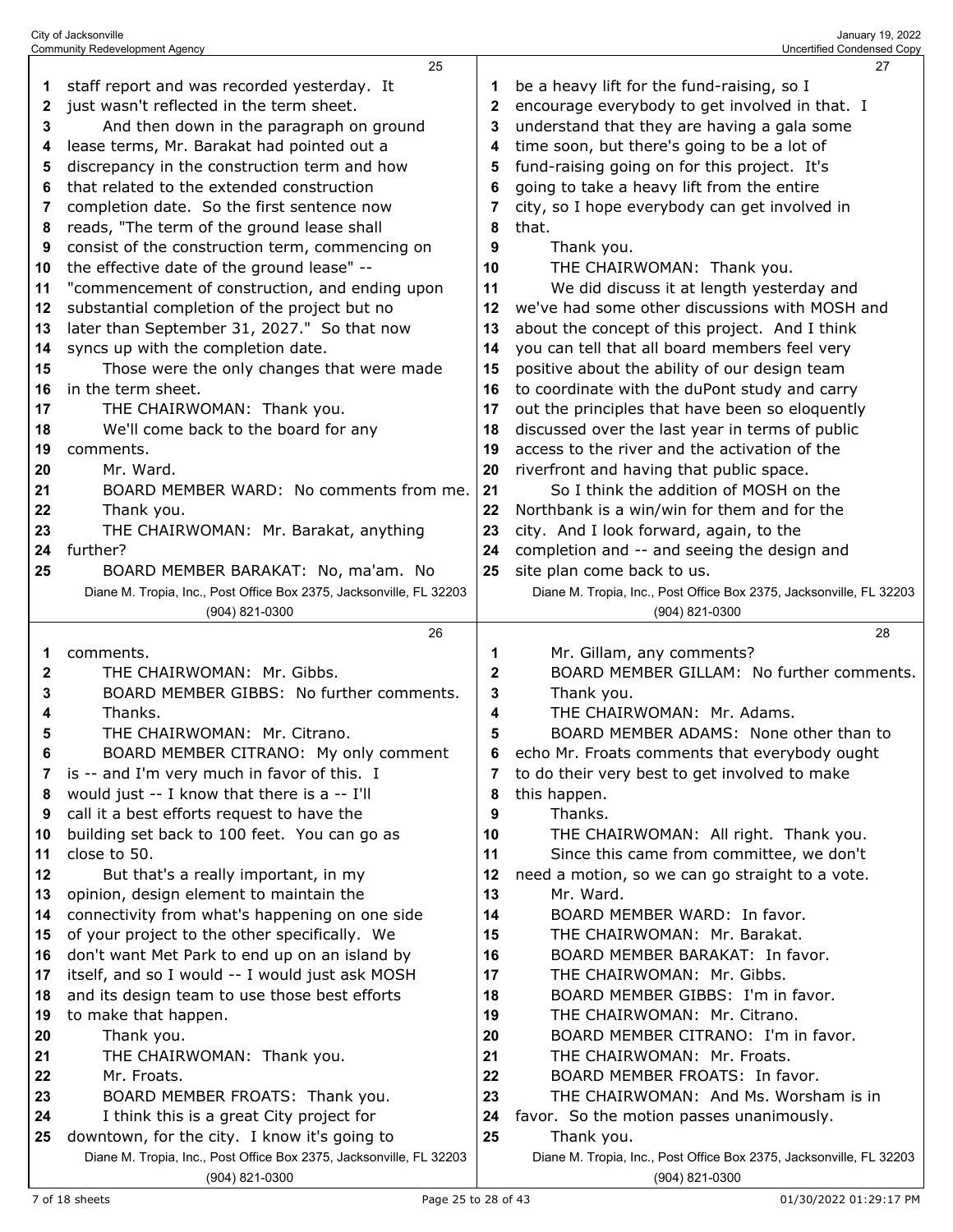|          | 25                                                                                    |                                                      | 27                                                                                    |  |  |
|----------|---------------------------------------------------------------------------------------|------------------------------------------------------|---------------------------------------------------------------------------------------|--|--|
| 1        | staff report and was recorded yesterday. It                                           |                                                      | be a heavy lift for the fund-raising, so I                                            |  |  |
| 2        | just wasn't reflected in the term sheet.                                              | $\mathbf{2}$                                         | encourage everybody to get involved in that. I                                        |  |  |
| 3        | And then down in the paragraph on ground                                              | 3                                                    | understand that they are having a gala some                                           |  |  |
| 4        | lease terms, Mr. Barakat had pointed out a                                            | 4                                                    | time soon, but there's going to be a lot of                                           |  |  |
| 5        | discrepancy in the construction term and how                                          | 5                                                    | fund-raising going on for this project. It's                                          |  |  |
| 6        | that related to the extended construction                                             | 6                                                    | going to take a heavy lift from the entire                                            |  |  |
| 7        | completion date. So the first sentence now                                            | city, so I hope everybody can get involved in<br>7   |                                                                                       |  |  |
|          | reads, "The term of the ground lease shall                                            | that.<br>8                                           |                                                                                       |  |  |
| 8        |                                                                                       |                                                      |                                                                                       |  |  |
| 9        | consist of the construction term, commencing on                                       | 9<br>Thank you.                                      |                                                                                       |  |  |
| 10       | the effective date of the ground lease" --                                            | THE CHAIRWOMAN: Thank you.<br>10                     |                                                                                       |  |  |
| 11       | "commencement of construction, and ending upon                                        | We did discuss it at length yesterday and<br>11      |                                                                                       |  |  |
| 12       | substantial completion of the project but no                                          | we've had some other discussions with MOSH and<br>12 |                                                                                       |  |  |
| 13       | later than September 31, 2027." So that now                                           | 13                                                   | about the concept of this project. And I think                                        |  |  |
| 14       | syncs up with the completion date.                                                    | 14                                                   | you can tell that all board members feel very                                         |  |  |
| 15       | Those were the only changes that were made                                            | 15                                                   | positive about the ability of our design team                                         |  |  |
| 16       | in the term sheet.                                                                    | 16                                                   | to coordinate with the duPont study and carry                                         |  |  |
| 17       | THE CHAIRWOMAN: Thank you.                                                            | 17                                                   | out the principles that have been so eloquently                                       |  |  |
| 18       | We'll come back to the board for any                                                  | 18                                                   | discussed over the last year in terms of public                                       |  |  |
| 19       | comments.                                                                             | 19                                                   | access to the river and the activation of the                                         |  |  |
| 20       | Mr. Ward.                                                                             | 20                                                   | riverfront and having that public space.                                              |  |  |
| 21       | BOARD MEMBER WARD: No comments from me.                                               | 21                                                   | So I think the addition of MOSH on the                                                |  |  |
| 22       | Thank you.                                                                            | 22                                                   | Northbank is a win/win for them and for the                                           |  |  |
| 23       | THE CHAIRWOMAN: Mr. Barakat, anything                                                 | 23                                                   | city. And I look forward, again, to the                                               |  |  |
| 24       | further?                                                                              | 24                                                   | completion and -- and seeing the design and                                           |  |  |
| 25       | BOARD MEMBER BARAKAT: No, ma'am. No                                                   |                                                      | site plan come back to us.                                                            |  |  |
|          | Diane M. Tropia, Inc., Post Office Box 2375, Jacksonville, FL 32203                   |                                                      | Diane M. Tropia, Inc., Post Office Box 2375, Jacksonville, FL 32203                   |  |  |
|          | (904) 821-0300                                                                        |                                                      | (904) 821-0300                                                                        |  |  |
|          |                                                                                       |                                                      |                                                                                       |  |  |
|          | 26                                                                                    |                                                      | 28                                                                                    |  |  |
| 1        | comments.                                                                             | 1                                                    | Mr. Gillam, any comments?                                                             |  |  |
| 2        | THE CHAIRWOMAN: Mr. Gibbs.                                                            | $\mathbf 2$                                          | BOARD MEMBER GILLAM: No further comments.                                             |  |  |
| 3        | BOARD MEMBER GIBBS: No further comments.                                              | 3                                                    | Thank you.                                                                            |  |  |
| 4        | Thanks.                                                                               | 4                                                    | THE CHAIRWOMAN: Mr. Adams.                                                            |  |  |
| 5        | THE CHAIRWOMAN: Mr. Citrano.                                                          | 5                                                    | BOARD MEMBER ADAMS: None other than to                                                |  |  |
| ĥ        | BOARD MEMBER CITRANO: My only comment                                                 | 6                                                    | echo Mr. Froats comments that everybody ought                                         |  |  |
| 7        | is -- and I'm very much in favor of this. I                                           | 7                                                    | to do their very best to get involved to make                                         |  |  |
| 8        |                                                                                       | 8                                                    |                                                                                       |  |  |
| 9        | would just -- I know that there is a -- I'll                                          | 9                                                    | this happen.<br>Thanks.                                                               |  |  |
| 10       | call it a best efforts request to have the                                            | 10                                                   | THE CHAIRWOMAN: All right. Thank you.                                                 |  |  |
| 11       | building set back to 100 feet. You can go as<br>close to 50.                          | 11                                                   | Since this came from committee, we don't                                              |  |  |
| 12       |                                                                                       | 12                                                   |                                                                                       |  |  |
| 13       | But that's a really important, in my                                                  | 13                                                   | need a motion, so we can go straight to a vote.<br>Mr. Ward.                          |  |  |
| 14       | opinion, design element to maintain the                                               |                                                      |                                                                                       |  |  |
|          | connectivity from what's happening on one side                                        | 14                                                   | BOARD MEMBER WARD: In favor.                                                          |  |  |
| 15       | of your project to the other specifically. We                                         | 15                                                   | THE CHAIRWOMAN: Mr. Barakat.                                                          |  |  |
| 16<br>17 | don't want Met Park to end up on an island by                                         | 16                                                   | BOARD MEMBER BARAKAT: In favor.                                                       |  |  |
|          | itself, and so I would -- I would just ask MOSH                                       | 17                                                   | THE CHAIRWOMAN: Mr. Gibbs.                                                            |  |  |
| 18       | and its design team to use those best efforts                                         | 18                                                   | BOARD MEMBER GIBBS: I'm in favor.                                                     |  |  |
| 19       | to make that happen.                                                                  | 19                                                   | THE CHAIRWOMAN: Mr. Citrano.                                                          |  |  |
| 20       | Thank you.                                                                            | 20                                                   | BOARD MEMBER CITRANO: I'm in favor.                                                   |  |  |
| 21       | THE CHAIRWOMAN: Thank you.                                                            | 21                                                   | THE CHAIRWOMAN: Mr. Froats.                                                           |  |  |
| 22       | Mr. Froats.                                                                           | 22                                                   | BOARD MEMBER FROATS: In favor.                                                        |  |  |
| 23       | BOARD MEMBER FROATS: Thank you.                                                       | 23                                                   | THE CHAIRWOMAN: And Ms. Worsham is in                                                 |  |  |
| 24       | I think this is a great City project for                                              | 24                                                   | favor. So the motion passes unanimously.                                              |  |  |
| 25       | downtown, for the city. I know it's going to                                          | 25                                                   | Thank you.                                                                            |  |  |
|          | Diane M. Tropia, Inc., Post Office Box 2375, Jacksonville, FL 32203<br>(904) 821-0300 |                                                      | Diane M. Tropia, Inc., Post Office Box 2375, Jacksonville, FL 32203<br>(904) 821-0300 |  |  |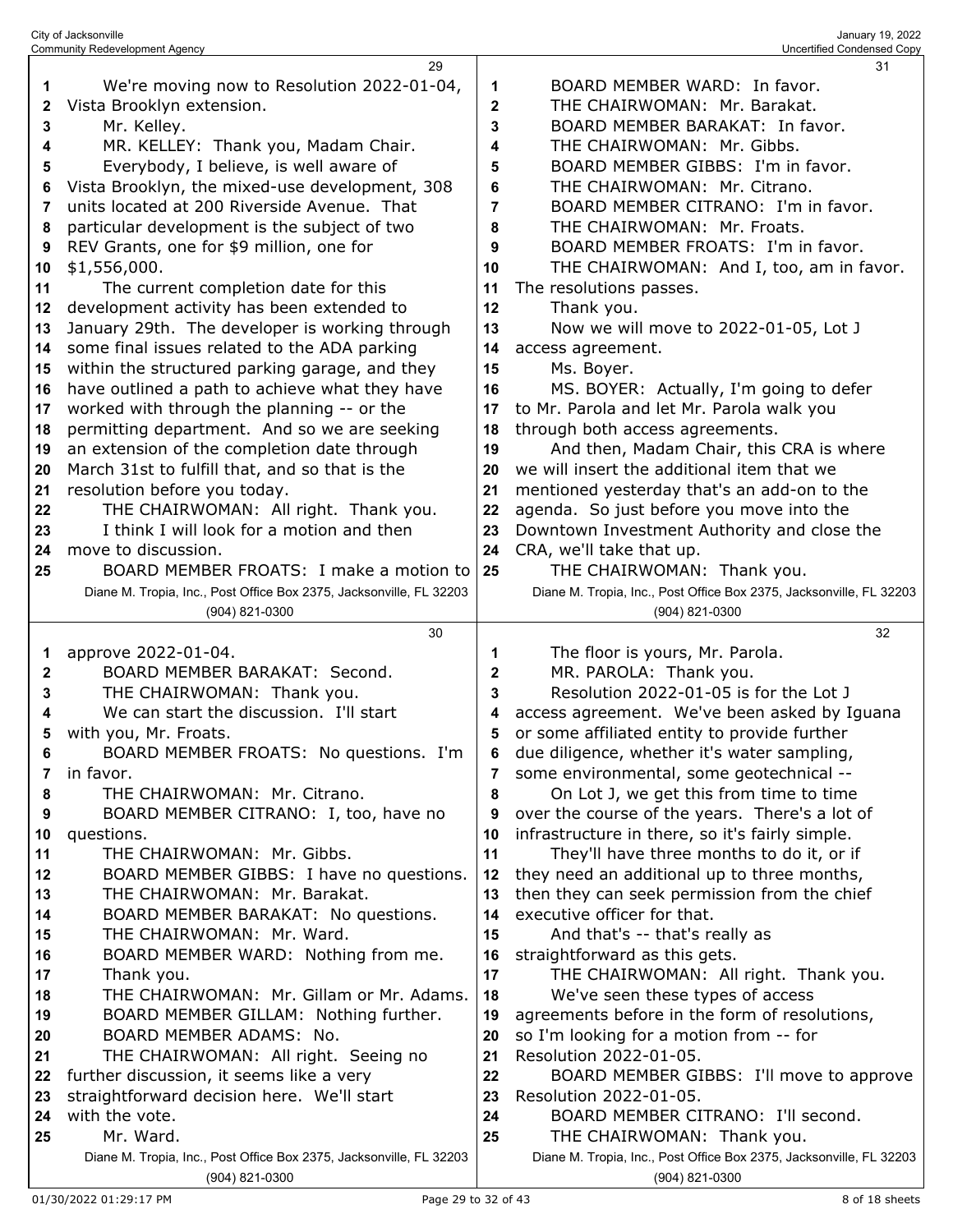|        | City of Jacksonville<br>January 19, 2022<br><b>Community Redevelopment Agency</b><br><b>Uncertified Condensed Copy</b> |    |                                                                                         |  |  |
|--------|------------------------------------------------------------------------------------------------------------------------|----|-----------------------------------------------------------------------------------------|--|--|
|        | 29                                                                                                                     |    | 31                                                                                      |  |  |
| 1      | We're moving now to Resolution 2022-01-04,                                                                             | 1  | BOARD MEMBER WARD: In favor.                                                            |  |  |
| 2      | Vista Brooklyn extension.                                                                                              | 2  | THE CHAIRWOMAN: Mr. Barakat.                                                            |  |  |
| 3      | Mr. Kelley.                                                                                                            | 3  | BOARD MEMBER BARAKAT: In favor.                                                         |  |  |
| 4      | MR. KELLEY: Thank you, Madam Chair.                                                                                    | 4  | THE CHAIRWOMAN: Mr. Gibbs.                                                              |  |  |
| 5      | Everybody, I believe, is well aware of                                                                                 | 5  | BOARD MEMBER GIBBS: I'm in favor.                                                       |  |  |
| 6      | Vista Brooklyn, the mixed-use development, 308                                                                         | 6  | THE CHAIRWOMAN: Mr. Citrano.                                                            |  |  |
| 7      | units located at 200 Riverside Avenue. That                                                                            | 7  | BOARD MEMBER CITRANO: I'm in favor.                                                     |  |  |
| 8      | particular development is the subject of two                                                                           | 8  | THE CHAIRWOMAN: Mr. Froats.                                                             |  |  |
| 9      | REV Grants, one for \$9 million, one for                                                                               | 9  | BOARD MEMBER FROATS: I'm in favor.                                                      |  |  |
| 10     | \$1,556,000.                                                                                                           | 10 | THE CHAIRWOMAN: And I, too, am in favor.                                                |  |  |
| 11     | The current completion date for this                                                                                   | 11 | The resolutions passes.                                                                 |  |  |
| 12     | development activity has been extended to                                                                              | 12 | Thank you.                                                                              |  |  |
| 13     | January 29th. The developer is working through                                                                         | 13 | Now we will move to 2022-01-05, Lot J                                                   |  |  |
| 14     | some final issues related to the ADA parking                                                                           | 14 | access agreement.                                                                       |  |  |
| 15     | within the structured parking garage, and they                                                                         | 15 | Ms. Boyer.                                                                              |  |  |
| 16     | have outlined a path to achieve what they have                                                                         | 16 | MS. BOYER: Actually, I'm going to defer                                                 |  |  |
| 17     | worked with through the planning -- or the                                                                             | 17 | to Mr. Parola and let Mr. Parola walk you                                               |  |  |
| 18     | permitting department. And so we are seeking                                                                           | 18 | through both access agreements.                                                         |  |  |
| 19     | an extension of the completion date through                                                                            | 19 | And then, Madam Chair, this CRA is where                                                |  |  |
| 20     | March 31st to fulfill that, and so that is the                                                                         | 20 | we will insert the additional item that we                                              |  |  |
| 21     | resolution before you today.                                                                                           | 21 | mentioned yesterday that's an add-on to the                                             |  |  |
| 22     | THE CHAIRWOMAN: All right. Thank you.                                                                                  | 22 | agenda. So just before you move into the                                                |  |  |
| 23     | I think I will look for a motion and then                                                                              | 23 | Downtown Investment Authority and close the                                             |  |  |
| 24     | move to discussion.                                                                                                    | 24 | CRA, we'll take that up.                                                                |  |  |
| 25     | BOARD MEMBER FROATS: I make a motion to                                                                                | 25 | THE CHAIRWOMAN: Thank you.                                                              |  |  |
|        | Diane M. Tropia, Inc., Post Office Box 2375, Jacksonville, FL 32203                                                    |    | Diane M. Tropia, Inc., Post Office Box 2375, Jacksonville, FL 32203                     |  |  |
|        | (904) 821-0300                                                                                                         |    | (904) 821-0300                                                                          |  |  |
|        |                                                                                                                        |    |                                                                                         |  |  |
|        | 30                                                                                                                     |    | 32                                                                                      |  |  |
| 1      | approve 2022-01-04.                                                                                                    | 1  |                                                                                         |  |  |
|        | BOARD MEMBER BARAKAT: Second.                                                                                          | 2  | The floor is yours, Mr. Parola.                                                         |  |  |
| 2<br>3 | THE CHAIRWOMAN: Thank you.                                                                                             | 3  | MR. PAROLA: Thank you.<br>Resolution 2022-01-05 is for the Lot J                        |  |  |
| 4      | We can start the discussion. I'll start                                                                                |    | access agreement. We've been asked by Iguana                                            |  |  |
| 5      |                                                                                                                        |    |                                                                                         |  |  |
| 6      | with you, Mr. Froats.<br>BOARD MEMBER FROATS: No questions. I'm                                                        | 6  | or some affiliated entity to provide further                                            |  |  |
| 7      | in favor.                                                                                                              | 7  | due diligence, whether it's water sampling,<br>some environmental, some geotechnical -- |  |  |
| 8      | THE CHAIRWOMAN: Mr. Citrano.                                                                                           | 8  | On Lot J, we get this from time to time                                                 |  |  |
| 9      | BOARD MEMBER CITRANO: I, too, have no                                                                                  | 9  | over the course of the years. There's a lot of                                          |  |  |
| 10     | questions.                                                                                                             | 10 | infrastructure in there, so it's fairly simple.                                         |  |  |
| 11     | THE CHAIRWOMAN: Mr. Gibbs.                                                                                             | 11 | They'll have three months to do it, or if                                               |  |  |
| 12     | BOARD MEMBER GIBBS: I have no questions.                                                                               | 12 | they need an additional up to three months,                                             |  |  |
| 13     | THE CHAIRWOMAN: Mr. Barakat.                                                                                           | 13 | then they can seek permission from the chief                                            |  |  |
| 14     | BOARD MEMBER BARAKAT: No questions.                                                                                    | 14 | executive officer for that.                                                             |  |  |
| 15     | THE CHAIRWOMAN: Mr. Ward.                                                                                              | 15 | And that's -- that's really as                                                          |  |  |
| 16     | BOARD MEMBER WARD: Nothing from me.                                                                                    | 16 | straightforward as this gets.                                                           |  |  |
| 17     | Thank you.                                                                                                             | 17 | THE CHAIRWOMAN: All right. Thank you.                                                   |  |  |
| 18     | THE CHAIRWOMAN: Mr. Gillam or Mr. Adams.                                                                               | 18 | We've seen these types of access                                                        |  |  |
| 19     | BOARD MEMBER GILLAM: Nothing further.                                                                                  | 19 | agreements before in the form of resolutions,                                           |  |  |
| 20     | BOARD MEMBER ADAMS: No.                                                                                                | 20 | so I'm looking for a motion from -- for                                                 |  |  |
| 21     | THE CHAIRWOMAN: All right. Seeing no                                                                                   | 21 | Resolution 2022-01-05.                                                                  |  |  |
| 22     | further discussion, it seems like a very                                                                               | 22 | BOARD MEMBER GIBBS: I'll move to approve                                                |  |  |
| 23     | straightforward decision here. We'll start                                                                             | 23 | Resolution 2022-01-05.                                                                  |  |  |
| 24     | with the vote.                                                                                                         | 24 | BOARD MEMBER CITRANO: I'll second.                                                      |  |  |
| 25     | Mr. Ward.                                                                                                              | 25 | THE CHAIRWOMAN: Thank you.                                                              |  |  |
|        | Diane M. Tropia, Inc., Post Office Box 2375, Jacksonville, FL 32203<br>(904) 821-0300                                  |    | Diane M. Tropia, Inc., Post Office Box 2375, Jacksonville, FL 32203<br>(904) 821-0300   |  |  |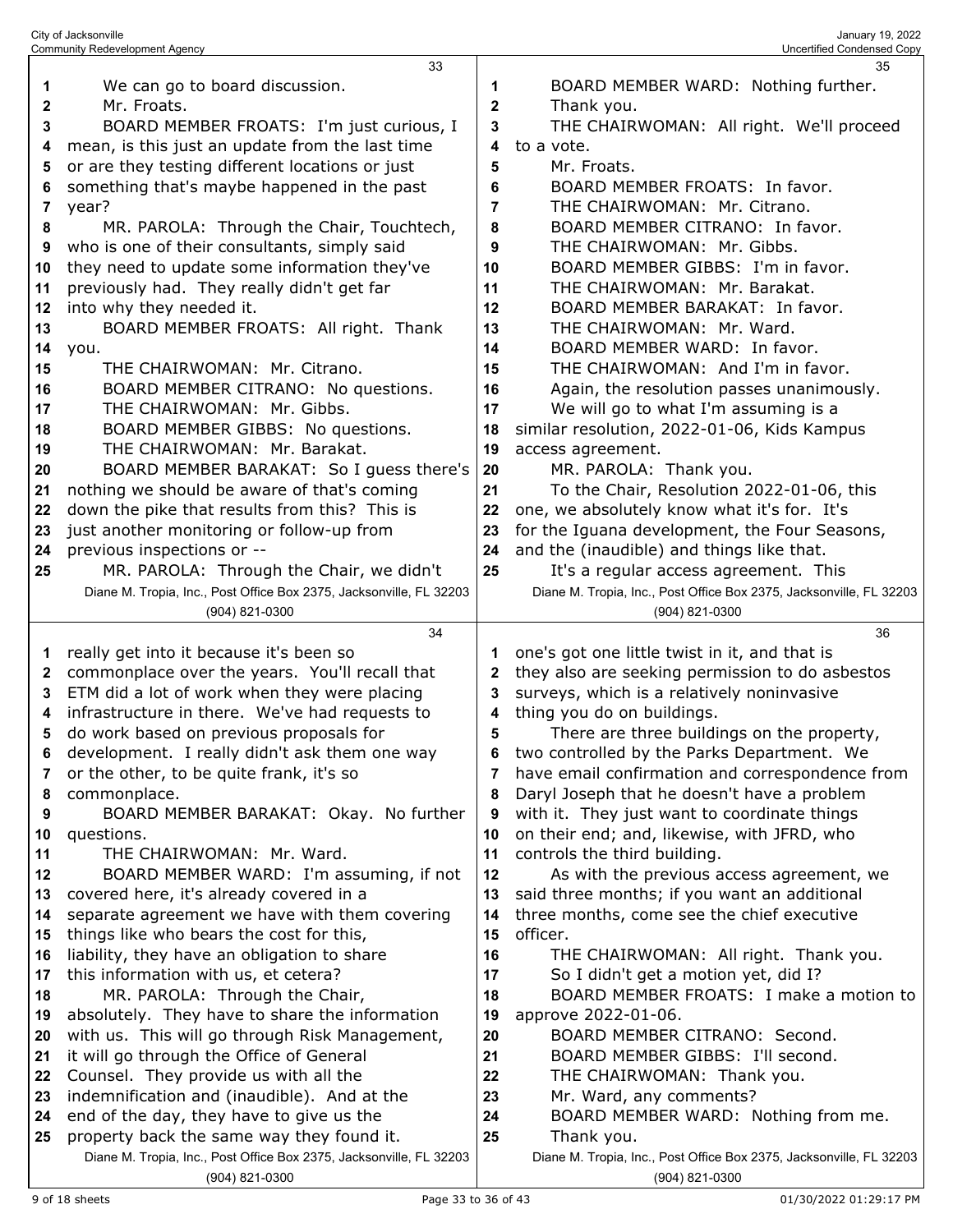City of Jacksonville January 19, 2022<br>Community Redevelopment Agency (المستخدم المستخدم المستخدم المستخدم المستخدم المستخدم المستخدم المستخدم المستخد<br>Community Redevelopment Agency (المستخدم المستخدم المستخدم المستخدم الم Community Redevelopment Agency We can go to board discussion. Mr. Froats. BOARD MEMBER FROATS: I'm just curious, I BOARD MEMBER WARD: Nothing further. Thank you. THE CHAIRWOMAN: All right. We'll proceed

 mean, is this just an update from the last time or are they testing different locations or just something that's maybe happened in the past

year?

 MR. PAROLA: Through the Chair, Touchtech, who is one of their consultants, simply said

they need to update some information they've

previously had. They really didn't get far

into why they needed it.

- BOARD MEMBER FROATS: All right. Thank you. THE CHAIRWOMAN: Mr. Citrano.
- BOARD MEMBER CITRANO: No questions. THE CHAIRWOMAN: Mr. Gibbs.

BOARD MEMBER GIBBS: No questions.

THE CHAIRWOMAN: Mr. Barakat.

really get into it because it's been so

do work based on previous proposals for

or the other, to be quite frank, it's so

covered here, it's already covered in a

things like who bears the cost for this,

 it will go through the Office of General Counsel. They provide us with all the indemnification and (inaudible). And at the end of the day, they have to give us the property back the same way they found it.

commonplace.

questions.

 BOARD MEMBER BARAKAT: So I guess there's nothing we should be aware of that's coming

 down the pike that results from this? This is just another monitoring or follow-up from

previous inspections or --

 MR. PAROLA: Through the Chair, we didn't Diane M. Tropia, Inc., Post Office Box 2375, Jacksonville, FL 32203 (904) 821-0300

 commonplace over the years. You'll recall that ETM did a lot of work when they were placing infrastructure in there. We've had requests to

development. I really didn't ask them one way

separate agreement we have with them covering

Diane M. Tropia, Inc., Post Office Box 2375, Jacksonville, FL 32203

(904) 821-0300



 similar resolution, 2022-01-06, Kids Kampus access agreement.

 to a vote. Mr. Froats.

MR. PAROLA: Thank you.

 To the Chair, Resolution 2022-01-06, this one, we absolutely know what it's for. It's

 BOARD MEMBER FROATS: In favor. THE CHAIRWOMAN: Mr. Citrano. BOARD MEMBER CITRANO: In favor. THE CHAIRWOMAN: Mr. Gibbs. BOARD MEMBER GIBBS: I'm in favor. THE CHAIRWOMAN: Mr. Barakat. BOARD MEMBER BARAKAT: In favor. THE CHAIRWOMAN: Mr. Ward.

We will go to what I'm assuming is a

 for the Iguana development, the Four Seasons, and the (inaudible) and things like that.

 It's a regular access agreement. This Diane M. Tropia, Inc., Post Office Box 2375, Jacksonville, FL 32203 (904) 821-0300

 one's got one little twist in it, and that is they also are seeking permission to do asbestos surveys, which is a relatively noninvasive thing you do on buildings. There are three buildings on the property, two controlled by the Parks Department. We have email confirmation and correspondence from Daryl Joseph that he doesn't have a problem

 BOARD MEMBER BARAKAT: Okay. No further with it. They just want to coordinate things on their end; and, likewise, with JFRD, who

 THE CHAIRWOMAN: Mr. Ward. BOARD MEMBER WARD: I'm assuming, if not controls the third building.

 As with the previous access agreement, we said three months; if you want an additional three months, come see the chief executive officer.

 liability, they have an obligation to share this information with us, et cetera? MR. PAROLA: Through the Chair, absolutely. They have to share the information with us. This will go through Risk Management, THE CHAIRWOMAN: All right. Thank you. So I didn't get a motion yet, did I? BOARD MEMBER FROATS: I make a motion to approve 2022-01-06. BOARD MEMBER CITRANO: Second.

- BOARD MEMBER GIBBS: I'll second.
- THE CHAIRWOMAN: Thank you.
- Mr. Ward, any comments?
- BOARD MEMBER WARD: Nothing from me.

(904) 821-0300

Thank you.

Diane M. Tropia, Inc., Post Office Box 2375, Jacksonville, FL 32203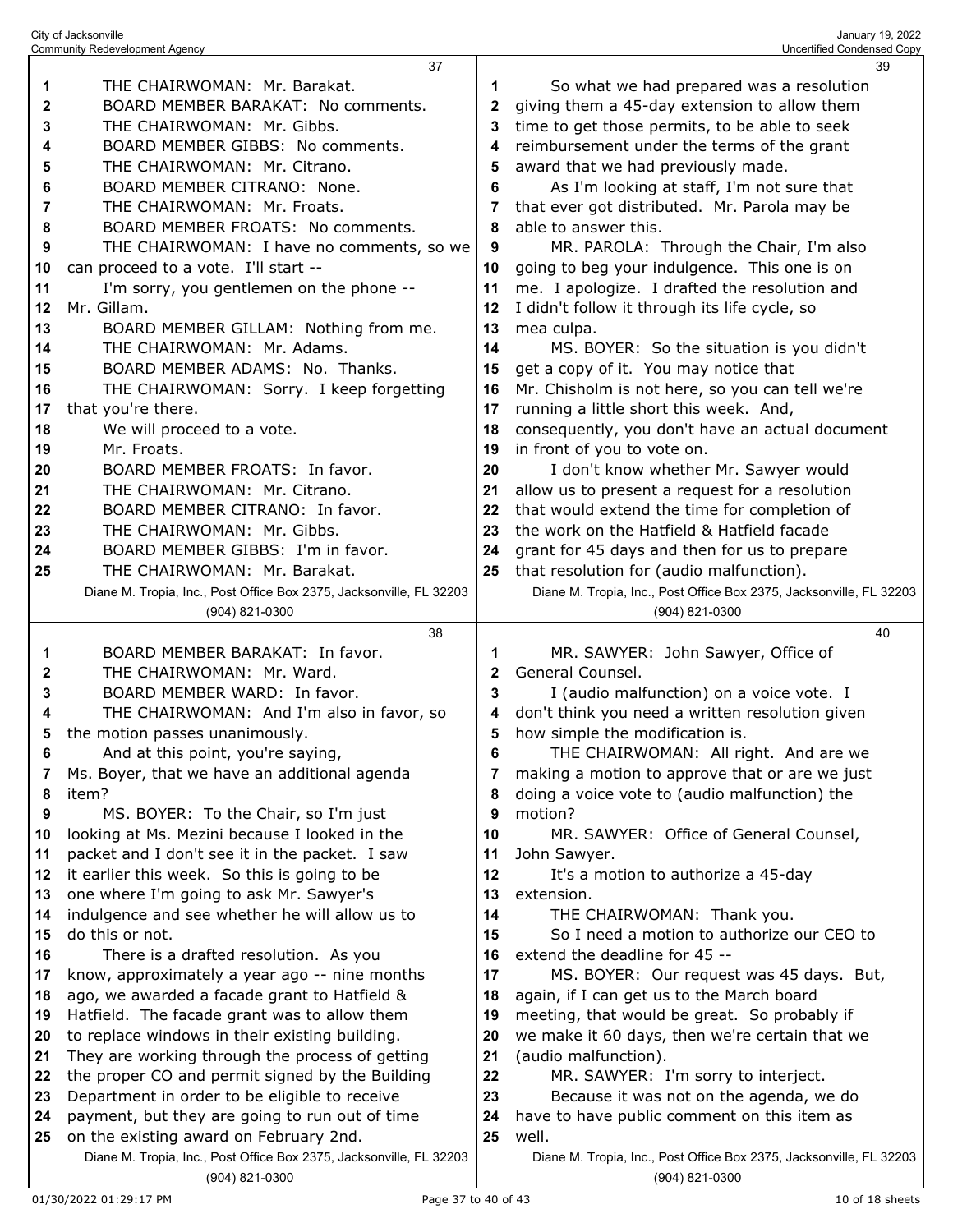|    | 37                                                                  |              | 39                                                                  |
|----|---------------------------------------------------------------------|--------------|---------------------------------------------------------------------|
| 1  | THE CHAIRWOMAN: Mr. Barakat.                                        | 1            | So what we had prepared was a resolution                            |
| 2  | BOARD MEMBER BARAKAT: No comments.                                  | 2            | giving them a 45-day extension to allow them                        |
| 3  | THE CHAIRWOMAN: Mr. Gibbs.                                          | 3            | time to get those permits, to be able to seek                       |
| 4  | BOARD MEMBER GIBBS: No comments.                                    | 4            | reimbursement under the terms of the grant                          |
| 5  | THE CHAIRWOMAN: Mr. Citrano.                                        | 5            | award that we had previously made.                                  |
| 6  | BOARD MEMBER CITRANO: None.                                         | 6            | As I'm looking at staff, I'm not sure that                          |
|    | THE CHAIRWOMAN: Mr. Froats.                                         |              |                                                                     |
| 7  |                                                                     | 7            | that ever got distributed. Mr. Parola may be                        |
| 8  | BOARD MEMBER FROATS: No comments.                                   | 8            | able to answer this.                                                |
| 9  | THE CHAIRWOMAN: I have no comments, so we                           | 9            | MR. PAROLA: Through the Chair, I'm also                             |
| 10 | can proceed to a vote. I'll start --                                | 10           | going to beg your indulgence. This one is on                        |
| 11 | I'm sorry, you gentlemen on the phone --                            | 11           | me. I apologize. I drafted the resolution and                       |
| 12 | Mr. Gillam.                                                         | 12           | I didn't follow it through its life cycle, so                       |
| 13 | BOARD MEMBER GILLAM: Nothing from me.                               | 13           | mea culpa.                                                          |
| 14 | THE CHAIRWOMAN: Mr. Adams.                                          | 14           | MS. BOYER: So the situation is you didn't                           |
| 15 | BOARD MEMBER ADAMS: No. Thanks.                                     | 15           | get a copy of it. You may notice that                               |
| 16 | THE CHAIRWOMAN: Sorry. I keep forgetting                            | 16           | Mr. Chisholm is not here, so you can tell we're                     |
| 17 | that you're there.                                                  | 17           | running a little short this week. And,                              |
| 18 | We will proceed to a vote.                                          | 18           | consequently, you don't have an actual document                     |
| 19 | Mr. Froats.                                                         | 19           | in front of you to vote on.                                         |
| 20 | BOARD MEMBER FROATS: In favor.                                      | 20           | I don't know whether Mr. Sawyer would                               |
| 21 | THE CHAIRWOMAN: Mr. Citrano.                                        | 21           | allow us to present a request for a resolution                      |
| 22 | BOARD MEMBER CITRANO: In favor.                                     | 22           | that would extend the time for completion of                        |
| 23 | THE CHAIRWOMAN: Mr. Gibbs.                                          | 23           | the work on the Hatfield & Hatfield facade                          |
| 24 | BOARD MEMBER GIBBS: I'm in favor.                                   | 24           | grant for 45 days and then for us to prepare                        |
| 25 | THE CHAIRWOMAN: Mr. Barakat.                                        | 25           | that resolution for (audio malfunction).                            |
|    | Diane M. Tropia, Inc., Post Office Box 2375, Jacksonville, FL 32203 |              | Diane M. Tropia, Inc., Post Office Box 2375, Jacksonville, FL 32203 |
|    | (904) 821-0300                                                      |              | $(904)$ 821-0300                                                    |
|    |                                                                     |              |                                                                     |
|    |                                                                     |              |                                                                     |
|    | 38                                                                  |              | 40                                                                  |
| 1  | BOARD MEMBER BARAKAT: In favor.                                     | 1            | MR. SAWYER: John Sawyer, Office of                                  |
| 2  | THE CHAIRWOMAN: Mr. Ward.                                           | $\mathbf{2}$ | General Counsel.                                                    |
| 3  | BOARD MEMBER WARD: In favor.                                        | 3            | I (audio malfunction) on a voice vote. I                            |
| 4  | THE CHAIRWOMAN: And I'm also in favor, so                           | 4            | don't think you need a written resolution given                     |
| 5  | the motion passes unanimously.                                      | 5            | how simple the modification is.                                     |
| 6  | And at this point, you're saying,                                   | 6            | THE CHAIRWOMAN: All right. And are we                               |
| 7  | Ms. Boyer, that we have an additional agenda                        | 7            | making a motion to approve that or are we just                      |
| 8  | item?                                                               | 8            | doing a voice vote to (audio malfunction) the                       |
| 9  | MS. BOYER: To the Chair, so I'm just                                | 9            | motion?                                                             |
| 10 | looking at Ms. Mezini because I looked in the                       | 10           | MR. SAWYER: Office of General Counsel,                              |
| 11 | packet and I don't see it in the packet. I saw                      | 11           | John Sawyer.                                                        |
| 12 | it earlier this week. So this is going to be                        | 12           | It's a motion to authorize a 45-day                                 |
| 13 | one where I'm going to ask Mr. Sawyer's                             | 13           | extension.                                                          |
| 14 | indulgence and see whether he will allow us to                      | 14           | THE CHAIRWOMAN: Thank you.                                          |
| 15 | do this or not.                                                     | 15           | So I need a motion to authorize our CEO to                          |
| 16 | There is a drafted resolution. As you                               | 16           | extend the deadline for 45 --                                       |
| 17 | know, approximately a year ago -- nine months                       | 17           | MS. BOYER: Our request was 45 days. But,                            |
| 18 | ago, we awarded a facade grant to Hatfield &                        | 18           | again, if I can get us to the March board                           |
| 19 | Hatfield. The facade grant was to allow them                        | 19           | meeting, that would be great. So probably if                        |
| 20 | to replace windows in their existing building.                      | 20           | we make it 60 days, then we're certain that we                      |
| 21 | They are working through the process of getting                     | 21           | (audio malfunction).                                                |
| 22 | the proper CO and permit signed by the Building                     | 22           | MR. SAWYER: I'm sorry to interject.                                 |
| 23 | Department in order to be eligible to receive                       | 23           | Because it was not on the agenda, we do                             |
| 24 | payment, but they are going to run out of time                      | 24           | have to have public comment on this item as                         |
| 25 | on the existing award on February 2nd.                              | 25           | well.                                                               |
|    | Diane M. Tropia, Inc., Post Office Box 2375, Jacksonville, FL 32203 |              | Diane M. Tropia, Inc., Post Office Box 2375, Jacksonville, FL 32203 |

City of Jacksonville January 19, 2022 Community Redevelopment Agency Uncertified Condensed Copy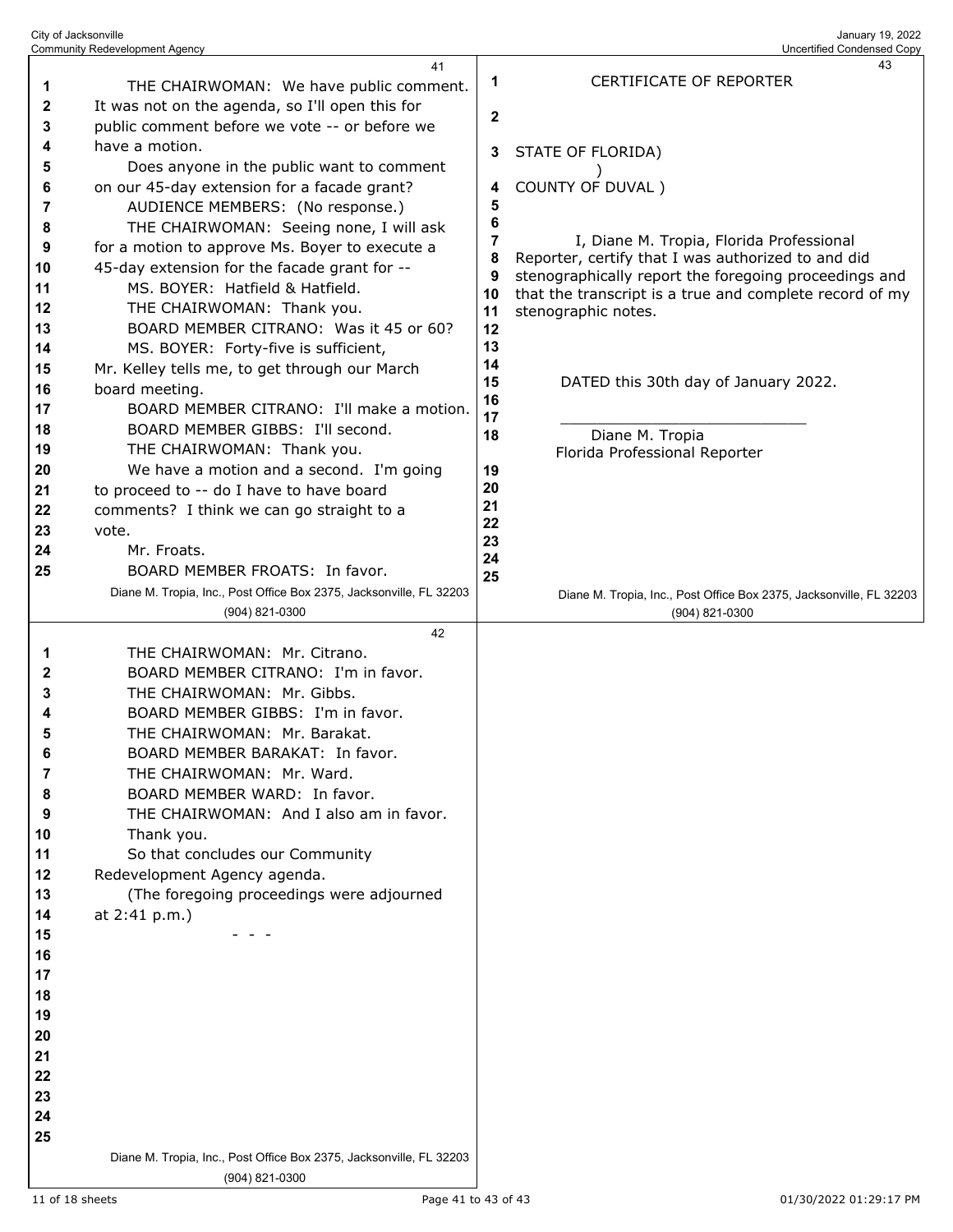| City of Jacksonville                  |  |
|---------------------------------------|--|
| <b>Community Redevelopment Agency</b> |  |

|          | 41                                                                                    |                         | 43                                                                                    |
|----------|---------------------------------------------------------------------------------------|-------------------------|---------------------------------------------------------------------------------------|
| 1        | THE CHAIRWOMAN: We have public comment.                                               | 1                       | CERTIFICATE OF REPORTER                                                               |
| 2        | It was not on the agenda, so I'll open this for                                       |                         |                                                                                       |
| 3        | public comment before we vote -- or before we                                         | $\overline{\mathbf{2}}$ |                                                                                       |
| 4        | have a motion.                                                                        |                         |                                                                                       |
| 5        | Does anyone in the public want to comment                                             | 3                       | STATE OF FLORIDA)                                                                     |
| 6        | on our 45-day extension for a facade grant?                                           | 4                       | COUNTY OF DUVAL)                                                                      |
| 7        | AUDIENCE MEMBERS: (No response.)                                                      | 5                       |                                                                                       |
| 8        | THE CHAIRWOMAN: Seeing none, I will ask                                               | 6                       |                                                                                       |
| 9        | for a motion to approve Ms. Boyer to execute a                                        | 7                       | I, Diane M. Tropia, Florida Professional                                              |
| 10       | 45-day extension for the facade grant for --                                          | 8                       | Reporter, certify that I was authorized to and did                                    |
| 11       | MS. BOYER: Hatfield & Hatfield.                                                       | 9                       | stenographically report the foregoing proceedings and                                 |
| 12       | THE CHAIRWOMAN: Thank you.                                                            | 10                      | that the transcript is a true and complete record of my                               |
| 13       | BOARD MEMBER CITRANO: Was it 45 or 60?                                                | 11<br>12                | stenographic notes.                                                                   |
|          |                                                                                       | 13                      |                                                                                       |
| 14<br>15 | MS. BOYER: Forty-five is sufficient,<br>Mr. Kelley tells me, to get through our March | 14                      |                                                                                       |
| 16       | board meeting.                                                                        | 15                      | DATED this 30th day of January 2022.                                                  |
| 17       | BOARD MEMBER CITRANO: I'll make a motion.                                             | 16                      |                                                                                       |
| 18       | BOARD MEMBER GIBBS: I'll second.                                                      | 17                      |                                                                                       |
|          | THE CHAIRWOMAN: Thank you.                                                            | 18                      | Diane M. Tropia                                                                       |
| 19<br>20 | We have a motion and a second. I'm going                                              | 19                      | Florida Professional Reporter                                                         |
| 21       | to proceed to -- do I have to have board                                              | 20                      |                                                                                       |
| 22       | comments? I think we can go straight to a                                             | 21                      |                                                                                       |
| 23       | vote.                                                                                 | 22                      |                                                                                       |
| 24       | Mr. Froats.                                                                           | 23                      |                                                                                       |
| 25       | BOARD MEMBER FROATS: In favor.                                                        | 24                      |                                                                                       |
|          | Diane M. Tropia, Inc., Post Office Box 2375, Jacksonville, FL 32203                   | 25                      |                                                                                       |
|          | (904) 821-0300                                                                        |                         | Diane M. Tropia, Inc., Post Office Box 2375, Jacksonville, FL 32203<br>(904) 821-0300 |
|          | 42                                                                                    |                         |                                                                                       |
| 1        | THE CHAIRWOMAN: Mr. Citrano.                                                          |                         |                                                                                       |
| 2        | BOARD MEMBER CITRANO: I'm in favor.                                                   |                         |                                                                                       |
| 3        | THE CHAIRWOMAN: Mr. Gibbs.                                                            |                         |                                                                                       |
| 4        | BOARD MEMBER GIBBS: I'm in favor.                                                     |                         |                                                                                       |
| 5        | THE CHAIRWOMAN: Mr. Barakat.                                                          |                         |                                                                                       |
| 6        | BOARD MEMBER BARAKAT: In favor.                                                       |                         |                                                                                       |
| 7        | THE CHAIRWOMAN: Mr. Ward.                                                             |                         |                                                                                       |
| 8        | BOARD MEMBER WARD: In favor.                                                          |                         |                                                                                       |
| 9        | THE CHAIRWOMAN: And I also am in favor.                                               |                         |                                                                                       |
| 10       | Thank you.                                                                            |                         |                                                                                       |
| 11       | So that concludes our Community                                                       |                         |                                                                                       |
| 12       | Redevelopment Agency agenda.                                                          |                         |                                                                                       |
| 13       | (The foregoing proceedings were adjourned                                             |                         |                                                                                       |
| 14       | at 2:41 p.m.)                                                                         |                         |                                                                                       |
| 15       |                                                                                       |                         |                                                                                       |
| 16       |                                                                                       |                         |                                                                                       |
|          |                                                                                       |                         |                                                                                       |
| 17       |                                                                                       |                         |                                                                                       |
| 18       |                                                                                       |                         |                                                                                       |
| 19       |                                                                                       |                         |                                                                                       |
| 20       |                                                                                       |                         |                                                                                       |
| 21       |                                                                                       |                         |                                                                                       |
| 22       |                                                                                       |                         |                                                                                       |
| 23       |                                                                                       |                         |                                                                                       |
| 24       |                                                                                       |                         |                                                                                       |
| 25       |                                                                                       |                         |                                                                                       |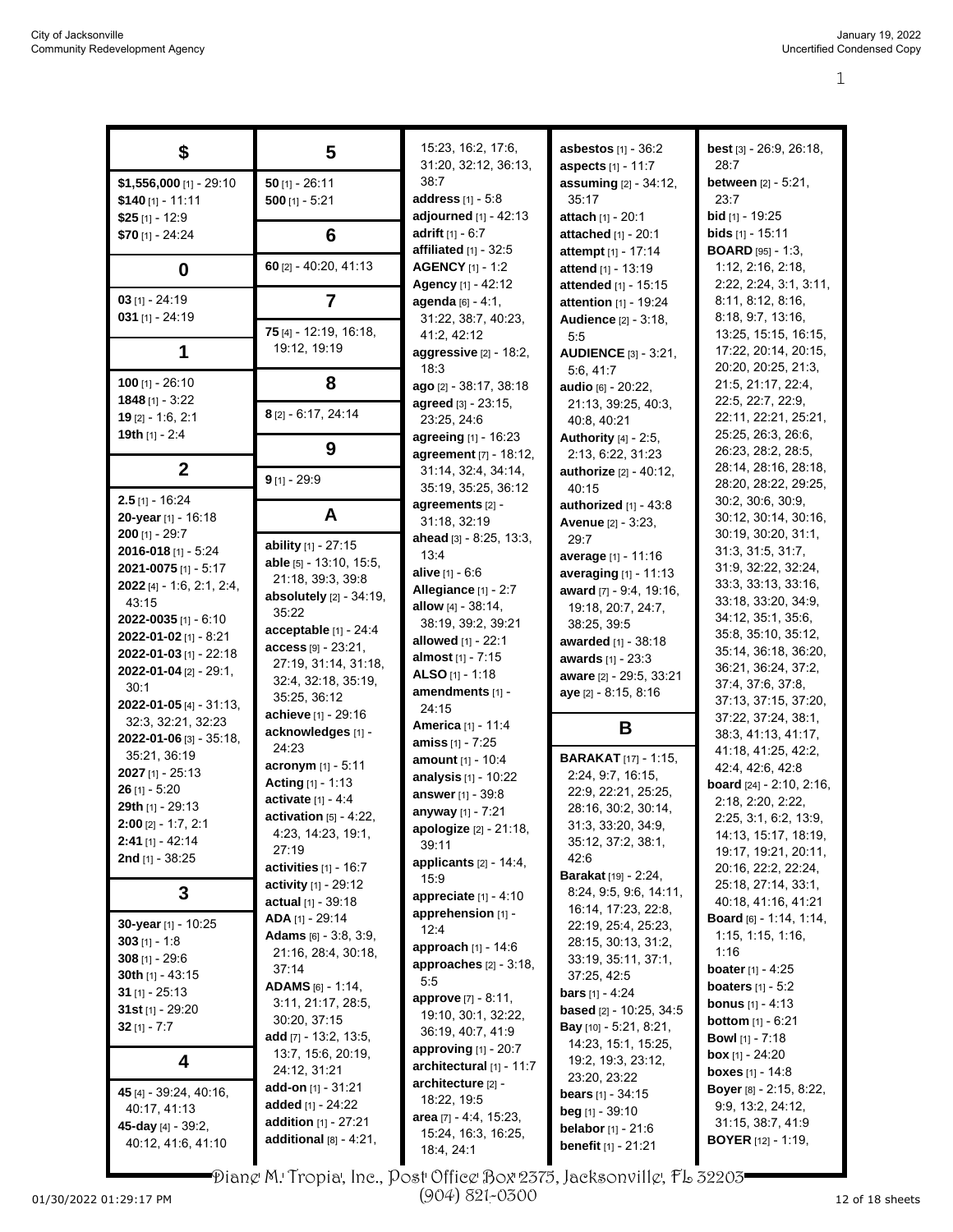| \$                                  | 5                                 | 15:23, 16:2, 17:6,            | <b>asbestos</b> [1] - 36:2                       | <b>best</b> $[3] - 26:9, 26:18,$            |
|-------------------------------------|-----------------------------------|-------------------------------|--------------------------------------------------|---------------------------------------------|
|                                     |                                   | 31:20, 32:12, 36:13,          | aspects [1] - 11:7                               | 28:7                                        |
| $$1,556,000$ [1] - 29:10            | $50$ [1] - 26:11                  | 38:7                          | assuming [2] - 34:12,                            | <b>between</b> $[2] - 5:21$ ,               |
| $$140$ [1] - 11:11                  | $500$ [1] - 5:21                  | <b>address</b> $[1] - 5.8$    | 35:17                                            | 23:7                                        |
| $$25$ [1] - 12:9                    |                                   | adjourned $[1] - 42:13$       | attach [1] - 20:1                                | bid [1] - 19:25                             |
| \$70 [1] - 24:24                    | 6                                 | adrift $[1] - 6:7$            | <b>attached</b> $[1]$ - 20:1                     | <b>bids</b> $[1] - 15:11$                   |
|                                     | 60 [2] - 40:20, 41:13             | affiliated $[1]$ - 32:5       | <b>attempt</b> [1] - 17:14                       | <b>BOARD</b> [95] - 1:3,                    |
| 0                                   |                                   | <b>AGENCY</b> [1] - 1:2       | <b>attend</b> $[1]$ - 13:19                      | 1:12, 2:16, 2:18,                           |
|                                     |                                   | Agency [1] - 42:12            | attended [1] - 15:15                             | 2:22, 2:24, 3:1, 3:11,                      |
| $03$ [1] - 24:19                    | $\overline{7}$                    | agenda [6] - 4:1,             | attention [1] - 19:24                            | 8:11, 8:12, 8:16,                           |
| $031$ [1] - 24:19                   | 75 [4] - 12:19, 16:18,            | 31:22, 38:7, 40:23,           | <b>Audience</b> [2] - 3:18,                      | 8:18, 9:7, 13:16<br>13:25, 15:15, 16:15,    |
|                                     | 19:12, 19:19                      | 41:2, 42:12                   | 5:5                                              |                                             |
| 1                                   |                                   | aggressive $[2]$ - 18:2,      | <b>AUDIENCE [3] - 3:21,</b>                      | 17:22, 20:14, 20:15,<br>20:20, 20:25, 21:3, |
| 100 $[1] - 26:10$                   | 8                                 | 18:3                          | 5.6, 41.7                                        | 21:5, 21:17, 22:4,                          |
| 1848 $[1] - 3:22$                   |                                   | ago [2] - 38:17, 38:18        | audio [6] - 20:22,                               | 22:5, 22:7, 22:9,                           |
| $19$ [2] - 1:6, 2:1                 | 8 [2] - 6:17, 24:14               | agreed [3] - 23:15,           | 21:13, 39:25, 40:3,                              | 22:11, 22:21, 25:21,                        |
| 19th $[1] - 2:4$                    |                                   | 23:25, 24:6                   | 40:8, 40:21                                      | 25:25, 26:3, 26:6,                          |
|                                     | 9                                 | <b>agreeing</b> $[1]$ - 16:23 | <b>Authority</b> $[4] - 2.5$ ,                   | 26:23, 28:2, 28:5,                          |
| $\overline{2}$                      |                                   | agreement [7] - 18:12,        | 2:13, 6:22, 31:23                                | 28:14, 28:16, 28:18,                        |
|                                     | $9$ [1] - 29:9                    | 31:14, 32:4, 34:14,           | authorize [2] - 40:12,                           | 28:20, 28:22, 29:25,                        |
| $2.5$ [1] - 16:24                   |                                   | 35:19, 35:25, 36:12           | 40:15                                            | 30:2, 30:6, 30:9,                           |
| 20-year [1] - 16:18                 | A                                 | agreements [2] -              | authorized $[1]$ - 43:8                          | 30:12, 30:14, 30:16,                        |
| $200$ [1] - 29:7                    |                                   | 31:18, 32:19                  | Avenue [2] - 3:23,                               | 30:19, 30:20, 31:1,                         |
| <b>2016-018</b> [1] - 5:24          | ability [1] - 27:15               | ahead [3] - 8.25, 13:3,       | 29:7                                             | 31:3, 31:5, 31:7,                           |
| <b>2021-0075</b> [1] - 5:17         | able [5] - 13:10, 15:5,           | 13:4                          | average [1] - 11:16                              | 31.9, 32.22, 32.24,                         |
| <b>2022</b> [4] $- 1.6$ , 2.1, 2.4, | 21:18, 39:3, 39:8                 | <b>alive</b> $[1] - 6.6$      | averaging [1] - 11:13                            | 33:3, 33:13, 33:16,                         |
| 43:15                               | <b>absolutely</b> $[2] - 34:19$ , | Allegiance [1] - 2:7          | award [7] - 9:4, 19:16,                          | 33:18, 33:20, 34:9,                         |
| <b>2022-0035</b> [1] - 6:10         | 35:22                             | allow $[4] - 38:14$ ,         | 19:18, 20:7, 24:7,                               | 34:12, 35:1, 35:6,                          |
| 2022-01-02 $[1]$ - 8:21             | acceptable $[1]$ - 24:4           | 38:19, 39:2, 39:21            | 38:25, 39:5                                      | 35:8, 35:10, 35:12,                         |
| 2022-01-03 [1] - 22:18              | access [9] - 23:21,               | <b>allowed</b> [1] - 22:1     | <b>awarded</b> [1] - 38:18                       | 35:14, 36:18, 36:20,                        |
| 2022-01-04 $[2] - 29:1$             | 27:19, 31:14, 31:18,              | almost [1] - 7:15             | awards [1] - 23:3                                | 36:21, 36:24, 37:2,                         |
| 30:1                                | 32:4, 32:18, 35:19,               | ALSO $[1] - 1:18$             | aware [2] - 29:5, 33:21                          | 37:4, 37:6, 37:8,                           |
| 2022-01-05 [4] - 31:13,             | 35:25, 36:12                      | amendments [1] -              | aye [2] - 8:15, 8:16                             | 37:13, 37:15, 37:20,                        |
| 32:3, 32:21, 32:23                  | achieve [1] - 29:16               | 24:15                         |                                                  | 37:22, 37:24, 38:1,                         |
| 2022-01-06 [3] - 35:18,             | acknowledges [1] -                | <b>America</b> [1] - 11:4     | B                                                | 38:3, 41:13, 41:17,                         |
| 35:21, 36:19                        | 24:23                             | amiss [1] - 7:25              |                                                  | 41:18, 41:25, 42:2,                         |
| $2027$ [1] - 25:13                  | acronym [1] - 5:11                | <b>amount</b> [1] - 10:4      | <b>BARAKAT</b> [17] - 1:15,<br>2:24, 9:7, 16:15, | 42:4, 42:6, 42:8                            |
| $26$ [1] - 5:20                     | Acting $[1] - 1:13$               | analysis [1] - 10:22          | 22:9, 22:21, 25:25,                              | <b>board</b> $[24]$ - 2:10, 2:16,           |
| 29th [1] - 29:13                    | activate [1] - 4:4                | answer [1] - 39:8             |                                                  | 2:18, 2:20, 2:22,                           |
| $2:00$ [2] - 1:7, 2:1               | activation $[5]$ - 4:22,          | anyway [1] - 7:21             | 28:16, 30:2, 30:14,<br>31:3, 33:20, 34:9,        | 2:25, 3:1, 6:2, 13:9,                       |
| $2:41$ [1] - 42:14                  | 4:23, 14:23, 19:1,                | apologize [2] - 21:18,        | 35:12, 37:2, 38:1,                               | 14:13, 15:17, 18:19,                        |
| <b>2nd</b> [1] - $38.25$            | 27:19                             | 39:11                         | 42:6                                             | 19:17, 19:21, 20:11,                        |
|                                     | activities $[1]$ - 16:7           | applicants [2] - 14:4,        | <b>Barakat</b> [19] - 2:24,                      | 20:16, 22:2, 22:24,                         |
| 3                                   | <b>activity</b> $[1] - 29.12$     | 15:9<br>appreciate [1] - 4:10 | 8:24, 9:5, 9:6, 14:11,                           | 25:18, 27:14, 33:1,                         |
|                                     | <b>actual</b> $[1]$ - 39:18       | apprehension [1] -            | 16:14, 17:23, 22:8,                              | 40:18, 41:16, 41:21                         |
| 30-year [1] - 10:25                 | ADA [1] - 29:14                   | 12:4                          | 22:19, 25:4, 25:23,                              | Board [6] - 1:14, 1:14,                     |
| 303 $[1] - 1.8$                     | <b>Adams</b> $[6] - 3.8, 3.9,$    | approach $[1]$ - 14:6         | 28:15, 30:13, 31:2,                              | 1:15, 1:15, 1:16,                           |
| 308 $[1] - 29.6$                    | 21:16, 28:4, 30:18,               | approaches $[2] - 3:18$ ,     | 33:19, 35:11, 37:1,                              | 1:16                                        |
| 30th $[1]$ - 43:15                  | 37:14                             | 5.5                           | 37:25, 42:5                                      | <b>boater</b> [1] - 4:25                    |
| 31 $[1] - 25:13$                    | ADAMS [6] - 1:14,                 | <b>approve</b> [7] - 8:11,    | <b>bars</b> $[1] - 4.24$                         | <b>boaters</b> $[1] - 5:2$                  |
| 31st [1] - 29:20                    | 3:11, 21:17, 28:5,                | 19:10, 30:1, 32:22,           | <b>based</b> $[2] - 10:25, 34:5$                 | <b>bonus</b> [1] - 4:13                     |
| 32 [1] - 7:7                        | 30:20, 37:15                      | 36:19, 40:7, 41:9             | <b>Bay</b> $[10] - 5:21, 8:21,$                  | <b>bottom</b> $[1] - 6:21$                  |
|                                     | add $[7] - 13.2, 13.5,$           | <b>approving</b> $[1] - 20.7$ | 14:23, 15:1, 15:25,                              | <b>Bowl</b> $[1]$ - 7:18                    |
| 4                                   | 13.7, 15.6, 20.19,                | architectural [1] - 11:7      | 19:2, 19:3, 23:12,                               | <b>box</b> [1] - 24:20                      |
|                                     | 24:12, 31:21                      | architecture [2] -            | 23:20, 23:22                                     | <b>boxes</b> [1] - 14:8                     |
| 45 [4] - 39:24, 40:16,              | add-on $[1]$ - 31:21              | 18:22, 19:5                   | <b>bears</b> $[1] - 34.15$                       | <b>Boyer</b> [8] - 2:15, 8:22,              |
| 40:17, 41:13                        | added $[1]$ - 24:22               | area [7] - 4:4, 15:23,        | <b>beg</b> $[1]$ - 39:10                         | 9.9, 13.2, 24:12,                           |
| 45-day $[4]$ - 39:2,                | addition [1] - 27:21              | 15:24, 16:3, 16:25,           | <b>belabor</b> $[1] - 21:6$                      | 31:15, 38:7, 41:9                           |
| 40:12, 41:6, 41:10                  | additional $[8] - 4:21$ ,         | 18:4, 24:1                    | <b>benefit</b> $[1]$ - 21:21                     | <b>BOYER</b> $[12] - 1:19$ ,                |
|                                     |                                   |                               |                                                  |                                             |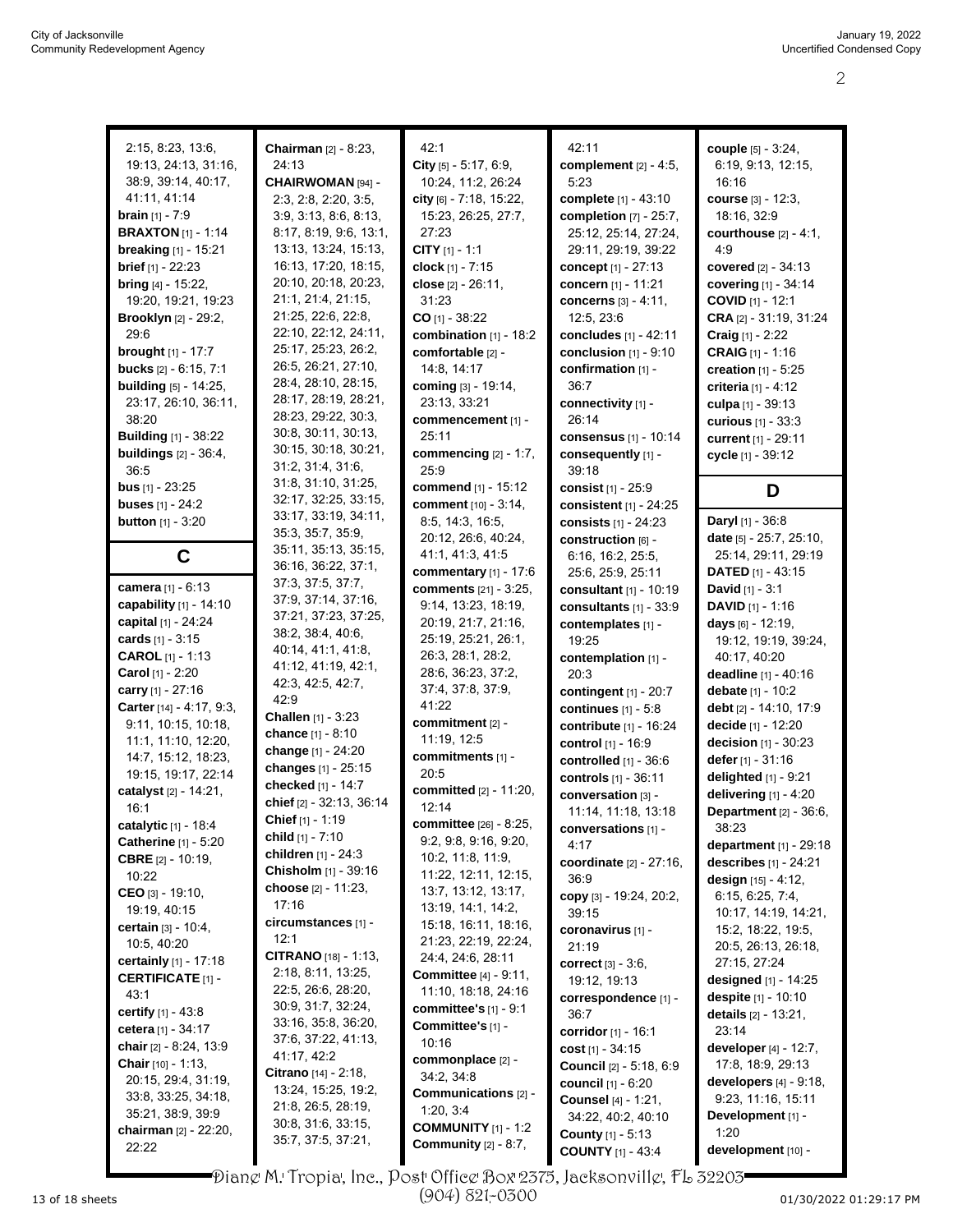| 2:15, 8:23, 13:6,                                    | Chairman [2] - 8:23,                         | 42:1                                    | 42:11                                           | couple [5] - 3:24,                          |
|------------------------------------------------------|----------------------------------------------|-----------------------------------------|-------------------------------------------------|---------------------------------------------|
| 19:13, 24:13, 31:16,                                 | 24:13                                        | City $[5] - 5:17, 6:9,$                 | complement [2] - 4:5,                           | 6:19, 9:13, 12:15,                          |
| 38:9, 39:14, 40:17,                                  | CHAIRWOMAN [94] -                            | 10:24, 11:2, 26:24                      | 5:23                                            | 16:16                                       |
| 41:11, 41:14                                         | 2:3, 2:8, 2:20, 3:5,                         | city [6] - 7:18, 15:22,                 | complete [1] - 43:10                            | course [3] - 12:3,                          |
| <b>brain</b> $[1] - 7.9$                             | 3:9, 3:13, 8:6, 8:13,                        | 15:23, 26:25, 27:7,                     | completion $[7]$ - 25:7,                        | 18:16, 32:9                                 |
| <b>BRAXTON</b> [1] - 1:14                            | 8:17, 8:19, 9:6, 13:1,                       | 27:23                                   | 25:12, 25:14, 27:24,                            | courthouse $[2] - 4:1$ ,                    |
| breaking [1] - 15:21                                 | 13:13, 13:24, 15:13,                         | CITY $[1] - 1:1$                        | 29:11, 29:19, 39:22                             | 4:9                                         |
| brief [1] - 22:23                                    | 16:13, 17:20, 18:15,                         | clock [1] - 7:15                        | concept $[1] - 27:13$                           | covered $[2] - 34:13$                       |
| <b>bring</b> $[4] - 15:22$ ,                         | 20:10, 20:18, 20:23,                         | close [2] - 26:11,                      | concern [1] - 11:21                             | covering [1] - 34:14                        |
| 19:20, 19:21, 19:23                                  | 21:1, 21:4, 21:15,                           | 31:23                                   | concerns $[3] - 4:11$ ,                         | COVID [1] - 12:1                            |
| <b>Brooklyn</b> [2] - 29:2,                          | 21:25, 22:6, 22:8,                           | $CO$ [1] - 38:22                        | 12:5, 23:6                                      | CRA $[2] - 31:19, 31:24$                    |
| 29.6                                                 | 22:10, 22:12, 24:11,                         | combination [1] - 18:2                  | concludes [1] - 42:11                           | Craig [1] - 2:22                            |
| <b>brought</b> $[1] - 17.7$                          | 25:17, 25:23, 26:2,                          | comfortable [2] -                       | conclusion $[1] - 9.10$                         | CRAIG [1] - 1:16                            |
| bucks [2] - 6:15, 7:1                                | 26:5, 26:21, 27:10,                          | 14:8, 14:17                             | confirmation [1] -                              | <b>creation</b> $[1] - 5:25$                |
| <b>building</b> [5] - 14:25,                         | 28:4, 28:10, 28:15,                          | coming [3] - 19:14,                     | 36:7                                            | <b>criteria</b> $[1] - 4.12$                |
| 23:17, 26:10, 36:11,                                 | 28:17, 28:19, 28:21,                         | 23:13, 33:21                            | connectivity [1] -                              | culpa [1] - 39:13                           |
| 38:20                                                | 28:23, 29:22, 30:3,                          | commencement [1] -                      | 26:14                                           | curious $[1] - 33.3$                        |
| <b>Building</b> [1] - 38:22                          | 30.8, 30.11, 30:13,                          | 25:11                                   | consensus $[1]$ - 10:14                         | current [1] - 29:11                         |
| buildings $[2] - 36:4$ ,                             | 30:15, 30:18, 30:21,                         | commencing $[2] - 1:7$ ,                | consequently [1] -                              | cycle [1] - 39:12                           |
| 36.5                                                 | 31:2, 31:4, 31:6,                            | 25.9                                    | 39:18                                           |                                             |
| <b>bus</b> $[1] - 23:25$                             | 31:8, 31:10, 31:25,                          | <b>commend</b> [1] - 15:12              | consist [1] - 25:9                              | D                                           |
| <b>buses</b> $[1] - 24:2$                            | 32:17, 32:25, 33:15,<br>33:17, 33:19, 34:11, | comment [10] - 3:14,                    | consistent $[1]$ - 24:25                        |                                             |
| <b>button</b> $[1] - 3:20$                           | 35:3, 35:7, 35:9,                            | 8.5, 14.3, 16.5,                        | consists [1] - 24:23                            | <b>Daryl</b> [1] - 36:8                     |
|                                                      | 35:11, 35:13, 35:15,                         | 20:12, 26:6, 40:24,                     | construction [6] -                              | date [5] - 25:7, 25:10,                     |
| C                                                    | 36:16, 36:22, 37:1,                          | 41:1, 41:3, 41:5                        | 6:16, 16:2, 25:5,                               | 25:14, 29:11, 29:19                         |
|                                                      | 37:3, 37:5, 37:7,                            | commentary [1] - 17:6                   | 25:6, 25:9, 25:11                               | DATED [1] - 43:15                           |
| camera [1] - 6:13                                    | 37:9, 37:14, 37:16,                          | comments [21] - 3:25,                   | consultant [1] - 10:19                          | <b>David</b> $[1] - 3:1$                    |
| capability [1] - 14:10                               | 37:21, 37:23, 37:25,                         | 9:14, 13:23, 18:19,                     | consultants $[1]$ - 33:9                        | <b>DAVID</b> $[1] - 1:16$                   |
| capital [1] - 24:24                                  | 38:2, 38:4, 40:6,                            | 20:19, 21:7, 21:16,                     | contemplates [1] -                              | <b>days</b> $[6] - 12:19$                   |
| cards $[1] - 3:15$                                   | 40:14, 41:1, 41:8,                           | 25:19, 25:21, 26:1,                     | 19:25                                           | 19:12, 19:19, 39:24,                        |
| <b>CAROL</b> $[1] - 1:13$<br><b>Carol</b> [1] - 2:20 | 41:12, 41:19, 42:1,                          | 26:3, 28:1, 28:2,<br>28:6, 36:23, 37:2, | contemplation [1] -                             | 40:17, 40:20                                |
| carry [1] - 27:16                                    | 42:3, 42:5, 42:7,                            | 37:4, 37:8, 37:9,                       | 20:3                                            | deadline [1] - 40:16                        |
| Carter [14] - 4:17, 9:3,                             | 42:9                                         | 41:22                                   | contingent $[1]$ - 20:7                         | debate [1] - 10:2<br>debt [2] - 14:10, 17:9 |
| 9:11, 10:15, 10:18,                                  | Challen [1] - 3:23                           | commitment [2] -                        | continues $[1] - 5.8$<br>contribute [1] - 16:24 | decide [1] - 12:20                          |
| 11:1, 11:10, 12:20,                                  | chance [1] - 8:10                            | 11:19, 12:5                             | control [1] - 16:9                              | decision [1] - 30:23                        |
| 14:7, 15:12, 18:23,                                  | change [1] - 24:20                           | commitments [1] -                       |                                                 | defer [1] - 31:16                           |
| 19:15, 19:17, 22:14                                  | changes [1] - 25:15                          | 20:5                                    | controlled [1] - 36:6<br>controls [1] - 36:11   | delighted [1] - 9:21                        |
| catalyst [2] - 14:21,                                | checked [1] - 14:7                           | committed [2] - 11:20,                  | conversation [3] -                              | delivering $[1] - 4.20$                     |
| 16:1                                                 | chief [2] - 32:13, 36:14                     | 12:14                                   | 11:14, 11:18, 13:18                             | <b>Department</b> [2] - 36:6,               |
| catalytic [1] - 18:4                                 | Chief [1] - 1:19                             | committee [26] - 8:25,                  | conversations [1] -                             | 38:23                                       |
| <b>Catherine</b> [1] - 5:20                          | child [1] - 7:10                             | 9:2, 9:8, 9:16, 9:20,                   | 4:17                                            | <b>department</b> $[1] - 29:18$             |
| <b>CBRE</b> $[2] - 10:19$                            | children $[1]$ - 24:3                        | 10:2, 11:8, 11:9,                       | coordinate [2] - 27:16,                         | describes [1] - 24:21                       |
| 10:22                                                | Chisholm [1] - 39:16                         | 11:22, 12:11, 12:15,                    | 36:9                                            | design $[15] - 4:12$ ,                      |
| CEO [3] - 19:10,                                     | choose [2] - 11:23,                          | 13:7, 13:12, 13:17,                     | copy $[3] - 19:24$ , $20:2$ ,                   | 6:15, 6:25, 7:4,                            |
| 19:19, 40:15                                         | 17:16                                        | 13:19, 14:1, 14:2,                      | 39:15                                           | 10:17, 14:19, 14:21,                        |
| <b>certain</b> $[3] - 10:4,$                         | circumstances [1] -                          | 15:18, 16:11, 18:16,                    | coronavirus [1] -                               | 15:2, 18:22, 19:5,                          |
| 10:5, 40:20                                          | 12:1                                         | 21:23, 22:19, 22:24,                    | 21:19                                           | 20:5, 26:13, 26:18,                         |
| <b>certainly</b> $[1]$ - 17:18                       | <b>CITRANO</b> $[18] - 1:13$ ,               | 24:4, 24:6, 28:11                       | <b>correct</b> $[3] - 3.6$ ,                    | 27:15, 27:24                                |
| <b>CERTIFICATE [1] -</b>                             | 2:18, 8:11, 13:25,                           | <b>Committee</b> [4] - 9:11,            | 19:12, 19:13                                    | designed [1] - 14:25                        |
| 43:1                                                 | 22:5, 26:6, 28:20,                           | 11:10, 18:18, 24:16                     | correspondence [1] -                            | despite [1] - 10:10                         |
| <b>certify</b> $[1] - 43.8$                          | 30.9, 31.7, 32.24,<br>33:16, 35:8, 36:20,    | committee's [1] - 9:1                   | 36:7                                            | details $[2] - 13:21$ ,                     |
| cetera [1] - 34:17                                   | 37:6, 37:22, 41:13,                          | Committee's [1] -                       | corridor [1] - 16:1                             | 23:14                                       |
| chair $[2] - 8:24, 13:9$                             | 41:17, 42:2                                  | 10:16                                   | cost $[1] - 34:15$                              | developer $[4] - 12:7$ ,                    |
| Chair [10] - 1:13,                                   | <b>Citrano</b> [14] - 2:18,                  | commonplace [2] -                       | <b>Council</b> [2] - 5:18, 6:9                  | 17:8, 18:9, 29:13                           |
| 20:15, 29:4, 31:19,                                  | 13:24, 15:25, 19:2,                          | 34:2, 34:8                              | <b>council</b> [1] - 6:20                       | developers $[4]$ - $9:18$ ,                 |
| 33.8, 33.25, 34.18,                                  | 21:8, 26:5, 28:19,                           | Communications [2] -                    | <b>Counsel [4] - 1:21,</b>                      | 9:23, 11:16, 15:11                          |
| 35:21, 38:9, 39:9                                    | 30.8, 31.6, 33.15,                           | 1:20, 3:4                               | 34:22, 40:2, 40:10                              | Development [1] -                           |
| chairman [2] - 22:20,                                | 35:7, 37:5, 37:21,                           | <b>COMMUNITY</b> $[1] - 1:2$            | <b>County</b> [1] - 5:13                        | 1:20                                        |
| 22:22                                                |                                              | Community $[2] - 8:7$ ,                 | <b>COUNTY</b> [1] - 43:4                        | development [10] -                          |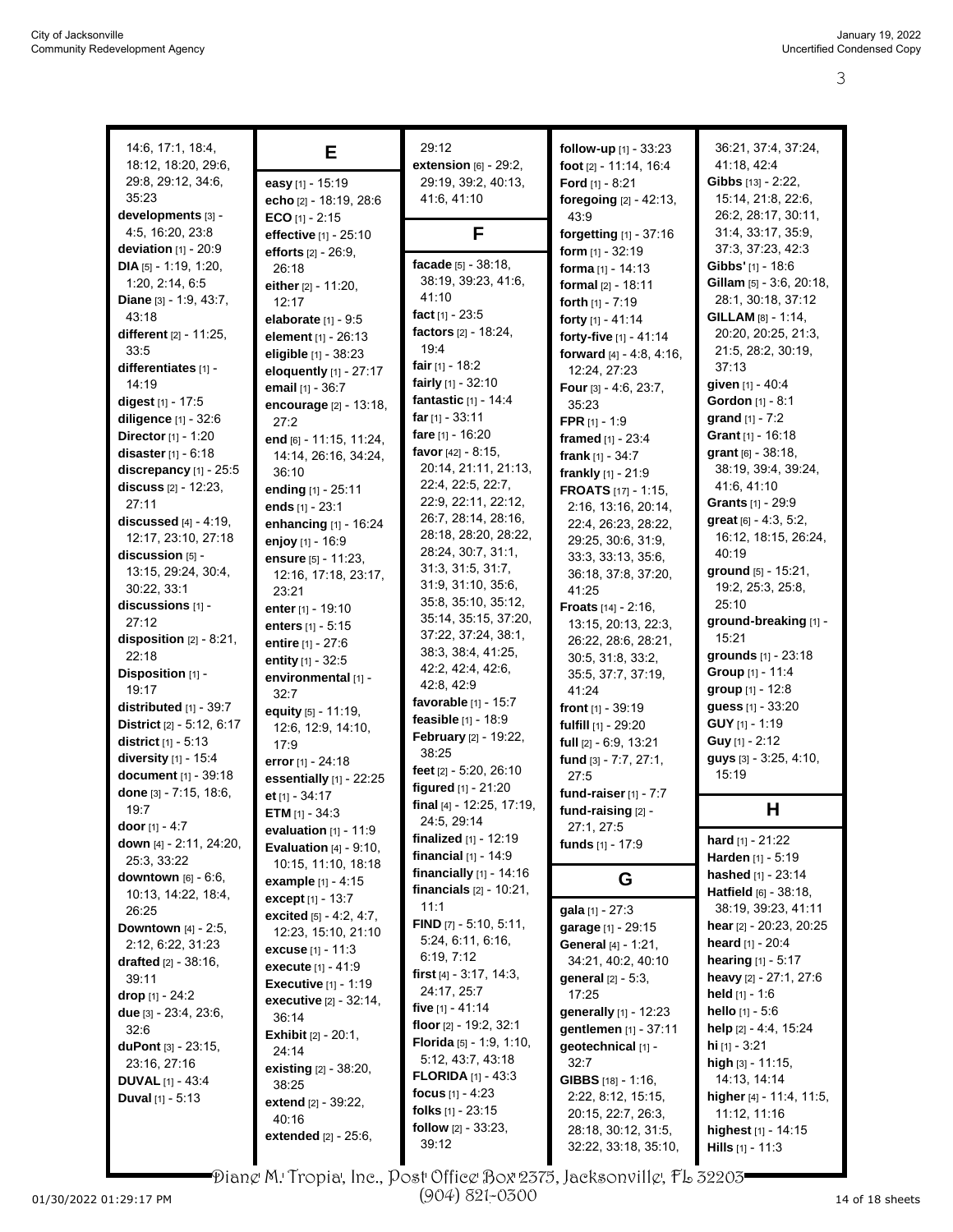| 14:6, 17:1, 18:4,               | Е                             | 29:12                             | follow-up [1] - 33:23         | 36:21, 37:4, 37:24,             |
|---------------------------------|-------------------------------|-----------------------------------|-------------------------------|---------------------------------|
| 18:12, 18:20, 29:6,             |                               | extension [6] - 29:2,             | foot [2] - 11:14, 16:4        | 41:18, 42:4                     |
| 29:8, 29:12, 34:6,              | easy [1] - 15:19              | 29:19, 39:2, 40:13,               | Ford $[1] - 8:21$             | Gibbs [13] - 2:22,              |
| 35:23                           | echo [2] - 18:19, 28:6        | 41.6, 41.10                       | foregoing $[2] - 42:13$ ,     | 15:14, 21:8, 22:6,              |
| developments [3] -              | ECO $[1] - 2:15$              |                                   | 43.9                          | 26:2, 28:17, 30:11,             |
| 4:5, 16:20, 23:8                |                               | F                                 |                               | 31:4, 33:17, 35:9,              |
| deviation $[1]$ - 20:9          | effective [1] - 25:10         |                                   | forgetting [1] - 37:16        | 37:3, 37:23, 42:3               |
| DIA [5] - 1:19, 1:20,           | efforts [2] - 26:9,           | facade [5] - 38:18,               | form $[1] - 32:19$            | <b>Gibbs'</b> [1] - 18:6        |
|                                 | 26:18                         | 38:19, 39:23, 41:6,               | forma $[1] - 14:13$           |                                 |
| 1:20, 2:14, 6:5                 | either [2] - 11:20,           | 41:10                             | formal [2] - 18:11            | Gillam [5] - 3:6, 20:18,        |
| Diane [3] - 1:9, 43:7,          | 12:17                         |                                   | forth [1] - 7:19              | 28:1, 30:18, 37:12              |
| 43:18                           | elaborate [1] - 9:5           | fact $[1]$ - 23:5                 | forty [1] - 41:14             | <b>GILLAM</b> [8] - 1:14,       |
| different [2] - 11:25,          | element [1] - 26:13           | factors [2] - 18:24,              | forty-five [1] - 41:14        | 20:20, 20:25, 21:3,             |
| 33:5                            | eligible [1] - 38:23          | 19:4                              | forward $[4] - 4.8, 4.16,$    | 21.5, 28.2, 30.19,              |
| differentiates [1] -            | eloquently $[1]$ - $27:17$    | fair $[1]$ - 18:2                 | 12:24, 27:23                  | 37:13                           |
| 14:19                           | email [1] - 36:7              | fairly [1] - 32:10                | Four $[3] - 4.6, 23.7,$       | given [1] - 40:4                |
| digest $[1] - 17:5$             | encourage [2] - 13:18,        | fantastic [1] - 14:4              | 35:23                         | Gordon [1] - 8:1                |
| diligence [1] - 32:6            | 27:2                          | far $[1] - 33.11$                 | FPR $[1] - 1:9$               | grand $[1] - 7:2$               |
| <b>Director</b> $[1] - 1:20$    | end [6] - 11:15, 11:24,       | fare [1] - 16:20                  | framed $[1] - 23:4$           | Grant $[1] - 16:18$             |
| disaster $[1] - 6:18$           | 14:14, 26:16, 34:24,          | favor $[42] - 8:15$ ,             | frank $[1] - 34:7$            | grant [6] - 38:18.              |
| discrepancy [1] - 25:5          | 36:10                         | 20:14, 21:11, 21:13,              | frankly [1] - 21:9            | 38:19, 39:4, 39:24,             |
| discuss $[2] - 12:23$ ,         | ending [1] - 25:11            | 22:4, 22:5, 22:7,                 | <b>FROATS</b> [17] - 1:15,    | 41:6, 41:10                     |
| 27:11                           | ends $[1] - 23:1$             | 22:9, 22:11, 22:12,               | 2:16, 13:16, 20:14,           | Grants [1] - 29:9               |
| <b>discussed</b> $[4] - 4:19$ , | enhancing [1] - 16:24         | 26:7, 28:14, 28:16,               | 22:4, 26:23, 28:22,           | great [6] - 4:3, 5:2,           |
| 12:17, 23:10, 27:18             |                               | 28:18, 28:20, 28:22,              | 29:25, 30:6, 31:9,            | 16:12, 18:15, 26:24,            |
| discussion [5] -                | enjoy [1] - 16:9              | 28:24, 30:7, 31:1,                | 33:3, 33:13, 35:6,            | 40:19                           |
| 13:15, 29:24, 30:4,             | ensure [5] - 11:23,           | 31:3, 31:5, 31:7,                 |                               | ground [5] - 15:21,             |
| 30:22, 33:1                     | 12:16, 17:18, 23:17,          | 31:9, 31:10, 35:6,                | 36:18, 37:8, 37:20,           | 19:2, 25:3, 25:8,               |
| discussions [1] -               | 23:21                         | 35:8, 35:10, 35:12,               | 41:25                         | 25:10                           |
| 27:12                           | enter [1] - 19:10             | 35:14, 35:15, 37:20,              | <b>Froats</b> $[14] - 2:16$ , | ground-breaking [1] -           |
|                                 | enters $[1] - 5:15$           | 37:22, 37:24, 38:1,               | 13:15, 20:13, 22:3,           | 15:21                           |
| disposition $[2] - 8:21$ ,      | entire [1] - 27:6             | 38:3, 38:4, 41:25,                | 26:22, 28:6, 28:21,           |                                 |
| 22:18                           | entity $[1] - 32.5$           | 42:2, 42:4, 42:6,                 | 30.5, 31.8, 33.2,             | grounds [1] - 23:18             |
| Disposition [1] -               | environmental [1] -           | 42:8, 42:9                        | 35:5, 37:7, 37:19,            | Group [1] - 11:4                |
| 19:17                           | 32:7                          | favorable $[1]$ - 15:7            | 41:24                         | group [1] - 12:8                |
| distributed [1] - 39:7          | equity [5] - 11:19,           | feasible [1] - 18:9               | front $[1]$ - 39:19           | guess [1] - 33:20               |
| District [2] - 5:12, 6:17       | 12:6, 12:9, 14:10,            |                                   | fulfill [1] - 29:20           | <b>GUY</b> $[1]$ - 1:19         |
| <b>district</b> $[1] - 5:13$    | 17:9                          | February [2] - 19:22,             | full [2] - 6:9, 13:21         | Guy [1] - 2:12                  |
| diversity [1] - 15:4            | error [1] - 24:18             | 38:25                             | fund [3] - 7:7, 27:1,         | guys [3] - 3:25, 4:10,          |
| document [1] - 39:18            | essentially $[1]$ - 22:25     | feet [2] - 5:20, 26:10            | 27:5                          | 15:19                           |
| done [3] - 7:15, 18:6,          | et $[1] - 34:17$              | figured [1] - 21:20               | fund-raiser $[1]$ - $7:7$     |                                 |
| 19:7                            | ETM $[1] - 34:3$              | final [4] - 12:25, 17:19,         | fund-raising [2] -            | Н                               |
| door $[1] - 4:7$                | evaluation $[1] - 11:9$       | 24:5, 29:14                       | 27:1, 27:5                    |                                 |
| down [4] - 2:11, 24:20,         | Evaluation $[4] - 9:10$ ,     | <b>finalized</b> $[1] - 12:19$    | funds [1] - 17:9              | <b>hard</b> $[1] - 21:22$       |
| 25:3, 33:22                     | 10:15, 11:10, 18:18           | financial $[1] - 14.9$            |                               | Harden [1] - 5:19               |
| <b>downtown</b> $[6] - 6.6$ ,   | <b>example</b> $[1] - 4.15$   | financially $[1]$ - 14:16         | G                             | hashed [1] - 23:14              |
| 10:13, 14:22, 18:4,             | except [1] - 13:7             | <b>financials</b> $[2] - 10:21$ , |                               | <b>Hatfield</b> $[6] - 38:18$ , |
| 26:25                           | excited [5] - 4:2, 4:7,       | 11:1                              | <b>gala</b> $[1] - 27:3$      | 38:19, 39:23, 41:11             |
| <b>Downtown</b> $[4] - 2:5$ ,   |                               | FIND [7] - 5:10, 5:11,            | garage [1] - 29:15            | hear [2] - 20:23, 20:25         |
| 2:12, 6:22, 31:23               | 12:23, 15:10, 21:10           | 5:24, 6:11, 6:16,                 | General [4] - 1:21,           | <b>heard</b> $[1] - 20:4$       |
| <b>drafted</b> $[2] - 38:16$ ,  | excuse $[1] - 11:3$           | 6.19, 7.12                        | 34:21, 40:2, 40:10            | <b>hearing</b> $[1] - 5:17$     |
| 39:11                           | execute [1] - 41:9            | first $[4] - 3.17, 14.3,$         | <b>general</b> $[2] - 5:3$ ,  | heavy [2] - 27:1, 27:6          |
| <b>drop</b> $[1] - 24:2$        | <b>Executive</b> $[1] - 1:19$ | 24:17, 25:7                       | 17:25                         | held $[1] - 1.6$                |
|                                 | executive [2] - 32:14,        | five [1] - 41:14                  | generally [1] - 12:23         | hello $[1] - 5.6$               |
| due $[3] - 23.4, 23.6,$         | 36:14                         | floor [2] - 19:2, 32:1            | gentlemen [1] - 37:11         | help [2] - 4:4, 15:24           |
| 32:6                            | <b>Exhibit</b> [2] - 20:1,    | <b>Florida</b> $[5] - 1.9, 1.10,$ |                               |                                 |
| duPont $[3] - 23:15$ ,          | 24:14                         | 5:12, 43:7, 43:18                 | geotechnical [1] -            | <b>hi</b> [1] - $3.21$          |
| 23:16, 27:16                    | existing [2] - 38:20,         | <b>FLORIDA</b> $[1]$ - 43:3       | 32:7                          | high $[3] - 11:15$ ,            |
| <b>DUVAL</b> $[1] - 43.4$       | 38:25                         | focus $[1] - 4:23$                | <b>GIBBS</b> $[18] - 1:16$ ,  | 14:13, 14:14                    |
| <b>Duval</b> $[1] - 5.13$       | extend [2] - 39:22,           | <b>folks</b> $[1]$ - 23:15        | 2:22, 8:12, 15:15,            | higher [4] - 11:4, 11:5,        |
|                                 | 40:16                         |                                   | 20:15, 22:7, 26:3,            | 11:12, 11:16                    |
|                                 | extended [2] - 25:6,          | follow $[2] - 33:23$ ,            | 28:18, 30:12, 31:5,           | highest [1] - 14:15             |
|                                 |                               | 39:12                             | 32:22, 33:18, 35:10,          | <b>Hills</b> $[1]$ - 11:3       |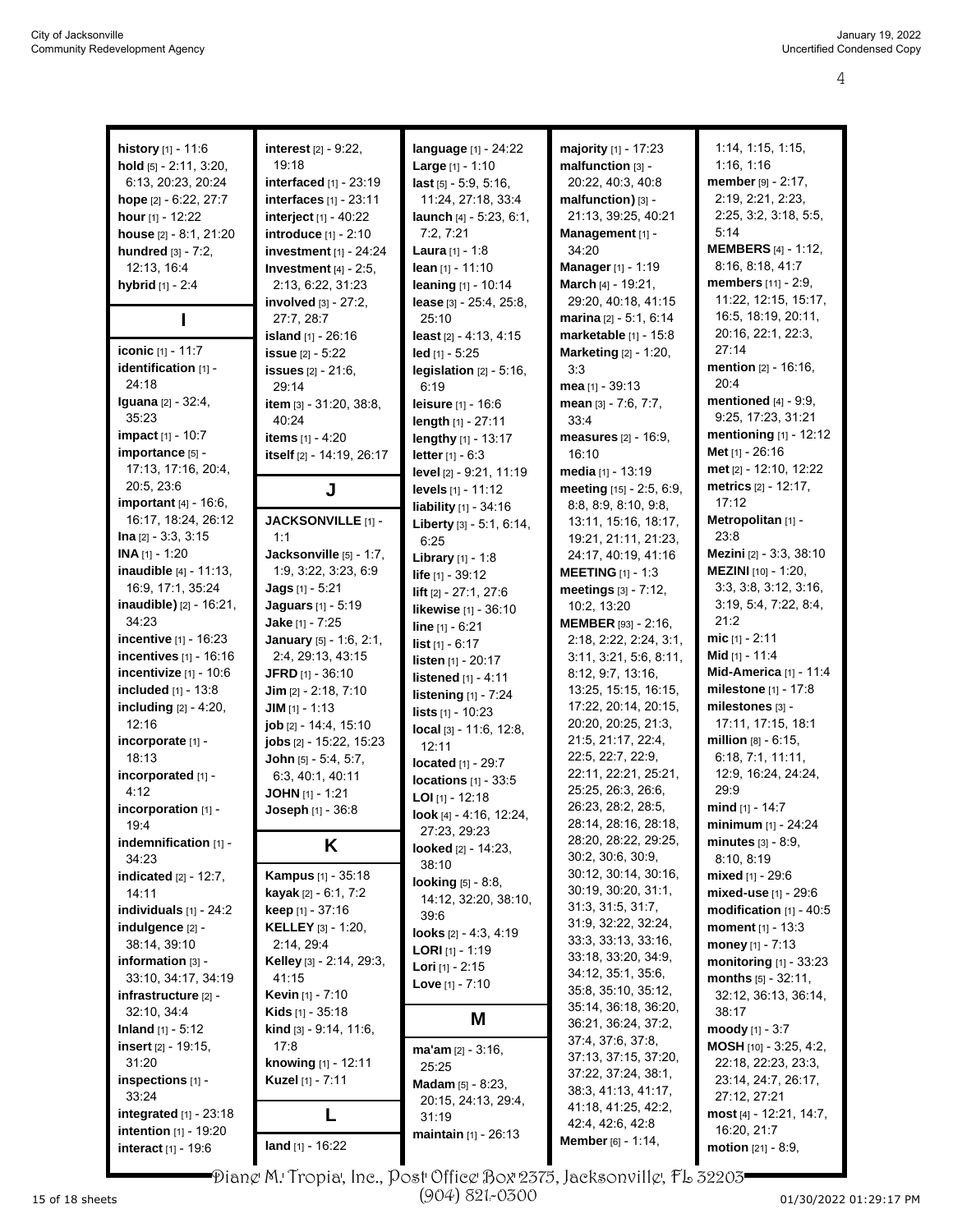| history [1] - 11:6              | interest [2] - 9:22,             | language [1] - 24:22           | <b>majority</b> $[1] - 17:23$  | 1:14, 1:15, 1:15,               |
|---------------------------------|----------------------------------|--------------------------------|--------------------------------|---------------------------------|
|                                 | 19:18                            |                                |                                | 1:16, 1:16                      |
| hold [5] - 2:11, 3:20,          |                                  | Large $[1] - 1:10$             | malfunction [3] -              |                                 |
| 6.13, 20:23, 20:24              | interfaced [1] - 23:19           | $last$ [5] $-5.9$ , 5:16,      | 20:22, 40:3, 40:8              | member [9] - 2:17,              |
| hope [2] - 6:22, 27:7           | interfaces [1] - 23:11           | 11:24, 27:18, 33:4             | malfunction) [3] -             | 2:19, 2:21, 2:23,               |
| <b>hour</b> $[1]$ - 12:22       | interject $[1] - 40:22$          | launch $[4] - 5.23, 6.1$ ,     | 21:13, 39:25, 40:21            | 2:25, 3:2, 3:18, 5:5,           |
| house [2] - 8:1, 21:20          | introduce [1] - 2:10             | 7:2, 7:21                      | Management [1] -               | 5:14                            |
| <b>hundred</b> $[3] - 7:2$ ,    | investment [1] - 24:24           | <b>Laura</b> $[1] - 1.8$       | 34:20                          | <b>MEMBERS</b> [4] - 1:12,      |
| 12:13, 16:4                     | Investment $[4]$ - 2:5,          | lean $[1] - 11:10$             | Manager [1] - 1:19             | 8:16, 8:18, 41:7                |
| hybrid [1] - 2:4                | 2:13, 6:22, 31:23                | leaning [1] - 10:14            | March [4] - 19:21,             | members [11] - 2:9,             |
|                                 | involved [3] - 27:2.             | lease [3] - 25:4, 25:8,        | 29:20, 40:18, 41:15            | 11:22, 12:15, 15:17,            |
|                                 | 27:7, 28:7                       | 25:10                          | marina $[2] - 5:1, 6:14$       | 16:5, 18:19, 20:11,             |
|                                 |                                  |                                |                                | 20:16, 22:1, 22:3,              |
|                                 | <b>island</b> [1] - 26:16        | least [2] - 4:13, 4:15         | marketable [1] - 15:8          | 27:14                           |
| iconic [1] - 11:7               | issue [2] - 5:22                 | $led$ [1] - 5:25               | Marketing [2] - 1:20,          |                                 |
| identification [1] -            | <b>issues</b> [2] - 21:6,        | legislation $[2] - 5:16$ ,     | 3:3                            | mention [2] - 16:16,            |
| 24:18                           | 29:14                            | 6:19                           | mea [1] - 39:13                | 20:4                            |
| <b>Iguana</b> [2] - 32:4,       | item [3] - 31:20, 38:8,          | <b>leisure</b> [1] - 16:6      | mean [3] - 7:6, 7:7,           | mentioned $[4] - 9.9$ ,         |
| 35:23                           | 40:24                            | length $[1] - 27:11$           | 33:4                           | 9:25, 17:23, 31:21              |
| impact [1] - 10:7               | items $[1] - 4:20$               | lengthy [1] - 13:17            | <b>measures</b> $[2] - 16.9$ , | <b>mentioning</b> $[1] - 12:12$ |
| importance [5] -                | itself [2] - 14:19, 26:17        | <b>letter</b> $[1] - 6:3$      | 16:10                          | Met [1] - 26:16                 |
| 17:13, 17:16, 20.4,             |                                  | level [2] - 9:21, 11:19        | media [1] - 13:19              | met [2] - 12:10, 12:22          |
| 20:5, 23:6                      |                                  | levels [1] - 11:12             | meeting $[15] - 2.5, 6.9$ ,    | metrics [2] - 12:17,            |
| <b>important</b> $[4] - 16:6$ , | J                                |                                |                                | 17:12                           |
| 16:17, 18:24, 26:12             |                                  | <b>liability</b> $[1] - 34:16$ | 8.8, 8.9, 8.10, 9.8,           | Metropolitan [1] -              |
|                                 | JACKSONVILLE [1] -               | Liberty [3] - 5:1, 6:14,       | 13:11, 15:16, 18:17,           |                                 |
| $\ln a$ [2] - 3.3, 3.15         | 1:1                              | 6:25                           | 19:21, 21:11, 21:23,           | 23:8                            |
| <b>INA</b> [1] - 1:20           | Jacksonville [5] - 1:7,          | Library [1] - 1:8              | 24:17, 40:19, 41:16            | Mezini [2] - 3:3, 38:10         |
| inaudible [4] - 11:13,          | 1.9, 3.22, 3.23, 6.9             | life $[1] - 39:12$             | <b>MEETING</b> $[1] - 1.3$     | <b>MEZINI</b> $[10] - 1:20$ ,   |
| 16:9, 17:1, 35:24               | Jags [1] - 5:21                  | lift [2] - 27:1, 27:6          | meetings $[3] - 7:12$ ,        | 3:3, 3:8, 3:12, 3:16,           |
| inaudible) [2] - 16:21,         | <b>Jaguars</b> [1] - 5:19        | likewise [1] - 36:10           | 10:2, 13:20                    | 3:19, 5:4, 7:22, 8:4,           |
| 34:23                           | Jake [1] - $7:25$                | line $[1] - 6:21$              | <b>MEMBER</b> [93] - 2:16,     | 21:2                            |
| incentive [1] - 16:23           | January [5] - 1:6, 2:1,          | <b>list</b> $[1] - 6:17$       | 2:18, 2:22, 2:24, 3:1,         | <b>mic</b> $[1] - 2:11$         |
| incentives [1] - 16:16          | 2:4, 29:13, 43:15                |                                | 3:11, 3:21, 5:6, 8:11,         | Mid $[1] - 11.4$                |
| incentivize $[1]$ - 10:6        | JFRD [1] - 36:10                 | listen [1] - 20:17             | 8:12, 9:7, 13:16,              | Mid-America [1] - 11:4          |
|                                 |                                  | <b>listened</b> $[1] - 4:11$   |                                | milestone $[1] - 17:8$          |
| included [1] - 13:8             | Jim $[2] - 2:18, 7:10$           | listening [1] - 7:24           | 13:25, 15:15, 16:15,           |                                 |
| including [2] - 4:20,           | $JIM$ [1] - 1:13                 | lists $[1] - 10:23$            | 17:22, 20:14, 20:15,           | milestones [3] -                |
| 12:16                           | job [2] - 14:4, 15:10            | $local [3] - 11.6, 12.8,$      | 20:20, 20:25, 21:3,            | 17:11, 17:15, 18:1              |
| incorporate [1] -               | jobs [2] - 15:22, 15:23          | 12:11                          | 21:5, 21:17, 22:4,             | million [8] - 6:15.             |
| 18:13                           | John [5] - 5:4, 5:7,             | located [1] - 29:7             | 22:5, 22:7, 22:9,              | 6:18, 7:1, 11:11,               |
| incorporated [1] -              | 6.3, 40.1, 40.11                 | locations $[1]$ - 33:5         | 22:11, 22:21, 25:21,           | 12:9, 16:24, 24:24,             |
| 4:12                            | <b>JOHN</b> $[1]$ - 1:21         | LOI $[1]$ - 12:18              | 25:25, 26:3, 26:6,             | 29:9                            |
| incorporation [1] -             | Joseph [1] - 36:8                |                                | 26:23, 28:2, 28:5,             | mind [1] - 14:7                 |
| 19:4                            |                                  | look [4] - 4:16, 12:24,        | 28:14, 28:16, 28:18,           | <b>minimum</b> $[1] - 24:24$    |
| indemnification [1] -           | Κ                                | 27:23, 29:23                   | 28:20, 28:22, 29:25,           | minutes $[3] - 8.9$ ,           |
| 34:23                           |                                  | looked [2] - 14:23,            | 30:2, 30:6, 30:9,              | 8:10, 8:19                      |
|                                 | <b>Kampus</b> [1] - 35:18        | 38:10                          | 30:12, 30:14, 30:16,           | mixed $[1] - 29:6$              |
| <b>indicated</b> [2] - 12:7,    |                                  | <b>looking</b> $[5] - 8:8$ ,   | 30:19, 30:20, 31:1,            |                                 |
| 14:11                           | <b>kayak</b> $[2] - 6.1, 7.2$    | 14:12, 32:20, 38:10,           | 31:3, 31:5, 31:7,              | mixed-use [1] - 29:6            |
| individuals $[1]$ - $24:2$      | <b>keep</b> $[1] - 37.16$        | 39:6                           | 31.9, 32.22, 32.24,            | modification $[1]$ - 40:5       |
| indulgence [2] -                | <b>KELLEY</b> [3] - 1:20,        | looks $[2] - 4 \cdot 3$ , 4:19 |                                | <b>moment</b> $[1] - 13:3$      |
| 38:14, 39:10                    | 2:14, 29:4                       | <b>LORI</b> [1] - 1:19         | 33:3, 33:13, 33:16,            | money [1] - 7:13                |
| information [3] -               | Kelley [3] - 2:14, 29:3,         | <b>Lori</b> $[1]$ - 2:15       | 33:18, 33:20, 34:9,            | monitoring [1] - 33:23          |
| 33:10, 34:17, 34:19             | 41:15                            | <b>Love</b> $[1] - 7:10$       | 34:12, 35:1, 35:6,             | months [5] - 32:11,             |
| infrastructure [2] -            | <b>Kevin</b> [1] - 7:10          |                                | 35:8, 35:10, 35:12,            | 32:12, 36:13, 36:14,            |
| 32:10, 34:4                     | Kids [1] - 35:18                 |                                | 35:14, 36:18, 36:20,           | 38:17                           |
| <b>Inland</b> $[1] - 5:12$      | <b>kind</b> $[3] - 9.14, 11.6$ , | M                              | 36:21, 36:24, 37:2,            | moody $[1] - 3:7$               |
| <b>insert</b> $[2] - 19.15$ ,   | 17:8                             |                                | 37:4, 37:6, 37:8,              | MOSH [10] - 3:25, 4:2,          |
|                                 |                                  | $ma'am_{[2]} - 3:16,$          | 37:13, 37:15, 37:20,           |                                 |
| 31:20                           | knowing [1] - 12:11              | 25:25                          | 37:22, 37:24, 38:1,            | 22:18, 22:23, 23:3,             |
| inspections [1] -               | Kuzel [1] - 7:11                 | Madam [5] - 8:23,              | 38:3, 41:13, 41:17,            | 23:14, 24:7, 26:17,             |
| 33:24                           |                                  | 20:15, 24:13, 29:4,            | 41:18, 41:25, 42:2,            | 27:12, 27:21                    |
| integrated $[1]$ - 23:18        | L                                | 31:19                          | 42:4, 42:6, 42:8               | most [4] - 12.21, 14:7,         |
| intention [1] - 19:20           |                                  | <b>maintain</b> $[1]$ - 26:13  | Member [6] - 1:14,             | 16:20, 21:7                     |
| interact [1] - 19:6             | land [1] - 16:22                 |                                |                                | <b>motion</b> $[21] - 8.9$ ,    |
|                                 |                                  |                                |                                |                                 |

ı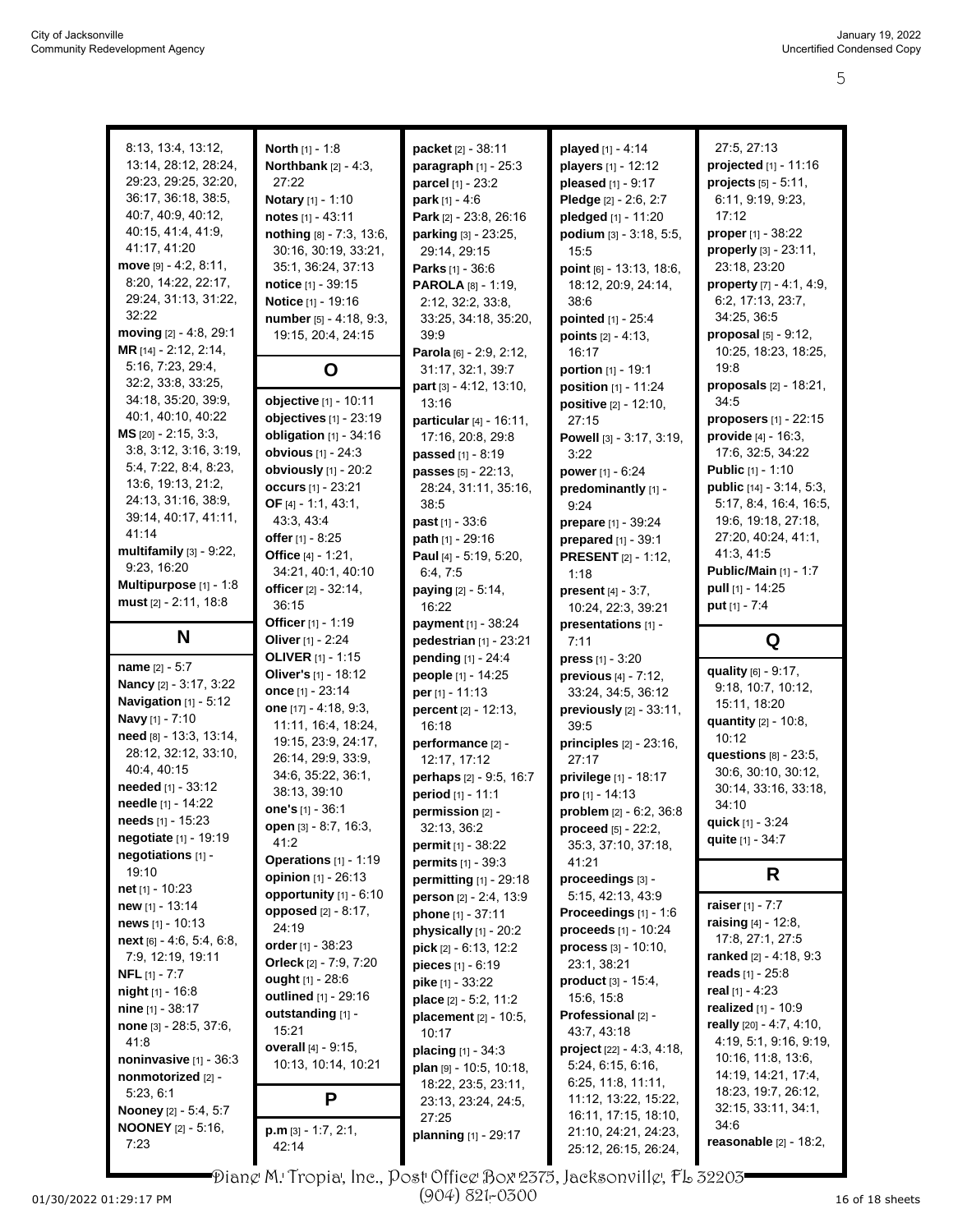| 8:13, 13:4, 13:12,                   | <b>North</b> [1] - 1:8         | packet [2] - 38:11                            | played [1] - 4:14                            | 27:5, 27:13                    |
|--------------------------------------|--------------------------------|-----------------------------------------------|----------------------------------------------|--------------------------------|
|                                      |                                |                                               |                                              |                                |
| 13:14, 28:12, 28:24,                 | Northbank $[2] - 4:3$ ,        | paragraph [1] - 25:3                          | players [1] - 12:12                          | projected [1] - 11:16          |
| 29:23, 29:25, 32:20,                 | 27:22                          | parcel [1] - 23:2                             | pleased [1] - 9:17                           | projects [5] - 5:11,           |
| 36:17, 36:18, 38:5,                  | Notary [1] - 1:10              | park $[1] - 4:6$                              | Pledge [2] - 2:6, 2:7                        | 6:11, 9:19, 9:23,              |
| 40.7, 40.9, 40.12,                   | notes [1] - 43:11              | Park [2] - 23:8, 26:16                        | pledged [1] - 11:20                          | 17:12                          |
| 40:15, 41:4, 41:9,                   | nothing [8] - 7:3, 13:6,       | parking [3] - 23:25,                          | podium $[3] - 3:18, 5:5,$                    | proper [1] - 38:22             |
| 41:17, 41:20                         | 30:16, 30:19, 33:21,           | 29:14, 29:15                                  | 15:5                                         | properly [3] - 23:11,          |
| $move$ [9] $- 4:2, 8:11,$            | 35:1, 36:24, 37:13             | <b>Parks</b> $[1] - 36:6$                     | point [6] - 13:13, 18:6,                     | 23:18, 23:20                   |
| 8:20, 14:22, 22:17,                  | notice [1] - 39:15             | <b>PAROLA</b> [8] - 1:19,                     | 18:12, 20:9, 24:14,                          | property [7] - 4:1, 4:9,       |
| 29:24, 31:13, 31:22,                 |                                |                                               |                                              | 6:2, 17:13, 23:7,              |
| 32:22                                | Notice [1] - 19:16             | 2:12, 32:2, 33:8,                             | 38:6                                         |                                |
|                                      | number [5] - 4:18, 9:3,        | 33:25, 34:18, 35:20,                          | pointed [1] - 25:4                           | 34:25, 36:5                    |
| moving [2] - 4:8, 29:1               | 19:15, 20:4, 24:15             | 39.9                                          | <b>points</b> $[2] - 4:13$ ,                 | proposal [5] - 9:12,           |
| MR [14] - 2:12, 2:14,                |                                | Parola [6] - 2:9, 2:12,                       | 16:17                                        | 10:25, 18:23, 18:25,           |
| 5:16, 7:23, 29:4,                    | O                              | 31:17, 32:1, 39:7                             | <b>portion</b> $[1] - 19:1$                  | 19:8                           |
| 32:2, 33:8, 33:25,                   |                                | part [3] - 4:12, 13:10,                       | position [1] - 11:24                         | proposals [2] - 18:21,         |
| 34:18, 35:20, 39.9,                  | objective [1] - 10:11          | 13:16                                         | <b>positive</b> $[2] - 12:10$ ,              | 34:5                           |
| 40:1, 40:10, 40:22                   | objectives [1] - 23:19         | particular $[4] - 16:11$ ,                    | 27:15                                        | <b>proposers</b> $[1]$ - 22:15 |
| <b>MS</b> $[20] - 2:15, 3:3,$        | obligation $[1]$ - 34:16       | 17:16, 20:8, 29:8                             | Powell [3] - 3:17, 3:19,                     | <b>provide</b> $[4] - 16:3$ ,  |
| 3:8, 3:12, 3:16, 3:19,               | obvious [1] - 24:3             |                                               |                                              |                                |
| 5:4, 7:22, 8:4, 8:23,                |                                | passed [1] - 8:19                             | 3:22                                         | 17:6, 32:5, 34:22              |
|                                      | obviously [1] - 20:2           | passes [5] - 22:13,                           | power $[1] - 6:24$                           | <b>Public [1] - 1:10</b>       |
| 13:6, 19:13, 21:2,                   | <b>occurs</b> [1] - 23:21      | 28:24, 31:11, 35:16,                          | predominantly [1] -                          | public [14] - 3:14, 5:3,       |
| 24:13, 31:16, 38.9,                  | OF [4] - 1:1, 43:1,            | 38:5                                          | 9:24                                         | 5:17, 8:4, 16:4, 16:5,         |
| 39:14, 40:17, 41:11,                 | 43.3, 43.4                     | past [1] - 33:6                               | prepare [1] - 39:24                          | 19:6, 19:18, 27:18,            |
| 41:14                                | offer $[1] - 8:25$             | path [1] - 29:16                              | prepared [1] - 39:1                          | 27:20, 40:24, 41:1,            |
| multifamily [3] - 9:22,              | Office [4] - 1:21.             | Paul [4] - 5:19, 5:20,                        | <b>PRESENT</b> [2] - 1:12,                   | 41:3, 41:5                     |
| 9:23, 16:20                          | 34:21, 40:1, 40:10             | 6.4, 7.5                                      | 1:18                                         | <b>Public/Main [1] - 1:7</b>   |
| Multipurpose [1] - 1:8               | officer [2] - 32:14,           | paying [2] - 5:14,                            | <b>present</b> $[4] - 3:7$ ,                 | pull $[1] - 14:25$             |
| must $[2] - 2:11, 18:8$              | 36:15                          |                                               |                                              | put [1] - 7:4                  |
|                                      | Officer [1] - 1:19             | 16:22                                         | 10:24, 22:3, 39:21                           |                                |
| N                                    |                                | payment [1] - 38:24<br>pedestrian [1] - 23:21 | presentations [1] -                          | Q                              |
|                                      | Oliver $[1] - 2.24$            |                                               |                                              |                                |
|                                      |                                |                                               | 7:11                                         |                                |
|                                      | <b>OLIVER</b> $[1] - 1:15$     | pending [1] - 24:4                            | press $[1] - 3:20$                           |                                |
| <b>name</b> $[2] - 5:7$              | Oliver's [1] - 18:12           | people [1] - 14:25                            | previous [4] - 7:12,                         | quality [6] - 9:17,            |
| Nancy [2] - 3:17, 3:22               | once [1] - 23:14               | per [1] - 11:13                               | 33:24, 34:5, 36:12                           | 9:18, 10:7, 10:12,             |
| Navigation [1] - 5:12                | one $[17] - 4:18, 9:3,$        | percent [2] - 12:13,                          | previously [2] - 33:11,                      | 15:11, 18:20                   |
| Navy [1] - 7:10                      | 11:11, 16:4, 18:24,            | 16:18                                         | 39.5                                         | quantity [2] - 10:8,           |
| need [8] - 13:3, 13:14,              | 19:15, 23:9, 24:17,            | performance [2] -                             | principles $[2] - 23:16$ ,                   | 10:12                          |
| 28:12, 32:12, 33:10,                 | 26:14, 29:9, 33:9,             | 12:17, 17:12                                  | 27:17                                        | <b>questions</b> [8] - 23:5,   |
| 40:4, 40:15                          | 34:6, 35:22, 36:1,             |                                               |                                              | 30:6, 30:10, 30:12,            |
| needed [1] - 33:12                   | 38:13, 39:10                   | perhaps [2] - 9:5, 16:7                       | privilege [1] - 18:17                        | 30:14, 33:16, 33:18,           |
| needle [1] - 14:22                   |                                | period [1] - 11:1                             | pro [1] - 14:13                              | 34:10                          |
| <b>needs</b> [1] - 15:23             | one's [1] - 36:1               | permission [2] -                              | problem [2] - 6:2, 36:8                      | quick [1] - 3:24               |
| negotiate [1] - 19:19                | <b>open</b> $[3] - 8:7, 16:3,$ | 32:13, 36:2                                   | proceed [5] - 22:2,                          | quite [1] - 34:7               |
| negotiations [1] -                   | 41.2                           | permit [1] - 38:22                            | 35:3, 37:10, 37:18,                          |                                |
| 19:10                                | Operations [1] - 1:19          | permits [1] - 39:3                            | 41:21                                        |                                |
|                                      | opinion [1] - 26:13            | permitting [1] - 29:18                        | proceedings [3] -                            | R.                             |
| <b>net</b> [1] - 10:23               | opportunity [1] - 6:10         | person [2] - 2:4, 13:9                        | 5:15, 42:13, 43:9                            |                                |
| <b>new</b> [1] - 13:14               | opposed [2] - 8:17,            | phone [1] - 37:11                             | <b>Proceedings</b> $[1] - 1.6$               | raiser $[1] - 7:7$             |
| <b>news</b> $[1]$ - 10:13            | 24:19                          | physically $[1]$ - 20:2                       | proceeds $[1] - 10:24$                       | raising [4] - 12:8,            |
| next [6] - 4:6, 5:4, 6:8,            | order $[1] - 38.23$            | $pick$ [2] - 6:13, 12:2                       | process [3] - 10:10,                         | 17:8, 27:1, 27:5               |
| 7:9, 12:19, 19:11                    | Orleck [2] - 7:9, 7:20         | pieces [1] - 6:19                             | 23:1, 38:21                                  | ranked [2] - 4 18, 9:3         |
| <b>NFL</b> $[1]$ - 7:7               | ought [1] - 28:6               | pike [1] - 33:22                              | $product [3] - 15:4,$                        | reads $[1] - 25:8$             |
| night [1] - 16:8                     | outlined [1] - 29:16           | place [2] - 5:2, 11:2                         | 15.6, 15:8                                   | real $[1] - 4:23$              |
| <b>nine</b> $[1]$ - 38:17            | outstanding [1] -              |                                               |                                              | realized [1] - 10:9            |
| none [3] - 28:5, 37:6,               | 15:21                          | placement $[2] - 10:5$ ,                      | Professional [2] -<br>43:7, 43:18            | really [20] - 4:7, 4:10,       |
| 41:8                                 | overall [4] - 9:15,            | 10:17                                         |                                              | 4:19, 5:1, 9:16, 9:19,         |
| noninvasive [1] - 36:3               |                                | <b>placing</b> $[1] - 34:3$                   | project [22] - 4:3, 4:18,                    | 10:16, 11:8, 13:6,             |
| nonmotorized [2] -                   | 10:13, 10:14, 10:21            | plan [9] - 10:5, 10:18,                       | 5:24, 6:15, 6:16,                            | 14:19, 14:21, 17:4,            |
| 5:23, 6:1                            |                                | 18:22, 23:5, 23:11,                           | 6.25, 11.8, 11.11,                           | 18:23, 19:7, 26:12,            |
|                                      | P                              | 23:13, 23:24, 24:5,                           | 11:12, 13:22, 15:22,                         | 32:15, 33:11, 34:1,            |
| <b>Nooney</b> [2] - 5:4, 5:7         |                                | 27:25                                         | 16:11, 17:15, 18:10,                         | 34:6                           |
| <b>NOONEY</b> $[2] - 5:16$ ,<br>7:23 | $p.m$ [3] - 1:7, 2:1,<br>42:14 | planning [1] - 29:17                          | 21:10, 24:21, 24:23,<br>25:12, 26:15, 26:24, | reasonable $[2] - 18:2$ ,      |

Diane M. Tropia, Inc., Post Office Box 2375, Jacksonville, FL 32203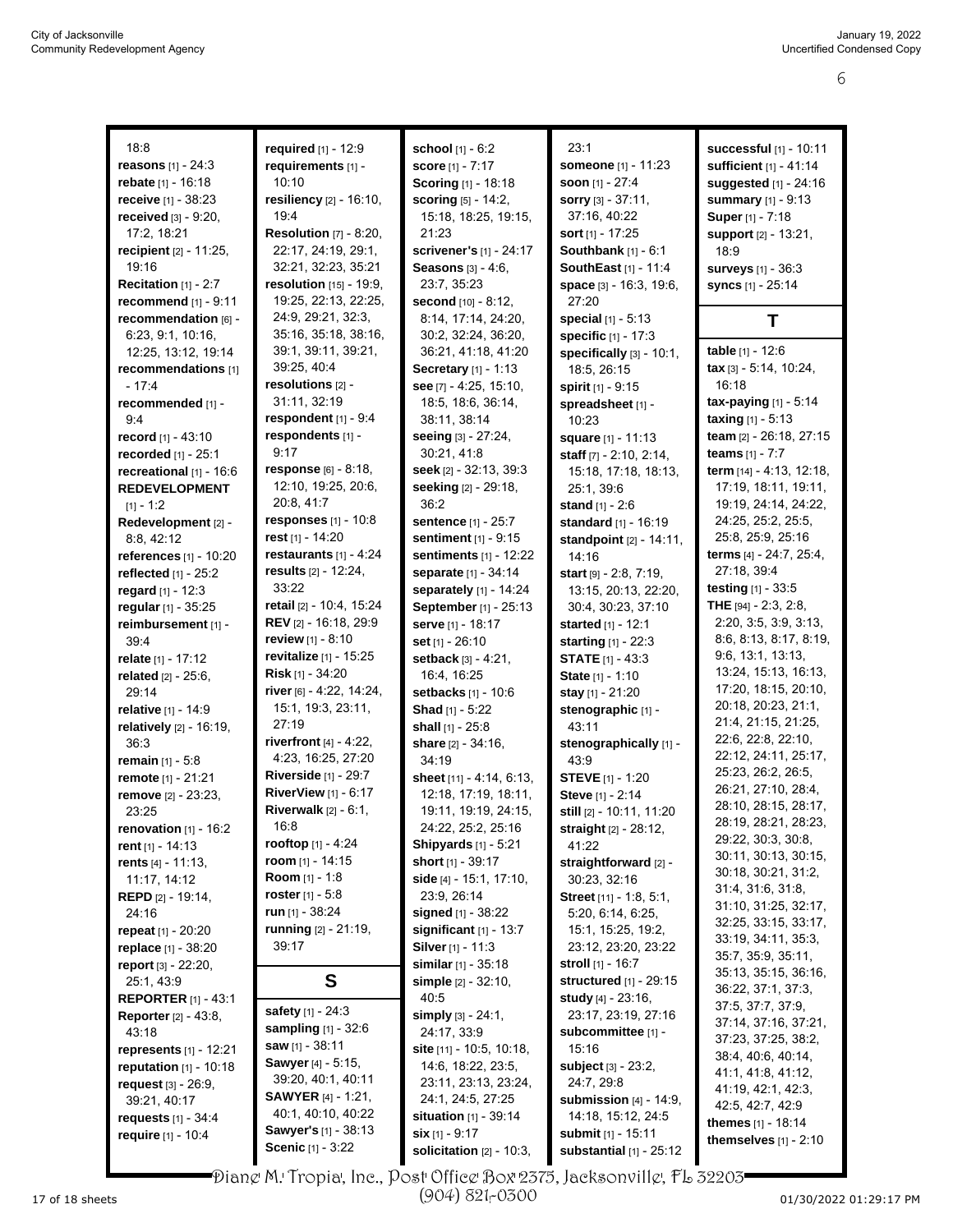| 18:8                                 | required [1] - 12:9                              | school [1] - 6:2                              | 23:1                                      | <b>successful</b> [1] - 10:11              |
|--------------------------------------|--------------------------------------------------|-----------------------------------------------|-------------------------------------------|--------------------------------------------|
| <b>reasons</b> $[1] - 24:3$          | requirements [1] -                               | <b>score</b> [1] - 7:17                       | <b>someone</b> [1] - 11:23                | sufficient [1] - 41:14                     |
| <b>rebate</b> [1] - 16:18            | 10:10                                            | Scoring [1] - 18:18                           | soon $[1] - 27.4$                         | suggested [1] - 24:16                      |
| receive [1] - 38:23                  | resiliency [2] - 16:10,                          | scoring [5] - 14:2,                           | <b>sorry</b> $[3] - 37:11$ ,              | summary [1] - 9:13                         |
| received $[3] - 9:20$ ,              | 19:4                                             | 15:18, 18:25, 19:15,                          | 37:16, 40:22                              | Super [1] - 7:18                           |
| 17:2, 18:21                          | <b>Resolution [7] - 8:20,</b>                    | 21:23                                         | <b>sort</b> $[1]$ - 17:25                 | support [2] - 13:21,                       |
| recipient $[2] - 11:25$ ,            | 22:17, 24:19, 29:1,                              | scrivener's [1] - 24:17                       | Southbank $[1] - 6:1$                     | 18:9                                       |
| 19:16                                | 32:21, 32:23, 35:21                              | <b>Seasons</b> $[3] - 4:6$ ,                  | SouthEast [1] - 11:4                      | surveys [1] - 36:3                         |
| <b>Recitation</b> $[1]$ - 2:7        | <b>resolution</b> [15] - 19:9,                   | 23:7, 35:23                                   | space [3] - 16:3, 19:6,                   | syncs [1] - 25:14                          |
| recommend $[1] - 9:11$               | 19:25, 22:13, 22:25,                             | second [10] - 8:12.                           | 27:20                                     |                                            |
| recommendation [6] -                 | 24:9, 29:21, 32:3,                               | 8:14, 17:14, 24:20,                           | <b>special</b> $[1] - 5:13$               | Т                                          |
| 6.23, 9.1, 10.16,                    | 35:16, 35:18, 38:16,                             | 30:2, 32:24, 36:20,                           | specific [1] - 17:3                       |                                            |
| 12:25, 13:12, 19:14                  | 39:1, 39:11, 39:21,                              | 36:21, 41:18, 41:20                           | specifically [3] - 10:1,                  | table [1] - 12:6                           |
| recommendations [1]                  | 39:25, 40:4                                      | <b>Secretary</b> $[1] - 1:13$                 | 18:5, 26:15                               | tax [3] - 5:14, 10:24,                     |
| - 17:4                               | resolutions [2] -                                | see $[7] - 4.25, 15.10,$                      | spirit [1] - 9:15                         | 16:18                                      |
| recommended [1] -                    | 31:11, 32:19                                     | 18.5, 18.6, 36.14,                            | spreadsheet [1] -                         | $\textsf{tax-paying}[1] - 5:14$            |
| 9.4                                  | respondent $[1]$ - $9:4$                         | 38:11, 38:14                                  | 10:23                                     | <b>taxing</b> $[1] - 5.13$                 |
| record [1] - 43:10                   | respondents [1] -                                | seeing [3] - 27:24,                           | <b>square</b> [1] - 11:13                 | team [2] - 26:18, 27:15                    |
| recorded [1] - 25:1                  | 9:17                                             | 30:21, 41:8                                   | staff [7] - 2:10, 2:14,                   | teams [1] - 7:7                            |
| recreational [1] - 16:6              | response [6] - 8:18,                             | seek [2] - 32:13, 39:3                        | 15:18, 17:18, 18:13,                      | term [14] - 4:13, 12:18,                   |
| <b>REDEVELOPMENT</b>                 | 12:10, 19:25, 20:6,                              | <b>seeking</b> [2] - 29:18,                   | 25:1, 39:6                                | 17:19, 18:11, 19:11,                       |
| $[1] - 1:2$                          | 20:8, 41:7                                       | 36:2                                          | stand $[1] - 2:6$                         | 19:19, 24:14, 24:22,                       |
| Redevelopment [2] -                  | responses $[1] - 10.8$                           | sentence [1] - 25:7                           | standard [1] - 16:19                      | 24:25, 25:2, 25:5,                         |
| 8:8, 42:12                           | rest [1] - 14:20                                 | sentiment [1] - 9:15                          | standpoint [2] - 14:11,                   | 25.8, 25.9, 25.16                          |
| <b>references</b> $[1] - 10:20$      | restaurants [1] - 4:24                           | sentiments [1] - 12:22                        | 14:16                                     | terms [4] - 24:7, 25:4,                    |
| reflected $[1]$ - 25:2               | results $[2] - 12.24$ ,                          | separate [1] - 34:14                          | start $[9] - 2.8$ , 7:19,                 | 27:18, 39:4                                |
| regard [1] - 12:3                    | 33:22                                            | separately [1] - 14:24                        | 13:15, 20:13, 22:20,                      | <b>testing</b> $[1] - 33.5$                |
| regular [1] - 35:25                  | retail [2] - 10:4, 15:24                         | September [1] - 25:13                         | 30:4, 30:23, 37:10                        | THE [94] - 2:3, 2:8,                       |
| reimbursement [1] -                  | REV [2] - 16:18, 29:9                            | serve [1] - 18:17                             | started [1] - 12:1                        | 2:20, 3:5, 3:9, 3:13,                      |
| 39:4                                 | review [1] - 8:10                                | set [1] - 26:10                               | starting [1] - 22:3                       | 8:6, 8:13, 8:17, 8:19,                     |
| relate [1] - 17:12                   | revitalize [1] - 15:25                           | setback [3] - 4:21,                           | <b>STATE</b> $[1] - 43.3$                 | 9:6, 13:1, 13:13,                          |
| <b>related</b> $[2] - 25:6$ ,        | Risk [1] - 34:20                                 | 16:4, 16:25                                   | <b>State</b> $[1] - 1:10$                 | 13:24, 15:13, 16:13,                       |
| 29:14                                | river [6] - 4:22, 14:24,                         | setbacks [1] - 10:6                           | stay [1] - 21:20                          | 17:20, 18:15, 20:10,                       |
| relative [1] - 14:9                  | 15:1, 19:3, 23:11,                               | Shad [1] - 5:22                               | stenographic [1] -                        | 20:18, 20:23, 21:1,                        |
| relatively [2] - 16:19,              | 27:19                                            | shall [1] - 25:8                              | 43:11                                     | 21:4, 21:15, 21:25,                        |
| 36:3                                 | riverfront $[4] - 4:22$ ,                        | share [2] - 34:16,                            | stenographically [1] -                    | 22:6, 22:8, 22:10,<br>22:12, 24:11, 25:17, |
| <b>remain</b> $[1] - 5.8$            | 4:23, 16:25, 27:20                               | 34:19                                         | 43.9                                      | 25:23, 26:2, 26:5,                         |
| remote [1] - 21:21                   | Riverside [1] - 29:7                             | sheet [11] - 4:14, 6:13,                      | <b>STEVE [1] - 1:20</b>                   | 26:21, 27:10, 28:4,                        |
| remove [2] - 23:23,                  | RiverView [1] - 6:17                             | 12:18, 17:19, 18:11,                          | Steve [1] - 2:14                          | 28:10, 28:15, 28:17,                       |
| 23:25                                | Riverwalk [2] - 6:1,                             | 19:11, 19:19, 24:15,                          | still [2] - 10:11, 11:20                  | 28:19, 28:21, 28:23,                       |
| renovation $[1]$ - 16:2              | 16:8<br>rooftop $[1] - 4:24$                     | 24:22, 25:2, 25:16                            | straight $[2] - 28:12$ ,                  | 29:22, 30:3, 30:8,                         |
| rent $[1]$ - 14:13                   |                                                  | <b>Shipyards</b> $[1] - 5:21$                 | 41.22                                     | 30:11, 30:13, 30:15,                       |
| rents $[4] - 11:13$ ,                | <b>room</b> [1] - 14:15<br><b>Room</b> [1] - 1:8 | <b>short</b> $[1]$ - 39:17                    | straightforward [2] -                     | 30:18, 30:21, 31:2,                        |
| 11:17, 14:12                         |                                                  | side [4] - 15:1, 17:10,                       | 30:23, 32:16                              | 31:4, 31:6, 31:8,                          |
| <b>REPD</b> $[2] - 19.14$ ,<br>24:16 | roster $[1] - 5.8$<br>run $[1]$ - 38:24          | 23:9, 26:14                                   | Street [11] - 1:8, 5:1,                   | 31:10, 31:25, 32:17,                       |
|                                      | <b>running</b> [2] - 21:19,                      | signed [1] - 38:22                            | 5:20, 6:14, 6:25,                         | 32:25, 33:15, 33:17,                       |
| repeat $[1] - 20:20$                 | 39:17                                            | significant $[1]$ - 13:7<br>Silver [1] - 11:3 | 15:1, 15:25, 19:2,<br>23:12, 23:20, 23:22 | 33:19, 34:11, 35:3,                        |
| <b>replace</b> [1] - 38:20           |                                                  | similar [1] - 35:18                           | <b>stroll</b> [1] - 16:7                  | 35:7, 35:9, 35:11,                         |
| report [3] - 22:20,<br>25:1, 43:9    | S                                                | simple [2] - 32:10,                           | <b>structured</b> [1] - 29:15             | 35:13, 35:15, 36:16,                       |
| <b>REPORTER [1] - 43:1</b>           |                                                  | 40:5                                          | <b>study</b> $[4] - 23.16$ ,              | 36:22, 37:1, 37:3,                         |
| <b>Reporter</b> $[2] - 43.8$ ,       | safety [1] - 24:3                                | <b>simply</b> $[3] - 24:1$ ,                  | 23:17, 23:19, 27:16                       | 37:5, 37:7, 37:9,                          |
| 43:18                                | <b>sampling</b> $[1]$ - 32:6                     | 24:17, 33.9                                   | subcommittee [1] -                        | 37:14, 37:16, 37:21,                       |
| <b>represents</b> $[1] - 12:21$      | saw [1] - 38:11                                  | <b>site</b> [11] - 10:5, 10:18,               | 15:16                                     | 37:23, 37:25, 38:2,                        |
| <b>reputation</b> $[1] - 10:18$      | <b>Sawyer</b> [4] - 5:15,                        | 14.6, 18:22, 23.5,                            | <b>subject</b> [3] - 23:2,                | 38:4, 40:6, 40:14,                         |
| request $[3]$ - 26:9,                | 39:20, 40:1, 40:11                               | 23:11, 23:13, 23:24,                          | 24:7, 29:8                                | 41:1, 41:8, 41:12,                         |
| 39:21, 40:17                         | <b>SAWYER</b> [4] - 1:21,                        | 24:1, 24:5, 27:25                             | submission $[4]$ - 14:9,                  | 41:19, 42:1, 42:3,                         |
| <b>requests</b> $[1] - 34.4$         | 40:1, 40:10, 40:22                               | <b>situation</b> $[1]$ - 39:14                | 14:18, 15:12, 24:5                        | 42:5, 42:7, 42:9                           |
| require [1] - 10:4                   | Sawyer's [1] - 38:13                             | $\sin$ [1] - 9:17                             | <b>submit</b> [1] - 15:11                 | themes [1] - 18:14                         |
|                                      | Scenic [1] - 3:22                                | solicitation $[2] - 10:3$ ,                   | substantial $[1]$ - 25:12                 | themselves $[1]$ - $2:10$                  |
|                                      |                                                  |                                               |                                           |                                            |

 $\blacktriangleright$ Dian $\varrho$  M. Tropia, Inc., Post Office Box 2375, Jacksonvill $\varrho$ , FL 32203 $\blacktriangleright$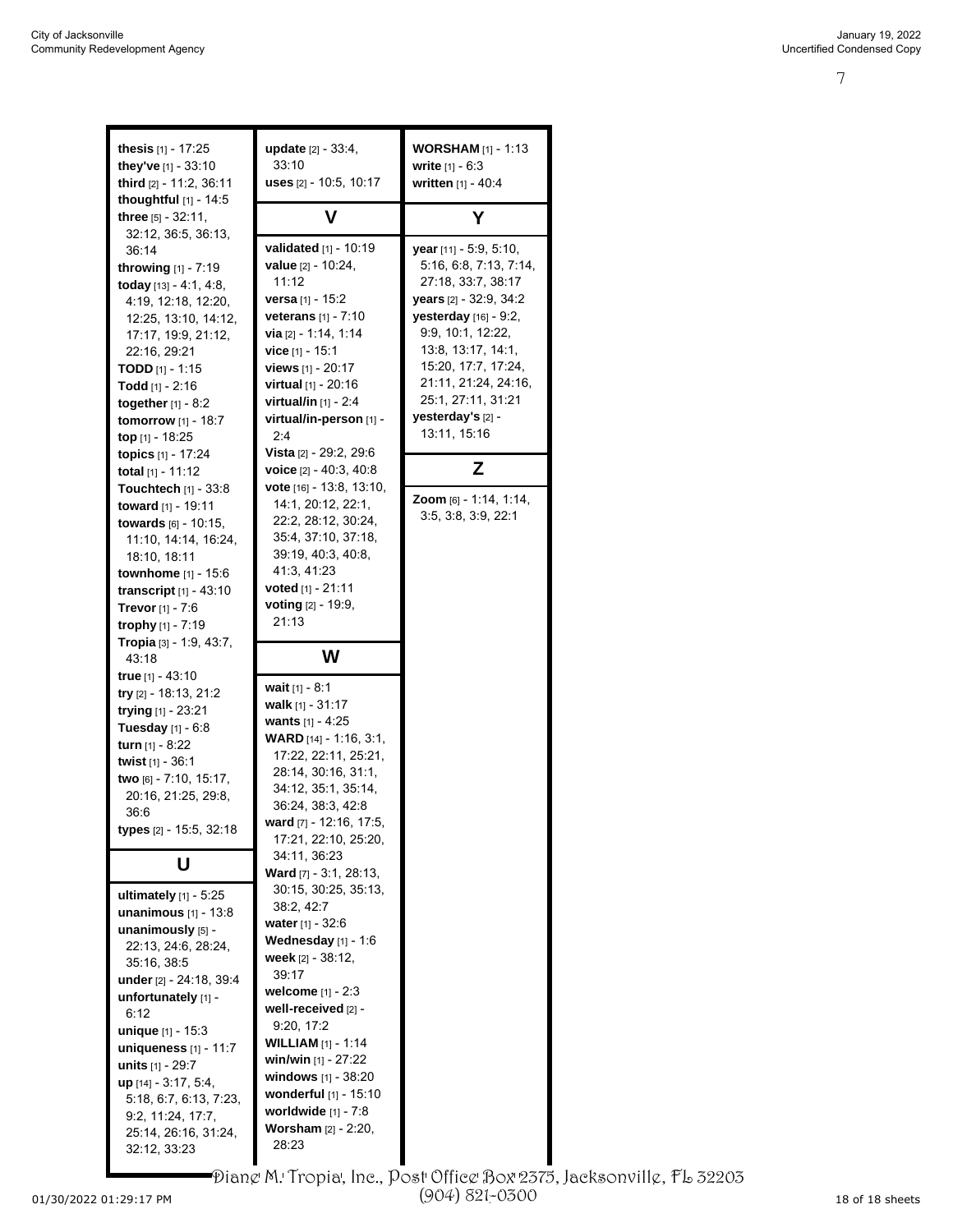| <b>thesis</b> $[1]$ - 17:25<br>they've $[1]$ - 33:10<br>third [2] - 11:2, 36:11<br>thoughtful $[1]$ - 14:5                                                                                                                                                                                                                                                                           | <b>update</b> $[2] - 33:4$ ,<br>33:10<br>uses [2] - 10:5, 10:17                                                                                                                                                                                                                                                                                           | <b>WORSHAM</b> $[1] - 1:13$<br><b>write</b> $[1] - 6:3$<br>written [1] - 40:4                                                                                                                                                                                                       |
|--------------------------------------------------------------------------------------------------------------------------------------------------------------------------------------------------------------------------------------------------------------------------------------------------------------------------------------------------------------------------------------|-----------------------------------------------------------------------------------------------------------------------------------------------------------------------------------------------------------------------------------------------------------------------------------------------------------------------------------------------------------|-------------------------------------------------------------------------------------------------------------------------------------------------------------------------------------------------------------------------------------------------------------------------------------|
| three [5] - 32:11,                                                                                                                                                                                                                                                                                                                                                                   | v                                                                                                                                                                                                                                                                                                                                                         | Υ                                                                                                                                                                                                                                                                                   |
| 32:12, 36:5, 36:13,<br>36:14<br><b>throwing</b> $[1] - 7:19$<br><b>today</b> $[13] - 4.1, 4.8,$<br>4:19, 12:18, 12:20,<br>12:25, 13:10, 14:12,<br>17:17, 19:9, 21:12,<br>22:16, 29:21<br><b>TODD</b> [1] - 1:15<br><b>Todd</b> $[1]$ - 2:16<br>together $[1] - 8:2$<br><b>tomorrow</b> $[1] - 18:7$<br>top $[1]$ - 18:25<br>topics [1] - 17:24<br>total $[1]$ - 11:12                | <b>validated</b> $[1] - 10:19$<br>value [2] - 10:24,<br>11:12<br><b>versa</b> [1] - 15:2<br>veterans [1] - 7:10<br>via [2] - 1:14, 1:14<br>vice [1] - 15:1<br>views $[1] - 20:17$<br><b>virtual</b> [1] - 20:16<br><b>virtual/in</b> $[1]$ - 2:4<br>virtual/in-person [1] -<br>2.4<br><b>Vista</b> [2] - 29:2, 29:6<br><b>voice</b> $[2] - 40.3, 40.8$    | year [11] - 5:9, 5:10,<br>5:16, 6:8, 7:13, 7:14,<br>27:18, 33:7, 38:17<br>years [2] - 32:9, 34:2<br>yesterday [16] - 9:2,<br>9:9, 10:1, 12:22,<br>13:8, 13:17, 14:1,<br>15:20, 17:7, 17:24,<br>21:11, 21:24, 24:16,<br>25:1, 27:11, 31:21<br>yesterday's [2] -<br>13:11, 15:16<br>Z |
| <b>Touchtech</b> $[1] - 33:8$<br>toward [1] - 19:11<br><b>towards</b> $[6] - 10:15$ ,<br>11:10, 14:14, 16:24,<br>18:10, 18:11<br><b>townhome</b> $[1]$ - 15:6<br><b>transcript</b> $[1] - 43:10$<br><b>Trevor</b> [1] - 7:6<br>trophy [1] - 7:19                                                                                                                                     | <b>vote</b> $[16] - 13.8, 13.10,$<br>14:1, 20:12, 22:1,<br>22:2, 28:12, 30:24,<br>35:4, 37:10, 37:18,<br>39:19, 40:3, 40:8,<br>41:3, 41:23<br><b>voted</b> [1] - $21:11$<br><b>voting</b> $[2] - 19.9$ ,<br>21:13                                                                                                                                         | <b>Zoom</b> [6] - 1:14, 1:14,<br>3:5, 3:8, 3:9, 22:1                                                                                                                                                                                                                                |
| Tropia [3] - 1:9, 43:7,<br>43:18                                                                                                                                                                                                                                                                                                                                                     | W                                                                                                                                                                                                                                                                                                                                                         |                                                                                                                                                                                                                                                                                     |
| <b>true</b> [1] - 43:10<br>try [2] - 18:13, 21:2<br>trying [1] - 23:21<br><b>Tuesday</b> $[1] - 6.8$<br><b>turn</b> [1] - 8:22<br><b>twist</b> [1] - 36:1<br>two [6] - 7:10, 15:17,<br>20:16, 21:25, 29:8,<br>36:6<br><b>types</b> [2] - 15:5, 32:18                                                                                                                                 | <b>wait</b> [1] - 8:1<br>walk $[1]$ - 31:17<br><b>wants</b> $[1] - 4:25$<br><b>WARD</b> $[14] - 1.16, 3.1$<br>17:22, 22:11, 25:21,<br>28:14, 30:16, 31:1,<br>34:12, 35:1, 35:14,<br>36:24, 38:3, 42:8<br>ward [7] - 12:16, 17:5,<br>17:21, 22:10, 25:20,                                                                                                  |                                                                                                                                                                                                                                                                                     |
| U                                                                                                                                                                                                                                                                                                                                                                                    | 34:11, 36:23<br>Ward [7] - 3:1, 28:13,                                                                                                                                                                                                                                                                                                                    |                                                                                                                                                                                                                                                                                     |
| ultimately $[1]$ - 5:25<br><b>unanimous</b> $[1]$ - 13:8<br>unanimously [5] -<br>22:13, 24:6, 28:24,<br>35:16, 38:5<br><b>under</b> $[2] - 24:18, 39:4$<br>unfortunately [1] -<br>6:12<br>unique [1] - 15:3<br>uniqueness $[1]$ - 11:7<br><b>units</b> $[1]$ - 29:7<br>$up$ [14] - 3:17, 5:4,<br>5:18, 6:7, 6:13, 7:23,<br>9:2, 11:24, 17:7,<br>25:14, 26:16, 31:24,<br>32:12, 33:23 | 30:15, 30:25, 35:13,<br>38:2, 42:7<br><b>water</b> [1] - $32:6$<br>Wednesday $[1]$ - 1:6<br>week $[2]$ - $38:12$ ,<br>39:17<br>welcome $[1] - 2:3$<br>well-received [2] -<br>9:20, 17:2<br><b>WILLIAM</b> [1] - 1:14<br>win/win [1] - 27:22<br>windows $[1]$ - 38:20<br>wonderful [1] - 15:10<br>worldwide $[1]$ - $7:8$<br><b>Worsham</b> $[2] - 2:20$ , |                                                                                                                                                                                                                                                                                     |

01/30/2022 01:29:17 PM Page 7 to 7 of 7 18 of 18 sheets Diane M. Tropia, Inc., Post Office Box 2375, Jacksonville, FL 32203 (904) 821-0300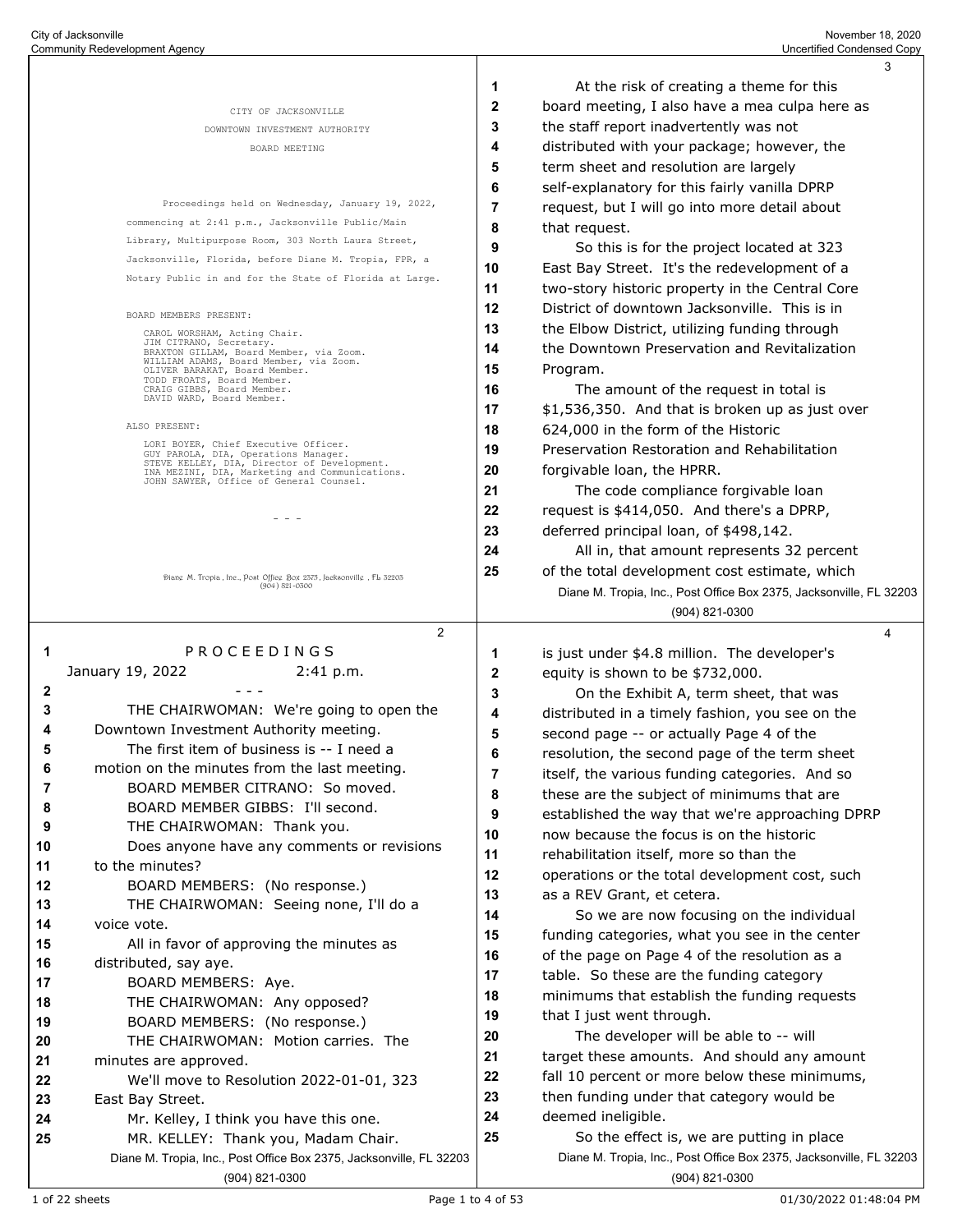|                  |                                                                                               |    | 3                                                                   |
|------------------|-----------------------------------------------------------------------------------------------|----|---------------------------------------------------------------------|
|                  |                                                                                               | 1  | At the risk of creating a theme for this                            |
|                  | CITY OF JACKSONVILLE                                                                          | 2  | board meeting, I also have a mea culpa here as                      |
|                  | DOWNTOWN INVESTMENT AUTHORITY                                                                 | 3  | the staff report inadvertently was not                              |
|                  | BOARD MEETING                                                                                 | 4  | distributed with your package; however, the                         |
|                  |                                                                                               | 5  | term sheet and resolution are largely                               |
|                  |                                                                                               | 6  | self-explanatory for this fairly vanilla DPRP                       |
|                  | Proceedings held on Wednesday, January 19, 2022,                                              | 7  | request, but I will go into more detail about                       |
|                  | commencing at 2:41 p.m., Jacksonville Public/Main                                             | 8  | that request.                                                       |
|                  | Library, Multipurpose Room, 303 North Laura Street,                                           | 9  | So this is for the project located at 323                           |
|                  | Jacksonville, Florida, before Diane M. Tropia, FPR, a                                         | 10 | East Bay Street. It's the redevelopment of a                        |
|                  | Notary Public in and for the State of Florida at Large.                                       | 11 | two-story historic property in the Central Core                     |
|                  | BOARD MEMBERS PRESENT:                                                                        | 12 | District of downtown Jacksonville. This is in                       |
|                  | CAROL WORSHAM, Acting Chair.                                                                  | 13 | the Elbow District, utilizing funding through                       |
|                  | JIM CITRANO, Secretary.<br>BRAXTON GILLAM, Board Member, via Zoom.                            | 14 | the Downtown Preservation and Revitalization                        |
|                  | WILLIAM ADAMS, Board Member, via Zoom.<br>OLIVER BARAKAT, Board Member.                       | 15 | Program.                                                            |
|                  | TODD FROATS, Board Member.<br>CRAIG GIBBS, Board Member.                                      | 16 | The amount of the request in total is                               |
|                  | DAVID WARD, Board Member.                                                                     | 17 | \$1,536,350. And that is broken up as just over                     |
|                  | ALSO PRESENT:                                                                                 | 18 | 624,000 in the form of the Historic                                 |
|                  | LORI BOYER, Chief Executive Officer.<br>GUY PAROLA, DIA, Operations Manager.                  | 19 | Preservation Restoration and Rehabilitation                         |
|                  | STEVE KELLEY, DIA, Director of Development.<br>INA MEZINI, DIA, Marketing and Communications. | 20 | forgivable loan, the HPRR.                                          |
|                  | JOHN SAWYER, Office of General Counsel.                                                       | 21 | The code compliance forgivable loan                                 |
|                  |                                                                                               | 22 | request is \$414,050. And there's a DPRP,                           |
|                  |                                                                                               | 23 | deferred principal loan, of \$498,142.                              |
|                  |                                                                                               | 24 | All in, that amount represents 32 percent                           |
|                  | Diang M. Tropia, Ine., Post Offieg Box 2575, Jacksonvillg, FL 52205                           | 25 | of the total development cost estimate, which                       |
|                  | $(904) 821 - 0500$                                                                            |    | Diane M. Tropia, Inc., Post Office Box 2375, Jacksonville, FL 32203 |
|                  |                                                                                               |    | (904) 821-0300                                                      |
|                  | 2                                                                                             |    | 4                                                                   |
| 1                | PROCEEDINGS                                                                                   | 1  | is just under \$4.8 million. The developer's                        |
|                  | January 19, 2022<br>2:41 p.m.                                                                 | 2  | equity is shown to be \$732,000.                                    |
| $\boldsymbol{2}$ |                                                                                               | 3  | On the Exhibit A, term sheet, that was                              |
| 3                | THE CHAIRWOMAN: We're going to open the                                                       | 4  | distributed in a timely fashion, you see on the                     |
| 4                | Downtown Investment Authority meeting.                                                        | 5  | second page -- or actually Page 4 of the                            |
| 5                | The first item of business is -- I need a                                                     | 6  | resolution, the second page of the term sheet                       |
| 6                | motion on the minutes from the last meeting.                                                  | 7  | itself, the various funding categories. And so                      |
| 7                | BOARD MEMBER CITRANO: So moved.                                                               | 8  | these are the subject of minimums that are                          |
| 8<br>9           | BOARD MEMBER GIBBS: I'll second.<br>THE CHAIRWOMAN: Thank you.                                | 9  | established the way that we're approaching DPRP                     |
| 10               | Does anyone have any comments or revisions                                                    | 10 | now because the focus is on the historic                            |
| 11               | to the minutes?                                                                               | 11 | rehabilitation itself, more so than the                             |
| 12               | BOARD MEMBERS: (No response.)                                                                 | 12 | operations or the total development cost, such                      |
| 13               | THE CHAIRWOMAN: Seeing none, I'll do a                                                        | 13 | as a REV Grant, et cetera.                                          |
| 14               | voice vote.                                                                                   | 14 | So we are now focusing on the individual                            |
| 15               | All in favor of approving the minutes as                                                      | 15 | funding categories, what you see in the center                      |
| 16               | distributed, say aye.                                                                         | 16 | of the page on Page 4 of the resolution as a                        |
| 17               | BOARD MEMBERS: Aye.                                                                           | 17 | table. So these are the funding category                            |
| 18               | THE CHAIRWOMAN: Any opposed?                                                                  | 18 | minimums that establish the funding requests                        |
| 19               | BOARD MEMBERS: (No response.)                                                                 | 19 | that I just went through.                                           |
| 20               | THE CHAIRWOMAN: Motion carries. The                                                           | 20 | The developer will be able to -- will                               |
| 21               | minutes are approved.                                                                         | 21 | target these amounts. And should any amount                         |
| 22               | We'll move to Resolution 2022-01-01, 323                                                      | 22 | fall 10 percent or more below these minimums,                       |
| 23               | East Bay Street.                                                                              | 23 | then funding under that category would be                           |
| 24               | Mr. Kelley, I think you have this one.                                                        | 24 | deemed ineligible.                                                  |
| 25               | MR. KELLEY: Thank you, Madam Chair.                                                           | 25 | So the effect is, we are putting in place                           |
|                  | Diane M. Tropia, Inc., Post Office Box 2375, Jacksonville, FL 32203                           |    | Diane M. Tropia, Inc., Post Office Box 2375, Jacksonville, FL 32203 |
|                  | (904) 821-0300                                                                                |    | (904) 821-0300                                                      |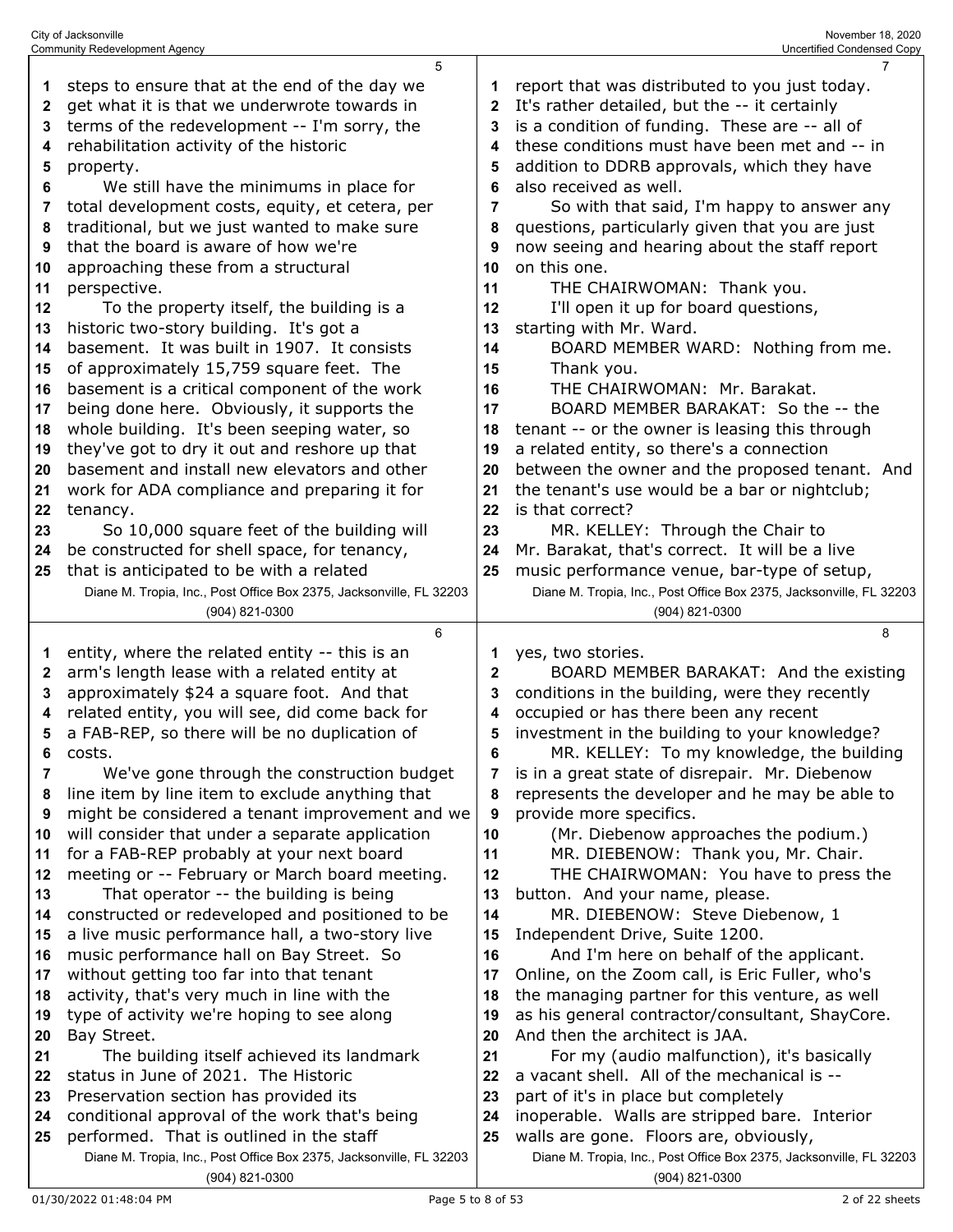|              | 5                                                                                                               |              | 7                                                                                                             |
|--------------|-----------------------------------------------------------------------------------------------------------------|--------------|---------------------------------------------------------------------------------------------------------------|
| 1            | steps to ensure that at the end of the day we                                                                   | 1            | report that was distributed to you just today.                                                                |
| $\mathbf{2}$ | get what it is that we underwrote towards in                                                                    | $\mathbf{2}$ | It's rather detailed, but the -- it certainly                                                                 |
| 3            | terms of the redevelopment -- I'm sorry, the                                                                    | 3            | is a condition of funding. These are -- all of                                                                |
| 4            | rehabilitation activity of the historic                                                                         | 4            | these conditions must have been met and -- in                                                                 |
| 5            | property.                                                                                                       | 5            | addition to DDRB approvals, which they have                                                                   |
|              |                                                                                                                 | 6            | also received as well.                                                                                        |
| 6            | We still have the minimums in place for                                                                         |              |                                                                                                               |
| 7            | total development costs, equity, et cetera, per                                                                 | 7            | So with that said, I'm happy to answer any                                                                    |
| 8            | traditional, but we just wanted to make sure                                                                    | 8            | questions, particularly given that you are just                                                               |
| 9            | that the board is aware of how we're                                                                            | 9            | now seeing and hearing about the staff report                                                                 |
| 10           | approaching these from a structural                                                                             | 10           | on this one.                                                                                                  |
| 11           | perspective.                                                                                                    | 11           | THE CHAIRWOMAN: Thank you.                                                                                    |
| 12           | To the property itself, the building is a                                                                       | 12           | I'll open it up for board questions,                                                                          |
| 13           | historic two-story building. It's got a                                                                         | 13           | starting with Mr. Ward.                                                                                       |
| 14           | basement. It was built in 1907. It consists                                                                     | 14           | BOARD MEMBER WARD: Nothing from me.                                                                           |
| 15           | of approximately 15,759 square feet. The                                                                        | 15           | Thank you.                                                                                                    |
| 16           | basement is a critical component of the work                                                                    | 16           | THE CHAIRWOMAN: Mr. Barakat.                                                                                  |
| 17           | being done here. Obviously, it supports the                                                                     | 17           | BOARD MEMBER BARAKAT: So the -- the                                                                           |
| 18           | whole building. It's been seeping water, so                                                                     | 18           | tenant -- or the owner is leasing this through                                                                |
| 19           | they've got to dry it out and reshore up that                                                                   | 19           | a related entity, so there's a connection                                                                     |
| 20           | basement and install new elevators and other                                                                    | 20           | between the owner and the proposed tenant. And                                                                |
| 21           | work for ADA compliance and preparing it for                                                                    | 21           | the tenant's use would be a bar or nightclub;                                                                 |
| 22           | tenancy.                                                                                                        | 22           | is that correct?                                                                                              |
| 23           | So 10,000 square feet of the building will                                                                      | 23           | MR. KELLEY: Through the Chair to                                                                              |
| 24           | be constructed for shell space, for tenancy,                                                                    | 24           | Mr. Barakat, that's correct. It will be a live                                                                |
|              |                                                                                                                 |              |                                                                                                               |
| 25           | that is anticipated to be with a related                                                                        | 25           | music performance venue, bar-type of setup,                                                                   |
|              | Diane M. Tropia, Inc., Post Office Box 2375, Jacksonville, FL 32203                                             |              | Diane M. Tropia, Inc., Post Office Box 2375, Jacksonville, FL 32203                                           |
|              | (904) 821-0300                                                                                                  |              | (904) 821-0300                                                                                                |
|              |                                                                                                                 |              |                                                                                                               |
|              | 6                                                                                                               |              | 8                                                                                                             |
| 1            | entity, where the related entity -- this is an                                                                  | 1            | yes, two stories.                                                                                             |
| $\mathbf{2}$ | arm's length lease with a related entity at                                                                     | $\mathbf{2}$ | BOARD MEMBER BARAKAT: And the existing                                                                        |
| 3            | approximately \$24 a square foot. And that                                                                      | 3            | conditions in the building, were they recently                                                                |
| 4            | related entity, you will see, did come back for                                                                 | 4            | occupied or has there been any recent                                                                         |
| 5            | a FAB-REP, so there will be no duplication of                                                                   | 5            | investment in the building to your knowledge?                                                                 |
| 6            | costs.                                                                                                          | 6            | MR. KELLEY: To my knowledge, the building                                                                     |
| 7            | We've gone through the construction budget                                                                      |              | is in a great state of disrepair. Mr. Diebenow                                                                |
| 8            | line item by line item to exclude anything that                                                                 | 8            | represents the developer and he may be able to                                                                |
| 9            | might be considered a tenant improvement and we                                                                 | 9            | provide more specifics.                                                                                       |
| 10           | will consider that under a separate application                                                                 | 10           | (Mr. Diebenow approaches the podium.)                                                                         |
| 11           | for a FAB-REP probably at your next board                                                                       | 11           | MR. DIEBENOW: Thank you, Mr. Chair.                                                                           |
| 12           | meeting or -- February or March board meeting.                                                                  | 12           | THE CHAIRWOMAN: You have to press the                                                                         |
| 13           | That operator -- the building is being                                                                          | 13           | button. And your name, please.                                                                                |
| 14           |                                                                                                                 | 14           | MR. DIEBENOW: Steve Diebenow, 1                                                                               |
| 15           | constructed or redeveloped and positioned to be                                                                 | 15           | Independent Drive, Suite 1200.                                                                                |
| 16           | a live music performance hall, a two-story live                                                                 |              |                                                                                                               |
|              | music performance hall on Bay Street. So                                                                        | 16           | And I'm here on behalf of the applicant.                                                                      |
| 17           | without getting too far into that tenant                                                                        | 17           | Online, on the Zoom call, is Eric Fuller, who's                                                               |
| 18           | activity, that's very much in line with the                                                                     | 18           | the managing partner for this venture, as well                                                                |
| 19           | type of activity we're hoping to see along                                                                      | 19           | as his general contractor/consultant, ShayCore.                                                               |
| 20           | Bay Street.                                                                                                     | 20           | And then the architect is JAA.                                                                                |
| 21           | The building itself achieved its landmark                                                                       | 21           | For my (audio malfunction), it's basically                                                                    |
| 22           | status in June of 2021. The Historic                                                                            | 22           | a vacant shell. All of the mechanical is --                                                                   |
| 23           | Preservation section has provided its                                                                           | 23           | part of it's in place but completely                                                                          |
| 24           | conditional approval of the work that's being                                                                   | 24           | inoperable. Walls are stripped bare. Interior                                                                 |
| 25           | performed. That is outlined in the staff<br>Diane M. Tropia, Inc., Post Office Box 2375, Jacksonville, FL 32203 | 25           | walls are gone. Floors are, obviously,<br>Diane M. Tropia, Inc., Post Office Box 2375, Jacksonville, FL 32203 |

(904) 821-0300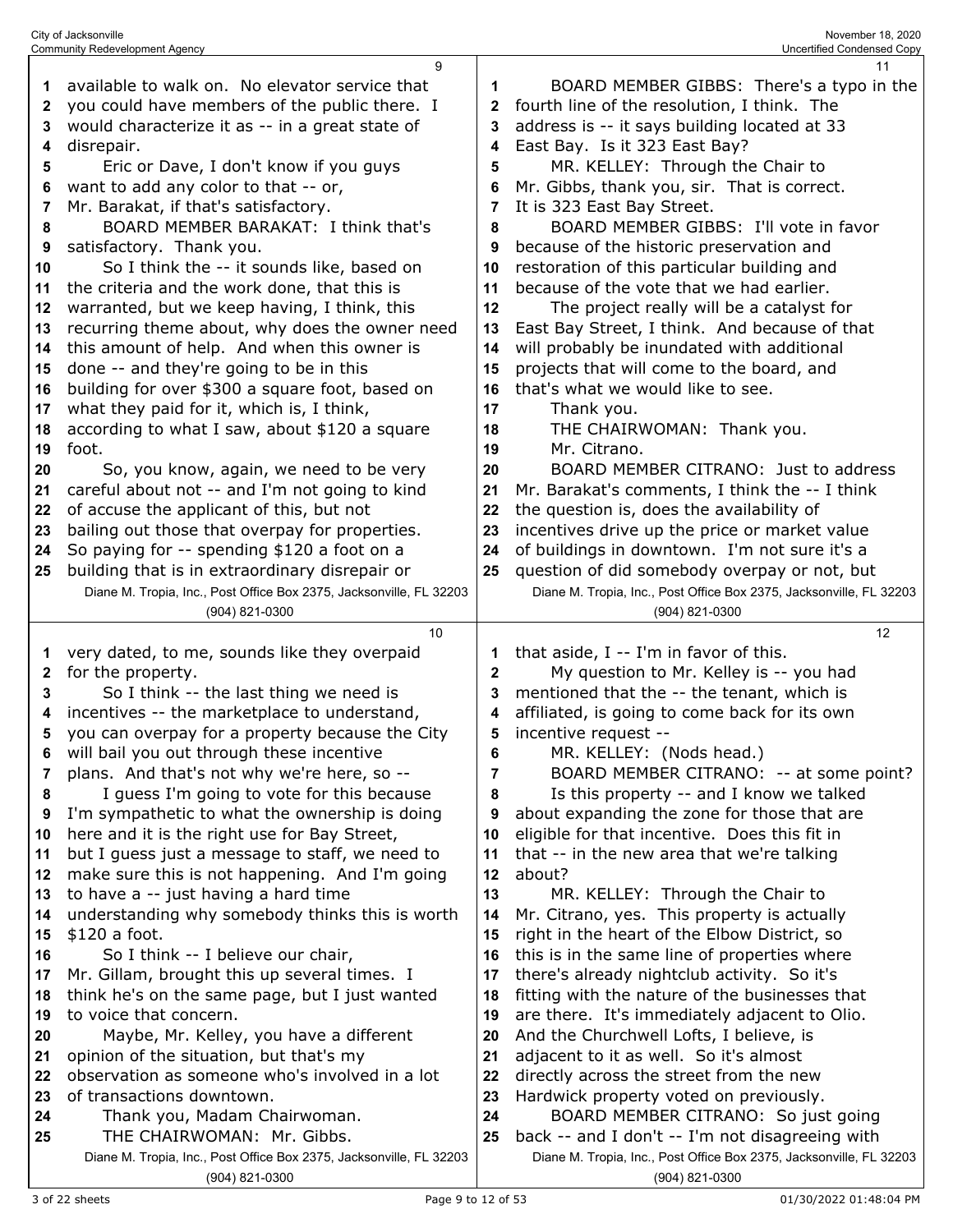|              | <b>Community Redevelopment Agency</b>                               |    | Uncertified Condensed Copy                                          |
|--------------|---------------------------------------------------------------------|----|---------------------------------------------------------------------|
|              | 9                                                                   |    | 11                                                                  |
| 1            | available to walk on. No elevator service that                      | 1  | BOARD MEMBER GIBBS: There's a typo in the                           |
| $\mathbf{2}$ | you could have members of the public there. I                       | 2  | fourth line of the resolution, I think. The                         |
| 3            | would characterize it as -- in a great state of                     | 3  | address is -- it says building located at 33                        |
| 4            | disrepair.                                                          | 4  | East Bay. Is it 323 East Bay?                                       |
| 5            | Eric or Dave, I don't know if you guys                              | 5  | MR. KELLEY: Through the Chair to                                    |
| 6            | want to add any color to that -- or,                                |    | Mr. Gibbs, thank you, sir. That is correct.                         |
| 7            | Mr. Barakat, if that's satisfactory.                                | 7  | It is 323 East Bay Street.                                          |
| 8            | BOARD MEMBER BARAKAT: I think that's                                | 8  | BOARD MEMBER GIBBS: I'll vote in favor                              |
| 9            | satisfactory. Thank you.                                            | 9  | because of the historic preservation and                            |
| 10           | So I think the -- it sounds like, based on                          | 10 | restoration of this particular building and                         |
|              |                                                                     |    | because of the vote that we had earlier.                            |
| 11           | the criteria and the work done, that this is                        | 11 |                                                                     |
| 12           | warranted, but we keep having, I think, this                        | 12 | The project really will be a catalyst for                           |
| 13           | recurring theme about, why does the owner need                      | 13 | East Bay Street, I think. And because of that                       |
| 14           | this amount of help. And when this owner is                         | 14 | will probably be inundated with additional                          |
| 15           | done -- and they're going to be in this                             | 15 | projects that will come to the board, and                           |
| 16           | building for over \$300 a square foot, based on                     | 16 | that's what we would like to see.                                   |
| 17           | what they paid for it, which is, I think,                           | 17 | Thank you.                                                          |
| 18           | according to what I saw, about \$120 a square                       | 18 | THE CHAIRWOMAN: Thank you.                                          |
| 19           | foot.                                                               | 19 | Mr. Citrano.                                                        |
| 20           | So, you know, again, we need to be very                             | 20 | BOARD MEMBER CITRANO: Just to address                               |
| 21           | careful about not -- and I'm not going to kind                      | 21 | Mr. Barakat's comments, I think the -- I think                      |
| 22           | of accuse the applicant of this, but not                            | 22 | the question is, does the availability of                           |
| 23           | bailing out those that overpay for properties.                      | 23 | incentives drive up the price or market value                       |
| 24           | So paying for -- spending \$120 a foot on a                         | 24 | of buildings in downtown. I'm not sure it's a                       |
| 25           | building that is in extraordinary disrepair or                      | 25 | question of did somebody overpay or not, but                        |
|              | Diane M. Tropia, Inc., Post Office Box 2375, Jacksonville, FL 32203 |    | Diane M. Tropia, Inc., Post Office Box 2375, Jacksonville, FL 32203 |
|              | (904) 821-0300                                                      |    | (904) 821-0300                                                      |
|              |                                                                     |    |                                                                     |
|              | 10                                                                  |    |                                                                     |
|              |                                                                     |    | 12                                                                  |
| 1            | very dated, to me, sounds like they overpaid                        | 1  | that aside, I -- I'm in favor of this.                              |
| 2            | for the property.                                                   | 2  | My question to Mr. Kelley is -- you had                             |
| 3            | So I think -- the last thing we need is                             | 3  | mentioned that the -- the tenant, which is                          |
| 4            | incentives -- the marketplace to understand,                        | 4  | affiliated, is going to come back for its own                       |
| 5            | you can overpay for a property because the City                     | 5  | incentive request --                                                |
| 6            | will bail you out through these incentive                           | 6  | MR. KELLEY: (Nods head.)                                            |
| 7            | plans. And that's not why we're here, so --                         | 7  | BOARD MEMBER CITRANO: -- at some point?                             |
| 8            | I guess I'm going to vote for this because                          | 8  | Is this property -- and I know we talked                            |
| 9            | I'm sympathetic to what the ownership is doing                      | 9  | about expanding the zone for those that are                         |
| 10           | here and it is the right use for Bay Street,                        | 10 | eligible for that incentive. Does this fit in                       |
| 11           | but I guess just a message to staff, we need to                     | 11 | that -- in the new area that we're talking                          |
| 12           | make sure this is not happening. And I'm going                      | 12 | about?                                                              |
| 13           | to have a -- just having a hard time                                | 13 | MR. KELLEY: Through the Chair to                                    |
| 14           | understanding why somebody thinks this is worth                     | 14 | Mr. Citrano, yes. This property is actually                         |
| 15           | \$120 a foot.                                                       | 15 | right in the heart of the Elbow District, so                        |
| 16           | So I think -- I believe our chair,                                  | 16 | this is in the same line of properties where                        |
| 17           | Mr. Gillam, brought this up several times. I                        | 17 | there's already nightclub activity. So it's                         |
| 18           | think he's on the same page, but I just wanted                      | 18 | fitting with the nature of the businesses that                      |
| 19           | to voice that concern.                                              | 19 | are there. It's immediately adjacent to Olio.                       |
| 20           | Maybe, Mr. Kelley, you have a different                             | 20 | And the Churchwell Lofts, I believe, is                             |
| 21           | opinion of the situation, but that's my                             | 21 | adjacent to it as well. So it's almost                              |
| 22           | observation as someone who's involved in a lot                      | 22 | directly across the street from the new                             |
| 23           | of transactions downtown.                                           | 23 | Hardwick property voted on previously.                              |
| 24           | Thank you, Madam Chairwoman.                                        | 24 | BOARD MEMBER CITRANO: So just going                                 |
| 25           | THE CHAIRWOMAN: Mr. Gibbs.                                          | 25 | back -- and I don't -- I'm not disagreeing with                     |
|              | Diane M. Tropia, Inc., Post Office Box 2375, Jacksonville, FL 32203 |    | Diane M. Tropia, Inc., Post Office Box 2375, Jacksonville, FL 32203 |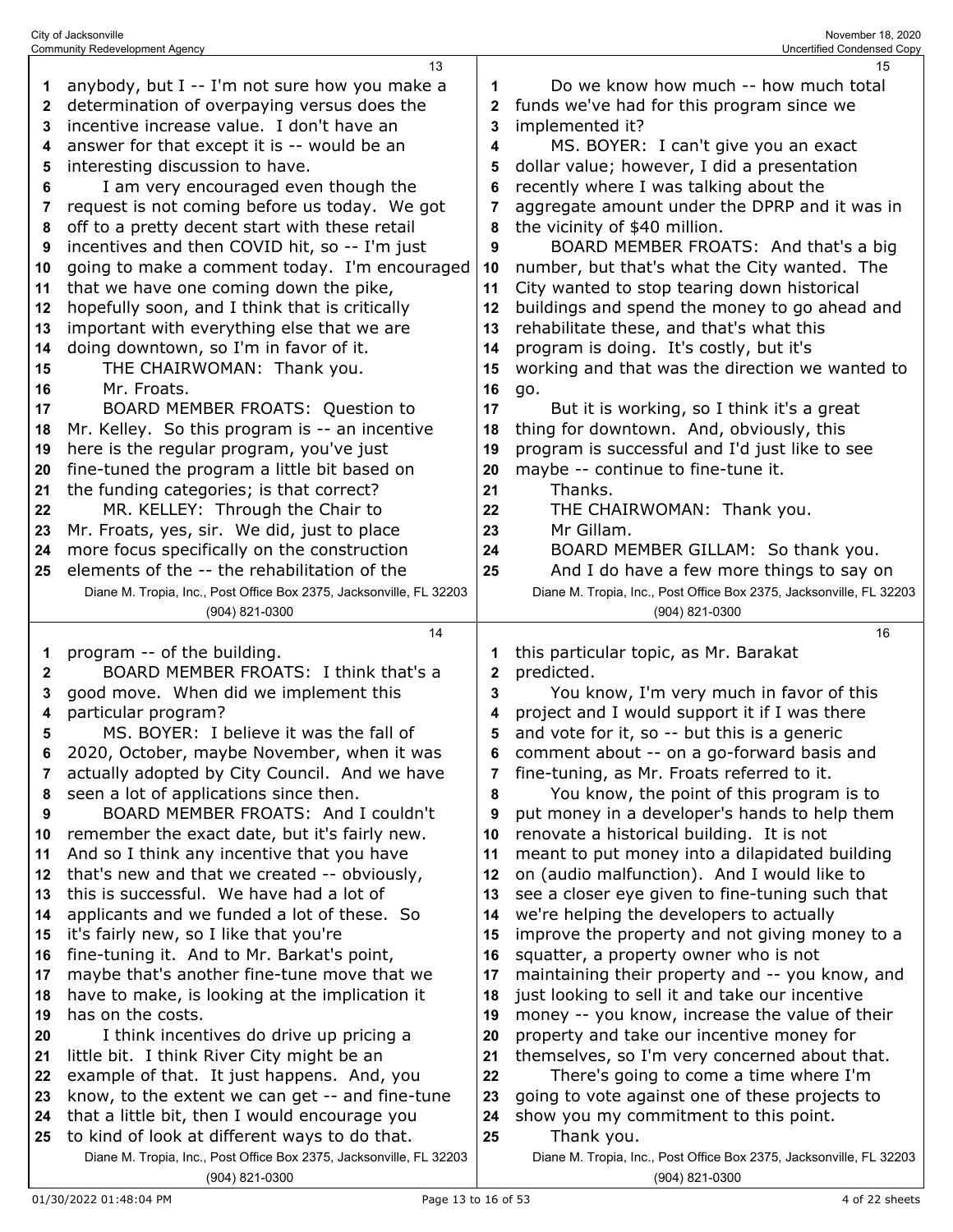|          | <b>Community Redevelopment Agency</b>                                                    |          | <b>Uncertified Condensed Copy</b>                                                          |
|----------|------------------------------------------------------------------------------------------|----------|--------------------------------------------------------------------------------------------|
|          | 13                                                                                       |          | 15                                                                                         |
| 1        | anybody, but I -- I'm not sure how you make a                                            | 1        | Do we know how much -- how much total                                                      |
| 2        | determination of overpaying versus does the                                              | 2        | funds we've had for this program since we                                                  |
| 3        | incentive increase value. I don't have an                                                | 3        | implemented it?                                                                            |
| 4        | answer for that except it is -- would be an                                              | 4        | MS. BOYER: I can't give you an exact                                                       |
| 5        | interesting discussion to have.                                                          | 5        | dollar value; however, I did a presentation                                                |
| 6        | I am very encouraged even though the                                                     | 6        | recently where I was talking about the                                                     |
| 7        | request is not coming before us today. We got                                            | 7        | aggregate amount under the DPRP and it was in                                              |
| 8        | off to a pretty decent start with these retail                                           | 8        | the vicinity of \$40 million.                                                              |
| 9        | incentives and then COVID hit, so -- I'm just                                            | 9        | BOARD MEMBER FROATS: And that's a big                                                      |
| 10       | going to make a comment today. I'm encouraged                                            | 10       | number, but that's what the City wanted. The                                               |
| 11       | that we have one coming down the pike,                                                   | 11       | City wanted to stop tearing down historical                                                |
| 12       | hopefully soon, and I think that is critically                                           | 12       | buildings and spend the money to go ahead and                                              |
| 13       | important with everything else that we are                                               | 13       | rehabilitate these, and that's what this                                                   |
| 14       | doing downtown, so I'm in favor of it.                                                   | 14       | program is doing. It's costly, but it's                                                    |
| 15       | THE CHAIRWOMAN: Thank you.                                                               | 15       | working and that was the direction we wanted to                                            |
| 16       | Mr. Froats.                                                                              | 16       | go.                                                                                        |
| 17       | BOARD MEMBER FROATS: Question to                                                         | 17       | But it is working, so I think it's a great                                                 |
| 18       | Mr. Kelley. So this program is -- an incentive                                           | 18       | thing for downtown. And, obviously, this                                                   |
| 19       | here is the regular program, you've just                                                 | 19       | program is successful and I'd just like to see                                             |
| 20       | fine-tuned the program a little bit based on                                             | 20       | maybe -- continue to fine-tune it.                                                         |
| 21       | the funding categories; is that correct?                                                 | 21       | Thanks.                                                                                    |
| 22       | MR. KELLEY: Through the Chair to                                                         | 22       | THE CHAIRWOMAN: Thank you.                                                                 |
| 23       | Mr. Froats, yes, sir. We did, just to place                                              | 23       | Mr Gillam.                                                                                 |
| 24       | more focus specifically on the construction                                              | 24       | BOARD MEMBER GILLAM: So thank you.                                                         |
| 25       | elements of the -- the rehabilitation of the                                             | 25       | And I do have a few more things to say on                                                  |
|          | Diane M. Tropia, Inc., Post Office Box 2375, Jacksonville, FL 32203                      |          | Diane M. Tropia, Inc., Post Office Box 2375, Jacksonville, FL 32203                        |
|          | (904) 821-0300                                                                           |          | (904) 821-0300                                                                             |
|          |                                                                                          |          |                                                                                            |
|          | 14                                                                                       |          | 16                                                                                         |
| 1        |                                                                                          |          |                                                                                            |
| 2        | program -- of the building.<br>BOARD MEMBER FROATS: I think that's a                     | 2        | this particular topic, as Mr. Barakat                                                      |
| 3        |                                                                                          | 3        | predicted.                                                                                 |
| 4        | good move. When did we implement this                                                    | 4        | You know, I'm very much in favor of this                                                   |
| 5        | particular program?<br>MS. BOYER: I believe it was the fall of                           | 5        | project and I would support it if I was there                                              |
| 6        |                                                                                          | 6        | and vote for it, so -- but this is a generic                                               |
| 7        | 2020, October, maybe November, when it was                                               | 7        | comment about -- on a go-forward basis and                                                 |
| 8        | actually adopted by City Council. And we have                                            | 8        | fine-tuning, as Mr. Froats referred to it.                                                 |
| 9        | seen a lot of applications since then.                                                   | 9        | You know, the point of this program is to                                                  |
| 10       | BOARD MEMBER FROATS: And I couldn't                                                      | 10       | put money in a developer's hands to help them                                              |
| 11       | remember the exact date, but it's fairly new.                                            |          | renovate a historical building. It is not                                                  |
|          | And so I think any incentive that you have                                               | 11<br>12 | meant to put money into a dilapidated building                                             |
| 12<br>13 | that's new and that we created -- obviously,<br>this is successful. We have had a lot of | 13       | on (audio malfunction). And I would like to                                                |
| 14       | applicants and we funded a lot of these. So                                              | 14       | see a closer eye given to fine-tuning such that                                            |
| 15       | it's fairly new, so I like that you're                                                   | 15       | we're helping the developers to actually<br>improve the property and not giving money to a |
| 16       | fine-tuning it. And to Mr. Barkat's point,                                               | 16       | squatter, a property owner who is not                                                      |
| 17       | maybe that's another fine-tune move that we                                              | 17       | maintaining their property and -- you know, and                                            |
| 18       | have to make, is looking at the implication it                                           | 18       | just looking to sell it and take our incentive                                             |
| 19       | has on the costs.                                                                        | 19       | money -- you know, increase the value of their                                             |
| 20       | I think incentives do drive up pricing a                                                 | 20       | property and take our incentive money for                                                  |
| 21       | little bit. I think River City might be an                                               | 21       | themselves, so I'm very concerned about that.                                              |
| 22       | example of that. It just happens. And, you                                               | 22       | There's going to come a time where I'm                                                     |
| 23       | know, to the extent we can get -- and fine-tune                                          | 23       | going to vote against one of these projects to                                             |
| 24       | that a little bit, then I would encourage you                                            | 24       | show you my commitment to this point.                                                      |
| 25       | to kind of look at different ways to do that.                                            | 25       | Thank you.                                                                                 |
|          | Diane M. Tropia, Inc., Post Office Box 2375, Jacksonville, FL 32203                      |          | Diane M. Tropia, Inc., Post Office Box 2375, Jacksonville, FL 32203                        |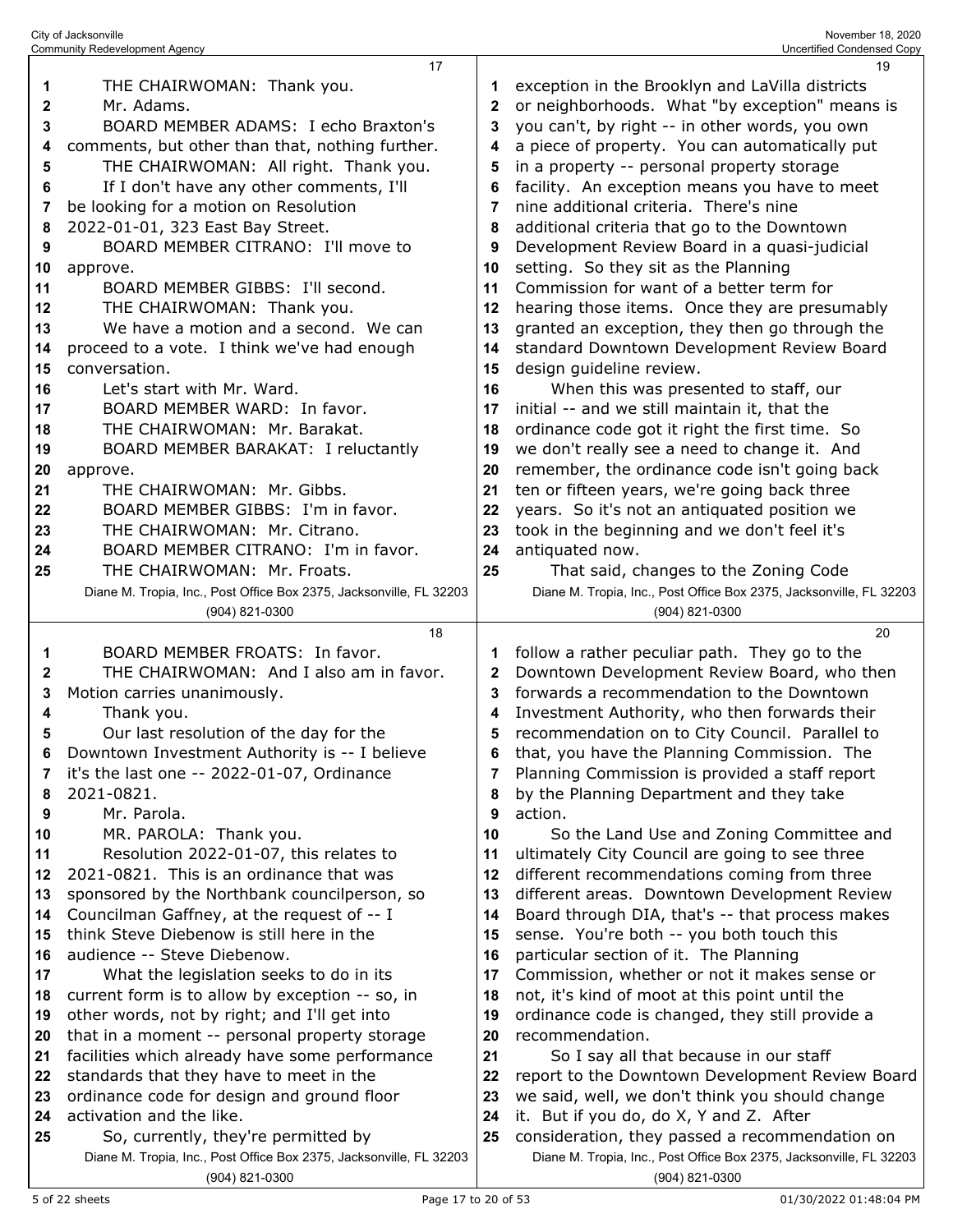|              | Community Redevelopment Agency                                                        |    | Uncertified Condensed Copy                                                            |
|--------------|---------------------------------------------------------------------------------------|----|---------------------------------------------------------------------------------------|
|              | 17                                                                                    |    | 19                                                                                    |
| 1            | THE CHAIRWOMAN: Thank you.                                                            | 1  | exception in the Brooklyn and LaVilla districts                                       |
| $\mathbf{2}$ | Mr. Adams.                                                                            | 2  | or neighborhoods. What "by exception" means is                                        |
| 3            | BOARD MEMBER ADAMS: I echo Braxton's                                                  | 3  | you can't, by right -- in other words, you own                                        |
| 4            | comments, but other than that, nothing further.                                       | 4  | a piece of property. You can automatically put                                        |
| 5            | THE CHAIRWOMAN: All right. Thank you.                                                 | 5  | in a property -- personal property storage                                            |
|              |                                                                                       |    |                                                                                       |
| 6            | If I don't have any other comments, I'll                                              | 6  | facility. An exception means you have to meet                                         |
| 7            | be looking for a motion on Resolution                                                 | 7  | nine additional criteria. There's nine                                                |
| 8            | 2022-01-01, 323 East Bay Street.                                                      | 8  | additional criteria that go to the Downtown                                           |
| 9            | BOARD MEMBER CITRANO: I'll move to                                                    | 9  | Development Review Board in a quasi-judicial                                          |
| 10           | approve.                                                                              | 10 | setting. So they sit as the Planning                                                  |
| 11           | BOARD MEMBER GIBBS: I'll second.                                                      | 11 | Commission for want of a better term for                                              |
| 12           | THE CHAIRWOMAN: Thank you.                                                            | 12 | hearing those items. Once they are presumably                                         |
| 13           | We have a motion and a second. We can                                                 | 13 | granted an exception, they then go through the                                        |
| 14           | proceed to a vote. I think we've had enough                                           | 14 | standard Downtown Development Review Board                                            |
| 15           | conversation.                                                                         | 15 | design guideline review.                                                              |
| 16           | Let's start with Mr. Ward.                                                            | 16 | When this was presented to staff, our                                                 |
| 17           | BOARD MEMBER WARD: In favor.                                                          | 17 | initial -- and we still maintain it, that the                                         |
| 18           | THE CHAIRWOMAN: Mr. Barakat.                                                          | 18 | ordinance code got it right the first time. So                                        |
| 19           | BOARD MEMBER BARAKAT: I reluctantly                                                   | 19 | we don't really see a need to change it. And                                          |
| 20           | approve.                                                                              | 20 | remember, the ordinance code isn't going back                                         |
| 21           | THE CHAIRWOMAN: Mr. Gibbs.                                                            | 21 | ten or fifteen years, we're going back three                                          |
| 22           | BOARD MEMBER GIBBS: I'm in favor.                                                     | 22 | years. So it's not an antiquated position we                                          |
| 23           | THE CHAIRWOMAN: Mr. Citrano.                                                          | 23 | took in the beginning and we don't feel it's                                          |
| 24           | BOARD MEMBER CITRANO: I'm in favor.                                                   | 24 | antiquated now.                                                                       |
| 25           | THE CHAIRWOMAN: Mr. Froats.                                                           | 25 | That said, changes to the Zoning Code                                                 |
|              |                                                                                       |    |                                                                                       |
|              | Diane M. Tropia, Inc., Post Office Box 2375, Jacksonville, FL 32203                   |    | Diane M. Tropia, Inc., Post Office Box 2375, Jacksonville, FL 32203                   |
|              |                                                                                       |    |                                                                                       |
|              | (904) 821-0300                                                                        |    | (904) 821-0300                                                                        |
|              | 18                                                                                    |    | 20                                                                                    |
| 1            | BOARD MEMBER FROATS: In favor.                                                        | 1  | follow a rather peculiar path. They go to the                                         |
| 2            | THE CHAIRWOMAN: And I also am in favor.                                               | 2  | Downtown Development Review Board, who then                                           |
| 3            | Motion carries unanimously.                                                           | 3  | forwards a recommendation to the Downtown                                             |
| 4            | Thank you.                                                                            | 4  | Investment Authority, who then forwards their                                         |
| 5            | Our last resolution of the day for the                                                | 5  | recommendation on to City Council. Parallel to                                        |
| 6            | Downtown Investment Authority is -- I believe                                         | 6  | that, you have the Planning Commission. The                                           |
| 7            | it's the last one -- 2022-01-07, Ordinance                                            | 7  | Planning Commission is provided a staff report                                        |
| 8            | 2021-0821.                                                                            | 8  | by the Planning Department and they take                                              |
| 9            | Mr. Parola.                                                                           | 9  | action.                                                                               |
| 10           | MR. PAROLA: Thank you.                                                                | 10 | So the Land Use and Zoning Committee and                                              |
| 11           | Resolution 2022-01-07, this relates to                                                | 11 | ultimately City Council are going to see three                                        |
| 12           | 2021-0821. This is an ordinance that was                                              | 12 |                                                                                       |
| 13           |                                                                                       | 13 | different recommendations coming from three                                           |
| 14           | sponsored by the Northbank councilperson, so                                          | 14 | different areas. Downtown Development Review                                          |
|              | Councilman Gaffney, at the request of -- I                                            |    | Board through DIA, that's -- that process makes                                       |
| 15           | think Steve Diebenow is still here in the                                             | 15 | sense. You're both -- you both touch this                                             |
| 16           | audience -- Steve Diebenow.                                                           | 16 | particular section of it. The Planning                                                |
| 17           | What the legislation seeks to do in its                                               | 17 | Commission, whether or not it makes sense or                                          |
| 18           | current form is to allow by exception -- so, in                                       | 18 | not, it's kind of moot at this point until the                                        |
| 19           | other words, not by right; and I'll get into                                          | 19 | ordinance code is changed, they still provide a                                       |
| 20           | that in a moment -- personal property storage                                         | 20 | recommendation.                                                                       |
| 21           | facilities which already have some performance                                        | 21 | So I say all that because in our staff                                                |
| 22           | standards that they have to meet in the                                               | 22 | report to the Downtown Development Review Board                                       |
| 23           | ordinance code for design and ground floor                                            | 23 | we said, well, we don't think you should change                                       |
| 24           | activation and the like.                                                              | 24 | it. But if you do, do X, Y and Z. After                                               |
| 25           | So, currently, they're permitted by                                                   | 25 | consideration, they passed a recommendation on                                        |
|              | Diane M. Tropia, Inc., Post Office Box 2375, Jacksonville, FL 32203<br>(904) 821-0300 |    | Diane M. Tropia, Inc., Post Office Box 2375, Jacksonville, FL 32203<br>(904) 821-0300 |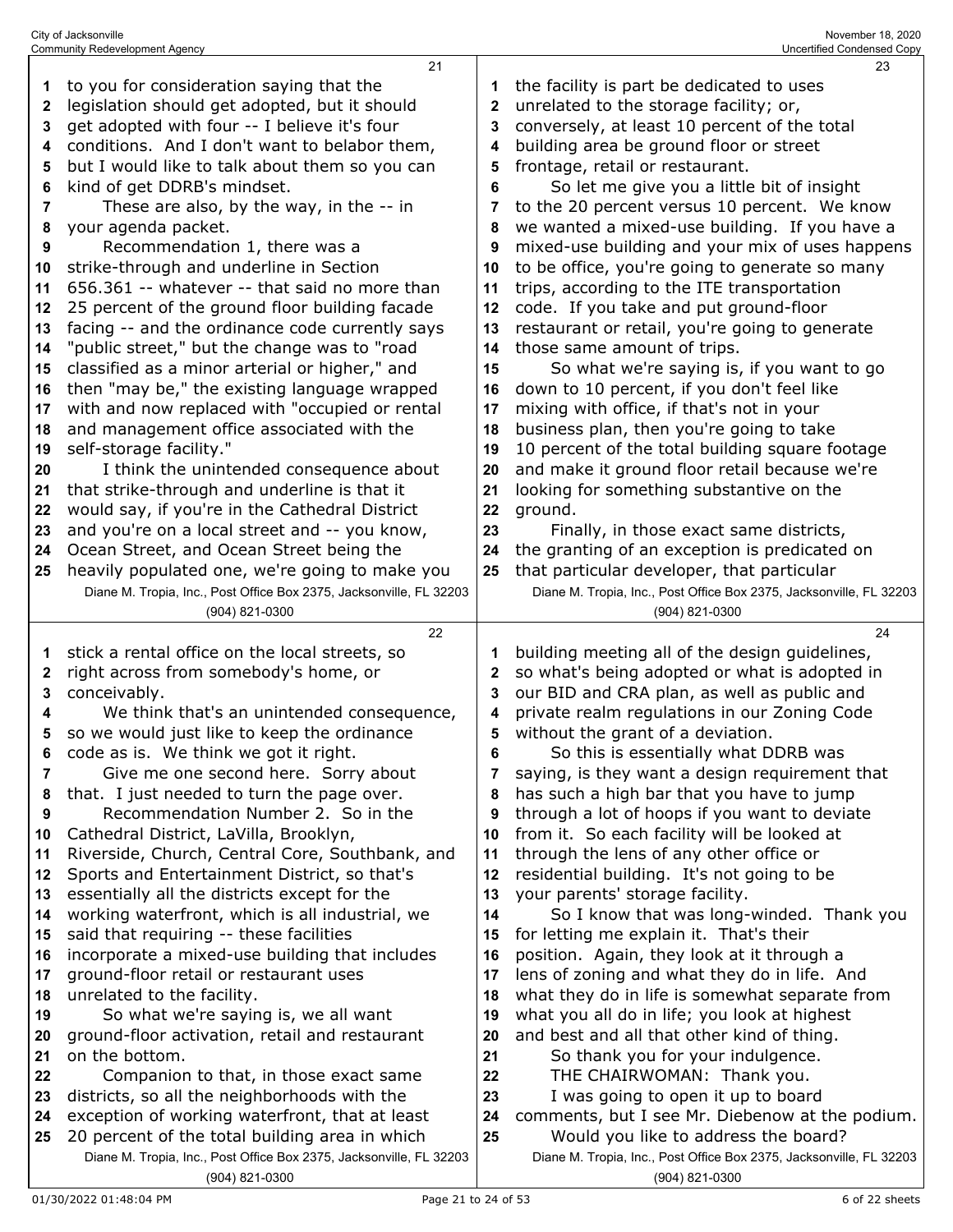|    | <b>Community Redevelopment Agency</b>                                                 |    | Uncertified Condensed Copy                                                            |
|----|---------------------------------------------------------------------------------------|----|---------------------------------------------------------------------------------------|
|    | 21                                                                                    |    | 23                                                                                    |
| 1  | to you for consideration saying that the                                              |    | the facility is part be dedicated to uses                                             |
| 2  | legislation should get adopted, but it should                                         | 2  | unrelated to the storage facility; or,                                                |
| 3  | get adopted with four -- I believe it's four                                          | 3  | conversely, at least 10 percent of the total                                          |
| 4  | conditions. And I don't want to belabor them,                                         | 4  | building area be ground floor or street                                               |
| 5  | but I would like to talk about them so you can                                        | 5  | frontage, retail or restaurant.                                                       |
| 6  | kind of get DDRB's mindset.                                                           | 6  | So let me give you a little bit of insight                                            |
| 7  | These are also, by the way, in the -- in                                              | 7  | to the 20 percent versus 10 percent. We know                                          |
| 8  | your agenda packet.                                                                   | 8  | we wanted a mixed-use building. If you have a                                         |
| 9  | Recommendation 1, there was a                                                         | 9  | mixed-use building and your mix of uses happens                                       |
| 10 | strike-through and underline in Section                                               | 10 | to be office, you're going to generate so many                                        |
| 11 | 656.361 -- whatever -- that said no more than                                         | 11 | trips, according to the ITE transportation                                            |
| 12 | 25 percent of the ground floor building facade                                        | 12 | code. If you take and put ground-floor                                                |
| 13 | facing -- and the ordinance code currently says                                       | 13 | restaurant or retail, you're going to generate                                        |
| 14 | "public street," but the change was to "road                                          | 14 | those same amount of trips.                                                           |
| 15 | classified as a minor arterial or higher," and                                        | 15 | So what we're saying is, if you want to go                                            |
| 16 | then "may be," the existing language wrapped                                          | 16 | down to 10 percent, if you don't feel like                                            |
| 17 | with and now replaced with "occupied or rental                                        | 17 | mixing with office, if that's not in your                                             |
| 18 | and management office associated with the                                             | 18 | business plan, then you're going to take                                              |
| 19 | self-storage facility."                                                               | 19 | 10 percent of the total building square footage                                       |
| 20 | I think the unintended consequence about                                              | 20 | and make it ground floor retail because we're                                         |
| 21 | that strike-through and underline is that it                                          | 21 | looking for something substantive on the                                              |
| 22 | would say, if you're in the Cathedral District                                        | 22 | ground.                                                                               |
| 23 | and you're on a local street and -- you know,                                         | 23 | Finally, in those exact same districts,                                               |
| 24 | Ocean Street, and Ocean Street being the                                              | 24 | the granting of an exception is predicated on                                         |
| 25 | heavily populated one, we're going to make you                                        | 25 | that particular developer, that particular                                            |
|    | Diane M. Tropia, Inc., Post Office Box 2375, Jacksonville, FL 32203                   |    | Diane M. Tropia, Inc., Post Office Box 2375, Jacksonville, FL 32203                   |
|    | (904) 821-0300                                                                        |    | (904) 821-0300                                                                        |
|    |                                                                                       |    |                                                                                       |
|    | 22                                                                                    |    | 24                                                                                    |
| 1  | stick a rental office on the local streets, so                                        | 1  | building meeting all of the design guidelines,                                        |
| 2  | right across from somebody's home, or                                                 | 2  | so what's being adopted or what is adopted in                                         |
| 3  | conceivably.                                                                          | 3  | our BID and CRA plan, as well as public and                                           |
| 4  | We think that's an unintended consequence,                                            | 4  | private realm regulations in our Zoning Code                                          |
| 5  | so we would just like to keep the ordinance                                           | 5  | without the grant of a deviation.                                                     |
| 6  | code as is. We think we got it right.                                                 | 6  | So this is essentially what DDRB was                                                  |
| 7  | Give me one second here. Sorry about                                                  | 7  | saying, is they want a design requirement that                                        |
| 8  | that. I just needed to turn the page over.                                            | 8  | has such a high bar that you have to jump                                             |
| 9  | Recommendation Number 2. So in the                                                    | 9  | through a lot of hoops if you want to deviate                                         |
| 10 | Cathedral District, LaVilla, Brooklyn,                                                | 10 | from it. So each facility will be looked at                                           |
| 11 | Riverside, Church, Central Core, Southbank, and                                       | 11 | through the lens of any other office or                                               |
| 12 | Sports and Entertainment District, so that's                                          | 12 | residential building. It's not going to be                                            |
| 13 | essentially all the districts except for the                                          | 13 | your parents' storage facility.                                                       |
| 14 | working waterfront, which is all industrial, we                                       | 14 | So I know that was long-winded. Thank you                                             |
| 15 | said that requiring -- these facilities                                               | 15 | for letting me explain it. That's their                                               |
| 16 | incorporate a mixed-use building that includes                                        | 16 | position. Again, they look at it through a                                            |
| 17 | ground-floor retail or restaurant uses                                                | 17 | lens of zoning and what they do in life. And                                          |
| 18 | unrelated to the facility.                                                            | 18 | what they do in life is somewhat separate from                                        |
| 19 | So what we're saying is, we all want                                                  | 19 | what you all do in life; you look at highest                                          |
| 20 | ground-floor activation, retail and restaurant                                        | 20 | and best and all that other kind of thing.                                            |
| 21 | on the bottom.                                                                        | 21 | So thank you for your indulgence.                                                     |
| 22 | Companion to that, in those exact same                                                | 22 | THE CHAIRWOMAN: Thank you.                                                            |
| 23 | districts, so all the neighborhoods with the                                          | 23 | I was going to open it up to board                                                    |
| 24 | exception of working waterfront, that at least                                        | 24 | comments, but I see Mr. Diebenow at the podium.                                       |
| 25 | 20 percent of the total building area in which                                        | 25 | Would you like to address the board?                                                  |
|    | Diane M. Tropia, Inc., Post Office Box 2375, Jacksonville, FL 32203<br>(904) 821-0300 |    | Diane M. Tropia, Inc., Post Office Box 2375, Jacksonville, FL 32203<br>(904) 821-0300 |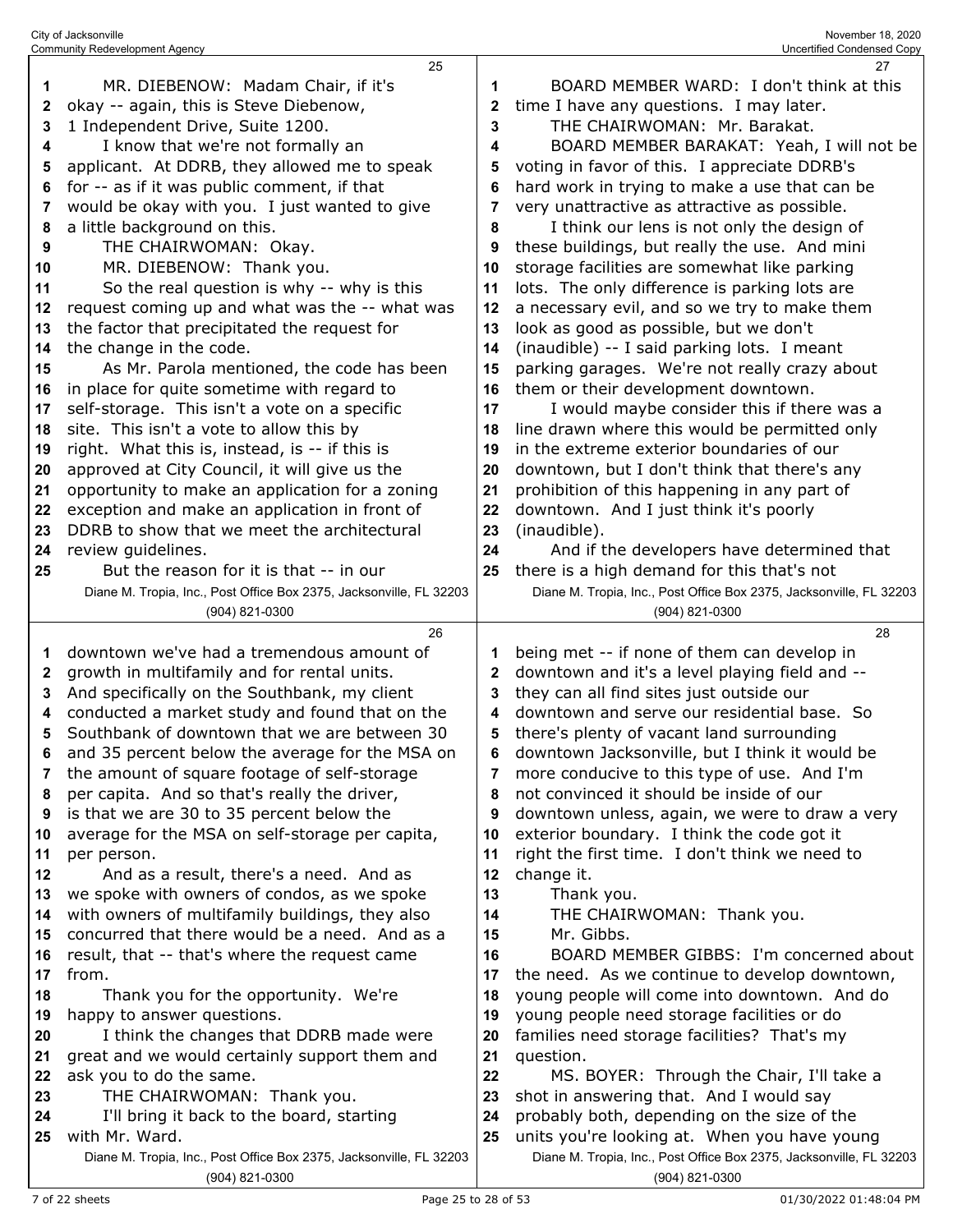| $\mathbf{2}$ | okay -- again, this is Steve Diebenow,                              | 2            | time I have any questions. I may later.                             |
|--------------|---------------------------------------------------------------------|--------------|---------------------------------------------------------------------|
| 3            | 1 Independent Drive, Suite 1200.                                    | 3            | THE CHAIRWOMAN: Mr. Barakat.                                        |
| 4            | I know that we're not formally an                                   | 4            | BOARD MEMBER BARAKAT: Yeah, I will not be                           |
| 5            | applicant. At DDRB, they allowed me to speak                        | 5            | voting in favor of this. I appreciate DDRB's                        |
| 6            | for -- as if it was public comment, if that                         | 6            | hard work in trying to make a use that can be                       |
| 7            | would be okay with you. I just wanted to give                       | 7            | very unattractive as attractive as possible.                        |
| 8            | a little background on this.                                        | 8            | I think our lens is not only the design of                          |
| 9            | THE CHAIRWOMAN: Okay.                                               | 9            | these buildings, but really the use. And mini                       |
| 10           | MR. DIEBENOW: Thank you.                                            | 10           | storage facilities are somewhat like parking                        |
| 11           | So the real question is why -- why is this                          | 11           | lots. The only difference is parking lots are                       |
| 12           | request coming up and what was the -- what was                      | 12           | a necessary evil, and so we try to make them                        |
| 13           | the factor that precipitated the request for                        | 13           | look as good as possible, but we don't                              |
|              |                                                                     |              |                                                                     |
| 14           | the change in the code.                                             | 14           | (inaudible) -- I said parking lots. I meant                         |
| 15           | As Mr. Parola mentioned, the code has been                          | 15           | parking garages. We're not really crazy about                       |
| 16           | in place for quite sometime with regard to                          | 16           | them or their development downtown.                                 |
| 17           | self-storage. This isn't a vote on a specific                       | 17           | I would maybe consider this if there was a                          |
| 18           | site. This isn't a vote to allow this by                            | 18           | line drawn where this would be permitted only                       |
| 19           | right. What this is, instead, is -- if this is                      | 19           | in the extreme exterior boundaries of our                           |
| 20           | approved at City Council, it will give us the                       | 20           | downtown, but I don't think that there's any                        |
| 21           | opportunity to make an application for a zoning                     | 21           | prohibition of this happening in any part of                        |
| 22           | exception and make an application in front of                       | 22           | downtown. And I just think it's poorly                              |
| 23           | DDRB to show that we meet the architectural                         | 23           | (inaudible).                                                        |
| 24           | review guidelines.                                                  | 24           | And if the developers have determined that                          |
| 25           | But the reason for it is that -- in our                             | 25           | there is a high demand for this that's not                          |
|              | Diane M. Tropia, Inc., Post Office Box 2375, Jacksonville, FL 32203 |              | Diane M. Tropia, Inc., Post Office Box 2375, Jacksonville, FL 32203 |
|              | (904) 821-0300                                                      |              | (904) 821-0300                                                      |
|              | 26                                                                  |              | 28                                                                  |
| 1            | downtown we've had a tremendous amount of                           | 1            | being met -- if none of them can develop in                         |
| 2            | growth in multifamily and for rental units.                         | $\mathbf{2}$ | downtown and it's a level playing field and --                      |
| 3            | And specifically on the Southbank, my client                        | 3            | they can all find sites just outside our                            |
| 4            | conducted a market study and found that on the                      | 4            | downtown and serve our residential base. So                         |
| 5            | Southbank of downtown that we are between 30                        | 5            | there's plenty of vacant land surrounding                           |
| 6            | and 35 percent below the average for the MSA on                     | 6            | downtown Jacksonville, but I think it would be                      |
| 7            | the amount of square footage of self-storage                        | 7            | more conducive to this type of use. And I'm                         |
| 8            | per capita. And so that's really the driver,                        | 8            | not convinced it should be inside of our                            |
| 9            | is that we are 30 to 35 percent below the                           | 9            | downtown unless, again, we were to draw a very                      |
| 10           | average for the MSA on self-storage per capita,                     | 10           | exterior boundary. I think the code got it                          |
| 11           | per person.                                                         | 11           | right the first time. I don't think we need to                      |
| 12           | And as a result, there's a need. And as                             | 12           | change it.                                                          |
| 13           | we spoke with owners of condos, as we spoke                         | 13           | Thank you.                                                          |
|              |                                                                     |              | THE CHAIRWOMAN: Thank you.                                          |
| 14           | with owners of multifamily buildings, they also                     | 14           |                                                                     |
| 15           | concurred that there would be a need. And as a                      | 15           | Mr. Gibbs.                                                          |
| 16           | result, that -- that's where the request came                       | 16           | BOARD MEMBER GIBBS: I'm concerned about                             |
| 17           | from.                                                               | 17           | the need. As we continue to develop downtown,                       |
| 18           | Thank you for the opportunity. We're                                | 18           | young people will come into downtown. And do                        |
| 19           | happy to answer questions.                                          | 19           | young people need storage facilities or do                          |
| 20           | I think the changes that DDRB made were                             | 20           | families need storage facilities? That's my                         |
| 21           | great and we would certainly support them and                       | 21           | question.                                                           |
| 22           | ask you to do the same.                                             | 22           | MS. BOYER: Through the Chair, I'll take a                           |
| 23           | THE CHAIRWOMAN: Thank you.                                          | 23           | shot in answering that. And I would say                             |
| 24           | I'll bring it back to the board, starting                           | 24           | probably both, depending on the size of the                         |
| 25           | with Mr. Ward.                                                      | 25           | units you're looking at. When you have young                        |
|              |                                                                     |              | Diane M. Tropia, Inc., Post Office Box 2375, Jacksonville, FL 32203 |

Diane M. Tropia, Inc., Post Office Box 2375, Jacksonville, FL 32203 (904) 821-0300

(904) 821-0300

BOARD MEMBER WARD: I don't think at this

MR. DIEBENOW: Madam Chair, if it's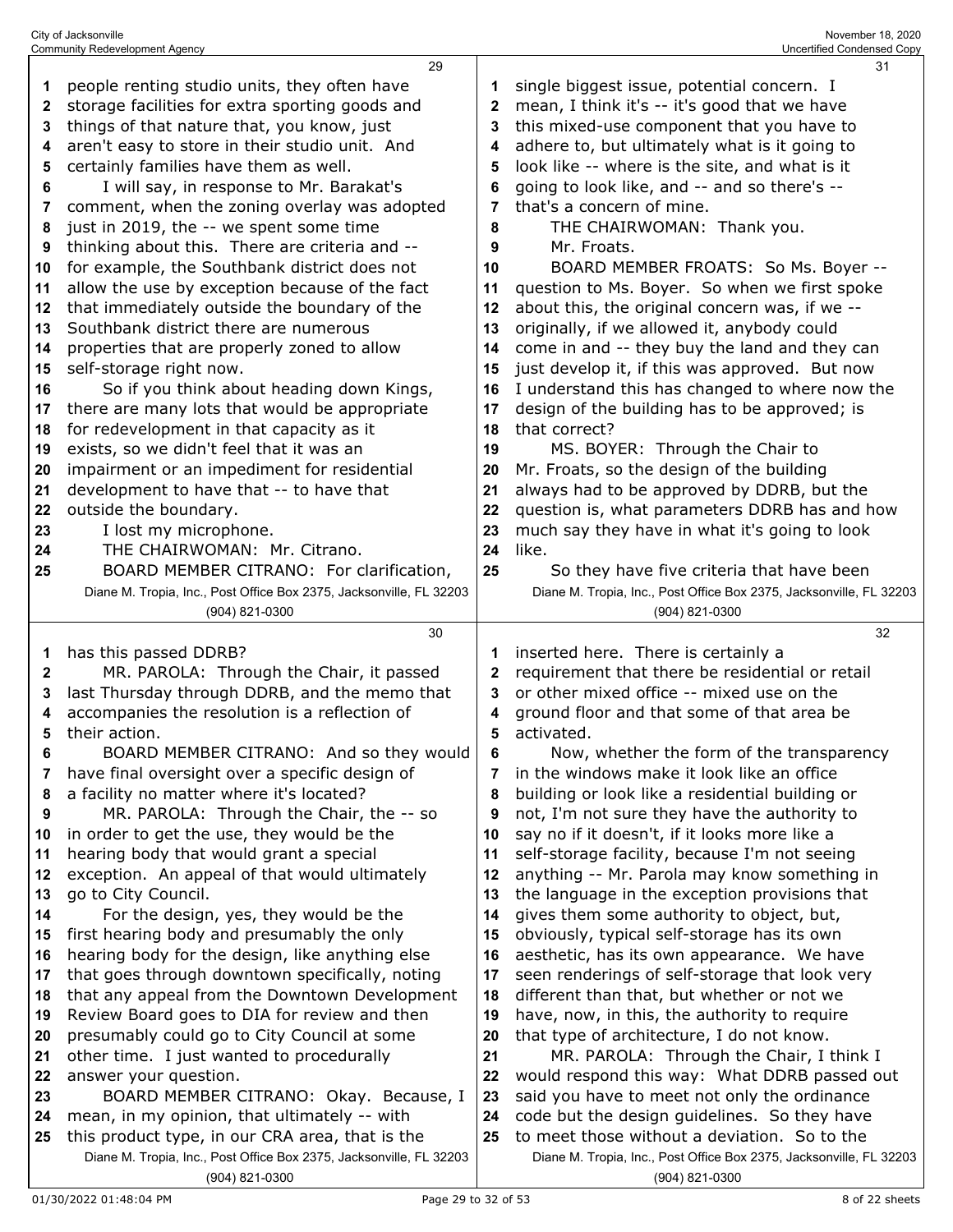|    | <b>Community Redevelopment Agency</b>                               |              | Uncertified Condensed Copy                                          |
|----|---------------------------------------------------------------------|--------------|---------------------------------------------------------------------|
|    | 29                                                                  |              | 31                                                                  |
| 1  | people renting studio units, they often have                        | 1            | single biggest issue, potential concern. I                          |
| 2  | storage facilities for extra sporting goods and                     | $\mathbf{2}$ | mean, I think it's -- it's good that we have                        |
|    |                                                                     |              |                                                                     |
| 3  | things of that nature that, you know, just                          | 3            | this mixed-use component that you have to                           |
| 4  | aren't easy to store in their studio unit. And                      | 4            | adhere to, but ultimately what is it going to                       |
| 5  | certainly families have them as well.                               | 5            | look like -- where is the site, and what is it                      |
| 6  | I will say, in response to Mr. Barakat's                            | 6            | going to look like, and -- and so there's --                        |
|    |                                                                     |              |                                                                     |
| 7  | comment, when the zoning overlay was adopted                        | 7            | that's a concern of mine.                                           |
| 8  | just in 2019, the -- we spent some time                             | 8            | THE CHAIRWOMAN: Thank you.                                          |
| 9  | thinking about this. There are criteria and --                      | 9            | Mr. Froats.                                                         |
| 10 | for example, the Southbank district does not                        | 10           | BOARD MEMBER FROATS: So Ms. Boyer --                                |
|    |                                                                     |              |                                                                     |
| 11 | allow the use by exception because of the fact                      | 11           | question to Ms. Boyer. So when we first spoke                       |
| 12 | that immediately outside the boundary of the                        | 12           | about this, the original concern was, if we --                      |
| 13 | Southbank district there are numerous                               | 13           | originally, if we allowed it, anybody could                         |
| 14 | properties that are properly zoned to allow                         | 14           | come in and -- they buy the land and they can                       |
| 15 | self-storage right now.                                             | 15           | just develop it, if this was approved. But now                      |
|    |                                                                     |              |                                                                     |
| 16 | So if you think about heading down Kings,                           | 16           | I understand this has changed to where now the                      |
| 17 | there are many lots that would be appropriate                       | 17           | design of the building has to be approved; is                       |
| 18 | for redevelopment in that capacity as it                            | 18           | that correct?                                                       |
| 19 | exists, so we didn't feel that it was an                            | 19           | MS. BOYER: Through the Chair to                                     |
| 20 | impairment or an impediment for residential                         | 20           | Mr. Froats, so the design of the building                           |
|    |                                                                     |              |                                                                     |
| 21 | development to have that -- to have that                            | 21           | always had to be approved by DDRB, but the                          |
| 22 | outside the boundary.                                               | 22           | question is, what parameters DDRB has and how                       |
| 23 | I lost my microphone.                                               | 23           | much say they have in what it's going to look                       |
| 24 | THE CHAIRWOMAN: Mr. Citrano.                                        | 24           | like.                                                               |
| 25 | BOARD MEMBER CITRANO: For clarification,                            | 25           | So they have five criteria that have been                           |
|    | Diane M. Tropia, Inc., Post Office Box 2375, Jacksonville, FL 32203 |              | Diane M. Tropia, Inc., Post Office Box 2375, Jacksonville, FL 32203 |
|    |                                                                     |              |                                                                     |
|    | (904) 821-0300                                                      |              |                                                                     |
|    |                                                                     |              | (904) 821-0300                                                      |
|    | 30                                                                  |              | 32                                                                  |
| 1  |                                                                     | 1            |                                                                     |
|    | has this passed DDRB?                                               |              | inserted here. There is certainly a                                 |
| 2  | MR. PAROLA: Through the Chair, it passed                            | $\mathbf{2}$ | requirement that there be residential or retail                     |
| 3  | last Thursday through DDRB, and the memo that                       | 3            | or other mixed office -- mixed use on the                           |
| 4  | accompanies the resolution is a reflection of                       | 4            | ground floor and that some of that area be                          |
| 5  | their action.                                                       | 5            | activated.                                                          |
| 6  | BOARD MEMBER CITRANO: And so they would                             | 6            | Now, whether the form of the transparency                           |
| 7  |                                                                     | 7            | in the windows make it look like an office                          |
|    | have final oversight over a specific design of                      |              |                                                                     |
| 8  | a facility no matter where it's located?                            | 8            | building or look like a residential building or                     |
| 9  | MR. PAROLA: Through the Chair, the -- so                            | 9            | not, I'm not sure they have the authority to                        |
| 10 | in order to get the use, they would be the                          | 10           | say no if it doesn't, if it looks more like a                       |
| 11 | hearing body that would grant a special                             | 11           | self-storage facility, because I'm not seeing                       |
| 12 | exception. An appeal of that would ultimately                       | 12           | anything -- Mr. Parola may know something in                        |
| 13 | go to City Council.                                                 | 13           | the language in the exception provisions that                       |
|    |                                                                     |              |                                                                     |
| 14 | For the design, yes, they would be the                              | 14           | gives them some authority to object, but,                           |
| 15 | first hearing body and presumably the only                          | 15           | obviously, typical self-storage has its own                         |
| 16 | hearing body for the design, like anything else                     | 16           | aesthetic, has its own appearance. We have                          |
| 17 | that goes through downtown specifically, noting                     | 17           | seen renderings of self-storage that look very                      |
| 18 | that any appeal from the Downtown Development                       | 18           | different than that, but whether or not we                          |
| 19 | Review Board goes to DIA for review and then                        | 19           | have, now, in this, the authority to require                        |
|    |                                                                     |              |                                                                     |
| 20 | presumably could go to City Council at some                         | 20           | that type of architecture, I do not know.                           |
| 21 | other time. I just wanted to procedurally                           | 21           | MR. PAROLA: Through the Chair, I think I                            |
| 22 | answer your question.                                               | 22           | would respond this way: What DDRB passed out                        |
| 23 | BOARD MEMBER CITRANO: Okay. Because, I                              | 23           | said you have to meet not only the ordinance                        |
| 24 | mean, in my opinion, that ultimately -- with                        | 24           | code but the design guidelines. So they have                        |
| 25 | this product type, in our CRA area, that is the                     | 25           | to meet those without a deviation. So to the                        |
|    | Diane M. Tropia, Inc., Post Office Box 2375, Jacksonville, FL 32203 |              | Diane M. Tropia, Inc., Post Office Box 2375, Jacksonville, FL 32203 |
|    | (904) 821-0300                                                      |              | (904) 821-0300                                                      |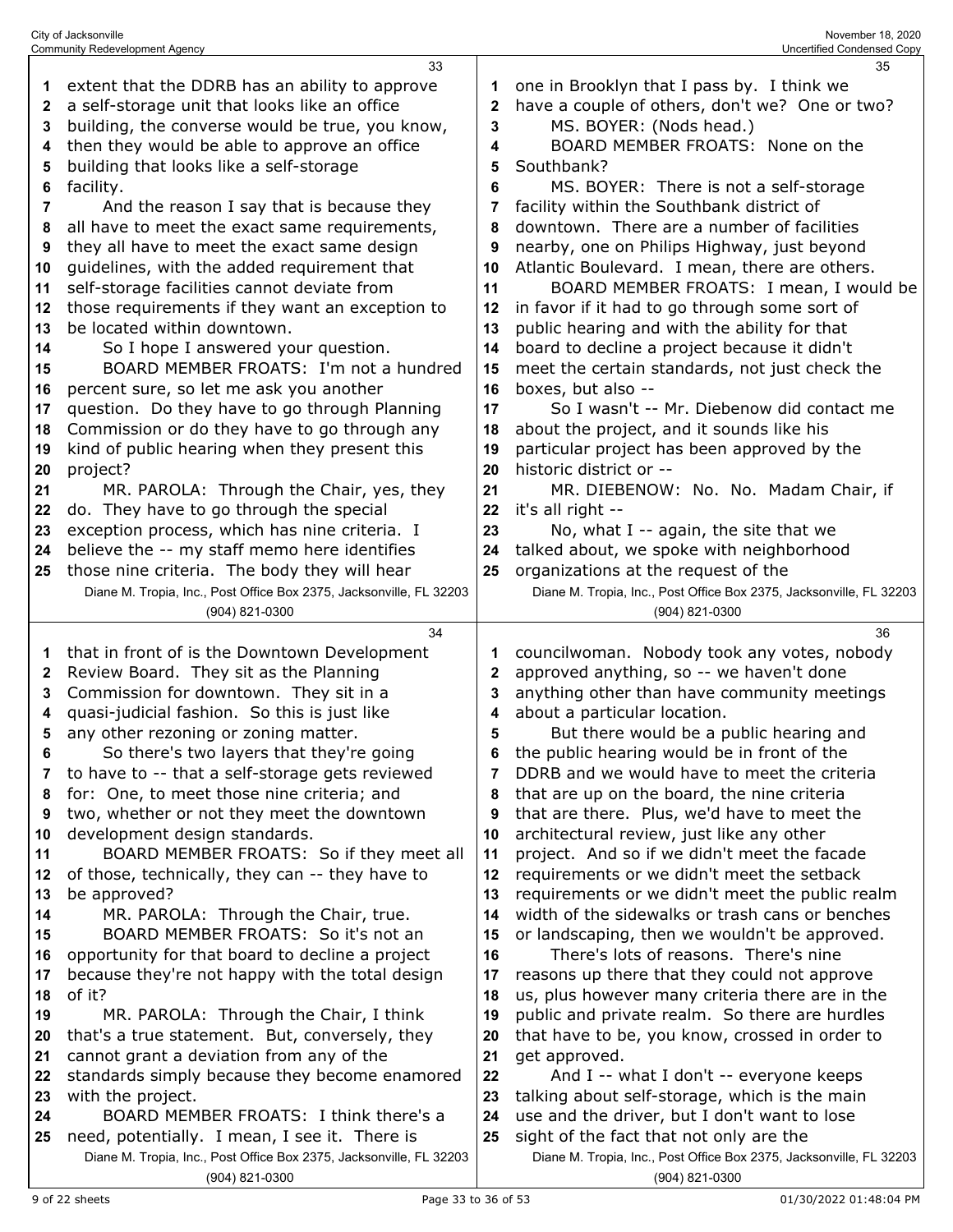|    | <b>Community Redevelopment Agency</b>                                                 |    | Uncertified Condensed Copy                                                            |
|----|---------------------------------------------------------------------------------------|----|---------------------------------------------------------------------------------------|
|    | 33                                                                                    |    | 35                                                                                    |
| 1  | extent that the DDRB has an ability to approve                                        |    | one in Brooklyn that I pass by. I think we                                            |
| 2  | a self-storage unit that looks like an office                                         | 2  | have a couple of others, don't we? One or two?                                        |
|    |                                                                                       |    |                                                                                       |
| 3  | building, the converse would be true, you know,                                       | 3  | MS. BOYER: (Nods head.)                                                               |
| 4  | then they would be able to approve an office                                          | 4  | BOARD MEMBER FROATS: None on the                                                      |
| 5  | building that looks like a self-storage                                               | 5  | Southbank?                                                                            |
| 6  | facility.                                                                             | 6  | MS. BOYER: There is not a self-storage                                                |
| 7  | And the reason I say that is because they                                             |    | facility within the Southbank district of                                             |
|    | all have to meet the exact same requirements,                                         | 8  | downtown. There are a number of facilities                                            |
| 8  |                                                                                       |    |                                                                                       |
| 9  | they all have to meet the exact same design                                           | 9  | nearby, one on Philips Highway, just beyond                                           |
| 10 | guidelines, with the added requirement that                                           | 10 | Atlantic Boulevard. I mean, there are others.                                         |
| 11 | self-storage facilities cannot deviate from                                           | 11 | BOARD MEMBER FROATS: I mean, I would be                                               |
| 12 | those requirements if they want an exception to                                       | 12 | in favor if it had to go through some sort of                                         |
| 13 | be located within downtown.                                                           | 13 | public hearing and with the ability for that                                          |
| 14 | So I hope I answered your question.                                                   | 14 | board to decline a project because it didn't                                          |
|    |                                                                                       |    |                                                                                       |
| 15 | BOARD MEMBER FROATS: I'm not a hundred                                                | 15 | meet the certain standards, not just check the                                        |
| 16 | percent sure, so let me ask you another                                               | 16 | boxes, but also --                                                                    |
| 17 | question. Do they have to go through Planning                                         | 17 | So I wasn't -- Mr. Diebenow did contact me                                            |
| 18 | Commission or do they have to go through any                                          | 18 | about the project, and it sounds like his                                             |
| 19 | kind of public hearing when they present this                                         | 19 | particular project has been approved by the                                           |
| 20 | project?                                                                              | 20 | historic district or --                                                               |
| 21 | MR. PAROLA: Through the Chair, yes, they                                              | 21 | MR. DIEBENOW: No. No. Madam Chair, if                                                 |
|    |                                                                                       |    |                                                                                       |
| 22 | do. They have to go through the special                                               | 22 | it's all right --                                                                     |
| 23 | exception process, which has nine criteria. I                                         | 23 | No, what $I - a$ again, the site that we                                              |
| 24 | believe the -- my staff memo here identifies                                          | 24 | talked about, we spoke with neighborhood                                              |
| 25 | those nine criteria. The body they will hear                                          | 25 | organizations at the request of the                                                   |
|    | Diane M. Tropia, Inc., Post Office Box 2375, Jacksonville, FL 32203                   |    | Diane M. Tropia, Inc., Post Office Box 2375, Jacksonville, FL 32203                   |
|    | (904) 821-0300                                                                        |    | (904) 821-0300                                                                        |
|    |                                                                                       |    |                                                                                       |
|    |                                                                                       |    |                                                                                       |
|    | 34                                                                                    |    | 36                                                                                    |
| 1  | that in front of is the Downtown Development                                          |    | councilwoman. Nobody took any votes, nobody                                           |
| 2  | Review Board. They sit as the Planning                                                | 2  | approved anything, so -- we haven't done                                              |
| 3  | Commission for downtown. They sit in a                                                | 3  | anything other than have community meetings                                           |
| 4  | quasi-judicial fashion. So this is just like                                          | 4  | about a particular location.                                                          |
| 5  | any other rezoning or zoning matter.                                                  | 5  | But there would be a public hearing and                                               |
| 6  |                                                                                       | 6  |                                                                                       |
|    | So there's two layers that they're going                                              |    | the public hearing would be in front of the                                           |
| 7  | to have to -- that a self-storage gets reviewed                                       | 7  | DDRB and we would have to meet the criteria                                           |
| 8  | for: One, to meet those nine criteria; and                                            | 8  | that are up on the board, the nine criteria                                           |
| 9  | two, whether or not they meet the downtown                                            | 9  | that are there. Plus, we'd have to meet the                                           |
| 10 | development design standards.                                                         | 10 | architectural review, just like any other                                             |
| 11 | BOARD MEMBER FROATS: So if they meet all                                              | 11 | project. And so if we didn't meet the facade                                          |
| 12 | of those, technically, they can -- they have to                                       | 12 | requirements or we didn't meet the setback                                            |
| 13 | be approved?                                                                          | 13 | requirements or we didn't meet the public realm                                       |
|    |                                                                                       | 14 |                                                                                       |
| 14 | MR. PAROLA: Through the Chair, true.                                                  |    | width of the sidewalks or trash cans or benches                                       |
| 15 | BOARD MEMBER FROATS: So it's not an                                                   | 15 | or landscaping, then we wouldn't be approved.                                         |
| 16 | opportunity for that board to decline a project                                       | 16 | There's lots of reasons. There's nine                                                 |
| 17 | because they're not happy with the total design                                       | 17 | reasons up there that they could not approve                                          |
| 18 | of it?                                                                                | 18 | us, plus however many criteria there are in the                                       |
| 19 | MR. PAROLA: Through the Chair, I think                                                | 19 | public and private realm. So there are hurdles                                        |
| 20 | that's a true statement. But, conversely, they                                        | 20 | that have to be, you know, crossed in order to                                        |
| 21 | cannot grant a deviation from any of the                                              | 21 | get approved.                                                                         |
|    |                                                                                       |    |                                                                                       |
| 22 | standards simply because they become enamored                                         | 22 | And I -- what I don't -- everyone keeps                                               |
| 23 | with the project.                                                                     | 23 | talking about self-storage, which is the main                                         |
| 24 | BOARD MEMBER FROATS: I think there's a                                                | 24 | use and the driver, but I don't want to lose                                          |
| 25 | need, potentially. I mean, I see it. There is                                         | 25 | sight of the fact that not only are the                                               |
|    | Diane M. Tropia, Inc., Post Office Box 2375, Jacksonville, FL 32203<br>(904) 821-0300 |    | Diane M. Tropia, Inc., Post Office Box 2375, Jacksonville, FL 32203<br>(904) 821-0300 |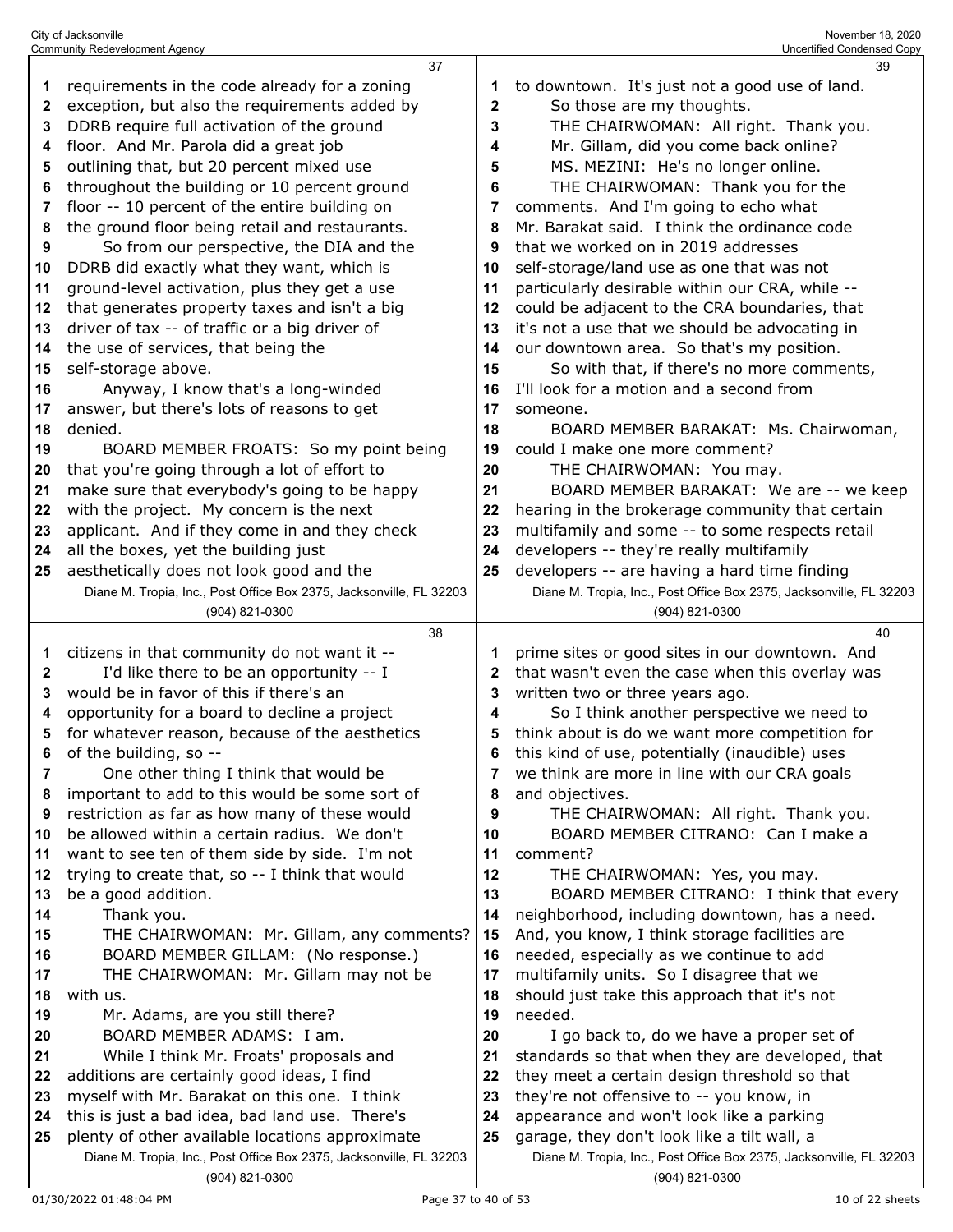|          | <b>Community Redevelopment Agency</b>                                                  |    | Uncertified Condensed Copy                                          |
|----------|----------------------------------------------------------------------------------------|----|---------------------------------------------------------------------|
|          | 37                                                                                     |    | 39                                                                  |
| 1        | requirements in the code already for a zoning                                          | 1  | to downtown. It's just not a good use of land.                      |
| 2        | exception, but also the requirements added by                                          | 2  | So those are my thoughts.                                           |
| 3        | DDRB require full activation of the ground                                             | 3  | THE CHAIRWOMAN: All right. Thank you.                               |
| 4        | floor. And Mr. Parola did a great job                                                  | 4  | Mr. Gillam, did you come back online?                               |
| 5        | outlining that, but 20 percent mixed use                                               | 5  | MS. MEZINI: He's no longer online.                                  |
| 6        | throughout the building or 10 percent ground                                           | 6  | THE CHAIRWOMAN: Thank you for the                                   |
| 7        | floor -- 10 percent of the entire building on                                          | 7  | comments. And I'm going to echo what                                |
| 8        | the ground floor being retail and restaurants.                                         | 8  | Mr. Barakat said. I think the ordinance code                        |
| 9        | So from our perspective, the DIA and the                                               | 9  | that we worked on in 2019 addresses                                 |
| 10       | DDRB did exactly what they want, which is                                              | 10 | self-storage/land use as one that was not                           |
| 11       | ground-level activation, plus they get a use                                           | 11 | particularly desirable within our CRA, while --                     |
| 12       | that generates property taxes and isn't a big                                          | 12 | could be adjacent to the CRA boundaries, that                       |
| 13       | driver of tax -- of traffic or a big driver of                                         | 13 | it's not a use that we should be advocating in                      |
| 14       | the use of services, that being the                                                    | 14 | our downtown area. So that's my position.                           |
| 15       | self-storage above.                                                                    | 15 | So with that, if there's no more comments,                          |
| 16       | Anyway, I know that's a long-winded                                                    | 16 | I'll look for a motion and a second from                            |
|          |                                                                                        | 17 |                                                                     |
| 17<br>18 | answer, but there's lots of reasons to get<br>denied.                                  | 18 | someone.<br>BOARD MEMBER BARAKAT: Ms. Chairwoman,                   |
|          |                                                                                        | 19 | could I make one more comment?                                      |
| 19       | BOARD MEMBER FROATS: So my point being<br>that you're going through a lot of effort to | 20 |                                                                     |
| 20       |                                                                                        |    | THE CHAIRWOMAN: You may.                                            |
| 21       | make sure that everybody's going to be happy                                           | 21 | BOARD MEMBER BARAKAT: We are -- we keep                             |
| 22       | with the project. My concern is the next                                               | 22 | hearing in the brokerage community that certain                     |
| 23       | applicant. And if they come in and they check                                          | 23 | multifamily and some -- to some respects retail                     |
| 24       | all the boxes, yet the building just                                                   | 24 | developers -- they're really multifamily                            |
| 25       | aesthetically does not look good and the                                               | 25 | developers -- are having a hard time finding                        |
|          | Diane M. Tropia, Inc., Post Office Box 2375, Jacksonville, FL 32203                    |    | Diane M. Tropia, Inc., Post Office Box 2375, Jacksonville, FL 32203 |
|          |                                                                                        |    |                                                                     |
|          | (904) 821-0300                                                                         |    | (904) 821-0300                                                      |
|          | 38                                                                                     |    | 40                                                                  |
| 1        | citizens in that community do not want it --                                           | 1  | prime sites or good sites in our downtown. And                      |
| 2        | I'd like there to be an opportunity -- I                                               | 2  | that wasn't even the case when this overlay was                     |
| 3        | would be in favor of this if there's an                                                | 3  | written two or three years ago.                                     |
| 4        | opportunity for a board to decline a project                                           | 4  | So I think another perspective we need to                           |
| 5        | for whatever reason, because of the aesthetics                                         | 5  | think about is do we want more competition for                      |
| 6        | of the building, so --                                                                 | 6  | this kind of use, potentially (inaudible) uses                      |
| 7        | One other thing I think that would be                                                  | 7  | we think are more in line with our CRA goals                        |
| 8        | important to add to this would be some sort of                                         | 8  | and objectives.                                                     |
| 9        | restriction as far as how many of these would                                          | 9  | THE CHAIRWOMAN: All right. Thank you.                               |
| 10       | be allowed within a certain radius. We don't                                           | 10 | BOARD MEMBER CITRANO: Can I make a                                  |
| 11       | want to see ten of them side by side. I'm not                                          | 11 | comment?                                                            |
| 12       | trying to create that, so -- I think that would                                        | 12 | THE CHAIRWOMAN: Yes, you may.                                       |
| 13       | be a good addition.                                                                    | 13 | BOARD MEMBER CITRANO: I think that every                            |
| 14       | Thank you.                                                                             | 14 | neighborhood, including downtown, has a need.                       |
| 15       | THE CHAIRWOMAN: Mr. Gillam, any comments?                                              | 15 | And, you know, I think storage facilities are                       |
| 16       | BOARD MEMBER GILLAM: (No response.)                                                    | 16 | needed, especially as we continue to add                            |
| 17       | THE CHAIRWOMAN: Mr. Gillam may not be                                                  | 17 | multifamily units. So I disagree that we                            |
| 18       | with us.                                                                               | 18 | should just take this approach that it's not                        |
| 19       | Mr. Adams, are you still there?                                                        | 19 | needed.                                                             |
| 20       | BOARD MEMBER ADAMS: I am.                                                              | 20 | I go back to, do we have a proper set of                            |
| 21       | While I think Mr. Froats' proposals and                                                | 21 | standards so that when they are developed, that                     |
| 22       | additions are certainly good ideas, I find                                             | 22 | they meet a certain design threshold so that                        |
| 23       | myself with Mr. Barakat on this one. I think                                           | 23 | they're not offensive to -- you know, in                            |
| 24       | this is just a bad idea, bad land use. There's                                         | 24 | appearance and won't look like a parking                            |
| 25       | plenty of other available locations approximate                                        | 25 | garage, they don't look like a tilt wall, a                         |
|          | Diane M. Tropia, Inc., Post Office Box 2375, Jacksonville, FL 32203                    |    | Diane M. Tropia, Inc., Post Office Box 2375, Jacksonville, FL 32203 |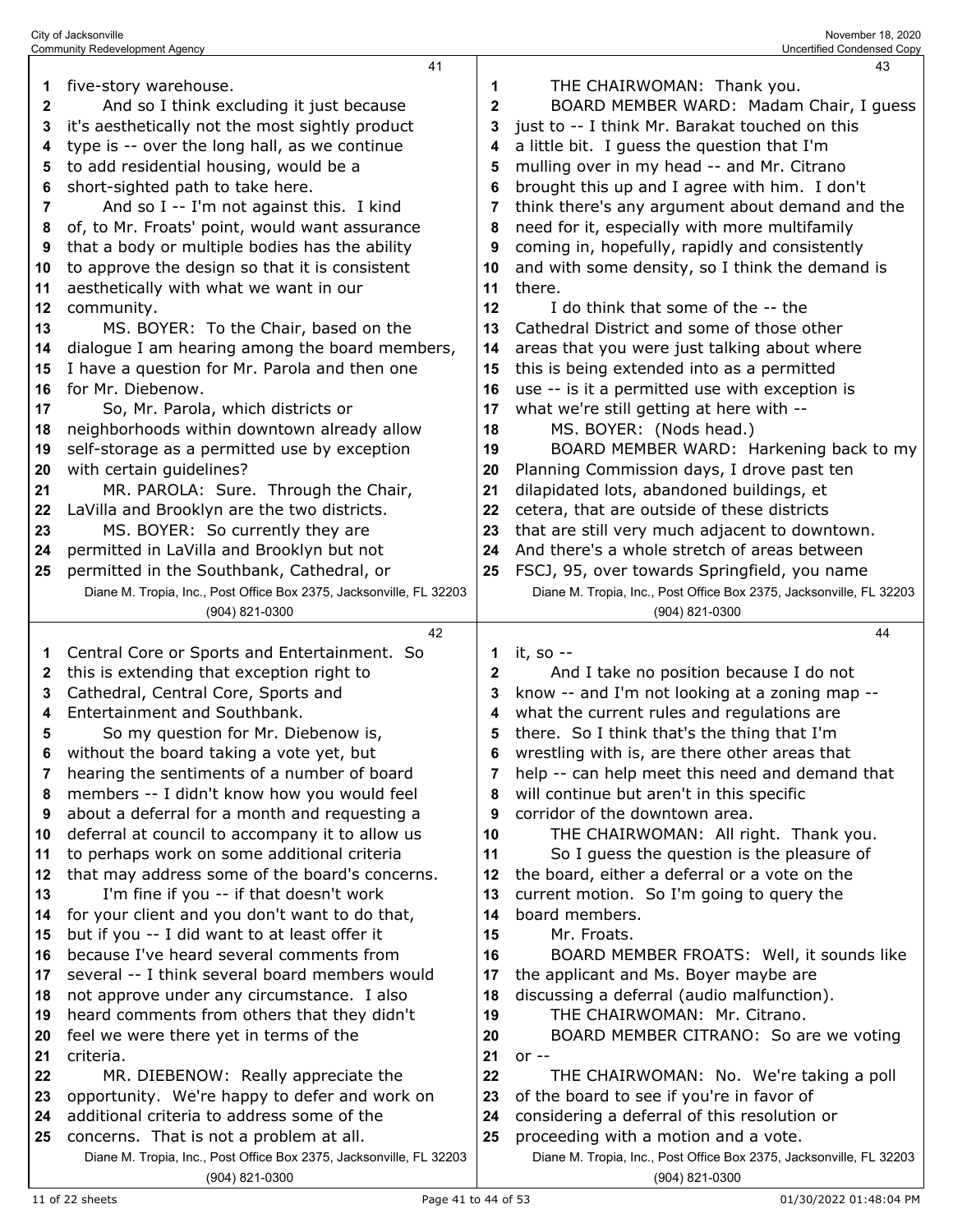|          | 41                                                                                        |              | 43                                                                  |
|----------|-------------------------------------------------------------------------------------------|--------------|---------------------------------------------------------------------|
| 1        | five-story warehouse.                                                                     | 1            | THE CHAIRWOMAN: Thank you.                                          |
| 2        | And so I think excluding it just because                                                  | $\mathbf{2}$ | BOARD MEMBER WARD: Madam Chair, I guess                             |
| 3        | it's aesthetically not the most sightly product                                           | 3            | just to -- I think Mr. Barakat touched on this                      |
| 4        | type is -- over the long hall, as we continue                                             | 4            | a little bit. I guess the question that I'm                         |
| 5        | to add residential housing, would be a                                                    | 5            | mulling over in my head -- and Mr. Citrano                          |
| 6        | short-sighted path to take here.                                                          | 6            | brought this up and I agree with him. I don't                       |
| 7        | And so I -- I'm not against this. I kind                                                  | 7            | think there's any argument about demand and the                     |
| 8        | of, to Mr. Froats' point, would want assurance                                            | 8            | need for it, especially with more multifamily                       |
| 9        | that a body or multiple bodies has the ability                                            | 9            | coming in, hopefully, rapidly and consistently                      |
| 10       | to approve the design so that it is consistent                                            | 10           | and with some density, so I think the demand is                     |
| 11       | aesthetically with what we want in our                                                    | 11           | there.                                                              |
| 12       | community.                                                                                | 12           | I do think that some of the -- the                                  |
| 13       | MS. BOYER: To the Chair, based on the                                                     | 13           | Cathedral District and some of those other                          |
| 14       | dialogue I am hearing among the board members,                                            | 14           | areas that you were just talking about where                        |
| 15       | I have a question for Mr. Parola and then one                                             | 15           | this is being extended into as a permitted                          |
| 16       | for Mr. Diebenow.                                                                         | 16           | use -- is it a permitted use with exception is                      |
| 17       | So, Mr. Parola, which districts or                                                        | 17           | what we're still getting at here with --                            |
| 18       | neighborhoods within downtown already allow                                               | 18           | MS. BOYER: (Nods head.)                                             |
| 19       | self-storage as a permitted use by exception                                              | 19           | BOARD MEMBER WARD: Harkening back to my                             |
| 20       | with certain guidelines?                                                                  | 20           | Planning Commission days, I drove past ten                          |
| 21       | MR. PAROLA: Sure. Through the Chair,                                                      | 21           | dilapidated lots, abandoned buildings, et                           |
| 22       | LaVilla and Brooklyn are the two districts.                                               | 22           | cetera, that are outside of these districts                         |
| 23       | MS. BOYER: So currently they are                                                          | 23           | that are still very much adjacent to downtown.                      |
| 24       | permitted in LaVilla and Brooklyn but not                                                 | 24           | And there's a whole stretch of areas between                        |
| 25       | permitted in the Southbank, Cathedral, or                                                 | 25           | FSCJ, 95, over towards Springfield, you name                        |
|          | Diane M. Tropia, Inc., Post Office Box 2375, Jacksonville, FL 32203                       |              | Diane M. Tropia, Inc., Post Office Box 2375, Jacksonville, FL 32203 |
|          | (904) 821-0300                                                                            |              | (904) 821-0300                                                      |
|          |                                                                                           |              |                                                                     |
|          |                                                                                           |              |                                                                     |
|          | 42                                                                                        |              | 44                                                                  |
| 1        | Central Core or Sports and Entertainment. So                                              | 1            | it, so --                                                           |
| 2        | this is extending that exception right to                                                 | 2            | And I take no position because I do not                             |
| 3        | Cathedral, Central Core, Sports and                                                       | 3            | know -- and I'm not looking at a zoning map --                      |
| 4        | Entertainment and Southbank.                                                              | 4            | what the current rules and regulations are                          |
| 5        | So my question for Mr. Diebenow is,                                                       | 5<br>ĥ       | there. So I think that's the thing that I'm                         |
|          | without the board taking a vote yet, but                                                  |              | wrestling with is, are there other areas that                       |
| 7        | hearing the sentiments of a number of board                                               | 7<br>8       | help -- can help meet this need and demand that                     |
| 8        | members -- I didn't know how you would feel                                               | 9            | will continue but aren't in this specific                           |
| 9        | about a deferral for a month and requesting a                                             | 10           | corridor of the downtown area.                                      |
| 10       | deferral at council to accompany it to allow us                                           | 11           | THE CHAIRWOMAN: All right. Thank you.                               |
| 11<br>12 | to perhaps work on some additional criteria                                               | 12           | So I guess the question is the pleasure of                          |
| 13       | that may address some of the board's concerns.                                            | 13           | the board, either a deferral or a vote on the                       |
| 14       | I'm fine if you -- if that doesn't work                                                   | 14           | current motion. So I'm going to query the<br>board members.         |
| 15       | for your client and you don't want to do that,                                            | 15           | Mr. Froats.                                                         |
| 16       | but if you -- I did want to at least offer it<br>because I've heard several comments from | 16           | BOARD MEMBER FROATS: Well, it sounds like                           |
| 17       | several -- I think several board members would                                            | 17           | the applicant and Ms. Boyer maybe are                               |
| 18       | not approve under any circumstance. I also                                                | 18           | discussing a deferral (audio malfunction).                          |
| 19       | heard comments from others that they didn't                                               | 19           | THE CHAIRWOMAN: Mr. Citrano.                                        |
| 20       | feel we were there yet in terms of the                                                    | 20           | BOARD MEMBER CITRANO: So are we voting                              |
| 21       | criteria.                                                                                 | 21           | $or -$                                                              |
| 22       | MR. DIEBENOW: Really appreciate the                                                       | 22           | THE CHAIRWOMAN: No. We're taking a poll                             |
| 23       | opportunity. We're happy to defer and work on                                             | 23           | of the board to see if you're in favor of                           |
| 24       | additional criteria to address some of the                                                | 24           | considering a deferral of this resolution or                        |
| 25       | concerns. That is not a problem at all.                                                   | 25           | proceeding with a motion and a vote.                                |
|          | Diane M. Tropia, Inc., Post Office Box 2375, Jacksonville, FL 32203                       |              | Diane M. Tropia, Inc., Post Office Box 2375, Jacksonville, FL 32203 |

City of Jacksonville November 18, 2020 Community Redevelopment Agency Uncertified Condensed Copy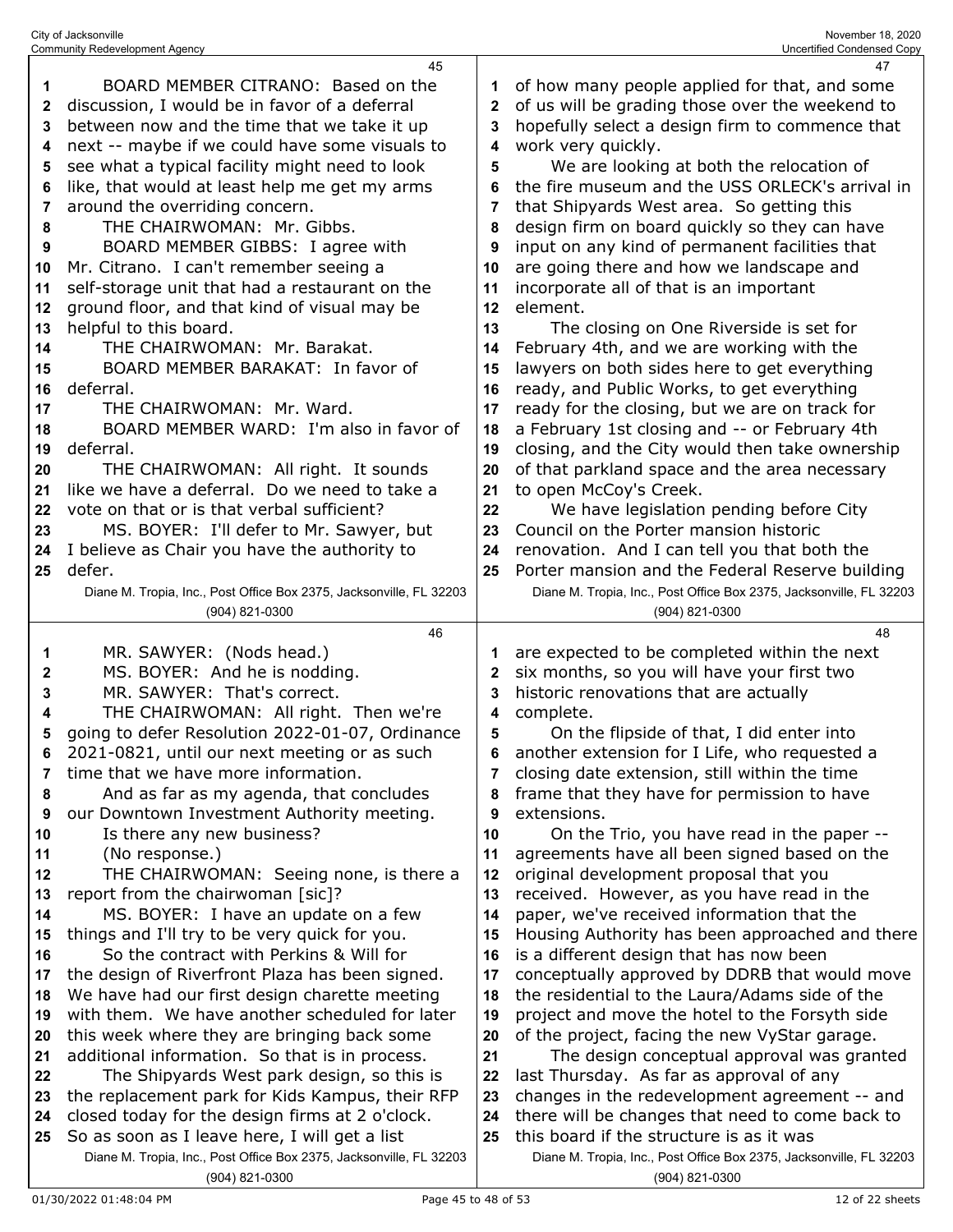|    | <b>Community Redevelopment Agency</b>                                                 |              | Uncertified Condensed Copy                                                            |
|----|---------------------------------------------------------------------------------------|--------------|---------------------------------------------------------------------------------------|
|    | 45                                                                                    |              | 47                                                                                    |
| 1  | BOARD MEMBER CITRANO: Based on the                                                    | 1            | of how many people applied for that, and some                                         |
| 2  | discussion, I would be in favor of a deferral                                         | $\mathbf{2}$ | of us will be grading those over the weekend to                                       |
| 3  | between now and the time that we take it up                                           | 3            | hopefully select a design firm to commence that                                       |
|    | next -- maybe if we could have some visuals to                                        | 4            | work very quickly.                                                                    |
| 4  |                                                                                       |              |                                                                                       |
| 5  | see what a typical facility might need to look                                        | 5            | We are looking at both the relocation of                                              |
| 6  | like, that would at least help me get my arms                                         | 6            | the fire museum and the USS ORLECK's arrival in                                       |
| 7  | around the overriding concern.                                                        | 7            | that Shipyards West area. So getting this                                             |
| 8  | THE CHAIRWOMAN: Mr. Gibbs.                                                            | 8            | design firm on board quickly so they can have                                         |
| 9  | BOARD MEMBER GIBBS: I agree with                                                      | 9            | input on any kind of permanent facilities that                                        |
|    | Mr. Citrano. I can't remember seeing a                                                |              |                                                                                       |
| 10 |                                                                                       | 10           | are going there and how we landscape and                                              |
| 11 | self-storage unit that had a restaurant on the                                        | 11           | incorporate all of that is an important                                               |
| 12 | ground floor, and that kind of visual may be                                          | 12           | element.                                                                              |
| 13 | helpful to this board.                                                                | 13           | The closing on One Riverside is set for                                               |
| 14 | THE CHAIRWOMAN: Mr. Barakat.                                                          | 14           | February 4th, and we are working with the                                             |
| 15 | BOARD MEMBER BARAKAT: In favor of                                                     | 15           | lawyers on both sides here to get everything                                          |
|    | deferral.                                                                             |              |                                                                                       |
| 16 |                                                                                       | 16           | ready, and Public Works, to get everything                                            |
| 17 | THE CHAIRWOMAN: Mr. Ward.                                                             | 17           | ready for the closing, but we are on track for                                        |
| 18 | BOARD MEMBER WARD: I'm also in favor of                                               | 18           | a February 1st closing and -- or February 4th                                         |
| 19 | deferral.                                                                             | 19           | closing, and the City would then take ownership                                       |
| 20 | THE CHAIRWOMAN: All right. It sounds                                                  | 20           | of that parkland space and the area necessary                                         |
| 21 | like we have a deferral. Do we need to take a                                         | 21           | to open McCoy's Creek.                                                                |
| 22 | vote on that or is that verbal sufficient?                                            | 22           | We have legislation pending before City                                               |
|    |                                                                                       |              | Council on the Porter mansion historic                                                |
| 23 | MS. BOYER: I'll defer to Mr. Sawyer, but                                              | 23           |                                                                                       |
| 24 | I believe as Chair you have the authority to                                          | 24           | renovation. And I can tell you that both the                                          |
| 25 | defer.                                                                                | 25           | Porter mansion and the Federal Reserve building                                       |
|    | Diane M. Tropia, Inc., Post Office Box 2375, Jacksonville, FL 32203                   |              | Diane M. Tropia, Inc., Post Office Box 2375, Jacksonville, FL 32203                   |
|    | (904) 821-0300                                                                        |              | (904) 821-0300                                                                        |
|    |                                                                                       |              |                                                                                       |
|    | 46                                                                                    |              | 48                                                                                    |
|    |                                                                                       |              |                                                                                       |
| 1  | MR. SAWYER: (Nods head.)                                                              |              | are expected to be completed within the next                                          |
| 2  | MS. BOYER: And he is nodding.                                                         | 2            | six months, so you will have your first two                                           |
| 3  | MR. SAWYER: That's correct.                                                           | 3            | historic renovations that are actually                                                |
| 4  | THE CHAIRWOMAN: All right. Then we're                                                 | 4            | complete.                                                                             |
| 5  | going to defer Resolution 2022-01-07, Ordinance                                       | 5            | On the flipside of that, I did enter into                                             |
| 6  | 2021-0821, until our next meeting or as such                                          | 6            | another extension for I Life, who requested a                                         |
| 7  | time that we have more information.                                                   | 7            |                                                                                       |
|    |                                                                                       |              | closing date extension, still within the time                                         |
| 8  | And as far as my agenda, that concludes                                               | 8            | frame that they have for permission to have                                           |
| 9  | our Downtown Investment Authority meeting.                                            | 9            | extensions.                                                                           |
| 10 | Is there any new business?                                                            | 10           | On the Trio, you have read in the paper --                                            |
| 11 | (No response.)                                                                        | 11           | agreements have all been signed based on the                                          |
| 12 | THE CHAIRWOMAN: Seeing none, is there a                                               | 12           | original development proposal that you                                                |
| 13 | report from the chairwoman [sic]?                                                     | 13           | received. However, as you have read in the                                            |
| 14 | MS. BOYER: I have an update on a few                                                  | 14           | paper, we've received information that the                                            |
| 15 | things and I'll try to be very quick for you.                                         | 15           | Housing Authority has been approached and there                                       |
| 16 | So the contract with Perkins & Will for                                               | 16           |                                                                                       |
|    |                                                                                       |              | is a different design that has now been                                               |
| 17 | the design of Riverfront Plaza has been signed.                                       | 17           | conceptually approved by DDRB that would move                                         |
| 18 | We have had our first design charette meeting                                         | 18           | the residential to the Laura/Adams side of the                                        |
| 19 | with them. We have another scheduled for later                                        | 19           | project and move the hotel to the Forsyth side                                        |
| 20 | this week where they are bringing back some                                           | 20           | of the project, facing the new VyStar garage.                                         |
| 21 | additional information. So that is in process.                                        | 21           | The design conceptual approval was granted                                            |
| 22 | The Shipyards West park design, so this is                                            | 22           | last Thursday. As far as approval of any                                              |
| 23 |                                                                                       | 23           |                                                                                       |
|    | the replacement park for Kids Kampus, their RFP                                       |              | changes in the redevelopment agreement -- and                                         |
| 24 | closed today for the design firms at 2 o'clock.                                       | 24           | there will be changes that need to come back to                                       |
| 25 | So as soon as I leave here, I will get a list                                         | 25           | this board if the structure is as it was                                              |
|    | Diane M. Tropia, Inc., Post Office Box 2375, Jacksonville, FL 32203<br>(904) 821-0300 |              | Diane M. Tropia, Inc., Post Office Box 2375, Jacksonville, FL 32203<br>(904) 821-0300 |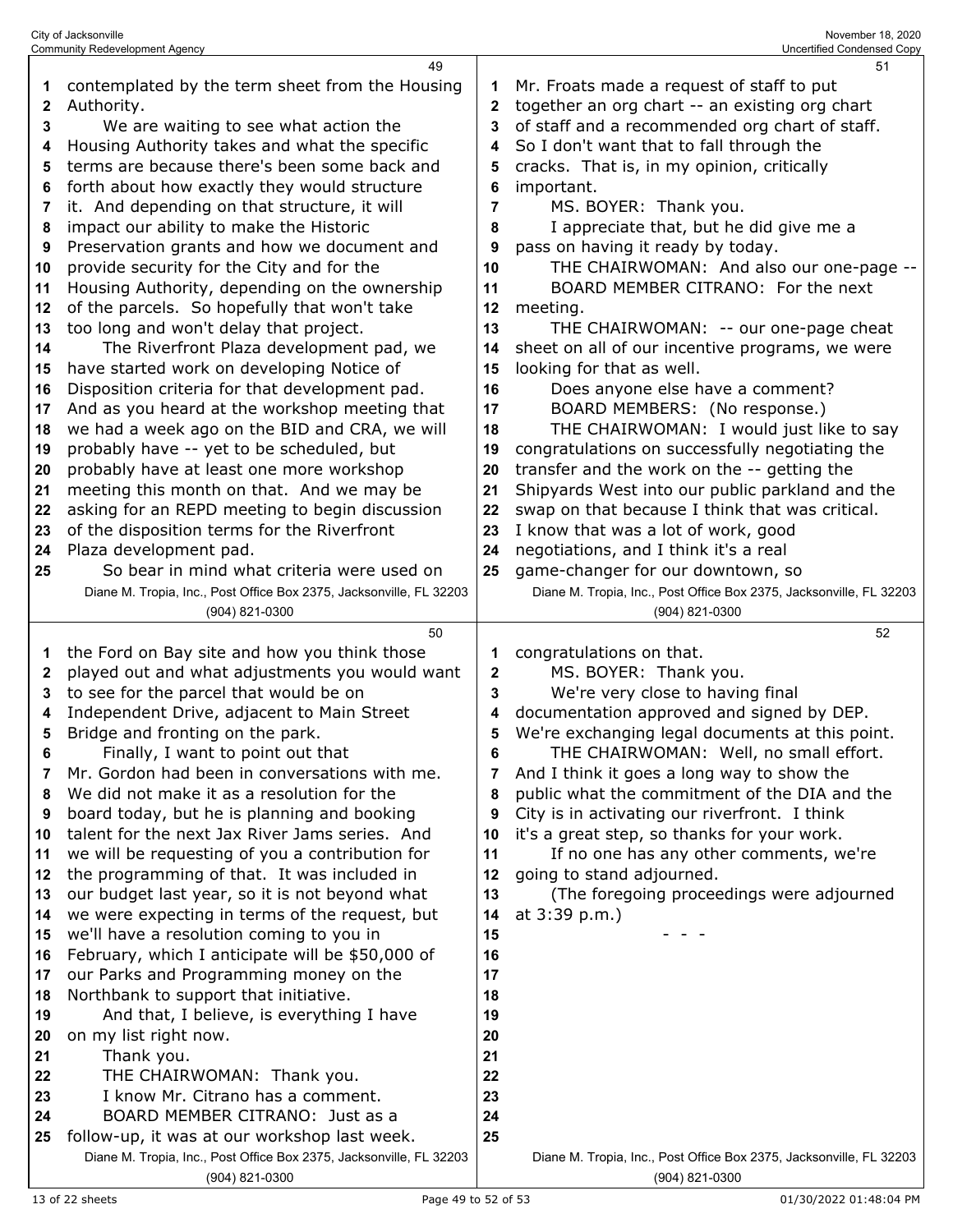|    | <b>Community Redevelopment Agency</b>                               |    | Uncertified Condensed Copy                                          |
|----|---------------------------------------------------------------------|----|---------------------------------------------------------------------|
| 1  | 49<br>contemplated by the term sheet from the Housing               | 1  | 51<br>Mr. Froats made a request of staff to put                     |
|    |                                                                     |    | together an org chart -- an existing org chart                      |
| 2  | Authority.                                                          | 2  |                                                                     |
| 3  | We are waiting to see what action the                               | 3  | of staff and a recommended org chart of staff.                      |
| 4  | Housing Authority takes and what the specific                       | 4  | So I don't want that to fall through the                            |
| 5  | terms are because there's been some back and                        | 5  | cracks. That is, in my opinion, critically                          |
| 6  | forth about how exactly they would structure                        | 6  | important.                                                          |
| 7  | it. And depending on that structure, it will                        | 7  | MS. BOYER: Thank you.                                               |
| 8  | impact our ability to make the Historic                             | 8  | I appreciate that, but he did give me a                             |
| 9  | Preservation grants and how we document and                         | 9  | pass on having it ready by today.                                   |
| 10 | provide security for the City and for the                           | 10 | THE CHAIRWOMAN: And also our one-page --                            |
| 11 | Housing Authority, depending on the ownership                       | 11 | BOARD MEMBER CITRANO: For the next                                  |
| 12 | of the parcels. So hopefully that won't take                        | 12 | meeting.                                                            |
| 13 | too long and won't delay that project.                              | 13 | THE CHAIRWOMAN: -- our one-page cheat                               |
| 14 | The Riverfront Plaza development pad, we                            | 14 | sheet on all of our incentive programs, we were                     |
| 15 | have started work on developing Notice of                           | 15 | looking for that as well.                                           |
| 16 | Disposition criteria for that development pad.                      | 16 | Does anyone else have a comment?                                    |
| 17 | And as you heard at the workshop meeting that                       | 17 | BOARD MEMBERS: (No response.)                                       |
| 18 | we had a week ago on the BID and CRA, we will                       | 18 | THE CHAIRWOMAN: I would just like to say                            |
| 19 | probably have -- yet to be scheduled, but                           | 19 | congratulations on successfully negotiating the                     |
| 20 | probably have at least one more workshop                            | 20 | transfer and the work on the -- getting the                         |
| 21 | meeting this month on that. And we may be                           | 21 | Shipyards West into our public parkland and the                     |
|    | asking for an REPD meeting to begin discussion                      | 22 | swap on that because I think that was critical.                     |
| 22 |                                                                     | 23 |                                                                     |
| 23 | of the disposition terms for the Riverfront                         |    | I know that was a lot of work, good                                 |
| 24 | Plaza development pad.                                              | 24 | negotiations, and I think it's a real                               |
| 25 | So bear in mind what criteria were used on                          | 25 | game-changer for our downtown, so                                   |
|    | Diane M. Tropia, Inc., Post Office Box 2375, Jacksonville, FL 32203 |    | Diane M. Tropia, Inc., Post Office Box 2375, Jacksonville, FL 32203 |
|    | (904) 821-0300                                                      |    | (904) 821-0300                                                      |
|    |                                                                     |    |                                                                     |
|    | 50                                                                  |    | 52                                                                  |
| 1  | the Ford on Bay site and how you think those                        | 1  | congratulations on that.                                            |
| 2  | played out and what adjustments you would want                      | 2  | MS. BOYER: Thank you.                                               |
| 3  | to see for the parcel that would be on                              | 3  | We're very close to having final                                    |
| 4  | Independent Drive, adjacent to Main Street                          | 4  | documentation approved and signed by DEP.                           |
| 5  | Bridge and fronting on the park.                                    | 5  | We're exchanging legal documents at this point.                     |
| 6  | Finally, I want to point out that                                   | 6  | THE CHAIRWOMAN: Well, no small effort.                              |
| 7  | Mr. Gordon had been in conversations with me.                       | 7  | And I think it goes a long way to show the                          |
| 8  | We did not make it as a resolution for the                          | 8  | public what the commitment of the DIA and the                       |
| 9  | board today, but he is planning and booking                         | 9  | City is in activating our riverfront. I think                       |
| 10 | talent for the next Jax River Jams series. And                      | 10 | it's a great step, so thanks for your work.                         |
| 11 | we will be requesting of you a contribution for                     | 11 | If no one has any other comments, we're                             |
| 12 | the programming of that. It was included in                         | 12 | going to stand adjourned.                                           |
| 13 | our budget last year, so it is not beyond what                      | 13 | (The foregoing proceedings were adjourned                           |
| 14 | we were expecting in terms of the request, but                      | 14 | at 3:39 p.m.)                                                       |
| 15 | we'll have a resolution coming to you in                            | 15 |                                                                     |
| 16 | February, which I anticipate will be \$50,000 of                    | 16 |                                                                     |
| 17 | our Parks and Programming money on the                              | 17 |                                                                     |
| 18 | Northbank to support that initiative.                               | 18 |                                                                     |
| 19 | And that, I believe, is everything I have                           | 19 |                                                                     |
| 20 | on my list right now.                                               | 20 |                                                                     |
| 21 | Thank you.                                                          | 21 |                                                                     |
| 22 | THE CHAIRWOMAN: Thank you.                                          | 22 |                                                                     |
| 23 | I know Mr. Citrano has a comment.                                   | 23 |                                                                     |
| 24 | BOARD MEMBER CITRANO: Just as a                                     | 24 |                                                                     |
| 25 | follow-up, it was at our workshop last week.                        | 25 |                                                                     |
|    | Diane M. Tropia, Inc., Post Office Box 2375, Jacksonville, FL 32203 |    | Diane M. Tropia, Inc., Post Office Box 2375, Jacksonville, FL 32203 |

13 of 22 sheets Page 49 to 52 of 53 01/30/2022 01:48:04 PM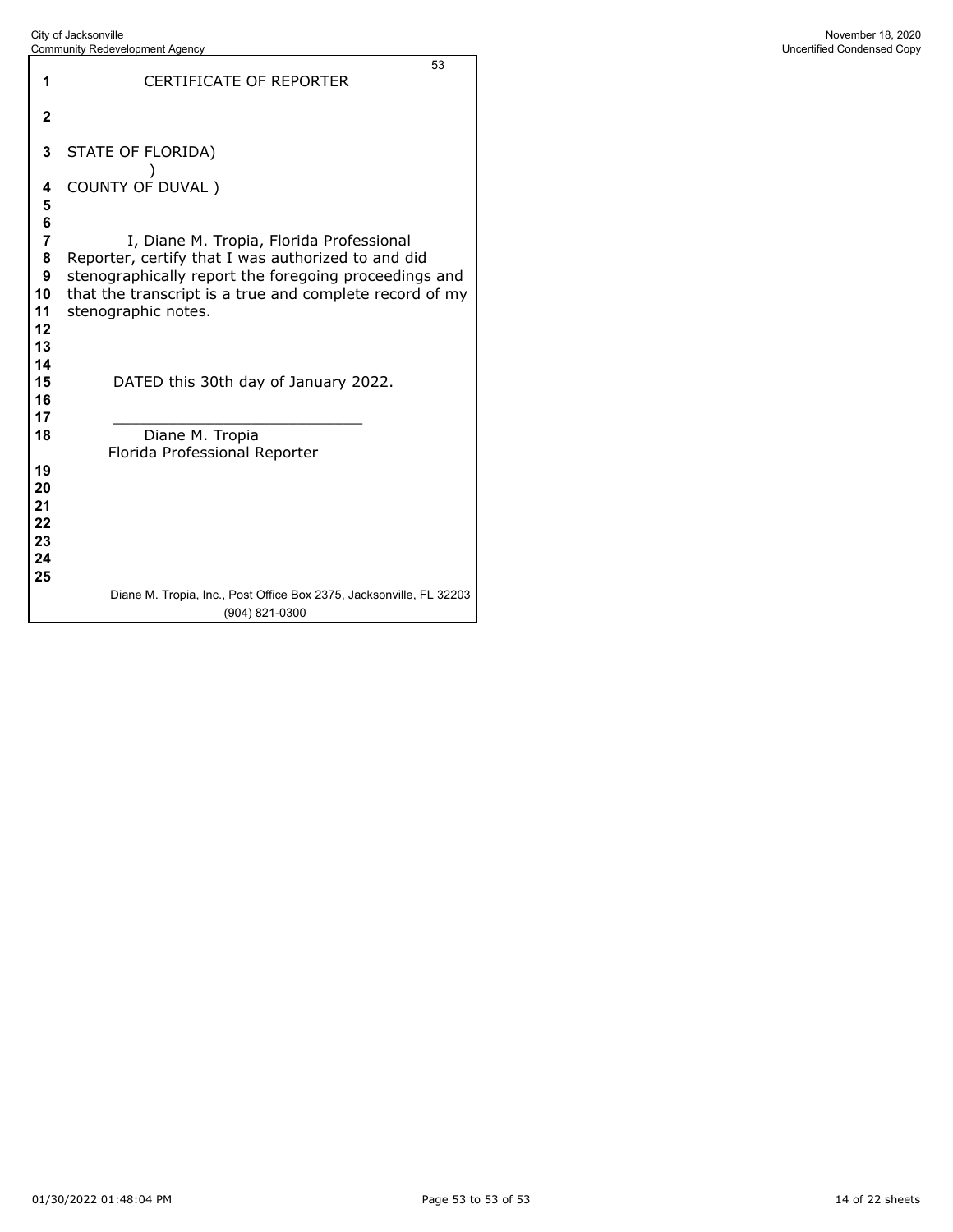|                                        | <b>Community Redevelopment Agency</b>                                                                                                                                                                                                     | Uncertified Condensed Copy |
|----------------------------------------|-------------------------------------------------------------------------------------------------------------------------------------------------------------------------------------------------------------------------------------------|----------------------------|
| 1                                      | 53<br>CERTIFICATE OF REPORTER                                                                                                                                                                                                             |                            |
| $\boldsymbol{2}$                       |                                                                                                                                                                                                                                           |                            |
| 3                                      | STATE OF FLORIDA)                                                                                                                                                                                                                         |                            |
| 4<br>5                                 | COUNTY OF DUVAL)                                                                                                                                                                                                                          |                            |
| 6<br>7<br>8<br>9<br>10<br>11<br>12     | I, Diane M. Tropia, Florida Professional<br>Reporter, certify that I was authorized to and did<br>stenographically report the foregoing proceedings and<br>that the transcript is a true and complete record of my<br>stenographic notes. |                            |
| 13<br>14<br>15<br>16<br>17             | DATED this 30th day of January 2022.                                                                                                                                                                                                      |                            |
| 18                                     | Diane M. Tropia<br>Florida Professional Reporter                                                                                                                                                                                          |                            |
| 19<br>20<br>21<br>22<br>23<br>24<br>25 |                                                                                                                                                                                                                                           |                            |
|                                        | Diane M. Tropia, Inc., Post Office Box 2375, Jacksonville, FL 32203<br>(904) 821-0300                                                                                                                                                     |                            |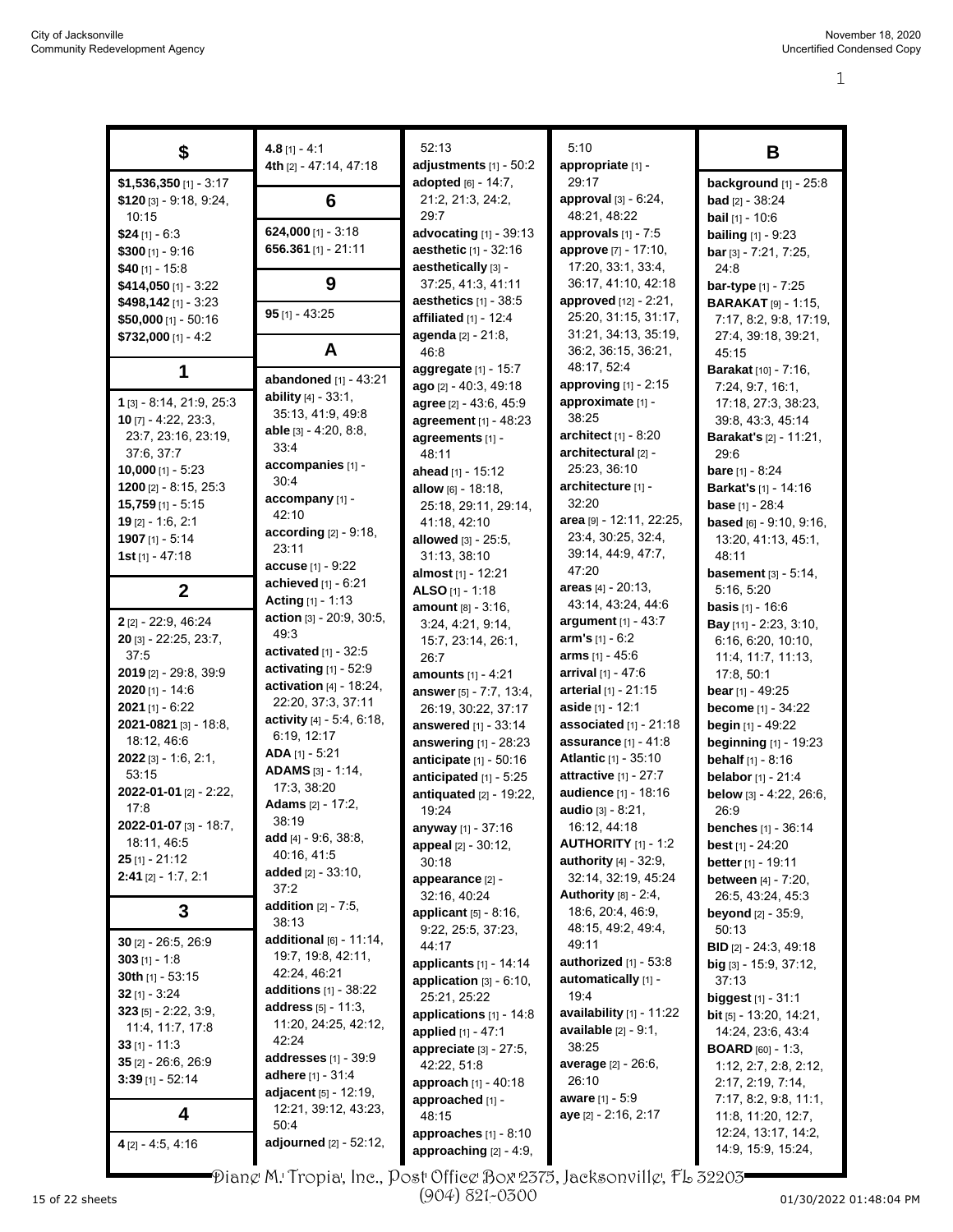| \$                            | $4.8$ [1] - 4:1                            | 52:13                           | 5:10                                           | В                                                       |
|-------------------------------|--------------------------------------------|---------------------------------|------------------------------------------------|---------------------------------------------------------|
|                               | 4th [2] - 47:14, 47:18                     | adjustments $[1] - 50:2$        | appropriate [1] -                              |                                                         |
| \$1,536,350 [1] - 3:17        |                                            | adopted [6] - 14:7,             | 29:17                                          | background [1] - 25:8                                   |
| $$120$ [3] - 9:18, 9:24,      | 6                                          | 21:2, 21:3, 24:2,               | <b>approval</b> $[3] - 6:24$ ,                 | <b>bad</b> $[2] - 38:24$                                |
| 10:15                         |                                            | 29:7                            | 48:21, 48:22                                   | <b>bail</b> $[1]$ - 10:6                                |
| $$24$ [1] - 6:3               | $624,000$ [1] - 3:18                       | advocating $[1]$ - 39:13        | approvals $[1]$ - 7:5                          | <b>bailing</b> $[1]$ - 9:23                             |
| $$300$ [1] - 9:16             | 656.361 [1] - 21:11                        | aesthetic [1] - 32:16           | approve [7] - 17:10,                           | bar [3] - 7:21, 7:25,                                   |
| \$40 $[1] - 15.8$             |                                            | aesthetically [3] -             | 17:20, 33:1, 33:4,                             | 24:8                                                    |
| \$414,050 $[1] - 3.22$        | 9                                          | 37:25, 41:3, 41:11              | 36:17, 41:10, 42:18                            | bar-type $[1]$ - $7:25$                                 |
| \$498,142 [1] - 3:23          |                                            | aesthetics $[1]$ - 38:5         | approved [12] - 2:21,                          | <b>BARAKAT</b> [9] - 1:15,                              |
| \$50,000 [1] - 50:16          | $95$ [1] - 43:25                           | affiliated $[1] - 12.4$         | 25:20, 31:15, 31:17,                           | 7:17, 8:2, 9:8, 17:19,                                  |
| $$732,000$ [1] - 4:2          |                                            | agenda [2] - 21:8,              | 31:21, 34:13, 35:19,                           | 27:4, 39:18, 39:21,                                     |
|                               | A                                          | 46:8                            | 36:2, 36:15, 36:21,                            | 45:15                                                   |
| 1                             |                                            | aggregate [1] - 15:7            | 48:17, 52:4                                    | <b>Barakat</b> [10] - 7:16,                             |
|                               | abandoned [1] - 43:21                      | ago [2] - 40:3, 49:18           | approving [1] - 2:15                           | 7:24, 9:7, 16:1,                                        |
| 1 [3] - 8:14, 21:9, 25:3      | ability $[4] - 33:1$ ,                     | agree [2] - 43:6, 45:9          | approximate [1] -                              | 17:18, 27:3, 38:23,                                     |
| 10 $[7] - 4:22, 23:3,$        | 35:13, 41:9, 49:8<br>able [3] - 4:20, 8:8, | agreement [1] - 48:23           | 38:25                                          | 39:8, 43:3, 45:14                                       |
| 23:7, 23:16, 23:19,           | 33:4                                       | agreements [1] -                | architect [1] - 8:20                           | <b>Barakat's [2] - 11:21,</b>                           |
| 37:6, 37:7                    | accompanies [1] -                          | 48:11                           | architectural [2] -                            | 29:6                                                    |
| $10,000$ [1] - 5:23           | 30:4                                       | ahead [1] - 15:12               | 25:23, 36:10                                   | <b>bare</b> $[1] - 8:24$                                |
| $1200$ [2] - 8:15, 25:3       | accompany [1] -                            | allow [6] - 18:18,              | architecture [1] -                             | <b>Barkat's [1] - 14:16</b>                             |
| $15,759$ [1] - 5:15           | 42:10                                      | 25:18, 29:11, 29:14,            | 32:20                                          | <b>base</b> [1] - 28:4                                  |
| $19$ [2] - 1:6, 2:1           | according [2] - 9:18,                      | 41:18, 42:10                    | area [9] - 12:11, 22:25,                       | <b>based</b> $[6] - 9.10, 9.16$ ,                       |
| 1907 [1] - 5:14               | 23:11                                      | <b>allowed</b> $[3] - 25:5$ ,   | 23:4, 30:25, 32:4,                             | 13:20, 41:13, 45:1,                                     |
| $1st$ [1] - 47:18             | $accuse [1] - 9:22$                        | 31:13, 38:10                    | 39:14, 44:9, 47:7,                             | 48:11                                                   |
|                               | achieved $[1] - 6:21$                      | almost [1] - 12:21              | 47:20                                          | <b>basement</b> $[3] - 5:14$ ,                          |
| $\mathbf{2}$                  | Acting $[1] - 1:13$                        | ALSO [1] - 1:18                 | areas [4] - 20:13,                             | 5:16, 5:20                                              |
|                               | action [3] - 20:9, 30:5,                   | amount [8] - 3:16,              | 43:14, 43:24, 44:6                             | <b>basis</b> $[1] - 16.6$                               |
| 2 [2] - 22:9, 46:24           | 49:3                                       | 3:24, 4:21, 9:14,               | argument $[1] - 43:7$                          | Bay [11] - 2:23, 3:10,                                  |
| 20 [3] - 22:25, 23:7,         | activated $[1]$ - 32:5                     | 15:7, 23:14, 26:1,              | <b>arm's</b> $[1] - 6:2$                       | 6:16, 6:20, 10:10,                                      |
| 37.5<br>2019 [2] - 29:8, 39:9 | activating [1] - 52:9                      | 26:7                            | <b>arms</b> $[1] - 45:6$<br>arrival [1] - 47:6 | 11:4, 11:7, 11:13,                                      |
| $2020$ [1] - 14:6             | activation $[4]$ - 18:24,                  | amounts [1] - 4:21              | arterial [1] - 21:15                           | 17:8, 50:1                                              |
| $2021$ [1] - 6:22             | 22:20, 37:3, 37:11                         | answer [5] - 7:7, 13:4,         | aside [1] - 12:1                               | bear $[1] - 49:25$                                      |
| 2021-0821 [3] - 18:8,         | activity [4] - 5:4, 6:18,                  | 26:19, 30:22, 37:17             | associated [1] - 21:18                         | <b>become</b> [1] - 34:22                               |
| 18:12, 46:6                   | 6:19, 12:17                                | answered [1] - 33:14            | <b>assurance</b> $[1] - 41:8$                  | <b>begin</b> $[1]$ - 49:22                              |
| $2022$ [3] - 1.6, 2:1,        | $ADA$ [1] - 5:21                           | answering [1] - 28:23           | <b>Atlantic [1] - 35:10</b>                    | beginning [1] - 19:23                                   |
| 53:15                         | ADAMS [3] - 1:14,                          | anticipate [1] - 50:16          | attractive [1] - 27:7                          | <b>behalf</b> $[1] - 8:16$<br><b>belabor</b> [1] - 21:4 |
| 2022-01-01 [2] - 2:22,        | 17:3, 38:20                                | anticipated $[1]$ - 5:25        | audience [1] - 18:16                           |                                                         |
| 17:8                          | <b>Adams</b> [2] - 17:2,                   | antiquated [2] - 19:22,         | audio [3] - 8:21,                              | below [3] - 4:22, 26:6,                                 |
| 2022-01-07 [3] - 18:7,        | 38:19                                      | 19:24                           | 16:12, 44:18                                   | 26:9<br><b>benches</b> $[1]$ - 36:14                    |
| 18:11, 46:5                   | add $[4] - 9.6, 38.8,$                     | <b>anyway</b> [1] - 37:16       | <b>AUTHORITY</b> [1] - 1:2                     | <b>best</b> $[1]$ - 24:20                               |
| $25$ [1] - 21:12              | 40:16, 41:5                                | appeal [2] - 30:12,<br>30:18    | authority [4] - 32:9,                          | better $[1] - 19:11$                                    |
| $2:41$ [2] - 1:7, 2:1         | added $[2] - 33:10$ ,                      | appearance [2] -                | 32:14, 32:19, 45:24                            | <b>between</b> [4] - 7:20,                              |
|                               | 37:2                                       | 32:16, 40:24                    | Authority $[8] - 2.4$ ,                        | 26.5, 43.24, 45.3                                       |
| 3                             | <b>addition</b> $[2] - 7:5$ ,              | <b>applicant</b> $[5] - 8:16$ , | 18:6, 20:4, 46:9,                              | <b>beyond</b> [2] - 35:9,                               |
|                               | 38:13                                      | 9:22, 25:5, 37:23,              | 48:15, 49:2, 49:4,                             | 50:13                                                   |
| $30$ [2] - 26:5, 26:9         | additional [6] - 11:14,                    | 44:17                           | 49:11                                          | <b>BID</b> $[2]$ - 24:3, 49:18                          |
| $303$ [1] - 1:8               | 19:7, 19:8, 42:11,                         | applicants [1] - 14:14          | authorized $[1]$ - 53:8                        | $big$ [3] - 15:9, 37:12,                                |
| 30th $[1]$ - 53:15            | 42:24, 46:21                               | application $[3] - 6:10$ ,      | automatically [1] -                            | 37:13                                                   |
| $32$ [1] - 3:24               | additions $[1]$ - 38:22                    | 25:21, 25:22                    | 19:4                                           | <b>biggest</b> [1] - 31:1                               |
| $323$ [5] - 2:22, 3:9,        | <b>address</b> $[5] - 11.3$ ,              | applications [1] - 14:8         | availability $[1]$ - 11:22                     | <b>bit</b> $[5]$ - 13:20, 14:21,                        |
| 11:4, 11:7, 17:8              | 11:20, 24:25, 42:12,                       | applied [1] - 47:1              | <b>available</b> $[2] - 9.1$ ,                 | 14:24, 23:6, 43:4                                       |
| 33 $[1] - 11:3$               | 42:24                                      | appreciate [3] - 27:5,          | 38:25                                          | <b>BOARD</b> $[60] - 1:3$                               |
| 35 $[2] - 26.6, 26.9$         | <b>addresses</b> [1] - 39:9                | 42:22, 51:8                     | average [2] - 26:6,                            | 1:12, 2:7, 2:8, 2:12,                                   |
| $3:39$ [1] - 52:14            | <b>adhere</b> [1] - 31:4                   | approach $[1] - 40.18$          | 26:10                                          | 2:17, 2:19, 7:14,                                       |
|                               | adjacent [5] - 12:19,                      | approached [1] -                | <b>aware</b> $[1] - 5.9$                       | 7:17, 8:2, 9:8, 11:1,                                   |
| 4                             | 12:21, 39:12, 43:23,                       | 48:15                           | aye [2] - 2:16, 2:17                           | 11:8, 11:20, 12:7,                                      |
|                               | 50:4                                       | approaches $[1] - 8:10$         |                                                | 12:24, 13:17, 14:2,                                     |
| $4$ [2] - 4:5, 4:16           | adjourned [2] - 52:12,                     | approaching [2] - 4:9,          |                                                | 14:9, 15:9, 15:24,                                      |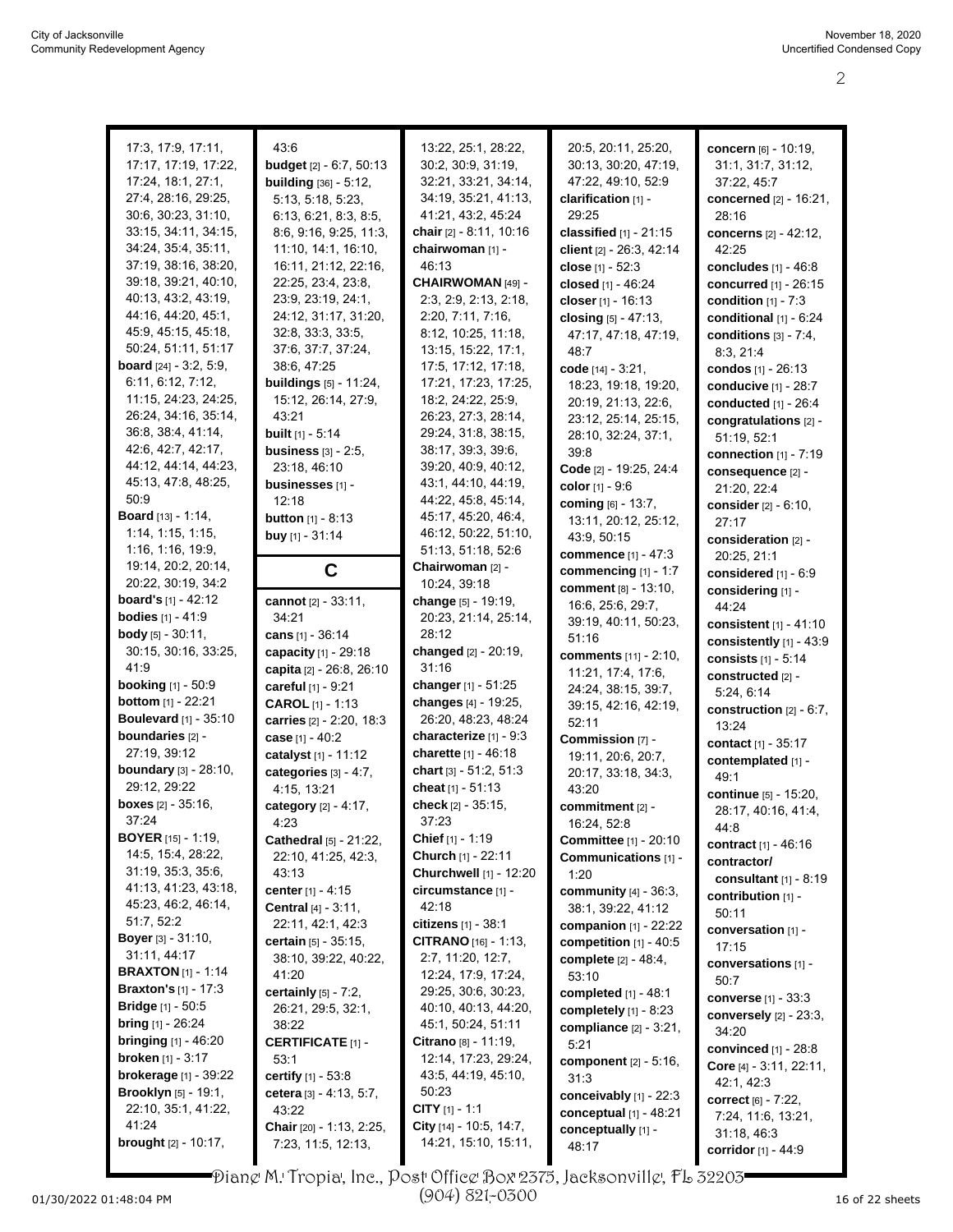| 17:3, 17:9, 17:11,              | 43:6                             | 13:22, 25:1, 28:22,          | 20:5, 20:11, 25:20,             |                                |
|---------------------------------|----------------------------------|------------------------------|---------------------------------|--------------------------------|
|                                 |                                  |                              |                                 | concern [6] - 10:19,           |
| 17:17, 17:19, 17:22,            | <b>budget</b> $[2] - 6:7, 50:13$ | 30:2, 30:9, 31:19,           | 30:13, 30:20, 47:19,            | 31:1, 31:7, 31:12,             |
| 17:24, 18:1, 27:1,              | <b>building</b> [36] - 5:12,     | 32:21, 33:21, 34:14,         | 47:22, 49:10, 52:9              | 37:22, 45:7                    |
| 27:4, 28:16, 29:25,             | 5:13, 5:18, 5:23,                | 34:19, 35:21, 41:13,         | clarification [1] -             | concerned [2] - 16:21,         |
| 30:6, 30:23, 31:10,             | 6:13, 6:21, 8:3, 8:5,            | 41.21, 43.2, 45.24           | 29:25                           | 28:16                          |
| 33:15, 34:11, 34:15,            | 8:6, 9:16, 9:25, 11:3,           | chair [2] - 8:11, 10:16      | classified $[1] - 21:15$        | <b>concerns</b> [2] - 42:12,   |
| 34:24, 35:4, 35:11,             | 11:10, 14:1, 16:10,              | chairwoman [1] -             | client [2] - 26:3, 42:14        | 42:25                          |
| 37:19, 38:16, 38:20,            | 16:11, 21:12, 22:16,             | 46:13                        | close $[1] - 52:3$              | concludes $[1]$ - $46.8$       |
| 39:18, 39:21, 40:10,            | 22:25, 23:4, 23:8,               | CHAIRWOMAN [49] -            | closed [1] - 46:24              | concurred [1] - 26:15          |
| 40.13, 43:2, 43:19,             | 23.9, 23.19, 24.1,               | 2:3, 2:9, 2:13, 2:18,        | closer [1] - 16:13              | condition $[1] - 7:3$          |
| 44:16, 44:20, 45:1,             | 24:12, 31:17, 31:20,             | 2:20, 7:11, 7:16,            | closing $[5] - 47:13$ ,         | conditional $[1]$ - $6:24$     |
| 45:9, 45:15, 45:18,             | 32:8, 33:3, 33:5,                | 8:12, 10:25, 11:18,          | 47:17, 47:18, 47:19,            | conditions $[3] - 7.4$ .       |
| 50:24, 51:11, 51:17             | 37:6, 37:7, 37:24,               | 13:15, 15:22, 17:1,          | 48:7                            | 8:3, 21:4                      |
| <b>board</b> $[24] - 3.2, 5.9,$ | 38:6, 47:25                      | 17:5, 17:12, 17:18,          | code [14] - 3:21,               | condos [1] - 26:13             |
| 6:11, 6:12, 7:12,               | <b>buildings</b> [5] - 11:24,    | 17:21, 17:23, 17:25,         | 18:23, 19:18, 19:20,            | conducive [1] - 28:7           |
| 11:15, 24:23, 24:25,            | 15:12, 26:14, 27:9,              | 18:2, 24:22, 25:9,           | 20:19, 21:13, 22:6,             | conducted [1] - 26:4           |
| 26:24, 34:16, 35:14,            | 43:21                            | 26:23, 27:3, 28:14,          | 23:12, 25:14, 25:15,            | congratulations [2] -          |
| 36.8, 38.4, 41.14,              | <b>built</b> $[1] - 5.14$        | 29:24, 31:8, 38:15,          | 28:10, 32:24, 37:1,             | 51:19, 52:1                    |
| 42.6, 42.7, 42.17,              | <b>business</b> $[3] - 2:5$ ,    | 38:17, 39:3, 39:6,           | 39.8                            | connection $[1]$ - $7:19$      |
| 44:12, 44:14, 44:23,            | 23.18, 46.10                     | 39:20, 40:9, 40:12,          | Code [2] - 19:25, 24:4          | consequence [2] -              |
| 45:13, 47:8, 48:25,             | businesses [1] -                 | 43:1, 44:10, 44:19,          | color $[1] - 9:6$               | 21:20, 22:4                    |
| 50:9                            | 12:18                            | 44:22, 45:8, 45:14,          | coming [6] - 13:7,              | consider [2] - 6:10,           |
| <b>Board</b> $[13] - 1:14$ ,    | <b>button</b> [1] - 8:13         | 45:17, 45:20, 46:4,          | 13:11, 20:12, 25:12,            | 27:17                          |
| 1:14, 1:15, 1:15,               | buy [1] - 31:14                  | 46:12, 50:22, 51:10,         | 43.9, 50.15                     | consideration [2] -            |
| 1:16, 1:16, 19:9,               |                                  | 51:13, 51:18, 52:6           | <b>commence</b> [1] - 47:3      | 20:25, 21:1                    |
| 19:14, 20:2, 20:14,             | C                                | Chairwoman [2] -             | commencing $[1] - 1:7$          | considered $[1]$ - $6.9$       |
| 20:22, 30:19, 34:2              |                                  | 10:24, 39:18                 | comment [8] - 13:10,            | considering [1] -              |
| <b>board's</b> $[1] - 42:12$    | cannot [2] - 33:11,              | change [5] - 19:19,          | 16:6, 25:6, 29:7,               | 44:24                          |
| <b>bodies</b> $[1] - 41.9$      | 34:21                            | 20:23, 21:14, 25:14,         | 39:19, 40:11, 50:23,            | consistent $[1] - 41:10$       |
| <b>body</b> $[5] - 30.11$ ,     | cans [1] - 36:14                 | 28:12                        | 51:16                           | consistently $[1]$ - 43:9      |
| 30:15, 30:16, 33:25,            | capacity [1] - 29:18             | changed [2] - 20:19,         | comments [11] - 2:10,           | consists [1] - 5:14            |
| 41.9                            | capita [2] - 26:8, 26:10         | 31:16                        | 11:21, 17:4, 17:6,              | constructed [2] -              |
| <b>booking</b> [1] - 50:9       | careful [1] - 9:21               | changer [1] - 51:25          | 24:24, 38:15, 39:7,             | 5:24, 6:14                     |
| <b>bottom</b> $[1] - 22:21$     | CAROL [1] - 1:13                 | changes [4] - 19:25,         | 39:15, 42:16, 42:19,            | construction $[2] - 6:7$ ,     |
| <b>Boulevard</b> [1] - 35:10    | carries [2] - 2:20, 18:3         | 26:20, 48:23, 48:24          | 52:11                           | 13:24                          |
| boundaries [2] -                | case [1] - 40:2                  | characterize $[1] - 9.3$     | Commission [7] -                |                                |
| 27:19, 39:12                    | catalyst [1] - 11:12             | <b>charette</b> [1] - 46:18  | 19:11, 20:6, 20:7,              | <b>contact</b> [1] - 35:17     |
| boundary [3] - 28:10,           | categories $[3] - 4.7$ ,         | chart [3] - 51:2, 51:3       | 20:17, 33:18, 34:3,             | contemplated [1] -             |
| 29:12, 29:22                    | 4:15, 13:21                      | cheat $[1] - 51:13$          | 43:20                           | 49:1                           |
| <b>boxes</b> $[2] - 35:16$ ,    | category [2] - 4:17,             | check [2] - 35:15,           | commitment [2] -                | continue [5] - 15:20,          |
| 37:24                           | 4:23                             | 37:23                        | 16:24, 52:8                     | 28:17, 40:16, 41:4,            |
| <b>BOYER</b> $[15] - 1:19$ ,    | Cathedral [5] - 21:22,           | <b>Chief</b> $[1] - 1:19$    | <b>Committee</b> [1] - 20:10    | 44:8                           |
| 14:5, 15:4, 28:22,              | 22:10, 41:25, 42:3,              | Church [1] - 22:11           | Communications [1] -            | contract [1] - 46:16           |
| 31:19, 35:3, 35:6,              | 43:13                            | Churchwell [1] - 12:20       | 1:20                            | contractor/                    |
| 41:13, 41:23, 43:18,            | center $[1] - 4.15$              | circumstance [1] -           | <b>community</b> $[4] - 36:3$ , | consultant $[1]$ - 8:19        |
| 45:23, 46:2, 46:14,             | <b>Central</b> [4] - 3:11,       | 42:18                        | 38:1, 39:22, 41:12              | contribution $[1]$ -           |
| 51:7, 52:2                      | 22:11, 42:1, 42:3                | <b>citizens</b> $[1] - 38.1$ | <b>companion</b> $[1]$ - 22:22  | 50:11                          |
| <b>Boyer</b> [3] - 31:10,       | certain $[5] - 35:15$ ,          | <b>CITRANO</b> $[16] - 1:13$ | competition $[1] - 40.5$        | conversation [1] -             |
| 31:11, 44:17                    | 38:10, 39:22, 40:22,             | 2:7, 11:20, 12:7,            | complete [2] - 48:4.            | 17:15                          |
| <b>BRAXTON</b> [1] - 1:14       | 41:20                            | 12:24, 17:9, 17:24,          | 53:10                           | conversations [1] -            |
| <b>Braxton's</b> $[1]$ - 17:3   | certainly $[5] - 7:2$ ,          | 29:25, 30:6, 30:23,          | completed [1] - 48:1            | 50:7                           |
| <b>Bridge</b> $[1] - 50.5$      | 26:21, 29:5, 32:1,               | 40:10, 40:13, 44:20,         | completely $[1]$ - $8.23$       | <b>converse</b> $[1]$ - $33:3$ |
| <b>bring</b> $[1]$ - 26:24      | 38:22                            | 45:1, 50:24, 51:11           | compliance [2] - 3:21,          | conversely $[2]$ - $23:3$ ,    |
| <b>bringing</b> $[1] - 46:20$   | <b>CERTIFICATE [1] -</b>         | Citrano [8] - 11:19,         | 5:21                            | 34:20                          |
| <b>broken</b> $[1] - 3.17$      | 53:1                             | 12:14, 17:23, 29:24,         | component [2] - 5:16,           | convinced [1] - 28:8           |
| <b>brokerage</b> $[1]$ - 39:22  | certify $[1] - 53.8$             | 43:5, 44:19, 45:10,          | 31:3                            | Core [4] - 3:11, 22:11,        |
| <b>Brooklyn</b> [5] - 19:1,     | cetera [3] - 4:13, 5:7,          | 50:23                        | conceivably $[1]$ - 22:3        | 42:1, 42:3                     |
| 22:10, 35:1, 41:22,             | 43:22                            | <b>CITY</b> $[1] - 1:1$      | conceptual $[1]$ - 48:21        | <b>correct</b> $[6] - 7:22$ ,  |
| 41:24                           | Chair [20] - 1:13, 2:25,         | City [14] - 10:5, 14:7,      |                                 | 7:24, 11:6, 13:21,             |
| brought [2] - 10:17,            | 7:23, 11:5, 12:13,               | 14:21, 15:10, 15:11,         | conceptually [1] -              | 31:18, 46:3                    |
|                                 |                                  |                              | 48:17                           | corridor [1] - 44:9            |

Diane M. Tropia, Inc., Post Office Box 2375, Jacksonville, FL 32203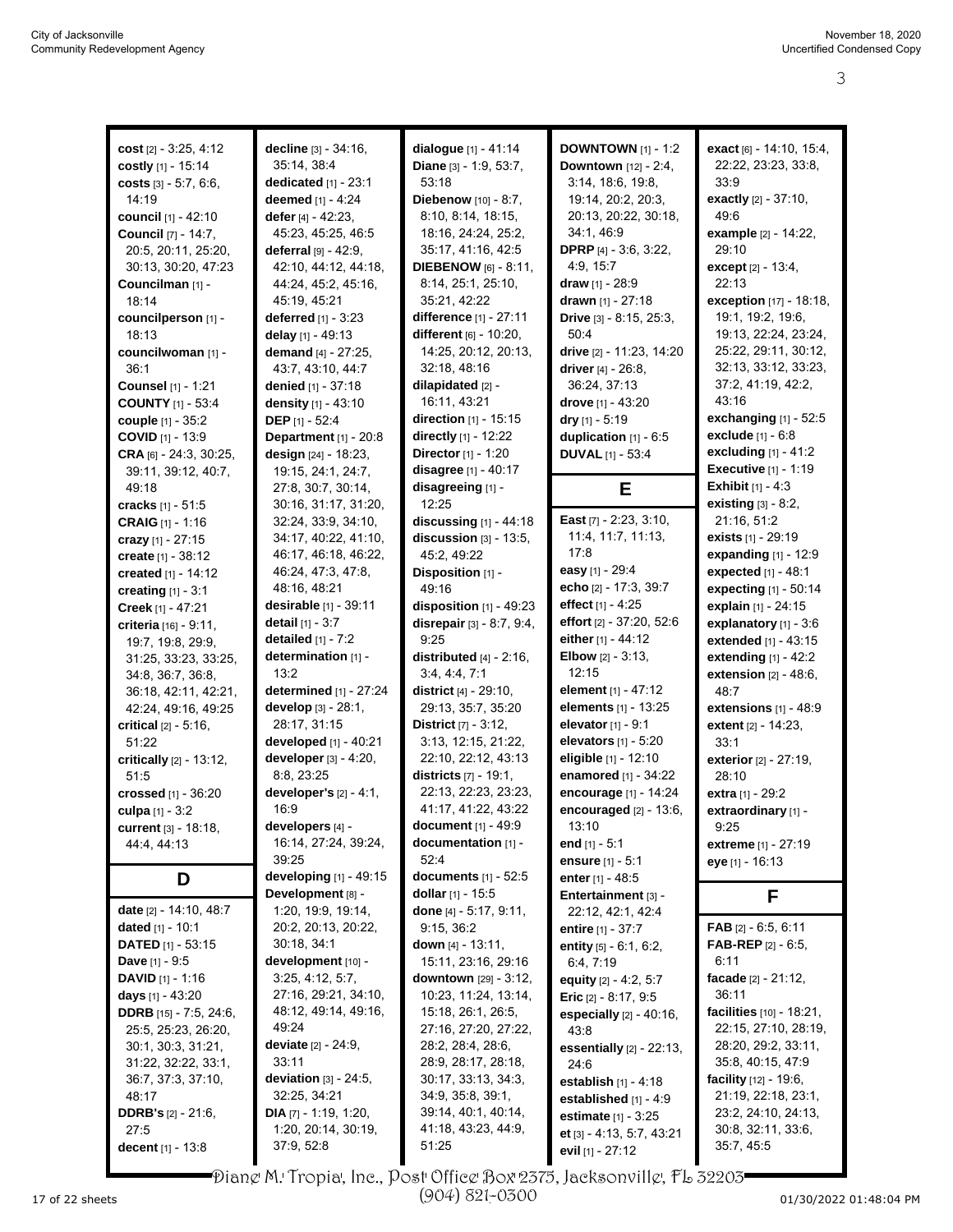| cost $[2] - 3:25, 4:12$        | decline [3] - 34:16,             | dialogue [1] - 41:14           | <b>DOWNTOWN</b> $[1] - 1:2$   | exact [6] - 14:10, 15:4,         |
|--------------------------------|----------------------------------|--------------------------------|-------------------------------|----------------------------------|
| costly [1] - 15:14             | 35:14, 38:4                      | Diane [3] - 1:9, 53:7,         | Downtown [12] - 2:4,          | 22:22, 23:23, 33:8,              |
|                                |                                  |                                |                               |                                  |
| costs $[3] - 5.7, 6.6$ ,       | dedicated $[1]$ - 23:1           | 53:18                          | 3:14, 18:6, 19:8,             | 33:9                             |
| 14:19                          | deemed [1] - 4:24                | Diebenow [10] - 8:7,           | 19:14, 20:2, 20:3,            | exactly $[2] - 37:10$ ,          |
| council [1] - 42:10            | defer $[4] - 42:23$ ,            | 8:10, 8:14, 18:15,             | 20:13, 20:22, 30:18,          | 49.6                             |
| <b>Council</b> [7] - 14:7,     | 45:23, 45:25, 46:5               | 18:16, 24:24, 25:2,            | 34:1, 46:9                    | example [2] - 14:22,             |
| 20:5, 20:11, 25:20,            | deferral [9] - 42:9,             | 35:17, 41:16, 42:5             | <b>DPRP</b> [4] $-3:6, 3:22,$ | 29:10                            |
| 30:13, 30:20, 47:23            | 42:10, 44:12, 44:18,             | <b>DIEBENOW</b> [6] - 8:11,    | 4.9, 15.7                     | except $[2] - 13:4$ ,            |
|                                |                                  |                                |                               | 22:13                            |
| Councilman [1] -               | 44:24, 45:2, 45:16,              | 8:14, 25:1, 25:10,             | <b>draw</b> [1] - 28:9        |                                  |
| 18:14                          | 45:19, 45:21                     | 35:21, 42:22                   | drawn [1] - 27:18             | exception [17] - 18:18,          |
| councilperson [1] -            | <b>deferred</b> $[1] - 3.23$     | difference [1] - 27:11         | Drive [3] - 8:15, 25:3,       | 19:1, 19:2, 19:6,                |
| 18:13                          | delay [1] - 49:13                | different [6] - 10:20,         | 50:4                          | 19:13, 22:24, 23:24,             |
| councilwoman [1] -             | demand $[4] - 27:25$ ,           | 14:25, 20:12, 20:13,           | drive [2] - 11:23, 14:20      | 25:22, 29:11, 30:12,             |
| 36:1                           | 43:7, 43:10, 44:7                | 32:18, 48:16                   | driver $[4] - 26.8$ ,         | 32:13, 33:12, 33:23,             |
| Counsel [1] - 1:21             | denied [1] - 37:18               | dilapidated [2] -              | 36:24, 37:13                  | 37:2, 41:19, 42:2,               |
|                                |                                  |                                |                               | 43:16                            |
| <b>COUNTY</b> [1] - 53:4       | density [1] - 43:10              | 16:11, 43:21                   | drove [1] - 43:20             |                                  |
| <b>couple</b> $[1] - 35:2$     | DEP [1] - 52:4                   | direction [1] - 15:15          | dry $[1] - 5:19$              | exchanging $[1]$ - 52:5          |
| <b>COVID</b> $[1]$ - 13:9      | Department [1] - 20:8            | directly $[1] - 12:22$         | duplication $[1]$ - $6:5$     | exclude [1] - 6:8                |
| CRA [6] - 24:3, 30:25,         | design [24] - 18:23,             | Director [1] - 1:20            | <b>DUVAL</b> [1] - 53:4       | excluding $[1] - 41:2$           |
| 39:11, 39:12, 40:7,            | 19:15, 24:1, 24:7,               | disagree [1] - 40:17           |                               | <b>Executive</b> [1] - 1:19      |
| 49:18                          | 27:8, 30:7, 30:14,               | disagreeing [1] -              | Е                             | <b>Exhibit</b> $[1] - 4:3$       |
|                                |                                  | 12:25                          |                               | existing $[3] - 8.2$ ,           |
| cracks [1] - 51:5              | 30:16, 31:17, 31:20,             |                                |                               |                                  |
| <b>CRAIG</b> $[1]$ - 1:16      | 32:24, 33:9, 34:10,              | discussing $[1]$ - 44:18       | East [7] - 2:23, 3:10,        | 21:16, 51:2                      |
| crazy $[1] - 27:15$            | 34:17, 40:22, 41:10,             | discussion $[3]$ - 13:5,       | 11:4, 11:7, 11:13,            | <b>exists</b> $[1]$ - 29:19      |
| create [1] - 38:12             | 46:17, 46:18, 46:22,             | 45:2, 49:22                    | 17:8                          | <b>expanding</b> $[1] - 12:9$    |
| created $[1] - 14:12$          | 46:24, 47:3, 47:8,               | Disposition [1] -              | easy [1] - 29:4               | expected [1] - 48:1              |
| creating $[1] - 3:1$           | 48:16, 48:21                     | 49:16                          | echo [2] - 17:3, 39:7         | expecting [1] - 50:14            |
|                                | desirable [1] - 39:11            | disposition [1] - 49:23        | effect [1] - 4:25             | explain [1] - 24:15              |
| Creek [1] - 47:21              |                                  |                                | effort [2] - 37:20, 52:6      |                                  |
| criteria [16] - 9:11,          | <b>detail</b> $[1] - 3:7$        | disrepair $[3] - 8.7, 9.4$ ,   |                               | explanatory [1] - 3:6            |
| 19:7, 19:8, 29:9,              | detailed $[1]$ - $7:2$           | 9:25                           | either $[1] - 44:12$          | extended [1] - 43:15             |
| 31:25, 33:23, 33:25,           | determination [1] -              | distributed $[4]$ - 2:16,      | <b>Elbow</b> $[2] - 3:13$ ,   | extending $[1] - 42:2$           |
| 34:8, 36:7, 36:8,              | 13:2                             | 3.4, 4.4, 7.1                  | 12:15                         | extension $[2] - 48.6$ ,         |
| 36:18, 42:11, 42:21,           | determined [1] - 27:24           | district $[4] - 29:10$ ,       | element [1] - 47:12           | 48:7                             |
| 42:24, 49:16, 49:25            | develop [3] - 28:1,              | 29:13, 35:7, 35:20             | <b>elements</b> $[1]$ - 13:25 | extensions $[1] - 48.9$          |
|                                | 28:17, 31:15                     | <b>District</b> $[7] - 3:12$ , | elevator [1] - 9:1            |                                  |
| <b>critical</b> $[2] - 5.16$ , |                                  |                                |                               | extent [2] - 14:23,              |
| 51:22                          | developed [1] - 40:21            | 3:13, 12:15, 21:22,            | elevators [1] - 5:20          | 33:1                             |
| critically [2] - 13:12,        | developer [3] - 4:20,            | 22:10, 22:12, 43:13            | eligible [1] - 12:10          | exterior [2] - 27:19,            |
| 51:5                           | 8:8, 23:25                       | districts [7] - 19:1,          | enamored [1] - 34:22          | 28:10                            |
| crossed [1] - 36:20            | developer's $[2] - 4:1$ ,        | 22:13, 22:23, 23:23,           | encourage [1] - 14:24         | extra [1] - 29:2                 |
| culpa $[1] - 3:2$              | 16:9                             | 41:17, 41:22, 43:22            | encouraged [2] - 13:6,        | extraordinary [1] -              |
| current [3] - 18:18,           | developers [4] -                 | document $[1] - 49.9$          | 13:10                         | 9:25                             |
| 44:4, 44:13                    | 16:14, 27:24, 39:24,             | documentation [1] -            | end $[1] - 5:1$               |                                  |
|                                | 39:25                            | 52:4                           |                               | <b>extreme</b> [1] - 27:19       |
|                                |                                  |                                | ensure $[1] - 5:1$            | <b>eye</b> [1] - 16:13           |
| D                              | developing [1] - 49:15           | documents $[1] - 52:5$         | enter $[1] - 48.5$            |                                  |
|                                | Development [8] -                | dollar [1] - 15:5              | Entertainment [3] -           | F.                               |
| date [2] - 14:10, 48:7         | 1:20, 19:9, 19:14,               | done [4] - 5:17, 9:11,         | 22:12, 42:1, 42:4             |                                  |
| dated [1] - 10:1               | 20:2, 20:13, 20:22,              | 9:15, 36:2                     | <b>entire</b> [1] - 37:7      | FAB $[2] - 6.5, 6.11$            |
| <b>DATED</b> $[1]$ - 53:15     | 30:18, 34:1                      | down $[4] - 13.11$ ,           | entity [5] - 6:1, 6:2,        | <b>FAB-REP</b> [2] $-6.5$ ,      |
| <b>Dave</b> $[1] - 9:5$        | development [10] -               | 15:11, 23:16, 29:16            | 6.4, 7.19                     | 6:11                             |
|                                |                                  |                                |                               | facade [2] - 21:12,              |
| <b>DAVID</b> $[1] - 1:16$      | 3:25, 4:12, 5:7,                 | downtown [29] - 3:12,          | equity [2] - 4:2, 5:7         |                                  |
| <b>days</b> $[1]$ - 43:20      | 27:16, 29:21, 34:10,             | 10:23, 11:24, 13:14,           | Eric $[2] - 8.17, 9.5$        | 36:11                            |
| <b>DDRB</b> [15] - 7:5, 24:6,  | 48:12, 49:14, 49:16,             | 15:18, 26:1, 26:5,             | especially $[2] - 40.16$ ,    | facilities [10] - 18:21,         |
| 25:5, 25:23, 26:20,            | 49:24                            | 27:16, 27:20, 27:22,           | 43.8                          | 22:15, 27:10, 28:19,             |
| 30:1, 30:3, 31:21,             | <b>deviate</b> $[2] - 24:9$ ,    | 28:2, 28:4, 28:6,              | essentially $[2] - 22:13$ ,   | 28:20, 29:2, 33:11,              |
| 31:22, 32:22, 33:1,            | 33:11                            | 28.9, 28.17, 28:18,            | 24:6                          | 35:8, 40:15, 47:9                |
| 36:7, 37:3, 37:10,             | deviation $[3]$ - 24:5,          | 30:17, 33:13, 34:3,            | establish [1] - 4:18          | <b>facility</b> $[12] - 19.6$ ,  |
| 48:17                          | 32.25, 34.21                     | 34:9, 35:8, 39:1,              |                               | 21:19, 22:18, 23:1,              |
|                                |                                  |                                | established [1] - 4:9         |                                  |
|                                |                                  |                                |                               |                                  |
| <b>DDRB's</b> $[2] - 21:6$ ,   | <b>DIA</b> $[7]$ - 1:19, 1:20,   | 39:14, 40:1, 40:14,            | <b>estimate</b> $[1] - 3:25$  | 23:2, 24:10, 24:13,              |
| 27:5<br>decent [1] - 13:8      | 1:20, 20:14, 30:19,<br>37:9,52:8 | 41:18, 43:23, 44:9,<br>51:25   | et [3] - 4:13, 5:7, 43:21     | 30:8, 32:11, 33:6,<br>35:7, 45:5 |

Diane M. Tropia, Inc., Post Office Box 2375, Jacksonville, FL 32203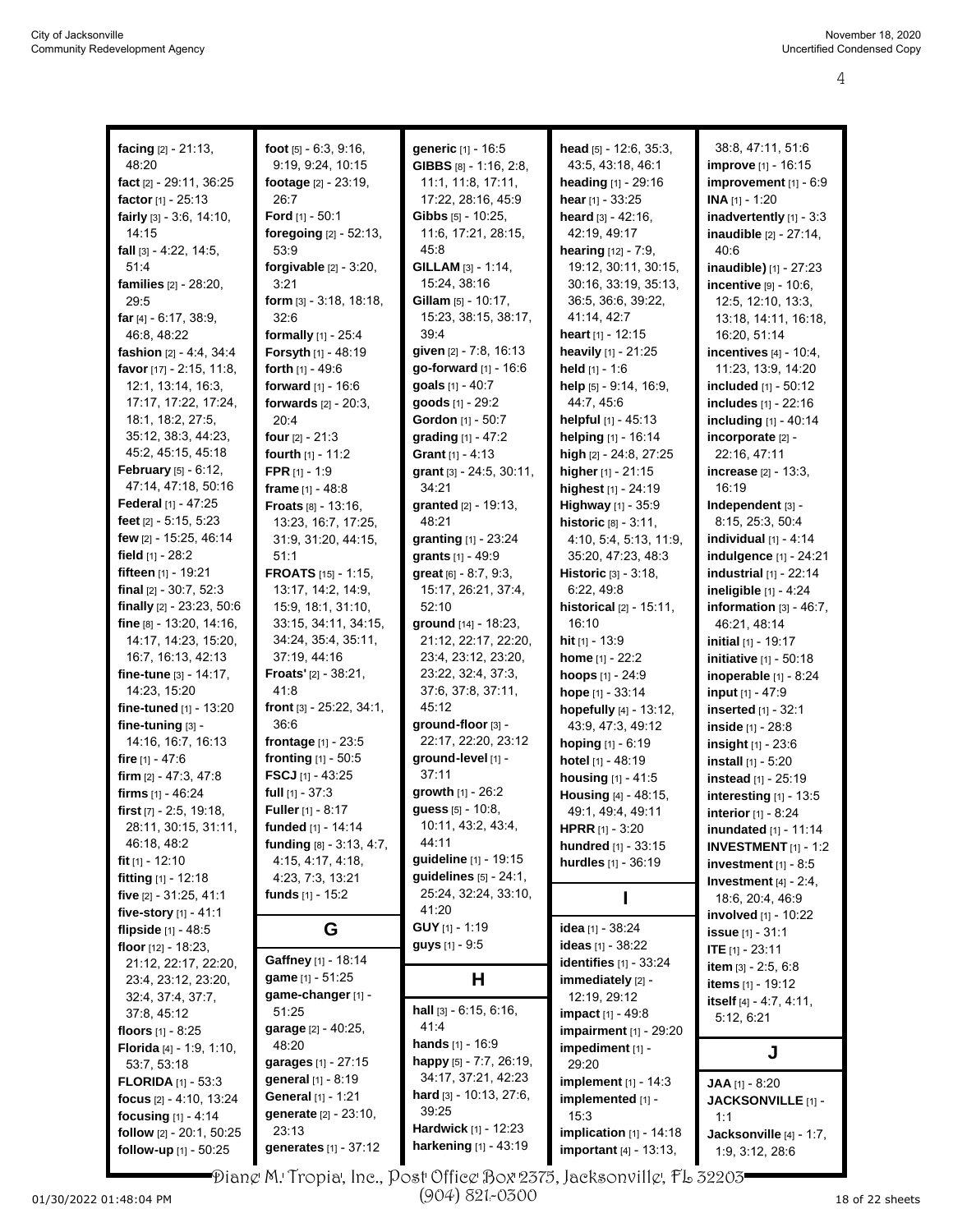| facing [2] - 21:13,            | foot $[5] - 6.3, 9.16$ ,       | generic [1] - 16:5               | head [5] - 12:6, 35:3,            | 38:8, 47:11, 51:6              |
|--------------------------------|--------------------------------|----------------------------------|-----------------------------------|--------------------------------|
| 48:20                          | 9:19, 9:24, 10:15              | <b>GIBBS</b> $[8] - 1.16$ , 2:8, | 43:5, 43:18, 46:1                 | <b>improve</b> [1] - 16:15     |
| fact $[2] - 29:11, 36:25$      | footage $[2] - 23:19$ ,        | 11:1, 11:8, 17:11,               | heading [1] - 29:16               | improvement $[1] - 6:9$        |
|                                | 26:7                           | 17:22, 28:16, 45:9               |                                   |                                |
| <b>factor</b> $[1] - 25:13$    |                                |                                  | hear $[1] - 33:25$                | $INA [1] - 1:20$               |
| fairly [3] - 3.6, 14:10,       | Ford $[1]$ - 50:1              | Gibbs [5] - 10:25,               | heard $[3] - 42:16$ ,             | inadvertently [1] - 3:3        |
| 14:15                          | foregoing [2] - 52:13,         | 11:6, 17:21, 28:15,              | 42:19, 49:17                      | inaudible [2] - 27:14,         |
| fall $[3] - 4:22, 14:5,$       | 53.9                           | 45:8                             | hearing [12] - 7:9,               | 40:6                           |
| 51:4                           | forgivable $[2] - 3:20$ ,      | GILLAM [3] - 1:14,               | 19:12, 30:11, 30:15,              | inaudible) [1] - 27:23         |
| families [2] - 28:20,          | 3:21                           | 15:24, 38:16                     | 30:16, 33:19, 35:13,              | incentive $[9] - 10.6$ ,       |
| 29:5                           | form $[3]$ - 3:18, 18:18,      | <b>Gillam</b> $[5] - 10:17$ ,    | 36.5, 36.6, 39.22,                | 12:5, 12:10, 13:3,             |
| far [4] - 6:17, 38:9,          | 32:6                           | 15:23, 38:15, 38:17,             | 41:14, 42.7                       | 13:18, 14:11, 16:18,           |
| 46:8, 48:22                    | formally [1] - 25:4            | 39.4                             | heart $[1] - 12:15$               | 16:20, 51:14                   |
| fashion $[2] - 4.4$ , 34.4     | Forsyth [1] - 48:19            | given [2] - 7:8, 16:13           | <b>heavily</b> $[1]$ - 21:25      | incentives $[4] - 10.4$ ,      |
| favor [17] - 2:15, 11:8,       | forth $[1] - 49.6$             | go-forward [1] - 16:6            | held $[1] - 1.6$                  | 11:23, 13.9, 14:20             |
| 12:1, 13:14, 16:3,             | forward $[1] - 16.6$           | goals $[1] - 40:7$               | help [5] - 9:14, 16:9,            | included [1] - 50:12           |
| 17:17, 17:22, 17:24,           |                                | goods [1] - 29:2                 | 44:7, 45:6                        | includes [1] - 22:16           |
|                                | forwards $[2] - 20:3$ ,        |                                  |                                   |                                |
| 18:1, 18:2, 27:5,              | 20:4                           | Gordon [1] - 50:7                | <b>helpful</b> $[1]$ - 45:13      | including [1] - 40:14          |
| 35:12, 38:3, 44:23,            | <b>four</b> $[2] - 21:3$       | grading [1] - 47:2               | helping [1] - 16:14               | incorporate [2] -              |
| 45:2, 45:15, 45:18             | fourth [1] - 11:2              | <b>Grant</b> $[1] - 4:13$        | high [2] - 24:8, 27:25            | 22:16, 47:11                   |
| <b>February</b> $[5] - 6:12$ , | <b>FPR</b> $[1] - 1:9$         | grant [3] - 24:5, 30:11,         | higher [1] - 21:15                | <b>increase</b> [2] - 13:3,    |
| 47:14, 47:18, 50:16            | frame [1] - 48:8               | 34:21                            | highest [1] - 24:19               | 16:19                          |
| Federal [1] - 47:25            | <b>Froats</b> $[8] - 13:16$ ,  | granted [2] - 19:13,             | Highway [1] - 35:9                | Independent [3] -              |
| feet $[2] - 5:15, 5:23$        | 13:23, 16:7, 17:25,            | 48:21                            | historic [8] - 3:11,              | 8:15, 25:3, 50:4               |
| few [2] - 15:25, 46:14         | 31:9, 31:20, 44:15,            | granting $[1]$ - 23:24           | 4:10, 5:4, 5:13, 11:9,            | individual $[1]$ - 4:14        |
| field $[1]$ - 28:2             | 51:1                           | grants [1] - 49:9                | 35:20, 47:23, 48:3                | indulgence [1] - 24:21         |
| fifteen [1] - 19:21            | FROATS [15] - 1:15,            | great [6] - 8:7, 9:3,            | <b>Historic</b> [3] - 3:18,       | industrial $[1]$ - 22:14       |
| final $[2] - 30.7, 52.3$       | 13:17, 14:2, 14:9,             | 15:17, 26:21, 37:4,              | 6:22, 49:8                        | ineligible $[1]$ - 4:24        |
|                                |                                |                                  |                                   |                                |
| finally [2] - 23:23, 50:6      | 15:9, 18:1, 31:10,             | 52:10                            | <b>historical</b> $[2] - 15:11$ , | information $[3] - 46:7$ ,     |
| fine $[8] - 13:20, 14:16$ ,    | 33:15, 34:11, 34:15,           | ground [14] - 18:23,             | 16:10                             | 46:21, 48:14                   |
| 14:17, 14:23, 15:20,           | 34:24, 35:4, 35:11,            | 21:12, 22:17, 22:20,             | hit $[1] - 13.9$                  | <b>initial</b> $[1]$ - 19:17   |
| 16:7, 16:13, 42:13             | 37:19, 44:16                   | 23:4, 23:12, 23:20,              | home $[1] - 22:2$                 | <b>initiative</b> [1] - 50:18  |
| fine-tune $[3] - 14:17$ ,      | <b>Froats'</b> $[2] - 38.21$ , | 23:22, 32:4, 37:3,               | hoops [1] - 24:9                  | inoperable [1] - 8:24          |
| 14:23, 15:20                   | 41:8                           | 37:6, 37:8, 37:11,               | hope [1] - 33:14                  | input [1] - 47:9               |
| fine-tuned $[1]$ - 13:20       | front [3] - 25:22, 34:1,       | 45:12                            | hopefully [4] - 13:12,            | inserted [1] - 32:1            |
| fine-tuning [3] -              | 36:6                           | ground-floor [3] -               | 43:9, 47:3, 49:12                 | inside [1] - 28:8              |
| 14:16, 16:7, 16:13             | frontage [1] - 23:5            | 22:17, 22:20, 23:12              | hoping [1] - 6:19                 | <b>insight</b> $[1] - 23.6$    |
| fire $[1] - 47:6$              | <b>fronting</b> $[1] - 50.5$   | ground-level [1] -               | <b>hotel</b> [1] - 48:19          | install $[1] - 5:20$           |
| firm $[2] - 47:3, 47:8$        | FSCJ [1] - 43:25               | 37:11                            | housing [1] - 41:5                | instead [1] - 25:19            |
| firms $[1] - 46:24$            | full $[1] - 37:3$              | growth [1] - 26:2                | <b>Housing [4] - 48:15,</b>       |                                |
|                                |                                | guess [5] - 10:8,                |                                   | interesting $[1]$ - 13:5       |
| first [7] - 2:5, 19:18,        | <b>Fuller</b> [1] - $8:17$     | 10:11, 43:2, 43:4,               | 49:1, 49:4, 49:11                 | interior [1] - 8:24            |
| 28:11, 30:15, 31:11,           | funded [1] - 14:14             |                                  | <b>HPRR</b> $[1] - 3:20$          | <b>inundated</b> $[1]$ - 11:14 |
| 46:18, 48:2                    | funding [8] - 3:13, 4:7,       | 44:11                            | hundred [1] - 33:15               | <b>INVESTMENT</b> $[1]$ - 1:2  |
| fit $[1]$ - 12:10              | 4:15, 4:17, 4:18,              | guideline [1] - 19:15            | hurdles [1] - 36:19               | investment $[1]$ - 8:5         |
| fitting $[1] - 12:18$          | 4.23, 7.3, 13.21               | guidelines $[5] - 24:1$ ,        |                                   | Investment $[4] - 2.4$ ,       |
| five [2] - 31:25, 41:1         | funds [1] - 15:2               | 25:24, 32:24, 33:10,             |                                   | 18.6, 20.4, 46.9               |
| five-story $[1] - 41:1$        |                                |                                  |                                   |                                |
|                                |                                | 41:20                            |                                   | involved [1] - 10:22           |
| flipside [1] - 48:5            |                                | <b>GUY</b> $[1]$ - 1:19          | idea [1] - 38:24                  |                                |
|                                | G                              | <b>guys</b> $[1] - 9.5$          |                                   | <b>issue</b> [1] - 31:1        |
| floor $[12] - 18:23$ ,         | Gaffney [1] - 18:14            |                                  | ideas [1] - 38:22                 | ITE $[1] - 23.11$              |
| 21:12, 22:17, 22:20,           | game [1] - 51:25               |                                  | <b>identifies</b> [1] - 33:24     | item [3] - 2:5, 6:8            |
| 23.4, 23.12, 23:20,            |                                | н                                | immediately [2] -                 | <b>items</b> [1] - 19:12       |
| 32:4, 37:4, 37:7,              | game-changer [1] -             | hall [3] - 6:15, 6:16,           | 12:19, 29:12                      | itself [4] - 4:7, 4:11,        |
| 37:8, 45:12                    | 51:25                          | 41.4                             | impact [1] - 49:8                 | 5:12, 6:21                     |
| floors $[1]$ - 8:25            | garage [2] - 40:25,            |                                  | <b>impairment</b> [1] - 29:20     |                                |
| Florida [4] - 1:9, 1:10,       | 48:20                          | hands [1] - 16:9                 | impediment [1] -                  | J                              |
| 53:7, 53:18                    | garages [1] - 27:15            | happy $[5]$ - 7:7, 26:19,        | 29:20                             |                                |
| <b>FLORIDA</b> $[1] - 53.3$    | <b>general</b> [1] - 8:19      | 34:17, 37:21, 42:23              | implement [1] - 14:3              | JAA [1] - 8:20                 |
| focus $[2] - 4:10, 13:24$      | General [1] - 1:21             | hard $[3] - 10:13, 27:6,$        | implemented [1] -                 | JACKSONVILLE [1] -             |
| focusing $[1] - 4:14$          | generate [2] - 23:10,          | 39:25                            | 15:3                              | 1:1                            |
| follow [2] - 20:1, 50:25       | 23:13                          | <b>Hardwick</b> [1] - 12:23      | implication $[1]$ - 14:18         | Jacksonville [4] - 1:7,        |
| follow-up [1] - 50:25          | generates [1] - 37:12          | <b>harkening</b> $[1] - 43:19$   | important [4] - 13:13,            | 1:9, 3:12, 28:6                |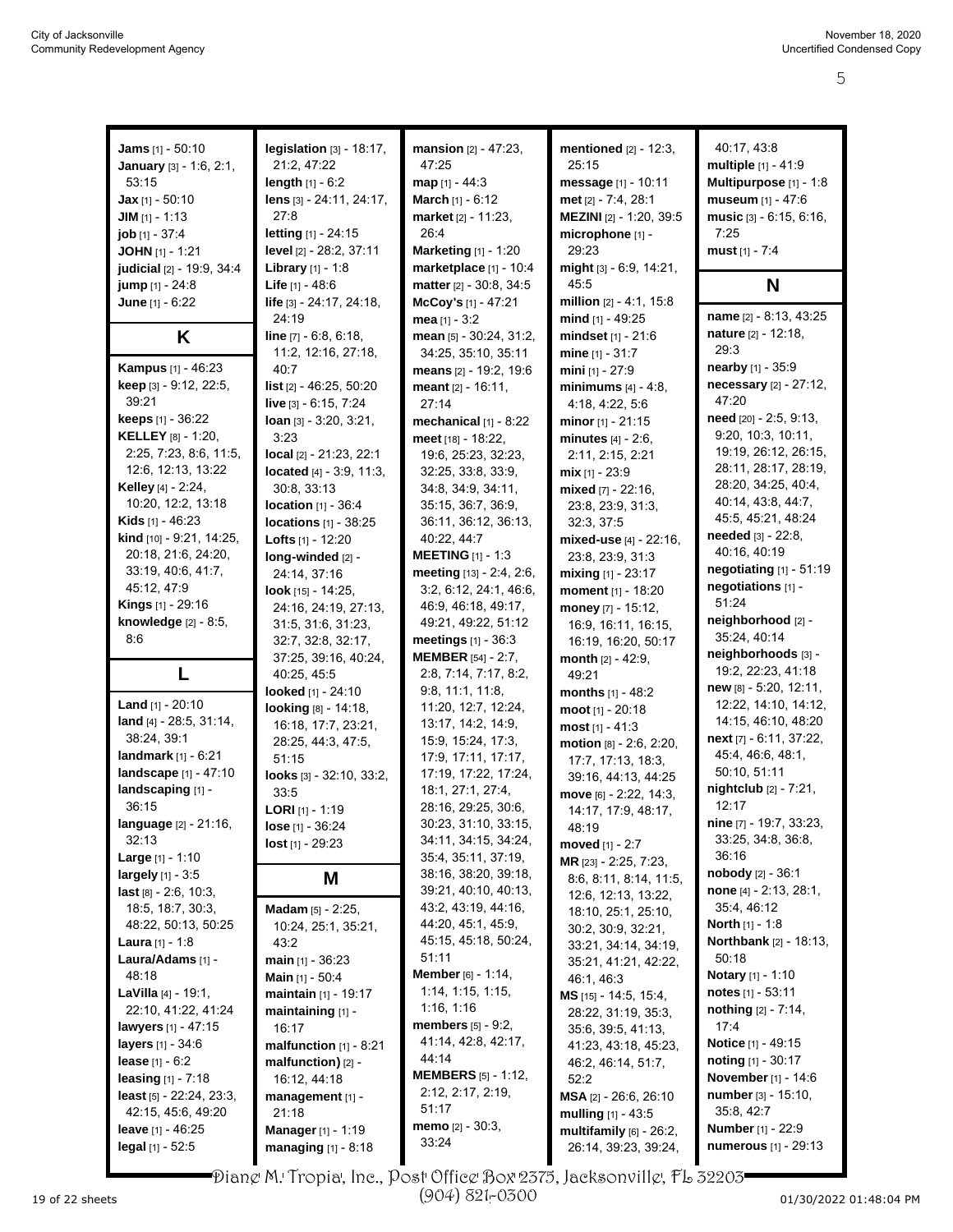| Jams [1] - 50:10                  | legislation $[3]$ - 18:17,           | mansion [2] - 47:23,                         | mentioned [2] - 12:3,           | 40:17, 43:8                     |
|-----------------------------------|--------------------------------------|----------------------------------------------|---------------------------------|---------------------------------|
|                                   | 21:2, 47:22                          | 47:25                                        | 25:15                           | multiple [1] - 41:9             |
| January [3] - 1:6, 2:1,           |                                      |                                              |                                 |                                 |
| 53:15                             | length $[1] - 6:2$                   | $map$ [1] - 44:3                             | message [1] - 10:11             | Multipurpose [1] - 1:8          |
| <b>Jax</b> [1] - 50:10            | lens [3] - 24:11, 24:17,             | March [1] - 6:12                             | met [2] - 7:4, 28:1             | museum [1] - 47:6               |
| <b>JIM</b> $[1] - 1:13$           | 27:8                                 | <b>market</b> [2] - 11:23,                   | MEZINI [2] - 1:20, 39:5         | music [3] - 6:15, 6:16,         |
| $job$ [1] - 37:4                  | letting [1] - 24:15                  | 26:4                                         | microphone [1] -                | 7:25                            |
| JOHN [1] - 1:21                   | level [2] - 28:2, 37:11              | <b>Marketing [1] - 1:20</b>                  | 29:23                           | must $[1] - 7:4$                |
| judicial [2] - 19:9, 34:4         | <b>Library</b> $[1] - 1.8$           | marketplace [1] - 10:4                       | might [3] - 6:9, 14:21,         |                                 |
|                                   | <b>Life</b> $[1] - 48.6$             | matter [2] - 30.8, 34:5                      | 45:5                            | N                               |
| jump [1] - 24:8                   |                                      |                                              |                                 |                                 |
| June [1] - 6:22                   | life [3] - 24:17, 24:18,             | McCoy's [1] - 47:21                          | million [2] - 4:1, 15:8         | name [2] - 8:13, 43:25          |
|                                   | 24:19                                | mea $[1] - 3:2$                              | mind $[1]$ - 49:25              |                                 |
| K                                 | line [7] - 6:8, 6:18,                | mean [5] - 30:24, 31:2,                      | mindset [1] - 21:6              | nature [2] - 12:18,             |
|                                   | 11:2, 12:16, 27:18,                  | 34:25, 35:10, 35:11                          | mine [1] - 31:7                 | 29:3                            |
| <b>Kampus</b> [1] - 46:23         | 40:7                                 | means [2] - 19:2, 19:6                       | mini $[1] - 27:9$               | nearby [1] - 35:9               |
| <b>keep</b> $[3] - 9.12, 22.5,$   | list $[2] - 46:25, 50:20$            | meant $[2] - 16:11$ ,                        | minimums $[4] - 4:8$ ,          | necessary [2] - 27:12,          |
| 39:21                             | live $[3] - 6.15, 7.24$              | 27:14                                        | 4:18, 4:22, 5:6                 | 47:20                           |
| keeps [1] - 36:22                 | $\lambda$ loan $\lambda$ 3:20, 3:21, | mechanical $[1]$ - 8:22                      | minor $[1] - 21:15$             | need [20] - 2:5, 9:13,          |
| <b>KELLEY</b> $[8] - 1:20$ ,      | 3:23                                 |                                              |                                 | 9:20, 10:3, 10:11,              |
|                                   |                                      | meet [18] - 18:22,                           | minutes [4] - 2:6,              | 19:19, 26:12, 26:15,            |
| 2:25, 7:23, 8:6, 11:5,            | local [2] - 21:23, 22:1              | 19.6, 25.23, 32:23,                          | 2:11, 2:15, 2:21                |                                 |
| 12:6, 12:13, 13:22                | located $[4] - 3.9, 11.3$ ,          | 32:25, 33:8, 33:9,                           | $mix$ [1] - 23:9                | 28:11, 28:17, 28:19,            |
| <b>Kelley</b> [4] - 2:24,         | 30:8, 33:13                          | 34:8, 34:9, 34:11,                           | mixed $[7] - 22:16$ ,           | 28:20, 34:25, 40:4,             |
| 10:20, 12:2, 13:18                | <b>location</b> $[1] - 36:4$         | 35:15, 36:7, 36:9,                           | 23:8, 23:9, 31:3,               | 40:14, 43:8, 44:7,              |
| <b>Kids</b> $[1] - 46:23$         | locations [1] - 38:25                | 36:11, 36:12, 36:13,                         | 32:3, 37:5                      | 45:5, 45:21, 48:24              |
| kind [10] - 9:21, 14:25,          | <b>Lofts</b> $[1]$ - 12:20           | 40:22, 44:7                                  | mixed-use [4] - 22:16,          | <b>needed</b> $[3] - 22:8$ ,    |
| 20:18, 21:6, 24:20,               | long-winded [2] -                    | <b>MEETING</b> $[1]$ - 1:3                   | 23:8, 23:9, 31:3                | 40:16, 40:19                    |
| 33:19, 40:6, 41:7,                | 24:14, 37:16                         | meeting [13] - 2:4, 2:6,                     | mixing $[1] - 23:17$            | negotiating [1] - 51:19         |
| 45:12, 47:9                       |                                      |                                              |                                 | negotiations [1] -              |
|                                   | look $[15] - 14:25$ ,                | 3:2, 6:12, 24:1, 46.6,                       | moment [1] - 18:20              | 51:24                           |
| Kings [1] - 29:16                 | 24:16, 24:19, 27:13,                 | 46.9, 46.18, 49.17,                          | money [7] - 15:12,              |                                 |
| knowledge [2] - 8:5,              | 31:5, 31:6, 31:23,                   | 49:21, 49:22, 51:12                          | 16.9, 16.11, 16:15,             | neighborhood [2] -              |
| 8.6                               | 32:7, 32:8, 32:17,                   | meetings $[1]$ - 36:3                        | 16:19, 16:20, 50:17             | 35:24, 40:14                    |
|                                   | 37:25, 39:16, 40:24,                 | <b>MEMBER</b> [54] - 2:7,                    | month $[2] - 42:9$ ,            | neighborhoods [3] -             |
| L                                 |                                      |                                              |                                 |                                 |
|                                   | 40:25, 45:5                          | 2:8, 7:14, 7:17, 8:2,                        | 49:21                           | 19:2, 22:23, 41:18              |
|                                   |                                      |                                              |                                 | new [8] - 5:20, 12:11,          |
| <b>Land</b> $[1]$ - 20:10         | looked [1] - 24:10                   | 9.8, 11.1, 11.8,                             | months $[1] - 48.2$             | 12:22, 14:10, 14:12,            |
|                                   | looking [8] - 14:18,                 | 11:20, 12:7, 12:24,                          | moot $[1] - 20:18$              | 14:15, 46:10, 48:20             |
| land [4] - 28:5, 31:14,           | 16:18, 17:7, 23:21,                  | 13:17, 14:2, 14:9,                           | most $[1] - 41:3$               |                                 |
| 38:24, 39:1                       | 28:25, 44:3, 47:5,                   | 15.9, 15.24, 17:3,                           | motion [8] - 2:6, 2:20,         | next [7] - 6:11, 37:22,         |
| landmark [1] - 6:21               | 51:15                                | 17:9, 17:11, 17:17,                          | 17:7, 17:13, 18:3,              | 45:4, 46:6, 48:1,               |
| landscape [1] - 47:10             | looks [3] - 32:10, 33:2,             | 17:19, 17:22, 17:24,                         | 39:16, 44:13, 44:25             | 50:10, 51:11                    |
| landscaping [1] -                 | 33.5                                 | 18:1, 27:1, 27:4,                            | move [6] - 2:22, 14:3,          | nightclub [2] - 7:21,           |
| 36:15                             | <b>LORI</b> $[1]$ - 1:19             | 28:16, 29:25, 30:6,                          | 14:17, 17:9, 48:17,             | 12:17                           |
| language [2] - 21:16,             | lose [1] - 36:24                     | 30:23, 31:10, 33:15,                         | 48:19                           | nine [7] - 19:7, 33:23,         |
| 32:13                             |                                      | 34:11, 34:15, 34:24,                         |                                 | 33.25, 34.8, 36.8,              |
| Large [1] - 1:10                  | $lost [1] - 29:23$                   | 35:4, 35:11, 37:19,                          | moved $[1] - 2:7$               | 36:16                           |
| <b>largely</b> $[1] - 3.5$        |                                      |                                              | MR [23] - 2:25, 7:23,           | <b>nobody</b> $[2] - 36:1$      |
|                                   | Μ                                    | 38:16, 38:20, 39:18,<br>39:21, 40:10, 40:13, | 8:6, 8:11, 8:14, 11:5,          | <b>none</b> $[4] - 2:13, 28:1,$ |
| <b>last</b> $[8] - 2.6, 10.3,$    |                                      |                                              | 12:6, 12:13, 13:22,             |                                 |
| 18:5, 18:7, 30:3,                 | Madam [5] - 2:25,                    | 43:2, 43:19, 44:16,                          | 18:10, 25:1, 25:10,             | 35.4, 46:12                     |
| 48:22, 50:13, 50:25               | 10:24, 25:1, 35:21,                  | 44:20, 45:1, 45:9,                           | 30.2, 30.9, 32.21,              | <b>North</b> $[1] - 1.8$        |
| <b>Laura</b> $[1] - 1.8$          | 43.2                                 | 45:15, 45:18, 50:24,                         | 33:21, 34:14, 34:19,            | <b>Northbank</b> [2] - 18:13,   |
| Laura/Adams [1] -                 | <b>main</b> $[1]$ - 36:23            | 51:11                                        | 35:21, 41:21, 42:22,            | 50:18                           |
| 48:18                             | Main [1] - 50:4                      | Member [6] - 1:14,                           | 46:1, 46:3                      | <b>Notary</b> [1] - 1:10        |
| LaVilla [4] - 19:1,               | <b>maintain</b> $[1]$ - 19:17        | 1:14, 1:15, 1:15,                            | MS [15] - 14:5, 15:4,           | notes $[1] - 53:11$             |
| 22:10, 41:22, 41:24               | maintaining [1] -                    | 1:16, 1:16                                   | 28:22, 31:19, 35:3,             | <b>nothing</b> $[2] - 7.14$ ,   |
| <b>lawyers</b> [1] - 47:15        | 16:17                                | <b>members</b> $[5] - 9:2$ ,                 |                                 | 17:4                            |
|                                   |                                      | 41:14, 42:8, 42:17,                          | 35.6, 39.5, 41.13,              |                                 |
| layers [1] - 34:6                 | malfunction $[1] - 8:21$             |                                              | 41:23, 43:18, 45:23,            | <b>Notice</b> $[1] - 49.15$     |
| <b>lease</b> $[1] - 6:2$          | malfunction) $[2] -$                 | 44:14                                        | 46.2, 46.14, 51.7,              | <b>noting</b> $[1] - 30:17$     |
| <b>leasing</b> $[1] - 7:18$       | 16:12, 44:18                         | <b>MEMBERS</b> [5] - 1:12,                   | 52:2                            | November [1] - 14:6             |
| <b>least</b> $[5] - 22:24, 23:3,$ | management [1] -                     | 2:12, 2:17, 2:19,                            | <b>MSA</b> $[2] - 26:6$ , 26:10 | number [3] - 15:10,             |
| 42:15, 45:6, 49:20                | 21:18                                | 51:17                                        | mulling $[1] - 43.5$            | 35:8, 42:7                      |
| leave $[1] - 46.25$               | <b>Manager</b> [1] - 1:19            | <b>memo</b> $[2] - 30:3$ ,                   | multifamily $[6]$ - 26:2,       | <b>Number</b> [1] - 22:9        |
| legal $[1]$ - 52:5                | managing [1] - 8:18                  | 33:24                                        | 26:14, 39:23, 39:24,            | <b>numerous</b> [1] - 29:13     |

Diane M. Tropia, Inc., Post Office Box 2375, Jacksonville, FL 32203 (904) 821-0300

19 of 22 sheets Page 5 to 5 of 8 01/30/2022 01:48:04 PM

U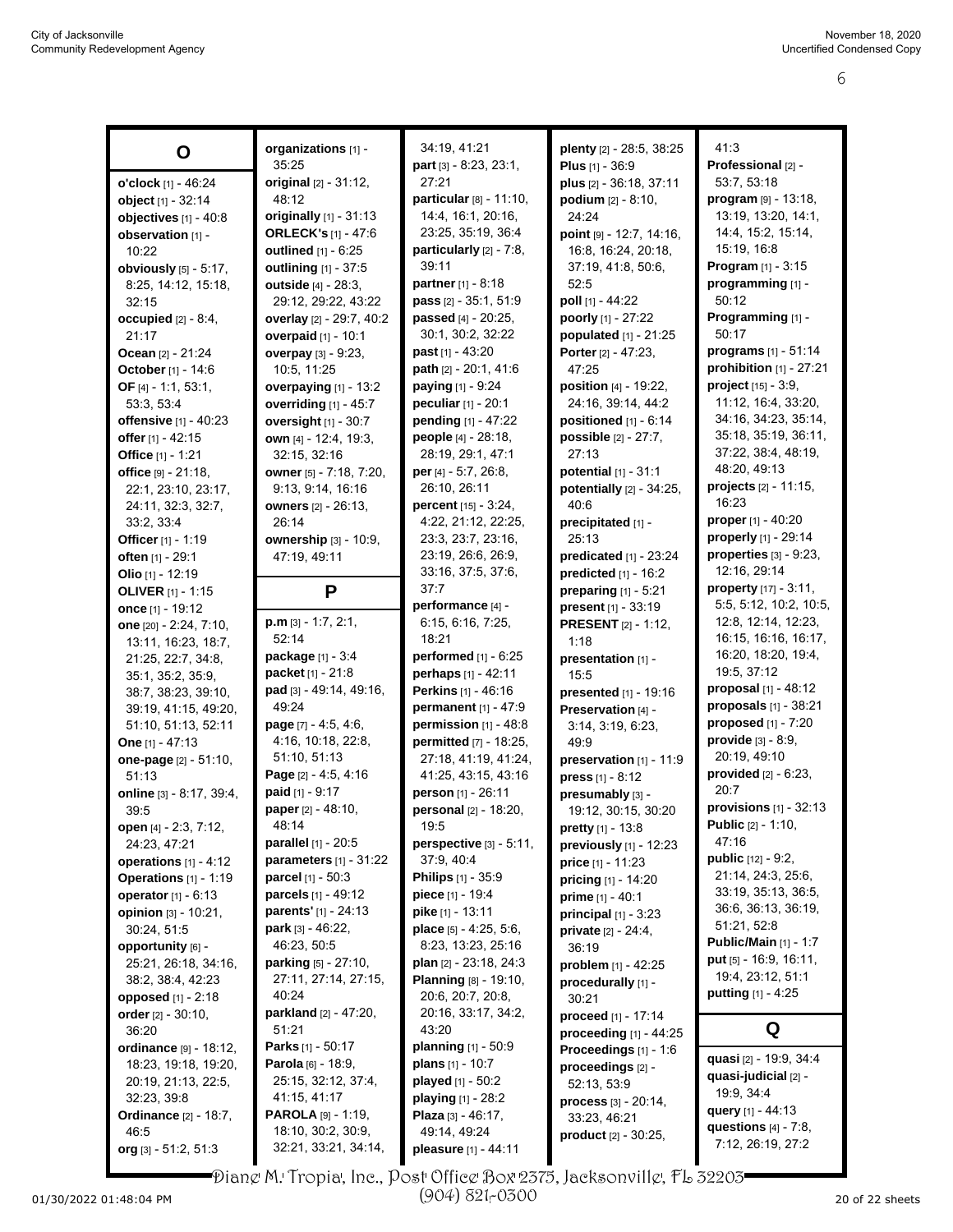|                              | organizations [1] -           | 34:19, 41:21                    | plenty [2] - 28:5, 38:25              | 41:3                         |
|------------------------------|-------------------------------|---------------------------------|---------------------------------------|------------------------------|
| O                            | 35:25                         | part [3] - 8:23, 23:1,          | Plus $[1] - 36.9$                     | Professional [2] -           |
|                              | original [2] - 31:12,         | 27:21                           | plus [2] - 36:18, 37:11               | 53:7, 53:18                  |
| o'clock [1] - 46:24          | 48:12                         | particular $[8] - 11:10$ ,      |                                       | program [9] - 13:18,         |
| object [1] - 32:14           |                               | 14:4, 16:1, 20:16,              | <b>podium</b> $[2] - 8:10$ ,<br>24:24 | 13:19, 13:20, 14:1,          |
| objectives [1] - 40:8        | originally [1] - 31:13        | 23:25, 35:19, 36:4              |                                       | 14.4, 15.2, 15.14,           |
| observation [1] -            | <b>ORLECK's [1] - 47:6</b>    |                                 | point [9] - 12:7, 14:16,              |                              |
| 10:22                        | outlined [1] - 6:25           | particularly $[2] - 7:8$ ,      | 16:8, 16:24, 20:18,                   | 15:19, 16:8                  |
| obviously [5] - 5:17,        | outlining [1] - 37:5          | 39:11                           | 37:19, 41:8, 50:6,                    | <b>Program</b> $[1] - 3:15$  |
| 8:25, 14:12, 15:18,          | outside [4] - 28:3,           | partner [1] - 8:18              | 52:5                                  | programming [1] -            |
| 32:15                        | 29:12, 29:22, 43:22           | pass [2] - 35:1, 51:9           | poll [1] - 44:22                      | 50:12                        |
| occupied $[2] - 8.4$ ,       | overlay [2] - 29:7, 40:2      | passed [4] - 20:25,             | poorly [1] - 27:22                    | Programming [1] -            |
| 21:17                        | overpaid [1] - 10:1           | 30:1, 30:2, 32:22               | populated [1] - 21:25                 | 50:17                        |
| Ocean [2] - 21:24            | overpay [3] - 9:23,           | <b>past</b> $[1] - 43:20$       | Porter $[2] - 47:23$ ,                | programs [1] - 51:14         |
| October [1] - 14:6           | 10:5, 11:25                   | path [2] - 20:1, 41:6           | 47:25                                 | prohibition [1] - 27:21      |
| OF $[4] - 1:1, 53:1,$        | overpaying [1] - 13:2         | <b>paying</b> $[1] - 9:24$      | position [4] - 19:22,                 | project $[15] - 3.9$ ,       |
| 53:3, 53:4                   | overriding [1] - 45:7         | peculiar [1] - 20:1             | 24:16, 39:14, 44:2                    | 11:12, 16:4, 33:20,          |
| offensive [1] - 40:23        | oversight [1] - 30:7          | pending [1] - 47:22             | positioned $[1] - 6.14$               | 34:16, 34:23, 35:14,         |
| offer [1] - 42:15            | own [4] - 12:4, 19:3,         | people [4] - 28:18,             | <b>possible</b> $[2] - 27:7$ ,        | 35:18, 35:19, 36:11,         |
| Office [1] - 1:21            | 32:15, 32:16                  | 28:19, 29:1, 47:1               | 27:13                                 | 37:22, 38:4, 48:19,          |
| office [9] - 21:18,          | owner [5] - 7:18, 7:20,       | per [4] - 5:7, 26:8,            | potential $[1] - 31:1$                | 48:20, 49:13                 |
| 22:1, 23:10, 23:17,          | 9:13, 9:14, 16:16             | 26:10, 26:11                    | potentially $[2] - 34:25$ ,           | projects [2] - 11:15,        |
| 24:11, 32:3, 32:7,           | owners [2] - 26:13,           | percent [15] - 3:24,            | 40:6                                  | 16:23                        |
| 33:2, 33:4                   | 26:14                         | 4:22, 21:12, 22:25,             | precipitated [1] -                    | proper [1] - 40:20           |
| <b>Officer</b> [1] - 1:19    | ownership [3] - 10:9,         | 23:3, 23:7, 23:16,              | 25:13                                 | properly [1] - 29:14         |
| often [1] - 29:1             | 47:19, 49:11                  | 23:19, 26:6, 26:9,              | predicated [1] - 23:24                | properties $[3]$ - $9:23$ ,  |
| Olio $[1] - 12:19$           |                               | 33:16, 37:5, 37:6,              | predicted [1] - 16:2                  | 12:16, 29:14                 |
| <b>OLIVER</b> $[1] - 1:15$   | P                             | 37:7                            | preparing [1] - 5:21                  | property [17] - 3:11,        |
| once [1] - 19:12             |                               | performance [4] -               | present [1] - 33:19                   | 5:5, 5:12, 10:2, 10:5,       |
| one [20] - 2:24, 7:10,       | $p.m$ [3] - 1:7, 2:1,         | 6.15, 6.16, 7.25,               | <b>PRESENT</b> [2] - 1:12,            | 12:8, 12:14, 12:23,          |
| 13:11, 16:23, 18:7,          | 52:14                         | 18:21                           | 1:18                                  | 16:15, 16:16, 16:17,         |
| 21:25, 22:7, 34:8,           | package [1] - 3:4             | performed [1] - 6:25            | presentation [1] -                    | 16:20, 18:20, 19:4,          |
| 35:1, 35:2, 35:9,            | packet [1] - 21:8             | perhaps [1] - 42:11             | 15:5                                  | 19:5, 37:12                  |
| 38:7, 38:23, 39:10,          | pad [3] - 49:14, 49:16,       | <b>Perkins</b> [1] - 46:16      | presented [1] - 19:16                 | proposal [1] - 48:12         |
| 39:19, 41:15, 49:20,         | 49.24                         | permanent [1] - 47:9            | Preservation [4] -                    | proposals $[1]$ - 38:21      |
| 51:10, 51:13, 52:11          | page [7] - 4:5, 4:6,          | permission $[1]$ - 48:8         | 3:14, 3:19, 6:23,                     | proposed $[1]$ - $7:20$      |
| One [1] - 47:13              | 4:16, 10:18, 22:8,            | permitted [7] - 18:25,          | 49.9                                  | provide $[3] - 8.9$ ,        |
| one-page [2] - 51:10,        | 51:10, 51:13                  | 27:18, 41:19, 41:24,            | preservation [1] - 11:9               | 20:19, 49:10                 |
| 51:13                        | <b>Page</b> $[2] - 4.5, 4.16$ | 41:25, 43:15, 43:16             | press $[1] - 8:12$                    | provided $[2] - 6:23$ ,      |
| online [3] - 8:17, 39:4,     | paid [1] - 9:17               | person [1] - 26:11              | presumably [3] -                      | 20:7                         |
|                              | paper [2] - 48:10,            | personal [2] - 18:20,           |                                       | provisions $[1]$ - 32:13     |
| 39:5                         | 48:14                         | 19:5                            | 19:12, 30:15, 30:20                   | <b>Public</b> [2] - 1:10,    |
| open [4] - 2:3, 7:12,        | parallel [1] - 20:5           | perspective [3] - 5:11,         | <b>pretty</b> [1] - 13:8              | 47:16                        |
| 24:23, 47:21                 |                               |                                 | previously [1] - 12:23                | <b>public</b> $[12] - 9:2$ , |
| operations $[1] - 4:12$      | parameters [1] - 31:22        | 37.9, 40.4                      | price [1] - 11:23                     | 21:14, 24:3, 25:6,           |
| Operations [1] - 1:19        | <b>parcel</b> $[1] - 50:3$    | <b>Philips</b> [1] - 35:9       | <b>pricing</b> $[1] - 14:20$          | 33:19, 35:13, 36:5,          |
| operator $[1] - 6:13$        | <b>parcels</b> [1] - 49:12    | <b>piece</b> [1] - 19:4         | prime $[1] - 40:1$                    | 36:6, 36:13, 36:19,          |
| opinion $[3] - 10:21$ ,      | parents' [1] - 24:13          | <b>pike</b> [1] - 13:11         | <b>principal</b> $[1] - 3:23$         |                              |
| 30:24, 51:5                  | <b>park</b> [3] - 46:22,      | place $[5] - 4.25, 5.6$ ,       | <b>private</b> <sub>[2]</sub> - 24:4, | 51:21, 52:8                  |
| opportunity [6] -            | 46:23, 50:5                   | 8:23, 13:23, 25:16              | 36:19                                 | <b>Public/Main</b> [1] - 1:7 |
| 25:21, 26:18, 34:16,         | $parking [5] - 27:10,$        | <b>plan</b> $[2] - 23:18, 24:3$ | problem $[1] - 42:25$                 | put [5] - 16.9, 16.11,       |
| 38.2, 38.4, 42.23            | 27:11, 27:14, 27:15,          | Planning [8] - 19:10,           | procedurally [1] -                    | 19:4, 23:12, 51:1            |
| opposed [1] - 2:18           | 40:24                         | 20:6, 20:7, 20:8,               | 30:21                                 | <b>putting</b> $[1] - 4:25$  |
| order $[2] - 30.10$ ,        | parkland [2] - 47:20,         | 20:16, 33:17, 34:2,             | <b>proceed</b> [1] - 17:14            |                              |
| 36:20                        | 51:21                         | 43:20                           | proceeding [1] - 44:25                | Q                            |
| ordinance [9] - 18:12,       | Parks [1] - 50:17             | <b>planning</b> $[1] - 50:9$    | Proceedings [1] - 1:6                 |                              |
| 18:23, 19:18, 19:20,         | <b>Parola</b> [6] - 18:9,     | <b>plans</b> $[1]$ - 10:7       | proceedings [2] -                     | quasi [2] - 19:9, 34:4       |
| 20:19, 21:13, 22:5,          | 25:15, 32:12, 37:4,           | <b>played</b> $[1] - 50:2$      | 52:13, 53.9                           | quasi-judicial [2] -         |
| 32:23, 39:8                  | 41:15, 41:17                  | <b>playing</b> $[1]$ - 28:2     | <b>process</b> $[3] - 20:14$ ,        | 19:9, 34:4                   |
| <b>Ordinance</b> [2] - 18:7, | <b>PAROLA</b> [9] - 1:19,     | Plaza $[3] - 46:17$ ,           | 33.23, 46.21                          | query [1] - 44:13            |
| 46.5                         | 18:10, 30:2, 30:9,            | 49:14, 49:24                    | <b>product</b> [2] - 30:25,           | questions $[4] - 7.8$ ,      |
| org [3] - 51:2, 51:3         | 32:21, 33:21, 34:14,          | pleasure [1] - 44:11            |                                       | 7:12, 26:19, 27:2            |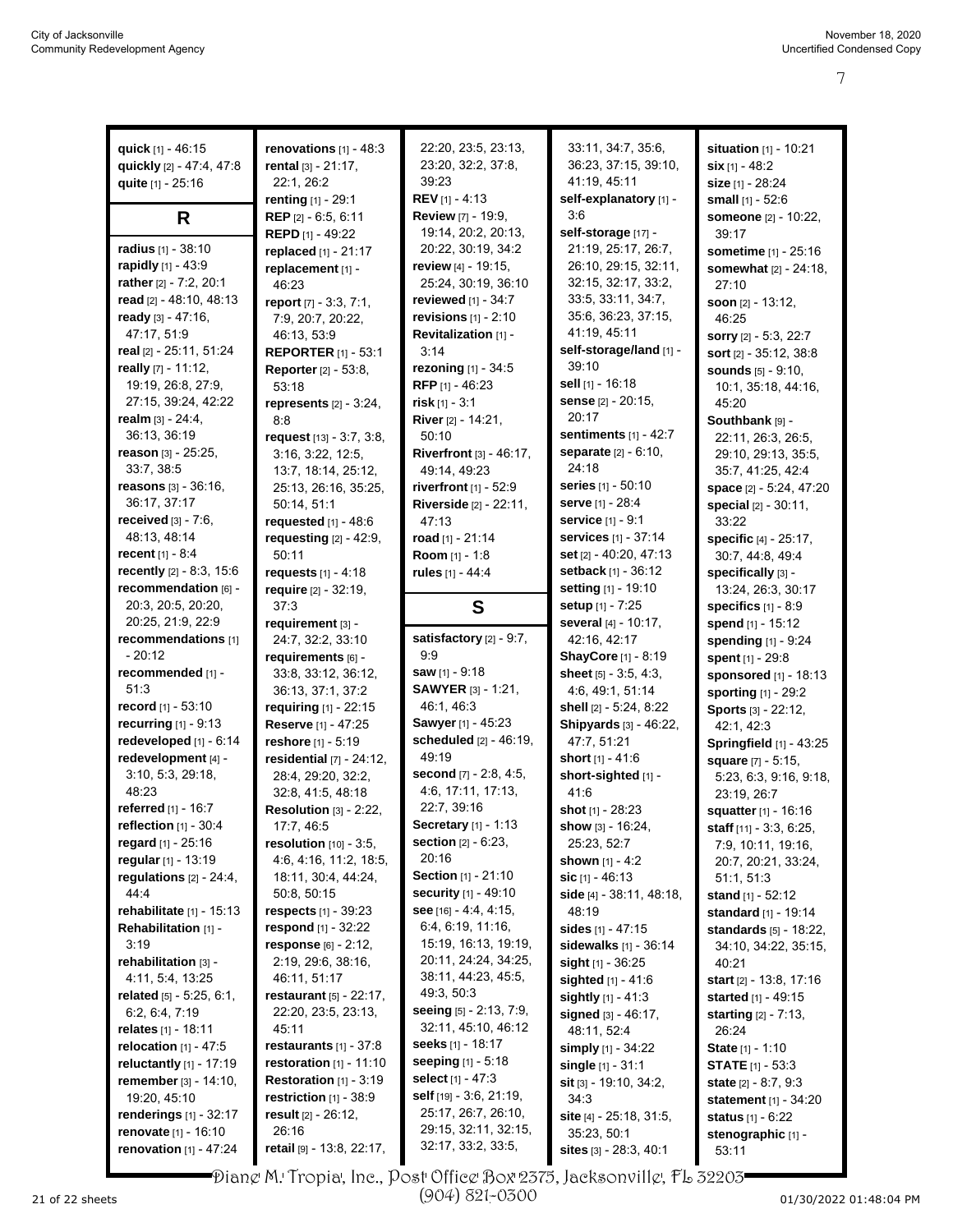| quick $[1] - 46:15$                                              | renovations $[1] - 48:3$           | 22:20, 23:5, 23:13,                        | 33:11, 34:7, 35:6,                      | situation [1] - 10:21            |
|------------------------------------------------------------------|------------------------------------|--------------------------------------------|-----------------------------------------|----------------------------------|
| quickly [2] - 47:4, 47:8                                         | rental [3] - 21:17,                | 23:20, 32:2, 37:8,                         | 36:23, 37:15, 39:10,                    | $\textsf{six}$ [1] - 48:2        |
| quite [1] - 25:16                                                | 22:1, 26:2                         | 39:23                                      | 41:19, 45:11                            | size [1] - 28:24                 |
|                                                                  | renting [1] - 29:1                 | <b>REV</b> [1] - 4:13                      | self-explanatory [1] -                  | small $[1] - 52:6$               |
| R                                                                | REP [2] - 6.5, 6:11                | <b>Review [7] - 19:9,</b>                  | 3:6                                     | someone [2] - 10:22,             |
|                                                                  | REPD [1] - 49:22                   | 19:14, 20:2, 20:13,                        | self-storage [17] -                     | 39:17                            |
| radius [1] - 38:10                                               | replaced [1] - 21:17               | 20:22, 30:19, 34:2                         | 21:19, 25:17, 26:7,                     | sometime [1] - 25:16             |
| rapidly [1] - 43:9                                               | replacement [1] -                  | <b>review</b> [4] - 19:15,                 | 26:10, 29:15, 32:11,                    | somewhat [2] - 24:18,            |
| rather [2] - 7:2, 20:1                                           | 46:23                              | 25:24, 30:19, 36:10                        | 32:15, 32:17, 33:2,                     | 27:10                            |
| read [2] - 48:10, 48:13                                          | report $[7] - 3:3, 7:1,$           | reviewed [1] - 34:7                        | 33:5, 33:11, 34:7,                      | soon [2] - 13:12,                |
| ready $[3] - 47:16$ ,                                            | 7:9, 20:7, 20:22,                  | revisions $[1]$ - 2:10                     | 35.6, 36.23, 37.15,                     | 46:25                            |
| 47:17, 51:9                                                      |                                    | Revitalization [1] -                       | 41.19, 45.11                            |                                  |
|                                                                  | 46:13, 53:9                        |                                            | self-storage/land [1] -                 | sorry [2] - 5:3, 22:7            |
| real [2] - 25:11, 51:24                                          | <b>REPORTER [1] - 53:1</b>         | 3:14                                       | 39:10                                   | sort [2] - 35:12, 38:8           |
| really [7] - 11:12,                                              | <b>Reporter</b> [2] - 53:8,        | rezoning [1] - 34:5                        |                                         | <b>sounds</b> [5] - 9:10,        |
| 19:19, 26:8, 27:9,                                               | 53:18                              | RFP $[1] - 46:23$                          | sell [1] - 16:18                        | 10:1, 35:18, 44:16,              |
| 27:15, 39:24, 42:22                                              | represents $[2] - 3:24$ ,          | risk $[1] - 3:1$                           | sense [2] - 20:15,                      | 45:20                            |
| realm $[3] - 24:4,$                                              | 8:8                                | River [2] - 14:21,                         | 20:17                                   | Southbank [9] -                  |
| 36:13, 36:19                                                     | request [13] - 3:7, 3:8,           | 50:10                                      | sentiments $[1] - 42:7$                 | 22:11, 26:3, 26:5,               |
| reason [3] - 25:25,                                              | 3:16, 3:22, 12:5,                  | Riverfront [3] - 46:17,                    | separate [2] - 6:10,                    | 29:10, 29:13, 35:5,              |
| 33.7, 38.5                                                       | 13:7, 18:14, 25:12,                | 49:14, 49:23                               | 24:18                                   | 35:7, 41:25, 42:4                |
| <b>reasons</b> $[3] - 36:16$ ,                                   | 25:13, 26:16, 35:25,               | riverfront $[1]$ - $52:9$                  | <b>series</b> [1] - 50:10               | space [2] - 5:24, 47:20          |
| 36:17, 37:17                                                     | 50:14, 51:1                        | Riverside [2] - 22:11,                     | <b>serve</b> [1] - 28:4                 | special [2] - 30:11,             |
| <b>received</b> $[3] - 7:6$ ,                                    | requested $[1]$ - 48:6             | 47:13                                      | service [1] - 9:1                       | 33:22                            |
| 48:13, 48:14                                                     | requesting [2] - 42:9,             | road [1] - 21:14                           | services [1] - 37:14                    | specific [4] - 25:17,            |
| recent $[1] - 8.4$                                               | 50:11                              |                                            | set [2] - 40:20, 47:13                  |                                  |
| recently [2] - 8:3, 15:6                                         |                                    | Room [1] - 1:8                             | setback [1] - 36:12                     | 30:7, 44:8, 49:4                 |
|                                                                  | requests $[1] - 4:18$              | rules [1] - 44:4                           |                                         | specifically [3] -               |
| recommendation [6] -                                             | require [2] - 32:19,               |                                            | setting [1] - 19:10                     | 13:24, 26:3, 30:17               |
| 20:3, 20:5, 20:20,                                               | 37:3                               | S                                          | <b>setup</b> [1] - 7:25                 | specifics $[1] - 8.9$            |
| 20:25, 21:9, 22:9                                                | requirement [3] -                  |                                            | several [4] - 10:17,                    | spend [1] - 15:12                |
| recommendations [1]                                              | 24:7, 32:2, 33:10                  | satisfactory [2] - 9:7,                    | 42:16, 42:17                            | spending [1] - 9:24              |
| $-20:12$                                                         | requirements [6] -                 | 9.9                                        | ShayCore [1] - 8:19                     | spent [1] - 29:8                 |
| recommended [1] -                                                | 33.8, 33.12, 36:12,                | <b>saw</b> [1] - 9:18                      | sheet $[5] - 3.5, 4.3,$                 | sponsored [1] - 18:13            |
| 51:3                                                             | 36:13, 37:1, 37:2                  | <b>SAWYER</b> [3] - 1:21,                  | 4.6, 49.1, 51.14                        |                                  |
|                                                                  |                                    |                                            |                                         |                                  |
| record [1] - 53:10                                               | requiring [1] - 22:15              | 46:1, 46:3                                 | shell [2] - 5:24, 8:22                  | sporting [1] - 29:2              |
| recurring $[1]$ - 9:13                                           |                                    | <b>Sawyer</b> [1] - 45:23                  | Shipyards [3] - 46:22,                  | Sports [3] - 22:12,              |
|                                                                  | <b>Reserve</b> [1] - 47:25         |                                            |                                         | 42:1, 42:3                       |
| redeveloped [1] - 6:14                                           | reshore [1] - 5:19                 | scheduled [2] - 46:19,<br>49:19            | 47:7, 51:21                             | <b>Springfield</b> [1] - 43:25   |
| redevelopment [4] -                                              | residential [7] - 24:12,           |                                            | short [1] - 41:6                        | square [7] - 5:15.               |
| 3.10, 5.3, 29.18,                                                | 28:4, 29:20, 32:2,                 | second $[7] - 2.8, 4.5,$                   | short-sighted [1] -                     | 5:23, 6:3, 9:16, 9:18,           |
| 48:23                                                            | 32:8, 41:5, 48:18                  | 4.6, 17:11, 17:13,                         | 41.6                                    | 23:19, 26:7                      |
| referred [1] - 16:7                                              | Resolution [3] - 2:22,             | 22:7, 39:16                                | shot [1] - 28:23                        | <b>squatter</b> [1] - 16:16      |
| reflection $[1]$ - 30:4                                          | 17:7, 46:5                         | <b>Secretary</b> [1] - 1:13                | show $[3] - 16.24$ ,                    | <b>staff</b> $[11] - 3:3, 6:25,$ |
| regard [1] - 25:16                                               | resolution [10] - 3:5,             | <b>section</b> $[2] - 6:23$ ,              | 25:23, 52:7                             | 7:9, 10:11, 19:16,               |
| regular [1] - 13:19                                              | 4:6, 4:16, 11:2, 18:5,             | 20:16                                      | <b>shown</b> [1] - 4:2                  | 20:7, 20:21, 33:24,              |
| regulations $[2] - 24:4,$                                        | 18:11, 30:4, 44:24,                | Section [1] - 21:10                        | $\textsf{sic}$ [1] - 46:13              | 51:1, 51:3                       |
| 44.4                                                             | 50:8, 50:15                        | <b>security</b> [1] - 49:10                | side [4] - 38:11, 48:18,                | <b>stand</b> [1] - 52:12         |
| rehabilitate $[1]$ - 15:13                                       | <b>respects</b> $[1] - 39:23$      | see $[16] - 4.4, 4.15,$                    | 48:19                                   | standard [1] - 19:14             |
| Rehabilitation [1] -                                             | respond $[1] - 32:22$              | 6.4, 6.19, 11.16,                          | <b>sides</b> [1] - 47:15                | <b>standards</b> [5] - 18:22,    |
| 3:19                                                             | response $[6] - 2:12$ ,            | 15:19, 16:13, 19:19,                       | sidewalks $[1] - 36.14$                 | 34:10, 34:22, 35:15,             |
| rehabilitation [3] -                                             | 2:19, 29:6, 38:16,                 | 20:11, 24:24, 34:25,                       | sight $[1]$ - 36:25                     | 40:21                            |
| 4:11, 5:4, 13:25                                                 | 46:11, 51:17                       | 38:11, 44:23, 45:5,                        | <b>sighted</b> $[1] - 41.6$             | <b>start</b> $[2] - 13.8, 17.16$ |
| related $[5] - 5.25, 6.1,$                                       | <b>restaurant</b> $[5] - 22:17$ ,  | 49:3, 50:3                                 | sightly $[1] - 41.3$                    | started [1] - 49:15              |
| 6.2, 6.4, 7:19                                                   | 22:20, 23:5, 23:13,                | seeing [5] - 2:13, 7:9,                    |                                         |                                  |
| relates [1] - 18:11                                              | 45:11                              | 32:11, 45:10, 46:12                        | signed [3] - 46:17,                     | starting [2] - 7:13,<br>26:24    |
| <b>relocation</b> $[1] - 47:5$                                   | restaurants $[1] - 37:8$           | <b>seeks</b> [1] - 18:17                   | 48:11, 52:4                             |                                  |
|                                                                  | <b>restoration</b> $[1] - 11:10$   | <b>seeping</b> $[1] - 5:18$                | simply [1] - 34:22                      | <b>State</b> $[1] - 1:10$        |
| <b>reluctantly</b> $[1] - 17:19$                                 |                                    | <b>select</b> [1] - 47:3                   | single [1] - 31:1                       | <b>STATE</b> $[1]$ - 53:3        |
| remember [3] - 14:10,                                            | <b>Restoration</b> $[1] - 3:19$    |                                            | <b>sit</b> [3] - 19:10, 34:2,           | state $[2] - 8.7, 9.3$           |
| 19:20, 45:10                                                     | restriction $[1]$ - 38.9           | <b>self</b> [19] - 3:6, 21:19,             | 34:3                                    | statement [1] - 34:20            |
| renderings [1] - 32:17                                           | result [2] - 26:12,                | 25:17, 26:7, 26:10,                        | site $[4]$ - 25:18, 31:5,               | <b>status</b> $[1] - 6.22$       |
| <b>renovate</b> $[1] - 16:10$<br><b>renovation</b> $[1] - 47:24$ | 26:16<br>retail [9] - 13:8, 22:17, | 29:15, 32:11, 32:15,<br>32:17, 33:2, 33:5, | 35:23, 50:1<br>sites $[3] - 28:3, 40:1$ | stenographic [1] -<br>53:11      |

Diane M. Tropia, Inc., Post Office Box 2375, Jacksonville, FL 32203